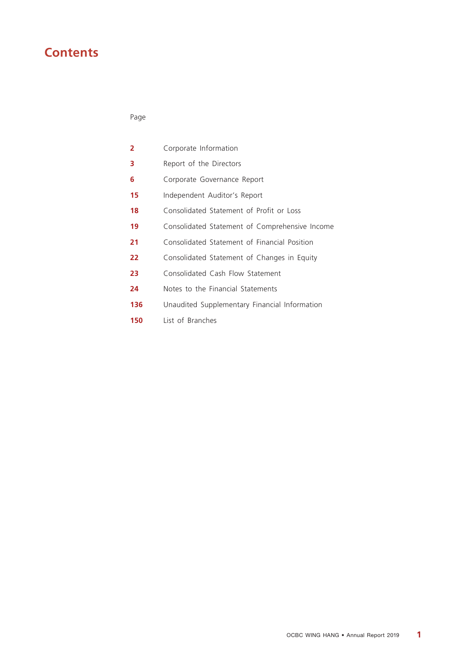# **Contents**

# Page

| $\overline{2}$ | Corporate Information                        |
|----------------|----------------------------------------------|
| 3              | Report of the Directors                      |
| 6              | Corporate Governance Report                  |
| 15             | Independent Auditor's Report                 |
| 18             | Consolidated Statement of Profit or Loss     |
| 19             | Consolidated Statement of Comprehensive In   |
| 21             | Consolidated Statement of Financial Position |
|                |                                              |

Consolidated Statement of Changes in Equity

**Income** 

- Consolidated Cash Flow Statement
- Notes to the Financial Statements
- 136 Unaudited Supplementary Financial Information
- List of Branches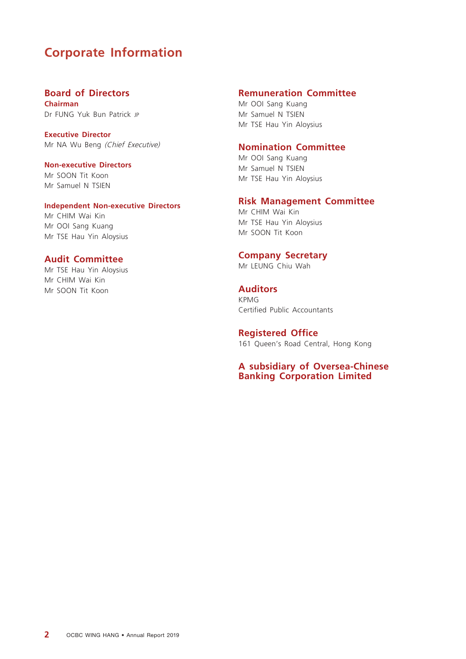# **Corporate Information**

# **Board of Directors**

**Chairman** Dr FUNG Yuk Bun Patrick JP

**Executive Director** Mr NA Wu Beng (Chief Executive)

**Non-executive Directors** Mr SOON Tit Koon Mr Samuel N TSIEN

### **Independent Non-executive Directors**

Mr CHIM Wai Kin Mr OOI Sang Kuang Mr TSE Hau Yin Aloysius

# **Audit Committee**

Mr TSE Hau Yin Aloysius Mr CHIM Wai Kin Mr SOON Tit Koon

# **Remuneration Committee**

Mr OOI Sang Kuang Mr Samuel N TSIEN Mr TSE Hau Yin Aloysius

# **Nomination Committee**

Mr OOI Sang Kuang Mr Samuel N TSIEN Mr TSE Hau Yin Aloysius

# **Risk Management Committee**

Mr CHIM Wai Kin Mr TSE Hau Yin Aloysius Mr SOON Tit Koon

# **Company Secretary**

Mr LEUNG Chiu Wah

**Auditors** KPMG Certified Public Accountants

**Registered Office** 161 Queen's Road Central, Hong Kong

# **A subsidiary of Oversea-Chinese Banking Corporation Limited**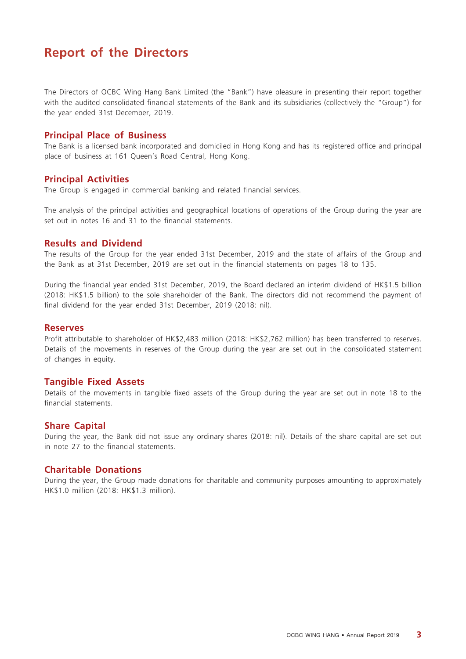# **Report of the Directors**

The Directors of OCBC Wing Hang Bank Limited (the "Bank") have pleasure in presenting their report together with the audited consolidated financial statements of the Bank and its subsidiaries (collectively the "Group") for the year ended 31st December, 2019.

## **Principal Place of Business**

The Bank is a licensed bank incorporated and domiciled in Hong Kong and has its registered office and principal place of business at 161 Queen's Road Central, Hong Kong.

### **Principal Activities**

The Group is engaged in commercial banking and related financial services.

The analysis of the principal activities and geographical locations of operations of the Group during the year are set out in notes 16 and 31 to the financial statements.

# **Results and Dividend**

The results of the Group for the year ended 31st December, 2019 and the state of affairs of the Group and the Bank as at 31st December, 2019 are set out in the financial statements on pages 18 to 135.

During the financial year ended 31st December, 2019, the Board declared an interim dividend of HK\$1.5 billion (2018: HK\$1.5 billion) to the sole shareholder of the Bank. The directors did not recommend the payment of final dividend for the year ended 31st December, 2019 (2018: nil).

### **Reserves**

Profit attributable to shareholder of HK\$2,483 million (2018: HK\$2,762 million) has been transferred to reserves. Details of the movements in reserves of the Group during the year are set out in the consolidated statement of changes in equity.

# **Tangible Fixed Assets**

Details of the movements in tangible fixed assets of the Group during the year are set out in note 18 to the financial statements.

### **Share Capital**

During the year, the Bank did not issue any ordinary shares (2018: nil). Details of the share capital are set out in note 27 to the financial statements.

## **Charitable Donations**

During the year, the Group made donations for charitable and community purposes amounting to approximately HK\$1.0 million (2018: HK\$1.3 million).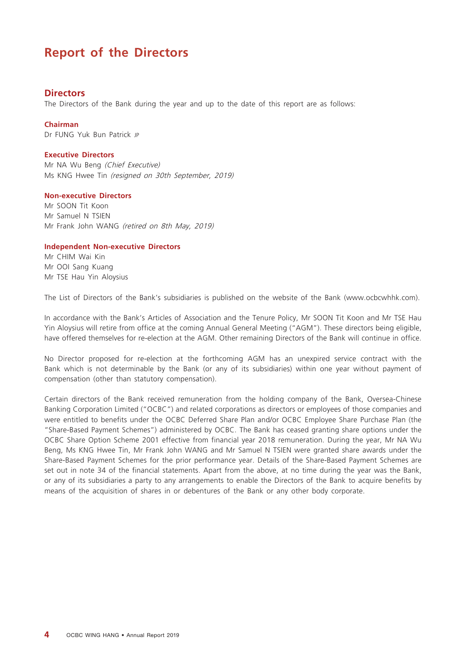# **Report of the Directors**

# **Directors**

The Directors of the Bank during the year and up to the date of this report are as follows:

### **Chairman**

Dr FUNG Yuk Bun Patrick JP

### **Executive Directors**

Mr NA Wu Beng (Chief Executive) Ms KNG Hwee Tin (resigned on 30th September, 2019)

### **Non-executive Directors**

Mr SOON Tit Koon Mr Samuel N TSIEN Mr Frank John WANG (retired on 8th May, 2019)

### **Independent Non-executive Directors**

Mr CHIM Wai Kin Mr OOI Sang Kuang Mr TSE Hau Yin Aloysius

The List of Directors of the Bank's subsidiaries is published on the website of the Bank (www.ocbcwhhk.com).

In accordance with the Bank's Articles of Association and the Tenure Policy, Mr SOON Tit Koon and Mr TSE Hau Yin Aloysius will retire from office at the coming Annual General Meeting ("AGM"). These directors being eligible, have offered themselves for re-election at the AGM. Other remaining Directors of the Bank will continue in office.

No Director proposed for re-election at the forthcoming AGM has an unexpired service contract with the Bank which is not determinable by the Bank (or any of its subsidiaries) within one year without payment of compensation (other than statutory compensation).

Certain directors of the Bank received remuneration from the holding company of the Bank, Oversea-Chinese Banking Corporation Limited ("OCBC") and related corporations as directors or employees of those companies and were entitled to benefits under the OCBC Deferred Share Plan and/or OCBC Employee Share Purchase Plan (the "Share-Based Payment Schemes") administered by OCBC. The Bank has ceased granting share options under the OCBC Share Option Scheme 2001 effective from financial year 2018 remuneration. During the year, Mr NA Wu Beng, Ms KNG Hwee Tin, Mr Frank John WANG and Mr Samuel N TSIEN were granted share awards under the Share-Based Payment Schemes for the prior performance year. Details of the Share-Based Payment Schemes are set out in note 34 of the financial statements. Apart from the above, at no time during the year was the Bank, or any of its subsidiaries a party to any arrangements to enable the Directors of the Bank to acquire benefits by means of the acquisition of shares in or debentures of the Bank or any other body corporate.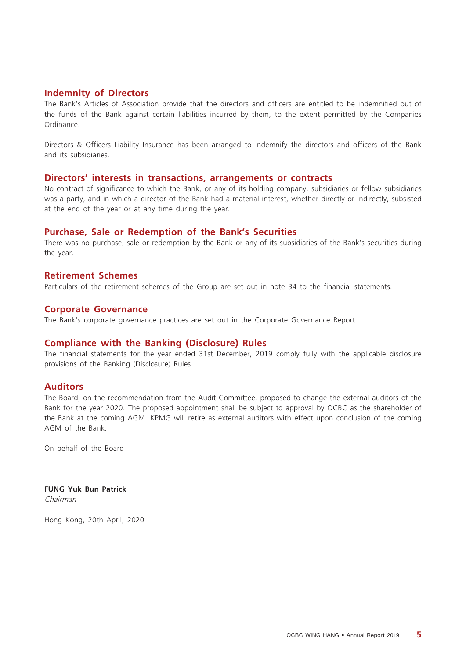# **Indemnity of Directors**

The Bank's Articles of Association provide that the directors and officers are entitled to be indemnified out of the funds of the Bank against certain liabilities incurred by them, to the extent permitted by the Companies Ordinance.

Directors & Officers Liability Insurance has been arranged to indemnify the directors and officers of the Bank and its subsidiaries.

### **Directors' interests in transactions, arrangements or contracts**

No contract of significance to which the Bank, or any of its holding company, subsidiaries or fellow subsidiaries was a party, and in which a director of the Bank had a material interest, whether directly or indirectly, subsisted at the end of the year or at any time during the year.

## **Purchase, Sale or Redemption of the Bank's Securities**

There was no purchase, sale or redemption by the Bank or any of its subsidiaries of the Bank's securities during the year.

## **Retirement Schemes**

Particulars of the retirement schemes of the Group are set out in note 34 to the financial statements.

## **Corporate Governance**

The Bank's corporate governance practices are set out in the Corporate Governance Report.

## **Compliance with the Banking (Disclosure) Rules**

The financial statements for the year ended 31st December, 2019 comply fully with the applicable disclosure provisions of the Banking (Disclosure) Rules.

# **Auditors**

The Board, on the recommendation from the Audit Committee, proposed to change the external auditors of the Bank for the year 2020. The proposed appointment shall be subject to approval by OCBC as the shareholder of the Bank at the coming AGM. KPMG will retire as external auditors with effect upon conclusion of the coming AGM of the Bank.

On behalf of the Board

**FUNG Yuk Bun Patrick**

Chairman

Hong Kong, 20th April, 2020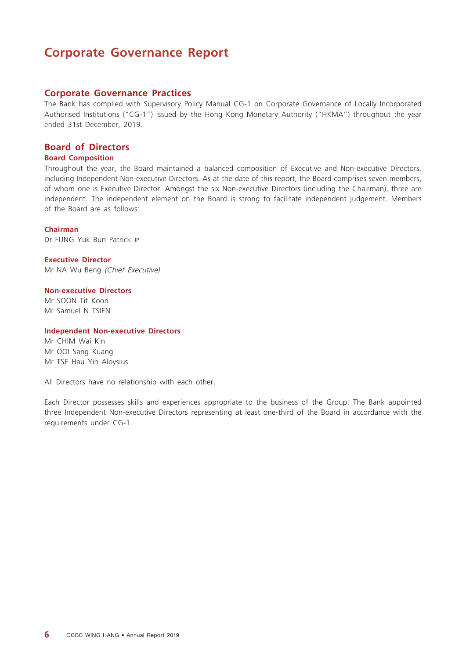# **Corporate Governance Report**

## **Corporate Governance Practices**

The Bank has complied with Supervisory Policy Manual CG-1 on Corporate Governance of Locally Incorporated Authorised Institutions ("CG-1") issued by the Hong Kong Monetary Authority ("HKMA") throughout the year ended 31st December, 2019.

# **Board of Directors**

# **Board Composition**

Throughout the year, the Board maintained a balanced composition of Executive and Non-executive Directors, including Independent Non-executive Directors. As at the date of this report, the Board comprises seven members, of whom one is Executive Director. Amongst the six Non-executive Directors (including the Chairman), three are independent. The independent element on the Board is strong to facilitate independent judgement. Members of the Board are as follows:

## **Chairman**

Dr FUNG Yuk Bun Patrick JP

**Executive Director** Mr NA Wu Beng (Chief Executive)

**Non-executive Directors**

Mr SOON Tit Koon Mr Samuel N TSIEN

### **Independent Non-executive Directors**

Mr CHIM Wai Kin Mr OOI Sang Kuang Mr TSE Hau Yin Aloysius

All Directors have no relationship with each other.

Each Director possesses skills and experiences appropriate to the business of the Group. The Bank appointed three Independent Non-executive Directors representing at least one-third of the Board in accordance with the requirements under CG-1.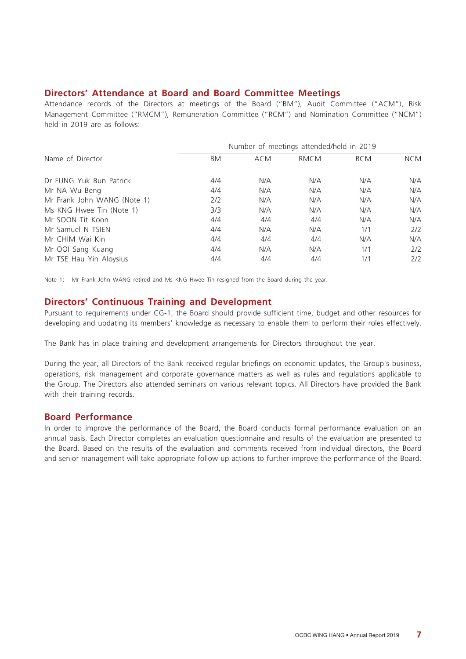# **Directors' Attendance at Board and Board Committee Meetings**

Attendance records of the Directors at meetings of the Board ("BM"), Audit Committee ("ACM"), Risk Management Committee ("RMCM"), Remuneration Committee ("RCM") and Nomination Committee ("NCM") held in 2019 are as follows:

|                             | Number of meetings attended/held in 2019 |            |             |            |            |  |  |  |
|-----------------------------|------------------------------------------|------------|-------------|------------|------------|--|--|--|
| Name of Director            | BM                                       | <b>ACM</b> | <b>RMCM</b> | <b>RCM</b> | <b>NCM</b> |  |  |  |
|                             |                                          |            |             |            |            |  |  |  |
| Dr FUNG Yuk Bun Patrick     | 4/4                                      | N/A        | N/A         | N/A        | N/A        |  |  |  |
| Mr NA Wu Beng               | 4/4                                      | N/A        | N/A         | N/A        | N/A        |  |  |  |
| Mr Frank John WANG (Note 1) | 2/2                                      | N/A        | N/A         | N/A        | N/A        |  |  |  |
| Ms KNG Hwee Tin (Note 1)    | 3/3                                      | N/A        | N/A         | N/A        | N/A        |  |  |  |
| Mr SOON Tit Koon            | 4/4                                      | 4/4        | 4/4         | N/A        | N/A        |  |  |  |
| Mr Samuel N TSIEN           | 4/4                                      | N/A        | N/A         | 1/1        | 2/2        |  |  |  |
| Mr CHIM Wai Kin             | 4/4                                      | 4/4        | 4/4         | N/A        | N/A        |  |  |  |
| Mr OOI Sang Kuang           | 4/4                                      | N/A        | N/A         | 1/1        | 2/2        |  |  |  |
| Mr TSE Hau Yin Aloysius     | 4/4                                      | 4/4        | 4/4         | 1/1        | 2/2        |  |  |  |

Note 1: Mr Frank John WANG retired and Ms KNG Hwee Tin resigned from the Board during the year.

# **Directors' Continuous Training and Development**

Pursuant to requirements under CG-1, the Board should provide sufficient time, budget and other resources for developing and updating its members' knowledge as necessary to enable them to perform their roles effectively.

The Bank has in place training and development arrangements for Directors throughout the year.

During the year, all Directors of the Bank received regular briefings on economic updates, the Group's business, operations, risk management and corporate governance matters as well as rules and regulations applicable to the Group. The Directors also attended seminars on various relevant topics. All Directors have provided the Bank with their training records.

# **Board Performance**

In order to improve the performance of the Board, the Board conducts formal performance evaluation on an annual basis. Each Director completes an evaluation questionnaire and results of the evaluation are presented to the Board. Based on the results of the evaluation and comments received from individual directors, the Board and senior management will take appropriate follow up actions to further improve the performance of the Board.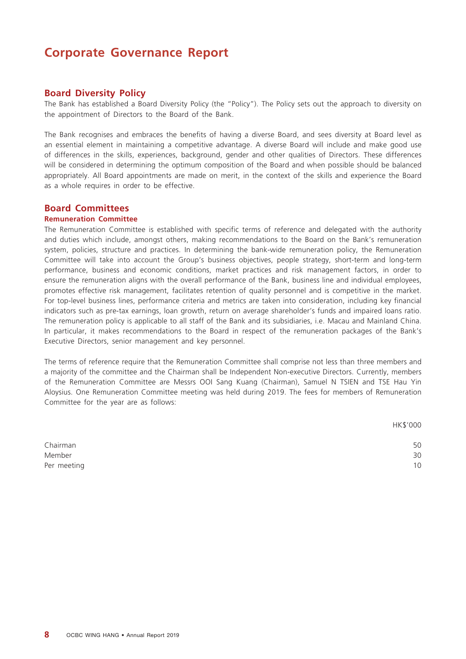# **Corporate Governance Report**

# **Board Diversity Policy**

The Bank has established a Board Diversity Policy (the "Policy"). The Policy sets out the approach to diversity on the appointment of Directors to the Board of the Bank.

The Bank recognises and embraces the benefits of having a diverse Board, and sees diversity at Board level as an essential element in maintaining a competitive advantage. A diverse Board will include and make good use of differences in the skills, experiences, background, gender and other qualities of Directors. These differences will be considered in determining the optimum composition of the Board and when possible should be balanced appropriately. All Board appointments are made on merit, in the context of the skills and experience the Board as a whole requires in order to be effective.

## **Board Committees**

# **Remuneration Committee**

The Remuneration Committee is established with specific terms of reference and delegated with the authority and duties which include, amongst others, making recommendations to the Board on the Bank's remuneration system, policies, structure and practices. In determining the bank-wide remuneration policy, the Remuneration Committee will take into account the Group's business objectives, people strategy, short-term and long-term performance, business and economic conditions, market practices and risk management factors, in order to ensure the remuneration aligns with the overall performance of the Bank, business line and individual employees, promotes effective risk management, facilitates retention of quality personnel and is competitive in the market. For top-level business lines, performance criteria and metrics are taken into consideration, including key financial indicators such as pre-tax earnings, loan growth, return on average shareholder's funds and impaired loans ratio. The remuneration policy is applicable to all staff of the Bank and its subsidiaries, i.e. Macau and Mainland China. In particular, it makes recommendations to the Board in respect of the remuneration packages of the Bank's Executive Directors, senior management and key personnel.

The terms of reference require that the Remuneration Committee shall comprise not less than three members and a majority of the committee and the Chairman shall be Independent Non-executive Directors. Currently, members of the Remuneration Committee are Messrs OOI Sang Kuang (Chairman), Samuel N TSIEN and TSE Hau Yin Aloysius. One Remuneration Committee meeting was held during 2019. The fees for members of Remuneration Committee for the year are as follows:

| Chairman    | 5C |
|-------------|----|
| Member      | 3C |
| Per meeting | 1C |

HK\$'000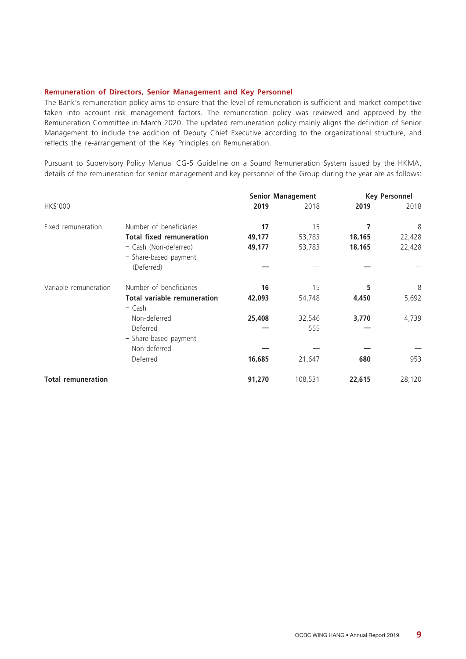## **Remuneration of Directors, Senior Management and Key Personnel**

The Bank's remuneration policy aims to ensure that the level of remuneration is sufficient and market competitive taken into account risk management factors. The remuneration policy was reviewed and approved by the Remuneration Committee in March 2020. The updated remuneration policy mainly aligns the definition of Senior Management to include the addition of Deputy Chief Executive according to the organizational structure, and reflects the re-arrangement of the Key Principles on Remuneration.

Pursuant to Supervisory Policy Manual CG-5 Guideline on a Sound Remuneration System issued by the HKMA, details of the remuneration for senior management and key personnel of the Group during the year are as follows:

|                           |                                    |        | <b>Senior Management</b> |        | <b>Key Personnel</b> |
|---------------------------|------------------------------------|--------|--------------------------|--------|----------------------|
| HK\$'000                  |                                    | 2019   | 2018                     | 2019   | 2018                 |
| Fixed remuneration        | Number of beneficiaries            | 17     | 15                       | 7      | 8                    |
|                           | <b>Total fixed remuneration</b>    | 49,177 | 53,783                   | 18,165 | 22,428               |
|                           | - Cash (Non-deferred)              | 49,177 | 53,783                   | 18,165 | 22,428               |
|                           | - Share-based payment              |        |                          |        |                      |
|                           | (Deferred)                         |        |                          |        |                      |
| Variable remuneration     | Number of beneficiaries            | 16     | 15                       | 5      | 8                    |
|                           | <b>Total variable remuneration</b> | 42,093 | 54,748                   | 4,450  | 5,692                |
|                           | $-$ Cash                           |        |                          |        |                      |
|                           | Non-deferred                       | 25,408 | 32,546                   | 3,770  | 4,739                |
|                           | Deferred                           |        | 555                      |        |                      |
|                           | - Share-based payment              |        |                          |        |                      |
|                           | Non-deferred                       |        |                          |        |                      |
|                           | Deferred                           | 16,685 | 21,647                   | 680    | 953                  |
| <b>Total remuneration</b> |                                    | 91,270 | 108,531                  | 22,615 | 28,120               |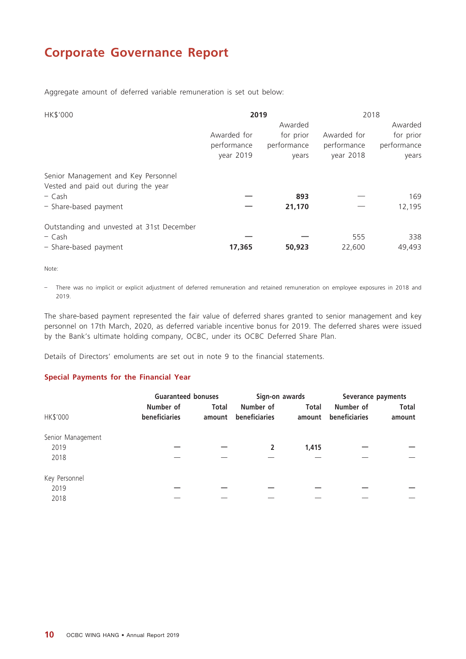# **Corporate Governance Report**

Aggregate amount of deferred variable remuneration is set out below:

| HK\$'000<br>2019                                                           |             |             |             | 2018        |  |  |  |
|----------------------------------------------------------------------------|-------------|-------------|-------------|-------------|--|--|--|
|                                                                            |             | Awarded     |             | Awarded     |  |  |  |
|                                                                            | Awarded for | for prior   | Awarded for | for prior   |  |  |  |
|                                                                            | performance | performance | performance | performance |  |  |  |
|                                                                            | year 2019   | years       | year 2018   | years       |  |  |  |
| Senior Management and Key Personnel<br>Vested and paid out during the year |             |             |             |             |  |  |  |
| $-$ Cash                                                                   |             | 893         |             | 169         |  |  |  |
| - Share-based payment                                                      |             | 21,170      |             | 12,195      |  |  |  |
| Outstanding and unvested at 31st December                                  |             |             |             |             |  |  |  |
| $-$ Cash                                                                   |             |             | 555         | 338         |  |  |  |
| - Share-based payment                                                      | 17,365      | 50,923      | 22,600      | 49,493      |  |  |  |

Note:

– There was no implicit or explicit adjustment of deferred remuneration and retained remuneration on employee exposures in 2018 and 2019.

The share-based payment represented the fair value of deferred shares granted to senior management and key personnel on 17th March, 2020, as deferred variable incentive bonus for 2019. The deferred shares were issued by the Bank's ultimate holding company, OCBC, under its OCBC Deferred Share Plan.

Details of Directors' emoluments are set out in note 9 to the financial statements.

### **Special Payments for the Financial Year**

|                   | <b>Guaranteed bonuses</b>  |                        | Sign-on awards             |                 | Severance payments         |                        |
|-------------------|----------------------------|------------------------|----------------------------|-----------------|----------------------------|------------------------|
| HK\$'000          | Number of<br>beneficiaries | <b>Total</b><br>amount | Number of<br>beneficiaries | Total<br>amount | Number of<br>beneficiaries | <b>Total</b><br>amount |
| Senior Management |                            |                        |                            |                 |                            |                        |
| 2019              |                            |                        |                            | 1,415           |                            |                        |
| 2018              |                            |                        |                            |                 |                            |                        |
| Key Personnel     |                            |                        |                            |                 |                            |                        |
| 2019              |                            |                        |                            |                 |                            |                        |
| 2018              |                            |                        |                            |                 |                            |                        |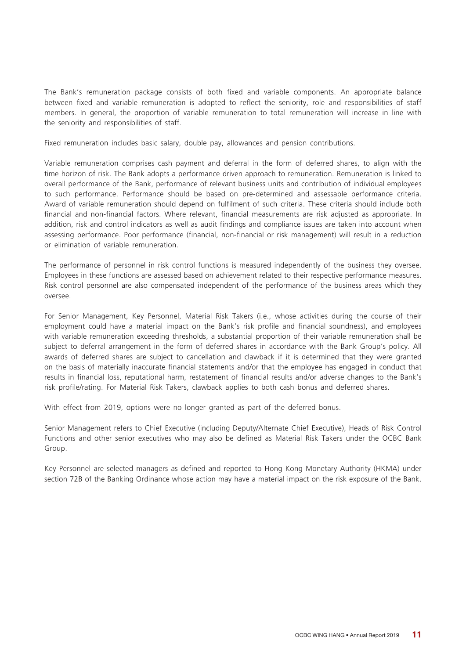The Bank's remuneration package consists of both fixed and variable components. An appropriate balance between fixed and variable remuneration is adopted to reflect the seniority, role and responsibilities of staff members. In general, the proportion of variable remuneration to total remuneration will increase in line with the seniority and responsibilities of staff.

Fixed remuneration includes basic salary, double pay, allowances and pension contributions.

Variable remuneration comprises cash payment and deferral in the form of deferred shares, to align with the time horizon of risk. The Bank adopts a performance driven approach to remuneration. Remuneration is linked to overall performance of the Bank, performance of relevant business units and contribution of individual employees to such performance. Performance should be based on pre-determined and assessable performance criteria. Award of variable remuneration should depend on fulfilment of such criteria. These criteria should include both financial and non-financial factors. Where relevant, financial measurements are risk adjusted as appropriate. In addition, risk and control indicators as well as audit findings and compliance issues are taken into account when assessing performance. Poor performance (financial, non-financial or risk management) will result in a reduction or elimination of variable remuneration.

The performance of personnel in risk control functions is measured independently of the business they oversee. Employees in these functions are assessed based on achievement related to their respective performance measures. Risk control personnel are also compensated independent of the performance of the business areas which they oversee.

For Senior Management, Key Personnel, Material Risk Takers (i.e., whose activities during the course of their employment could have a material impact on the Bank's risk profile and financial soundness), and employees with variable remuneration exceeding thresholds, a substantial proportion of their variable remuneration shall be subject to deferral arrangement in the form of deferred shares in accordance with the Bank Group's policy. All awards of deferred shares are subject to cancellation and clawback if it is determined that they were granted on the basis of materially inaccurate financial statements and/or that the employee has engaged in conduct that results in financial loss, reputational harm, restatement of financial results and/or adverse changes to the Bank's risk profile/rating. For Material Risk Takers, clawback applies to both cash bonus and deferred shares.

With effect from 2019, options were no longer granted as part of the deferred bonus.

Senior Management refers to Chief Executive (including Deputy/Alternate Chief Executive), Heads of Risk Control Functions and other senior executives who may also be defined as Material Risk Takers under the OCBC Bank Group.

Key Personnel are selected managers as defined and reported to Hong Kong Monetary Authority (HKMA) under section 72B of the Banking Ordinance whose action may have a material impact on the risk exposure of the Bank.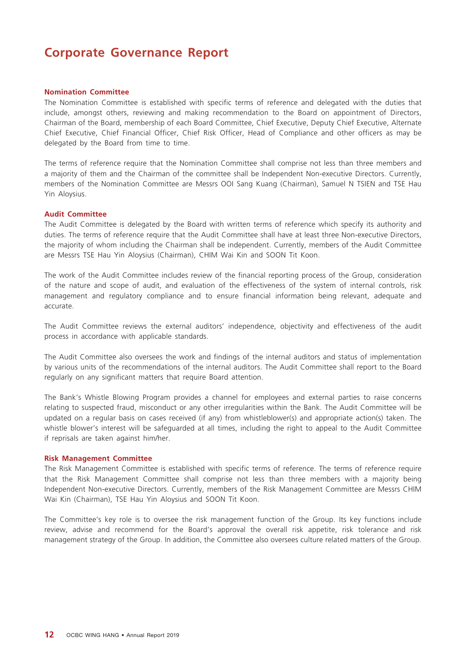# **Corporate Governance Report**

### **Nomination Committee**

The Nomination Committee is established with specific terms of reference and delegated with the duties that include, amongst others, reviewing and making recommendation to the Board on appointment of Directors, Chairman of the Board, membership of each Board Committee, Chief Executive, Deputy Chief Executive, Alternate Chief Executive, Chief Financial Officer, Chief Risk Officer, Head of Compliance and other officers as may be delegated by the Board from time to time.

The terms of reference require that the Nomination Committee shall comprise not less than three members and a majority of them and the Chairman of the committee shall be Independent Non-executive Directors. Currently, members of the Nomination Committee are Messrs OOI Sang Kuang (Chairman), Samuel N TSIEN and TSE Hau Yin Aloysius.

### **Audit Committee**

The Audit Committee is delegated by the Board with written terms of reference which specify its authority and duties. The terms of reference require that the Audit Committee shall have at least three Non-executive Directors, the majority of whom including the Chairman shall be independent. Currently, members of the Audit Committee are Messrs TSE Hau Yin Aloysius (Chairman), CHIM Wai Kin and SOON Tit Koon.

The work of the Audit Committee includes review of the financial reporting process of the Group, consideration of the nature and scope of audit, and evaluation of the effectiveness of the system of internal controls, risk management and regulatory compliance and to ensure financial information being relevant, adequate and accurate.

The Audit Committee reviews the external auditors' independence, objectivity and effectiveness of the audit process in accordance with applicable standards.

The Audit Committee also oversees the work and findings of the internal auditors and status of implementation by various units of the recommendations of the internal auditors. The Audit Committee shall report to the Board regularly on any significant matters that require Board attention.

The Bank's Whistle Blowing Program provides a channel for employees and external parties to raise concerns relating to suspected fraud, misconduct or any other irregularities within the Bank. The Audit Committee will be updated on a regular basis on cases received (if any) from whistleblower(s) and appropriate action(s) taken. The whistle blower's interest will be safeguarded at all times, including the right to appeal to the Audit Committee if reprisals are taken against him/her.

### **Risk Management Committee**

The Risk Management Committee is established with specific terms of reference. The terms of reference require that the Risk Management Committee shall comprise not less than three members with a majority being Independent Non-executive Directors. Currently, members of the Risk Management Committee are Messrs CHIM Wai Kin (Chairman), TSE Hau Yin Aloysius and SOON Tit Koon.

The Committee's key role is to oversee the risk management function of the Group. Its key functions include review, advise and recommend for the Board's approval the overall risk appetite, risk tolerance and risk management strategy of the Group. In addition, the Committee also oversees culture related matters of the Group.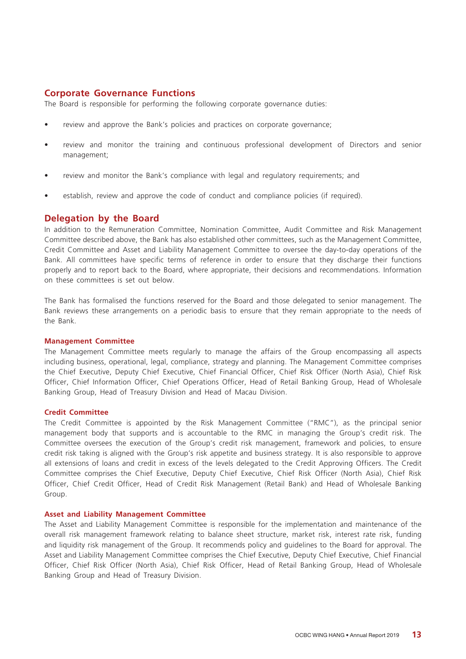# **Corporate Governance Functions**

The Board is responsible for performing the following corporate governance duties:

- review and approve the Bank's policies and practices on corporate governance;
- review and monitor the training and continuous professional development of Directors and senior management;
- review and monitor the Bank's compliance with legal and regulatory requirements; and
- establish, review and approve the code of conduct and compliance policies (if required).

## **Delegation by the Board**

In addition to the Remuneration Committee, Nomination Committee, Audit Committee and Risk Management Committee described above, the Bank has also established other committees, such as the Management Committee, Credit Committee and Asset and Liability Management Committee to oversee the day-to-day operations of the Bank. All committees have specific terms of reference in order to ensure that they discharge their functions properly and to report back to the Board, where appropriate, their decisions and recommendations. Information on these committees is set out below.

The Bank has formalised the functions reserved for the Board and those delegated to senior management. The Bank reviews these arrangements on a periodic basis to ensure that they remain appropriate to the needs of the Bank.

### **Management Committee**

The Management Committee meets regularly to manage the affairs of the Group encompassing all aspects including business, operational, legal, compliance, strategy and planning. The Management Committee comprises the Chief Executive, Deputy Chief Executive, Chief Financial Officer, Chief Risk Officer (North Asia), Chief Risk Officer, Chief Information Officer, Chief Operations Officer, Head of Retail Banking Group, Head of Wholesale Banking Group, Head of Treasury Division and Head of Macau Division.

### **Credit Committee**

The Credit Committee is appointed by the Risk Management Committee ("RMC"), as the principal senior management body that supports and is accountable to the RMC in managing the Group's credit risk. The Committee oversees the execution of the Group's credit risk management, framework and policies, to ensure credit risk taking is aligned with the Group's risk appetite and business strategy. It is also responsible to approve all extensions of loans and credit in excess of the levels delegated to the Credit Approving Officers. The Credit Committee comprises the Chief Executive, Deputy Chief Executive, Chief Risk Officer (North Asia), Chief Risk Officer, Chief Credit Officer, Head of Credit Risk Management (Retail Bank) and Head of Wholesale Banking Group.

### **Asset and Liability Management Committee**

The Asset and Liability Management Committee is responsible for the implementation and maintenance of the overall risk management framework relating to balance sheet structure, market risk, interest rate risk, funding and liquidity risk management of the Group. It recommends policy and guidelines to the Board for approval. The Asset and Liability Management Committee comprises the Chief Executive, Deputy Chief Executive, Chief Financial Officer, Chief Risk Officer (North Asia), Chief Risk Officer, Head of Retail Banking Group, Head of Wholesale Banking Group and Head of Treasury Division.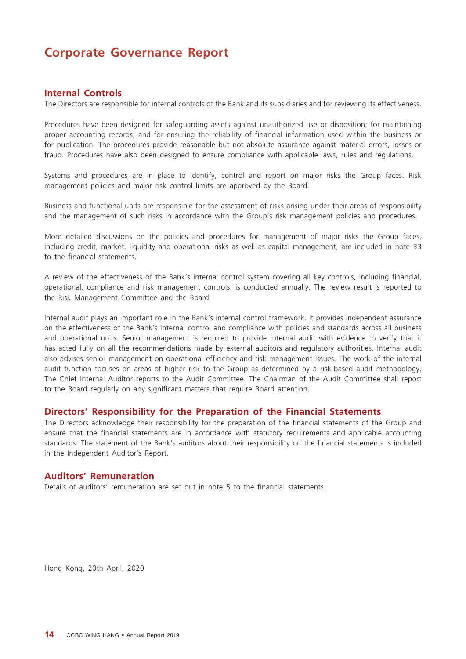# **Corporate Governance Report**

# **Internal Controls**

The Directors are responsible for internal controls of the Bank and its subsidiaries and for reviewing its effectiveness.

Procedures have been designed for safeguarding assets against unauthorized use or disposition; for maintaining proper accounting records; and for ensuring the reliability of financial information used within the business or for publication. The procedures provide reasonable but not absolute assurance against material errors, losses or fraud. Procedures have also been designed to ensure compliance with applicable laws, rules and regulations.

Systems and procedures are in place to identify, control and report on major risks the Group faces. Risk management policies and major risk control limits are approved by the Board.

Business and functional units are responsible for the assessment of risks arising under their areas of responsibility and the management of such risks in accordance with the Group's risk management policies and procedures.

More detailed discussions on the policies and procedures for management of major risks the Group faces, including credit, market, liquidity and operational risks as well as capital management, are included in note 33 to the financial statements.

A review of the effectiveness of the Bank's internal control system covering all key controls, including financial, operational, compliance and risk management controls, is conducted annually. The review result is reported to the Risk Management Committee and the Board.

Internal audit plays an important role in the Bank's internal control framework. It provides independent assurance on the effectiveness of the Bank's internal control and compliance with policies and standards across all business and operational units. Senior management is required to provide internal audit with evidence to verify that it has acted fully on all the recommendations made by external auditors and regulatory authorities. Internal audit also advises senior management on operational efficiency and risk management issues. The work of the internal audit function focuses on areas of higher risk to the Group as determined by a risk-based audit methodology. The Chief Internal Auditor reports to the Audit Committee. The Chairman of the Audit Committee shall report to the Board regularly on any significant matters that require Board attention.

# **Directors' Responsibility for the Preparation of the Financial Statements**

The Directors acknowledge their responsibility for the preparation of the financial statements of the Group and ensure that the financial statements are in accordance with statutory requirements and applicable accounting standards. The statement of the Bank's auditors about their responsibility on the financial statements is included in the Independent Auditor's Report.

# **Auditors' Remuneration**

Details of auditors' remuneration are set out in note 5 to the financial statements.

Hong Kong, 20th April, 2020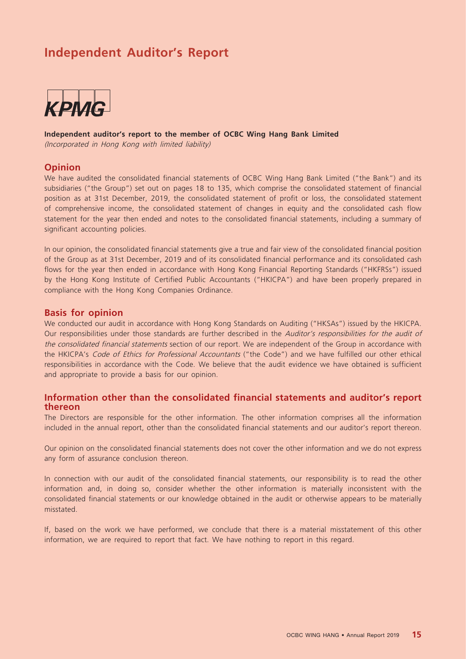# **Independent Auditor's Report**



### **Independent auditor's report to the member of OCBC Wing Hang Bank Limited**

(Incorporated in Hong Kong with limited liability)

# **Opinion**

We have audited the consolidated financial statements of OCBC Wing Hang Bank Limited ("the Bank") and its subsidiaries ("the Group") set out on pages 18 to 135, which comprise the consolidated statement of financial position as at 31st December, 2019, the consolidated statement of profit or loss, the consolidated statement of comprehensive income, the consolidated statement of changes in equity and the consolidated cash flow statement for the year then ended and notes to the consolidated financial statements, including a summary of significant accounting policies.

In our opinion, the consolidated financial statements give a true and fair view of the consolidated financial position of the Group as at 31st December, 2019 and of its consolidated financial performance and its consolidated cash flows for the year then ended in accordance with Hong Kong Financial Reporting Standards ("HKFRSs") issued by the Hong Kong Institute of Certified Public Accountants ("HKICPA") and have been properly prepared in compliance with the Hong Kong Companies Ordinance.

## **Basis for opinion**

We conducted our audit in accordance with Hong Kong Standards on Auditing ("HKSAs") issued by the HKICPA. Our responsibilities under those standards are further described in the Auditor's responsibilities for the audit of the consolidated financial statements section of our report. We are independent of the Group in accordance with the HKICPA's Code of Ethics for Professional Accountants ("the Code") and we have fulfilled our other ethical responsibilities in accordance with the Code. We believe that the audit evidence we have obtained is sufficient and appropriate to provide a basis for our opinion.

# **Information other than the consolidated financial statements and auditor's report thereon**

The Directors are responsible for the other information. The other information comprises all the information included in the annual report, other than the consolidated financial statements and our auditor's report thereon.

Our opinion on the consolidated financial statements does not cover the other information and we do not express any form of assurance conclusion thereon.

In connection with our audit of the consolidated financial statements, our responsibility is to read the other information and, in doing so, consider whether the other information is materially inconsistent with the consolidated financial statements or our knowledge obtained in the audit or otherwise appears to be materially misstated.

If, based on the work we have performed, we conclude that there is a material misstatement of this other information, we are required to report that fact. We have nothing to report in this regard.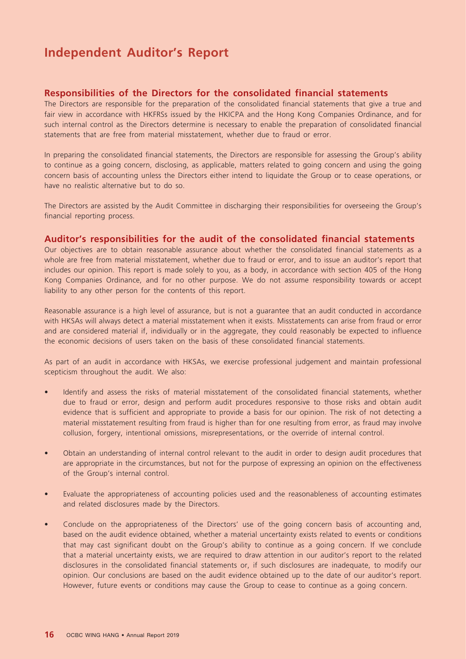# **Independent Auditor's Report**

# **Responsibilities of the Directors for the consolidated financial statements**

The Directors are responsible for the preparation of the consolidated financial statements that give a true and fair view in accordance with HKFRSs issued by the HKICPA and the Hong Kong Companies Ordinance, and for such internal control as the Directors determine is necessary to enable the preparation of consolidated financial statements that are free from material misstatement, whether due to fraud or error.

In preparing the consolidated financial statements, the Directors are responsible for assessing the Group's ability to continue as a going concern, disclosing, as applicable, matters related to going concern and using the going concern basis of accounting unless the Directors either intend to liquidate the Group or to cease operations, or have no realistic alternative but to do so.

The Directors are assisted by the Audit Committee in discharging their responsibilities for overseeing the Group's financial reporting process.

# **Auditor's responsibilities for the audit of the consolidated financial statements**

Our objectives are to obtain reasonable assurance about whether the consolidated financial statements as a whole are free from material misstatement, whether due to fraud or error, and to issue an auditor's report that includes our opinion. This report is made solely to you, as a body, in accordance with section 405 of the Hong Kong Companies Ordinance, and for no other purpose. We do not assume responsibility towards or accept liability to any other person for the contents of this report.

Reasonable assurance is a high level of assurance, but is not a guarantee that an audit conducted in accordance with HKSAs will always detect a material misstatement when it exists. Misstatements can arise from fraud or error and are considered material if, individually or in the aggregate, they could reasonably be expected to influence the economic decisions of users taken on the basis of these consolidated financial statements.

As part of an audit in accordance with HKSAs, we exercise professional judgement and maintain professional scepticism throughout the audit. We also:

- Identify and assess the risks of material misstatement of the consolidated financial statements, whether due to fraud or error, design and perform audit procedures responsive to those risks and obtain audit evidence that is sufficient and appropriate to provide a basis for our opinion. The risk of not detecting a material misstatement resulting from fraud is higher than for one resulting from error, as fraud may involve collusion, forgery, intentional omissions, misrepresentations, or the override of internal control.
- Obtain an understanding of internal control relevant to the audit in order to design audit procedures that are appropriate in the circumstances, but not for the purpose of expressing an opinion on the effectiveness of the Group's internal control.
- Evaluate the appropriateness of accounting policies used and the reasonableness of accounting estimates and related disclosures made by the Directors.
- Conclude on the appropriateness of the Directors' use of the going concern basis of accounting and, based on the audit evidence obtained, whether a material uncertainty exists related to events or conditions that may cast significant doubt on the Group's ability to continue as a going concern. If we conclude that a material uncertainty exists, we are required to draw attention in our auditor's report to the related disclosures in the consolidated financial statements or, if such disclosures are inadequate, to modify our opinion. Our conclusions are based on the audit evidence obtained up to the date of our auditor's report. However, future events or conditions may cause the Group to cease to continue as a going concern.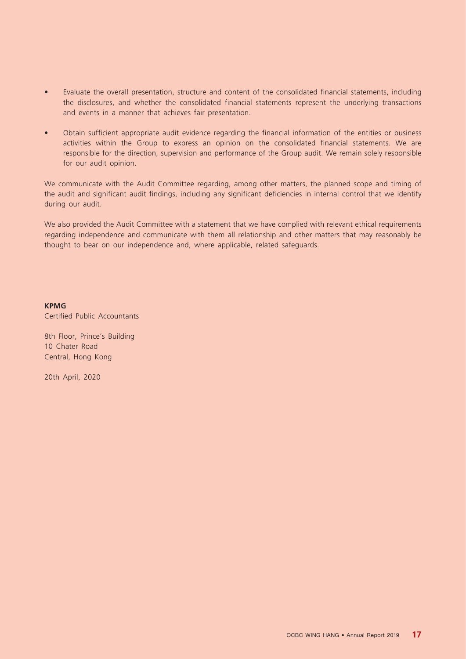- Evaluate the overall presentation, structure and content of the consolidated financial statements, including the disclosures, and whether the consolidated financial statements represent the underlying transactions and events in a manner that achieves fair presentation.
- Obtain sufficient appropriate audit evidence regarding the financial information of the entities or business activities within the Group to express an opinion on the consolidated financial statements. We are responsible for the direction, supervision and performance of the Group audit. We remain solely responsible for our audit opinion.

We communicate with the Audit Committee regarding, among other matters, the planned scope and timing of the audit and significant audit findings, including any significant deficiencies in internal control that we identify during our audit.

We also provided the Audit Committee with a statement that we have complied with relevant ethical requirements regarding independence and communicate with them all relationship and other matters that may reasonably be thought to bear on our independence and, where applicable, related safeguards.

**KPMG** Certified Public Accountants

8th Floor, Prince's Building 10 Chater Road Central, Hong Kong

20th April, 2020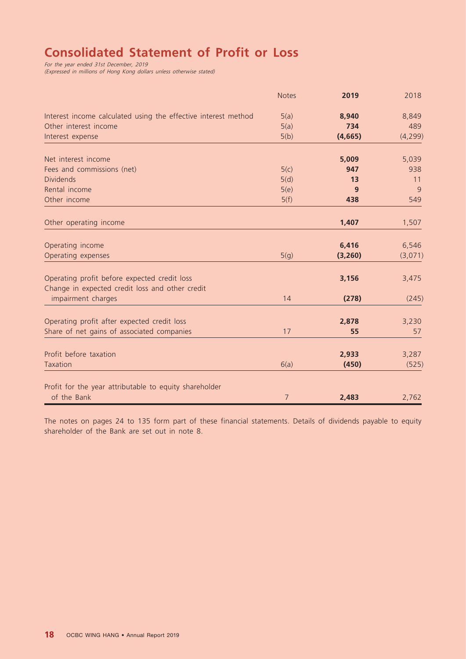# **Consolidated Statement of Profit or Loss**

For the year ended 31st December, 2019 (Expressed in millions of Hong Kong dollars unless otherwise stated)

Notes **2019** 2018 Interest income calculated using the effective interest method 5(a) **8,940** 8,849 Other interest income **6** and **734 189 734 189 189 189 189 189 189 189 189 189 189 189 189 189 189 189 189 189 189 189 189 189 189 189 189 189 189 189 189 189** Interest expense 5(b) **(4,665)** (4,299) Net interest income **5,009** 5,039 Fees and commissions (net) 5(c) **947** 938 Dividends 5(d) **13** 11 Rental income **9** 9 Other income 5(f) **438** 549 Other operating income **1,507** 1,507 Operating income **6,416** 6,546 Operating expenses 5(g) **(3,260)** (3,071) Operating profit before expected credit loss **3,475** 3,475 3,475 Change in expected credit loss and other credit impairment charges 14 **(278)** (245) Operating profit after expected credit loss **2,878** 2,230 Share of net gains of associated companies 17 **55** 57 Profit before taxation **2,933** 3,287 Taxation 6(a) **(450)** (525) Profit for the year attributable to equity shareholder of the Bank 7 **2,483** 2,762

The notes on pages 24 to 135 form part of these financial statements. Details of dividends payable to equity shareholder of the Bank are set out in note 8.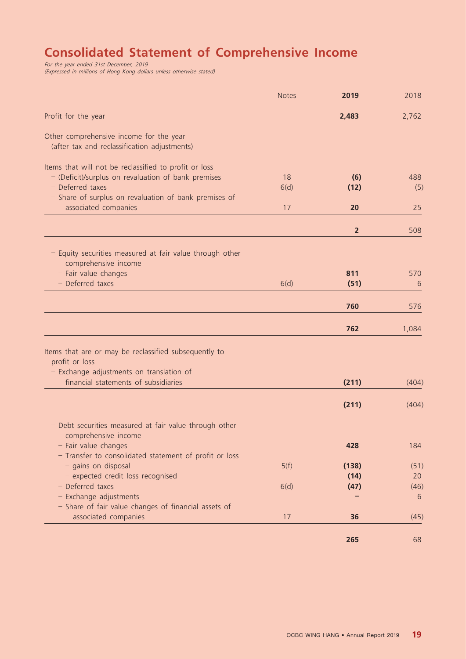# **Consolidated Statement of Comprehensive Income**

For the year ended 31st December, 2019

(Expressed in millions of Hong Kong dollars unless otherwise stated)

|                                                                                         | <b>Notes</b> | 2019           | 2018  |
|-----------------------------------------------------------------------------------------|--------------|----------------|-------|
| Profit for the year                                                                     |              | 2,483          | 2,762 |
| Other comprehensive income for the year<br>(after tax and reclassification adjustments) |              |                |       |
| Items that will not be reclassified to profit or loss                                   |              |                |       |
| - (Deficit)/surplus on revaluation of bank premises                                     | 18           | (6)            | 488   |
| - Deferred taxes                                                                        | 6(d)         | (12)           | (5)   |
| - Share of surplus on revaluation of bank premises of<br>associated companies           | 17           | 20             | 25    |
|                                                                                         |              |                |       |
|                                                                                         |              | $\overline{2}$ | 508   |
| - Equity securities measured at fair value through other<br>comprehensive income        |              |                |       |
| - Fair value changes                                                                    |              | 811            | 570   |
| - Deferred taxes                                                                        | 6(d)         | (51)           | 6     |
|                                                                                         |              | 760            | 576   |
|                                                                                         |              | 762            | 1,084 |
|                                                                                         |              |                |       |
| Items that are or may be reclassified subsequently to<br>profit or loss                 |              |                |       |
| - Exchange adjustments on translation of                                                |              |                |       |
| financial statements of subsidiaries                                                    |              | (211)          | (404) |
|                                                                                         |              | (211)          | (404) |
|                                                                                         |              |                |       |
| - Debt securities measured at fair value through other<br>comprehensive income          |              |                |       |
| - Fair value changes                                                                    |              | 428            | 184   |
| - Transfer to consolidated statement of profit or loss                                  |              |                |       |
| - gains on disposal                                                                     | 5(f)         | (138)          | (51)  |
| - expected credit loss recognised                                                       |              | (14)           | 20    |
| - Deferred taxes                                                                        | 6(d)         | (47)           | (46)  |
| - Exchange adjustments                                                                  |              |                | 6     |
| - Share of fair value changes of financial assets of                                    |              |                |       |
| associated companies                                                                    | 17           | 36             | (45)  |
|                                                                                         |              | 265            | 68    |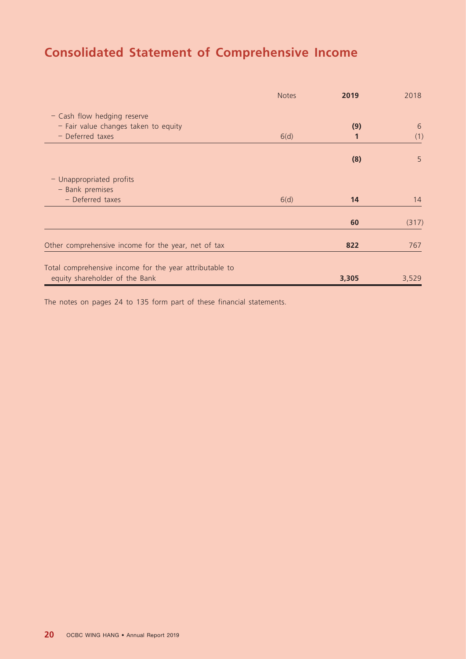# **Consolidated Statement of Comprehensive Income**

|                                                         | <b>Notes</b> | 2019  | 2018  |
|---------------------------------------------------------|--------------|-------|-------|
| - Cash flow hedging reserve                             |              |       |       |
| - Fair value changes taken to equity                    |              | (9)   | 6     |
| - Deferred taxes                                        | 6(d)         | 1     | (1)   |
|                                                         |              | (8)   | 5     |
| - Unappropriated profits                                |              |       |       |
| - Bank premises                                         |              |       |       |
| $-$ Deferred taxes                                      | 6(d)         | 14    | 14    |
|                                                         |              | 60    | (317) |
| Other comprehensive income for the year, net of tax     |              | 822   | 767   |
| Total comprehensive income for the year attributable to |              |       |       |
| equity shareholder of the Bank                          |              | 3,305 | 3,529 |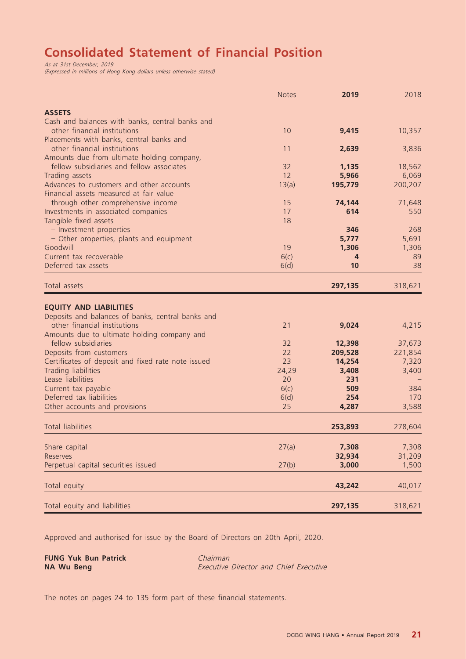# **Consolidated Statement of Financial Position**

As at 31st December, 2019

(Expressed in millions of Hong Kong dollars unless otherwise stated)

|                                                      | <b>Notes</b> | 2019                    | 2018        |
|------------------------------------------------------|--------------|-------------------------|-------------|
| <b>ASSETS</b>                                        |              |                         |             |
| Cash and balances with banks, central banks and      |              |                         |             |
| other financial institutions                         | 10           | 9,415                   | 10,357      |
| Placements with banks, central banks and             |              |                         |             |
| other financial institutions                         | 11           | 2,639                   | 3,836       |
| Amounts due from ultimate holding company,           |              |                         |             |
| fellow subsidiaries and fellow associates            | 32           | 1,135                   | 18,562      |
| Trading assets                                       | 12           | 5,966                   | 6,069       |
| Advances to customers and other accounts             | 13(a)        | 195,779                 | 200,207     |
| Financial assets measured at fair value              |              |                         |             |
| through other comprehensive income                   | 15           | 74,144                  | 71,648      |
| Investments in associated companies                  | 17           | 614                     | 550         |
| Tangible fixed assets                                | 18           |                         |             |
| - Investment properties                              |              | 346                     | 268         |
| - Other properties, plants and equipment<br>Goodwill | 19           | 5,777                   | 5,691       |
| Current tax recoverable                              | 6(c)         | 1,306<br>$\overline{4}$ | 1,306<br>89 |
| Deferred tax assets                                  | 6(d)         | 10                      | 38          |
|                                                      |              |                         |             |
| Total assets                                         |              | 297,135                 | 318,621     |
|                                                      |              |                         |             |
| <b>EQUITY AND LIABILITIES</b>                        |              |                         |             |
| Deposits and balances of banks, central banks and    |              |                         |             |
| other financial institutions                         | 21           | 9,024                   | 4,215       |
| Amounts due to ultimate holding company and          |              |                         |             |
| fellow subsidiaries                                  | 32           | 12,398                  | 37,673      |
| Deposits from customers                              | 22           | 209,528                 | 221,854     |
| Certificates of deposit and fixed rate note issued   | 23           | 14,254                  | 7,320       |
| Trading liabilities                                  | 24,29        | 3,408                   | 3,400       |
| Lease liabilities                                    | 20           | 231                     |             |
| Current tax payable                                  | 6(c)         | 509                     | 384         |
| Deferred tax liabilities                             | 6(d)         | 254                     | 170         |
| Other accounts and provisions                        | 25           | 4,287                   | 3,588       |
| <b>Total liabilities</b>                             |              | 253,893                 | 278,604     |
|                                                      |              |                         |             |
| Share capital                                        | 27(a)        | 7,308                   | 7,308       |
| <b>Reserves</b>                                      |              | 32,934                  | 31,209      |
| Perpetual capital securities issued                  | 27(b)        | 3,000                   | 1,500       |
|                                                      |              |                         |             |
| Total equity                                         |              | 43,242                  | 40,017      |
| Total equity and liabilities                         |              | 297,135                 | 318,621     |
|                                                      |              |                         |             |

Approved and authorised for issue by the Board of Directors on 20th April, 2020.

| <b>FUNG Yuk Bun Patrick</b> | Chairman                                      |
|-----------------------------|-----------------------------------------------|
| NA Wu Beng                  | <b>Executive Director and Chief Executive</b> |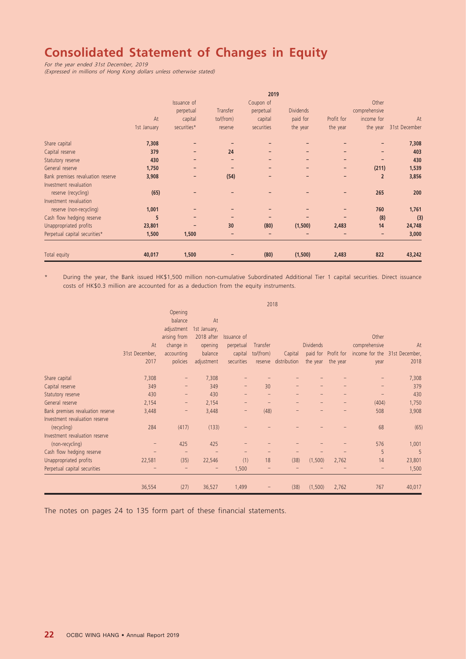# **Consolidated Statement of Changes in Equity**

For the year ended 31st December, 2019

(Expressed in millions of Hong Kong dollars unless otherwise stated)

|                                   | 2019        |             |                 |                          |                  |            |                |               |
|-----------------------------------|-------------|-------------|-----------------|--------------------------|------------------|------------|----------------|---------------|
|                                   |             | Issuance of | Coupon of       |                          |                  | Other      |                |               |
|                                   |             | perpetual   | Transfer        | perpetual                | <b>Dividends</b> |            | comprehensive  |               |
|                                   | At          | capital     | to/(from)       | capital                  | paid for         | Profit for | income for     | At            |
|                                   | 1st January | securities* | reserve         | securities               | the year         | the year   | the year       | 31st December |
| Share capital                     | 7,308       |             |                 | -                        |                  |            |                | 7,308         |
| Capital reserve                   | 379         |             | 24              |                          |                  |            |                | 403           |
| Statutory reserve                 | 430         |             | $\qquad \qquad$ |                          |                  | -          |                | 430           |
| General reserve                   | 1,750       |             |                 | $\overline{\phantom{0}}$ |                  | -          | (211)          | 1,539         |
| Bank premises revaluation reserve | 3,908       |             | (54)            |                          |                  |            | $\overline{2}$ | 3,856         |
| Investment revaluation            |             |             |                 |                          |                  |            |                |               |
| reserve (recycling)               | (65)        |             |                 |                          |                  |            | 265            | 200           |
| Investment revaluation            |             |             |                 |                          |                  |            |                |               |
| reserve (non-recycling)           | 1,001       |             |                 |                          |                  |            | 760            | 1,761         |
| Cash flow hedging reserve         | 5           |             |                 |                          |                  |            | (8)            | (3)           |
| Unappropriated profits            | 23,801      |             | 30              | (80)                     | (1,500)          | 2,483      | 14             | 24,748        |
| Perpetual capital securities*     | 1,500       | 1,500       |                 |                          |                  |            |                | 3,000         |
| Total equity                      | 40,017      | 1,500       |                 | (80)                     | (1,500)          | 2,483      | 822            | 43,242        |

During the year, the Bank issued HK\$1,500 million non-cumulative Subordinated Additional Tier 1 capital securities. Direct issuance costs of HK\$0.3 million are accounted for as a deduction from the equity instruments.

|                                   | 2018           |                   |              |                   |           |              |                  |                     |               |                               |
|-----------------------------------|----------------|-------------------|--------------|-------------------|-----------|--------------|------------------|---------------------|---------------|-------------------------------|
|                                   |                | Opening           |              |                   |           |              |                  |                     |               |                               |
|                                   |                | balance           | At           |                   |           |              |                  |                     |               |                               |
|                                   |                | adjustment        | 1st January, |                   |           |              |                  |                     |               |                               |
|                                   |                | arising from      | 2018 after   | Issuance of       |           |              |                  |                     | Other         |                               |
|                                   | At             | change in         | opening      | perpetual         | Transfer  |              | <b>Dividends</b> |                     | comprehensive | At                            |
|                                   | 31st December, | accounting        | balance      | capital           | to/(from) | Capital      |                  | paid for Profit for |               | income for the 31st December, |
|                                   | 2017           | policies          | adjustment   | securities        | reserve   | distribution |                  | the year the year   | year          | 2018                          |
| Share capital                     | 7,308          | -                 | 7,308        |                   |           |              |                  |                     |               | 7,308                         |
| Capital reserve                   | 349            | -                 | 349          | $\qquad \qquad -$ | 30        |              |                  |                     |               | 379                           |
| Statutory reserve                 | 430            |                   | 430          |                   |           |              |                  |                     |               | 430                           |
| General reserve                   | 2,154          | -                 | 2,154        |                   |           |              |                  |                     | (404)         | 1,750                         |
| Bank premises revaluation reserve | 3,448          | -                 | 3,448        | $\qquad \qquad -$ | (48)      |              |                  |                     | 508           | 3,908                         |
| Investment revaluation reserve    |                |                   |              |                   |           |              |                  |                     |               |                               |
| (recycling)                       | 284            | (417)             | (133)        |                   |           |              |                  |                     | 68            | (65)                          |
| Investment revaluation reserve    |                |                   |              |                   |           |              |                  |                     |               |                               |
| (non-recycling)                   |                | 425               | 425          |                   |           |              |                  |                     | 576           | 1,001                         |
| Cash flow hedging reserve         |                | $\qquad \qquad -$ |              |                   |           |              |                  |                     | 5             | 5                             |
| Unappropriated profits            | 22,581         | (35)              | 22,546       | (1)               | 18        | (38)         | (1,500)          | 2,762               | 14            | 23,801                        |
| Perpetual capital securities      |                | $\qquad \qquad -$ | -            | 1,500             | -         |              |                  |                     |               | 1,500                         |
|                                   | 36,554         | (27)              | 36,527       | 1,499             |           | (38)         | (1,500)          | 2,762               | 767           | 40,017                        |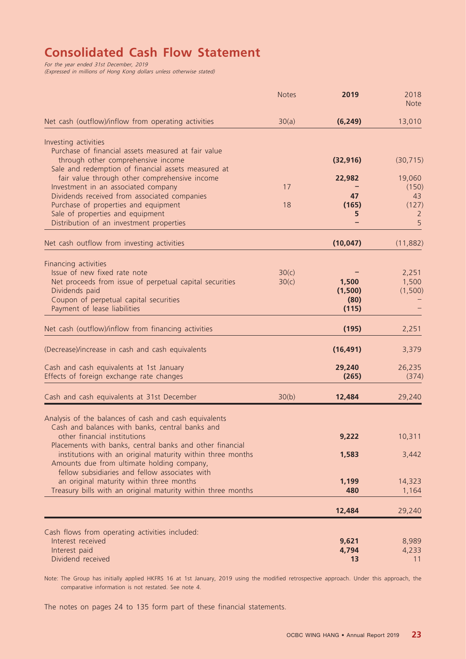# **Consolidated Cash Flow Statement**

For the year ended 31st December, 2019

(Expressed in millions of Hong Kong dollars unless otherwise stated)

|                                                                                                                                                  | <b>Notes</b>   | 2019             | 2018<br><b>Note</b> |
|--------------------------------------------------------------------------------------------------------------------------------------------------|----------------|------------------|---------------------|
| Net cash (outflow)/inflow from operating activities                                                                                              | 30(a)          | (6, 249)         | 13,010              |
| Investing activities                                                                                                                             |                |                  |                     |
| Purchase of financial assets measured at fair value<br>through other comprehensive income<br>Sale and redemption of financial assets measured at |                | (32, 916)        | (30, 715)           |
| fair value through other comprehensive income<br>Investment in an associated company                                                             | 17             | 22,982           | 19,060<br>(150)     |
| Dividends received from associated companies                                                                                                     |                | 47               | 43                  |
| Purchase of properties and equipment                                                                                                             | 18             | (165)            | (127)               |
| Sale of properties and equipment<br>Distribution of an investment properties                                                                     |                | 5                | 2<br>5              |
| Net cash outflow from investing activities                                                                                                       |                | (10, 047)        | (11, 882)           |
| Financing activities                                                                                                                             |                |                  |                     |
| Issue of new fixed rate note                                                                                                                     | 30(c)<br>30(c) |                  | 2,251               |
| Net proceeds from issue of perpetual capital securities<br>Dividends paid                                                                        |                | 1,500<br>(1,500) | 1,500<br>(1,500)    |
| Coupon of perpetual capital securities                                                                                                           |                | (80)             |                     |
| Payment of lease liabilities                                                                                                                     |                | (115)            |                     |
| Net cash (outflow)/inflow from financing activities                                                                                              |                | (195)            | 2,251               |
| (Decrease)/increase in cash and cash equivalents                                                                                                 |                | (16, 491)        | 3,379               |
| Cash and cash equivalents at 1st January                                                                                                         |                | 29,240           | 26,235              |
| Effects of foreign exchange rate changes                                                                                                         |                | (265)            | (374)               |
| Cash and cash equivalents at 31st December                                                                                                       | 30(b)          | 12,484           | 29,240              |
| Analysis of the balances of cash and cash equivalents                                                                                            |                |                  |                     |
| Cash and balances with banks, central banks and                                                                                                  |                |                  |                     |
| other financial institutions<br>Placements with banks, central banks and other financial                                                         |                | 9,222            | 10,311              |
| institutions with an original maturity within three months                                                                                       |                | 1,583            | 3,442               |
| Amounts due from ultimate holding company,                                                                                                       |                |                  |                     |
| fellow subsidiaries and fellow associates with<br>an original maturity within three months                                                       |                | 1,199            | 14,323              |
| Treasury bills with an original maturity within three months                                                                                     |                | 480              | 1,164               |
|                                                                                                                                                  |                | 12,484           | 29,240              |
|                                                                                                                                                  |                |                  |                     |
| Cash flows from operating activities included:<br>Interest received                                                                              |                |                  |                     |
| Interest paid                                                                                                                                    |                | 9,621<br>4,794   | 8,989<br>4,233      |
| Dividend received                                                                                                                                |                | 13               | 11                  |

Note: The Group has initially applied HKFRS 16 at 1st January, 2019 using the modified retrospective approach. Under this approach, the comparative information is not restated. See note 4.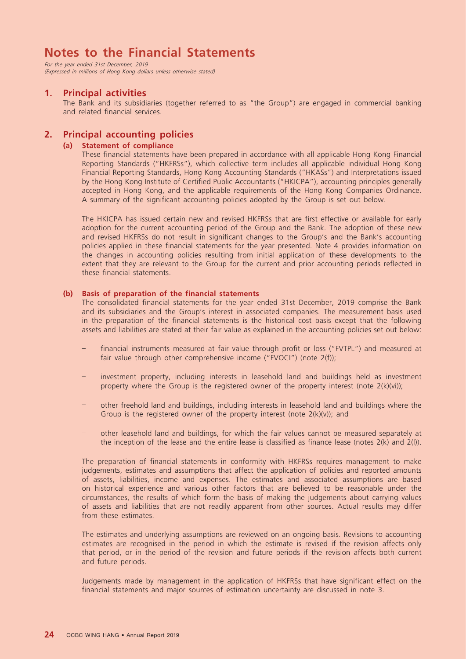# **Notes to the Financial Statements**

For the year ended 31st December, 2019 (Expressed in millions of Hong Kong dollars unless otherwise stated)

# **1. Principal activities**

The Bank and its subsidiaries (together referred to as "the Group") are engaged in commercial banking and related financial services.

# **2. Principal accounting policies**

### **(a) Statement of compliance**

These financial statements have been prepared in accordance with all applicable Hong Kong Financial Reporting Standards ("HKFRSs"), which collective term includes all applicable individual Hong Kong Financial Reporting Standards, Hong Kong Accounting Standards ("HKASs") and Interpretations issued by the Hong Kong Institute of Certified Public Accountants ("HKICPA"), accounting principles generally accepted in Hong Kong, and the applicable requirements of the Hong Kong Companies Ordinance. A summary of the significant accounting policies adopted by the Group is set out below.

The HKICPA has issued certain new and revised HKFRSs that are first effective or available for early adoption for the current accounting period of the Group and the Bank. The adoption of these new and revised HKFRSs do not result in significant changes to the Group's and the Bank's accounting policies applied in these financial statements for the year presented. Note 4 provides information on the changes in accounting policies resulting from initial application of these developments to the extent that they are relevant to the Group for the current and prior accounting periods reflected in these financial statements.

### **(b) Basis of preparation of the financial statements**

The consolidated financial statements for the year ended 31st December, 2019 comprise the Bank and its subsidiaries and the Group's interest in associated companies. The measurement basis used in the preparation of the financial statements is the historical cost basis except that the following assets and liabilities are stated at their fair value as explained in the accounting policies set out below:

- financial instruments measured at fair value through profit or loss ("FVTPL") and measured at fair value through other comprehensive income ("FVOCI") (note 2(f));
- investment property, including interests in leasehold land and buildings held as investment property where the Group is the registered owner of the property interest (note  $2(k)(vi)$ );
- other freehold land and buildings, including interests in leasehold land and buildings where the Group is the registered owner of the property interest (note  $2(k)(v)$ ); and
- other leasehold land and buildings, for which the fair values cannot be measured separately at the inception of the lease and the entire lease is classified as finance lease (notes 2(k) and 2(l)).

The preparation of financial statements in conformity with HKFRSs requires management to make judgements, estimates and assumptions that affect the application of policies and reported amounts of assets, liabilities, income and expenses. The estimates and associated assumptions are based on historical experience and various other factors that are believed to be reasonable under the circumstances, the results of which form the basis of making the judgements about carrying values of assets and liabilities that are not readily apparent from other sources. Actual results may differ from these estimates.

The estimates and underlying assumptions are reviewed on an ongoing basis. Revisions to accounting estimates are recognised in the period in which the estimate is revised if the revision affects only that period, or in the period of the revision and future periods if the revision affects both current and future periods.

Judgements made by management in the application of HKFRSs that have significant effect on the financial statements and major sources of estimation uncertainty are discussed in note 3.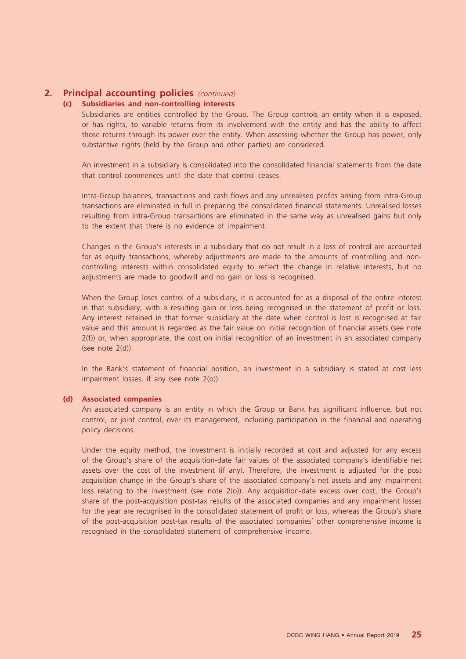# **2. Principal accounting policies** (continued)

## **(c) Subsidiaries and non-controlling interests**

Subsidiaries are entities controlled by the Group. The Group controls an entity when it is exposed, or has rights, to variable returns from its involvement with the entity and has the ability to affect those returns through its power over the entity. When assessing whether the Group has power, only substantive rights (held by the Group and other parties) are considered.

An investment in a subsidiary is consolidated into the consolidated financial statements from the date that control commences until the date that control ceases.

Intra-Group balances, transactions and cash flows and any unrealised profits arising from intra-Group transactions are eliminated in full in preparing the consolidated financial statements. Unrealised losses resulting from intra-Group transactions are eliminated in the same way as unrealised gains but only to the extent that there is no evidence of impairment.

Changes in the Group's interests in a subsidiary that do not result in a loss of control are accounted for as equity transactions, whereby adjustments are made to the amounts of controlling and noncontrolling interests within consolidated equity to reflect the change in relative interests, but no adjustments are made to goodwill and no gain or loss is recognised.

When the Group loses control of a subsidiary, it is accounted for as a disposal of the entire interest in that subsidiary, with a resulting gain or loss being recognised in the statement of profit or loss. Any interest retained in that former subsidiary at the date when control is lost is recognised at fair value and this amount is regarded as the fair value on initial recognition of financial assets (see note 2(f)) or, when appropriate, the cost on initial recognition of an investment in an associated company (see note 2(d)).

In the Bank's statement of financial position, an investment in a subsidiary is stated at cost less impairment losses, if any (see note 2(o)).

### **(d) Associated companies**

An associated company is an entity in which the Group or Bank has significant influence, but not control, or joint control, over its management, including participation in the financial and operating policy decisions.

Under the equity method, the investment is initially recorded at cost and adjusted for any excess of the Group's share of the acquisition-date fair values of the associated company's identifiable net assets over the cost of the investment (if any). Therefore, the investment is adjusted for the post acquisition change in the Group's share of the associated company's net assets and any impairment loss relating to the investment (see note 2(o)). Any acquisition-date excess over cost, the Group's share of the post-acquisition post-tax results of the associated companies and any impairment losses for the year are recognised in the consolidated statement of profit or loss, whereas the Group's share of the post-acquisition post-tax results of the associated companies' other comprehensive income is recognised in the consolidated statement of comprehensive income.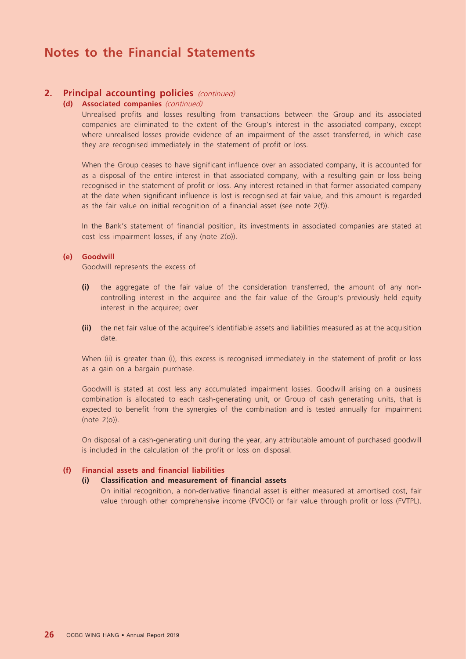# **Notes to the Financial Statements**

# **2. Principal accounting policies** (continued)

## **(d) Associated companies** (continued)

Unrealised profits and losses resulting from transactions between the Group and its associated companies are eliminated to the extent of the Group's interest in the associated company, except where unrealised losses provide evidence of an impairment of the asset transferred, in which case they are recognised immediately in the statement of profit or loss.

When the Group ceases to have significant influence over an associated company, it is accounted for as a disposal of the entire interest in that associated company, with a resulting gain or loss being recognised in the statement of profit or loss. Any interest retained in that former associated company at the date when significant influence is lost is recognised at fair value, and this amount is regarded as the fair value on initial recognition of a financial asset (see note 2(f)).

In the Bank's statement of financial position, its investments in associated companies are stated at cost less impairment losses, if any (note 2(o)).

### **(e) Goodwill**

Goodwill represents the excess of

- **(i)** the aggregate of the fair value of the consideration transferred, the amount of any noncontrolling interest in the acquiree and the fair value of the Group's previously held equity interest in the acquiree; over
- **(ii)** the net fair value of the acquiree's identifiable assets and liabilities measured as at the acquisition date.

When (ii) is greater than (i), this excess is recognised immediately in the statement of profit or loss as a gain on a bargain purchase.

Goodwill is stated at cost less any accumulated impairment losses. Goodwill arising on a business combination is allocated to each cash-generating unit, or Group of cash generating units, that is expected to benefit from the synergies of the combination and is tested annually for impairment (note 2(o)).

On disposal of a cash-generating unit during the year, any attributable amount of purchased goodwill is included in the calculation of the profit or loss on disposal.

### **(f) Financial assets and financial liabilities**

### **(i) Classification and measurement of financial assets**

On initial recognition, a non-derivative financial asset is either measured at amortised cost, fair value through other comprehensive income (FVOCI) or fair value through profit or loss (FVTPL).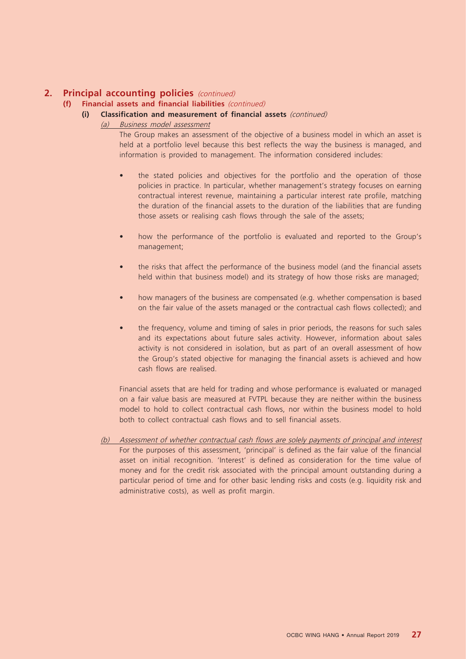# **2. Principal accounting policies** (continued)

- **(f) Financial assets and financial liabilities** (continued)
	- **Classification and measurement of financial assets** (continued)

# (a) Business model assessment

The Group makes an assessment of the objective of a business model in which an asset is held at a portfolio level because this best reflects the way the business is managed, and information is provided to management. The information considered includes:

- the stated policies and objectives for the portfolio and the operation of those policies in practice. In particular, whether management's strategy focuses on earning contractual interest revenue, maintaining a particular interest rate profile, matching the duration of the financial assets to the duration of the liabilities that are funding those assets or realising cash flows through the sale of the assets;
- how the performance of the portfolio is evaluated and reported to the Group's management;
- the risks that affect the performance of the business model (and the financial assets held within that business model) and its strategy of how those risks are managed;
- how managers of the business are compensated (e.g. whether compensation is based on the fair value of the assets managed or the contractual cash flows collected); and
- the frequency, volume and timing of sales in prior periods, the reasons for such sales and its expectations about future sales activity. However, information about sales activity is not considered in isolation, but as part of an overall assessment of how the Group's stated objective for managing the financial assets is achieved and how cash flows are realised.

Financial assets that are held for trading and whose performance is evaluated or managed on a fair value basis are measured at FVTPL because they are neither within the business model to hold to collect contractual cash flows, nor within the business model to hold both to collect contractual cash flows and to sell financial assets.

 (b) Assessment of whether contractual cash flows are solely payments of principal and interest For the purposes of this assessment, 'principal' is defined as the fair value of the financial asset on initial recognition. 'Interest' is defined as consideration for the time value of money and for the credit risk associated with the principal amount outstanding during a particular period of time and for other basic lending risks and costs (e.g. liquidity risk and administrative costs), as well as profit margin.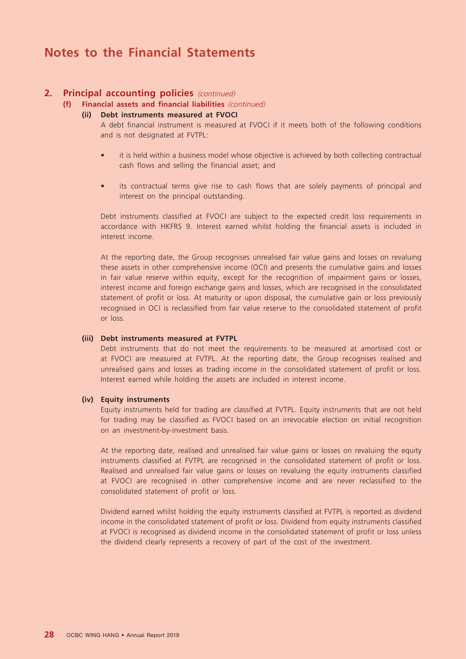# **Notes to the Financial Statements**

# **2. Principal accounting policies** (continued)

- **(f) Financial assets and financial liabilities** (continued)
	- **(ii) Debt instruments measured at FVOCI**

A debt financial instrument is measured at FVOCI if it meets both of the following conditions and is not designated at FVTPL:

- it is held within a business model whose objective is achieved by both collecting contractual cash flows and selling the financial asset; and
- its contractual terms give rise to cash flows that are solely payments of principal and interest on the principal outstanding.

Debt instruments classified at FVOCI are subject to the expected credit loss requirements in accordance with HKFRS 9. Interest earned whilst holding the financial assets is included in interest income.

At the reporting date, the Group recognises unrealised fair value gains and losses on revaluing these assets in other comprehensive income (OCI) and presents the cumulative gains and losses in fair value reserve within equity, except for the recognition of impairment gains or losses, interest income and foreign exchange gains and losses, which are recognised in the consolidated statement of profit or loss. At maturity or upon disposal, the cumulative gain or loss previously recognised in OCI is reclassified from fair value reserve to the consolidated statement of profit or loss.

### **(iii) Debt instruments measured at FVTPL**

Debt instruments that do not meet the requirements to be measured at amortised cost or at FVOCI are measured at FVTPL. At the reporting date, the Group recognises realised and unrealised gains and losses as trading income in the consolidated statement of profit or loss. Interest earned while holding the assets are included in interest income.

### **(iv) Equity instruments**

Equity instruments held for trading are classified at FVTPL. Equity instruments that are not held for trading may be classified as FVOCI based on an irrevocable election on initial recognition on an investment-by-investment basis.

At the reporting date, realised and unrealised fair value gains or losses on revaluing the equity instruments classified at FVTPL are recognised in the consolidated statement of profit or loss. Realised and unrealised fair value gains or losses on revaluing the equity instruments classified at FVOCI are recognised in other comprehensive income and are never reclassified to the consolidated statement of profit or loss.

Dividend earned whilst holding the equity instruments classified at FVTPL is reported as dividend income in the consolidated statement of profit or loss. Dividend from equity instruments classified at FVOCI is recognised as dividend income in the consolidated statement of profit or loss unless the dividend clearly represents a recovery of part of the cost of the investment.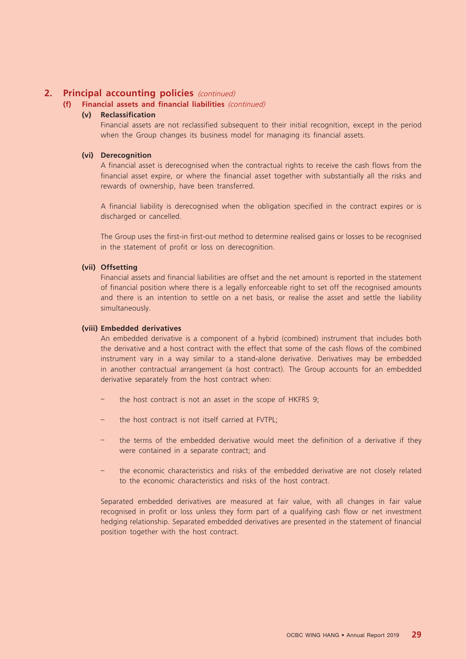# **2. Principal accounting policies** (continued)

## **(f) Financial assets and financial liabilities** (continued)

### **(v) Reclassification**

Financial assets are not reclassified subsequent to their initial recognition, except in the period when the Group changes its business model for managing its financial assets.

### **(vi) Derecognition**

A financial asset is derecognised when the contractual rights to receive the cash flows from the financial asset expire, or where the financial asset together with substantially all the risks and rewards of ownership, have been transferred.

A financial liability is derecognised when the obligation specified in the contract expires or is discharged or cancelled.

The Group uses the first-in first-out method to determine realised gains or losses to be recognised in the statement of profit or loss on derecognition.

### **(vii) Offsetting**

Financial assets and financial liabilities are offset and the net amount is reported in the statement of financial position where there is a legally enforceable right to set off the recognised amounts and there is an intention to settle on a net basis, or realise the asset and settle the liability simultaneously.

### **(viii) Embedded derivatives**

An embedded derivative is a component of a hybrid (combined) instrument that includes both the derivative and a host contract with the effect that some of the cash flows of the combined instrument vary in a way similar to a stand-alone derivative. Derivatives may be embedded in another contractual arrangement (a host contract). The Group accounts for an embedded derivative separately from the host contract when:

- the host contract is not an asset in the scope of HKFRS 9:
- the host contract is not itself carried at FVTPL;
- the terms of the embedded derivative would meet the definition of a derivative if they were contained in a separate contract; and
- the economic characteristics and risks of the embedded derivative are not closely related to the economic characteristics and risks of the host contract.

Separated embedded derivatives are measured at fair value, with all changes in fair value recognised in profit or loss unless they form part of a qualifying cash flow or net investment hedging relationship. Separated embedded derivatives are presented in the statement of financial position together with the host contract.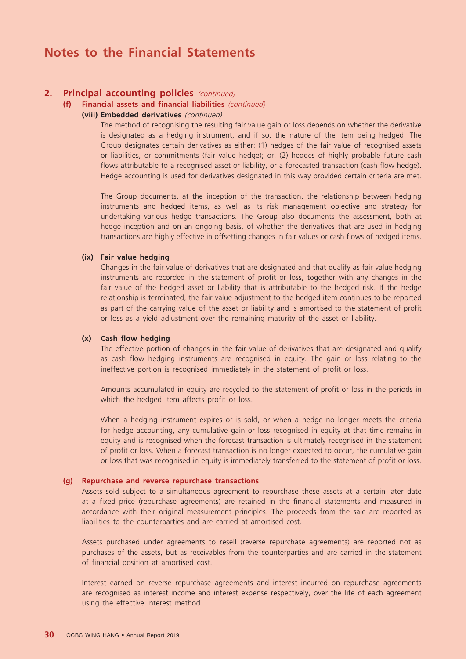# **Notes to the Financial Statements**

# **2. Principal accounting policies** (continued)

# **(f) Financial assets and financial liabilities** (continued)

### **(viii) Embedded derivatives** (continued)

The method of recognising the resulting fair value gain or loss depends on whether the derivative is designated as a hedging instrument, and if so, the nature of the item being hedged. The Group designates certain derivatives as either: (1) hedges of the fair value of recognised assets or liabilities, or commitments (fair value hedge); or, (2) hedges of highly probable future cash flows attributable to a recognised asset or liability, or a forecasted transaction (cash flow hedge). Hedge accounting is used for derivatives designated in this way provided certain criteria are met.

The Group documents, at the inception of the transaction, the relationship between hedging instruments and hedged items, as well as its risk management objective and strategy for undertaking various hedge transactions. The Group also documents the assessment, both at hedge inception and on an ongoing basis, of whether the derivatives that are used in hedging transactions are highly effective in offsetting changes in fair values or cash flows of hedged items.

### **(ix) Fair value hedging**

Changes in the fair value of derivatives that are designated and that qualify as fair value hedging instruments are recorded in the statement of profit or loss, together with any changes in the fair value of the hedged asset or liability that is attributable to the hedged risk. If the hedge relationship is terminated, the fair value adjustment to the hedged item continues to be reported as part of the carrying value of the asset or liability and is amortised to the statement of profit or loss as a yield adjustment over the remaining maturity of the asset or liability.

### **(x) Cash flow hedging**

The effective portion of changes in the fair value of derivatives that are designated and qualify as cash flow hedging instruments are recognised in equity. The gain or loss relating to the ineffective portion is recognised immediately in the statement of profit or loss.

Amounts accumulated in equity are recycled to the statement of profit or loss in the periods in which the hedged item affects profit or loss.

When a hedging instrument expires or is sold, or when a hedge no longer meets the criteria for hedge accounting, any cumulative gain or loss recognised in equity at that time remains in equity and is recognised when the forecast transaction is ultimately recognised in the statement of profit or loss. When a forecast transaction is no longer expected to occur, the cumulative gain or loss that was recognised in equity is immediately transferred to the statement of profit or loss.

### **(g) Repurchase and reverse repurchase transactions**

Assets sold subject to a simultaneous agreement to repurchase these assets at a certain later date at a fixed price (repurchase agreements) are retained in the financial statements and measured in accordance with their original measurement principles. The proceeds from the sale are reported as liabilities to the counterparties and are carried at amortised cost.

Assets purchased under agreements to resell (reverse repurchase agreements) are reported not as purchases of the assets, but as receivables from the counterparties and are carried in the statement of financial position at amortised cost.

Interest earned on reverse repurchase agreements and interest incurred on repurchase agreements are recognised as interest income and interest expense respectively, over the life of each agreement using the effective interest method.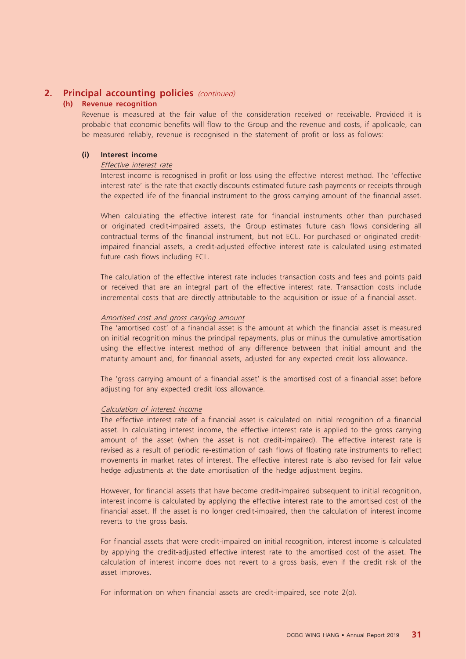# **2. Principal accounting policies** (continued)

### **(h) Revenue recognition**

Revenue is measured at the fair value of the consideration received or receivable. Provided it is probable that economic benefits will flow to the Group and the revenue and costs, if applicable, can be measured reliably, revenue is recognised in the statement of profit or loss as follows:

### **(i) Interest income**

### Effective interest rate

Interest income is recognised in profit or loss using the effective interest method. The 'effective interest rate' is the rate that exactly discounts estimated future cash payments or receipts through the expected life of the financial instrument to the gross carrying amount of the financial asset.

When calculating the effective interest rate for financial instruments other than purchased or originated credit-impaired assets, the Group estimates future cash flows considering all contractual terms of the financial instrument, but not ECL. For purchased or originated creditimpaired financial assets, a credit-adjusted effective interest rate is calculated using estimated future cash flows including ECL.

The calculation of the effective interest rate includes transaction costs and fees and points paid or received that are an integral part of the effective interest rate. Transaction costs include incremental costs that are directly attributable to the acquisition or issue of a financial asset.

### Amortised cost and gross carrying amount

The 'amortised cost' of a financial asset is the amount at which the financial asset is measured on initial recognition minus the principal repayments, plus or minus the cumulative amortisation using the effective interest method of any difference between that initial amount and the maturity amount and, for financial assets, adjusted for any expected credit loss allowance.

The 'gross carrying amount of a financial asset' is the amortised cost of a financial asset before adjusting for any expected credit loss allowance.

### Calculation of interest income

The effective interest rate of a financial asset is calculated on initial recognition of a financial asset. In calculating interest income, the effective interest rate is applied to the gross carrying amount of the asset (when the asset is not credit-impaired). The effective interest rate is revised as a result of periodic re-estimation of cash flows of floating rate instruments to reflect movements in market rates of interest. The effective interest rate is also revised for fair value hedge adjustments at the date amortisation of the hedge adjustment begins.

However, for financial assets that have become credit-impaired subsequent to initial recognition, interest income is calculated by applying the effective interest rate to the amortised cost of the financial asset. If the asset is no longer credit-impaired, then the calculation of interest income reverts to the gross basis.

For financial assets that were credit-impaired on initial recognition, interest income is calculated by applying the credit-adjusted effective interest rate to the amortised cost of the asset. The calculation of interest income does not revert to a gross basis, even if the credit risk of the asset improves.

For information on when financial assets are credit-impaired, see note 2(o).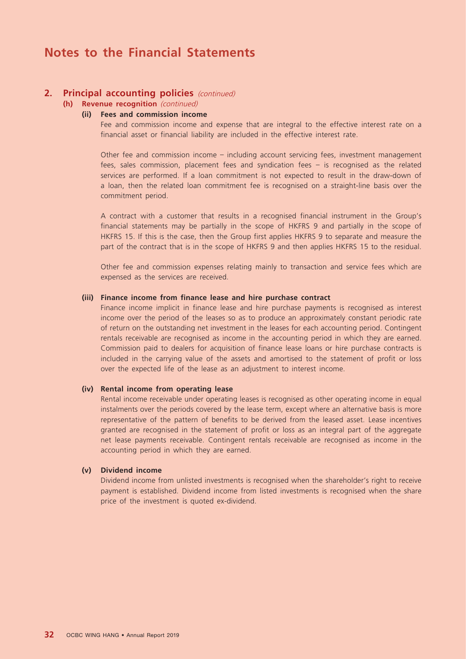# **Notes to the Financial Statements**

# **2. Principal accounting policies** (continued)

### **(h) Revenue recognition** (continued)

### **(ii) Fees and commission income**

Fee and commission income and expense that are integral to the effective interest rate on a financial asset or financial liability are included in the effective interest rate.

Other fee and commission income – including account servicing fees, investment management fees, sales commission, placement fees and syndication fees – is recognised as the related services are performed. If a loan commitment is not expected to result in the draw-down of a loan, then the related loan commitment fee is recognised on a straight-line basis over the commitment period.

A contract with a customer that results in a recognised financial instrument in the Group's financial statements may be partially in the scope of HKFRS 9 and partially in the scope of HKFRS 15. If this is the case, then the Group first applies HKFRS 9 to separate and measure the part of the contract that is in the scope of HKFRS 9 and then applies HKFRS 15 to the residual.

Other fee and commission expenses relating mainly to transaction and service fees which are expensed as the services are received.

### **(iii) Finance income from finance lease and hire purchase contract**

Finance income implicit in finance lease and hire purchase payments is recognised as interest income over the period of the leases so as to produce an approximately constant periodic rate of return on the outstanding net investment in the leases for each accounting period. Contingent rentals receivable are recognised as income in the accounting period in which they are earned. Commission paid to dealers for acquisition of finance lease loans or hire purchase contracts is included in the carrying value of the assets and amortised to the statement of profit or loss over the expected life of the lease as an adjustment to interest income.

### **(iv) Rental income from operating lease**

Rental income receivable under operating leases is recognised as other operating income in equal instalments over the periods covered by the lease term, except where an alternative basis is more representative of the pattern of benefits to be derived from the leased asset. Lease incentives granted are recognised in the statement of profit or loss as an integral part of the aggregate net lease payments receivable. Contingent rentals receivable are recognised as income in the accounting period in which they are earned.

### **(v) Dividend income**

Dividend income from unlisted investments is recognised when the shareholder's right to receive payment is established. Dividend income from listed investments is recognised when the share price of the investment is quoted ex-dividend.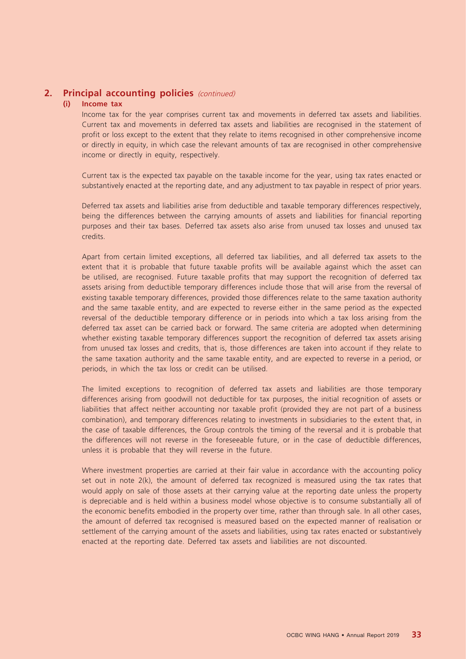# **2. Principal accounting policies** (continued)

### **(i) Income tax**

Income tax for the year comprises current tax and movements in deferred tax assets and liabilities. Current tax and movements in deferred tax assets and liabilities are recognised in the statement of profit or loss except to the extent that they relate to items recognised in other comprehensive income or directly in equity, in which case the relevant amounts of tax are recognised in other comprehensive income or directly in equity, respectively.

Current tax is the expected tax payable on the taxable income for the year, using tax rates enacted or substantively enacted at the reporting date, and any adjustment to tax payable in respect of prior years.

Deferred tax assets and liabilities arise from deductible and taxable temporary differences respectively, being the differences between the carrying amounts of assets and liabilities for financial reporting purposes and their tax bases. Deferred tax assets also arise from unused tax losses and unused tax credits.

Apart from certain limited exceptions, all deferred tax liabilities, and all deferred tax assets to the extent that it is probable that future taxable profits will be available against which the asset can be utilised, are recognised. Future taxable profits that may support the recognition of deferred tax assets arising from deductible temporary differences include those that will arise from the reversal of existing taxable temporary differences, provided those differences relate to the same taxation authority and the same taxable entity, and are expected to reverse either in the same period as the expected reversal of the deductible temporary difference or in periods into which a tax loss arising from the deferred tax asset can be carried back or forward. The same criteria are adopted when determining whether existing taxable temporary differences support the recognition of deferred tax assets arising from unused tax losses and credits, that is, those differences are taken into account if they relate to the same taxation authority and the same taxable entity, and are expected to reverse in a period, or periods, in which the tax loss or credit can be utilised.

The limited exceptions to recognition of deferred tax assets and liabilities are those temporary differences arising from goodwill not deductible for tax purposes, the initial recognition of assets or liabilities that affect neither accounting nor taxable profit (provided they are not part of a business combination), and temporary differences relating to investments in subsidiaries to the extent that, in the case of taxable differences, the Group controls the timing of the reversal and it is probable that the differences will not reverse in the foreseeable future, or in the case of deductible differences, unless it is probable that they will reverse in the future.

Where investment properties are carried at their fair value in accordance with the accounting policy set out in note 2(k), the amount of deferred tax recognized is measured using the tax rates that would apply on sale of those assets at their carrying value at the reporting date unless the property is depreciable and is held within a business model whose objective is to consume substantially all of the economic benefits embodied in the property over time, rather than through sale. In all other cases, the amount of deferred tax recognised is measured based on the expected manner of realisation or settlement of the carrying amount of the assets and liabilities, using tax rates enacted or substantively enacted at the reporting date. Deferred tax assets and liabilities are not discounted.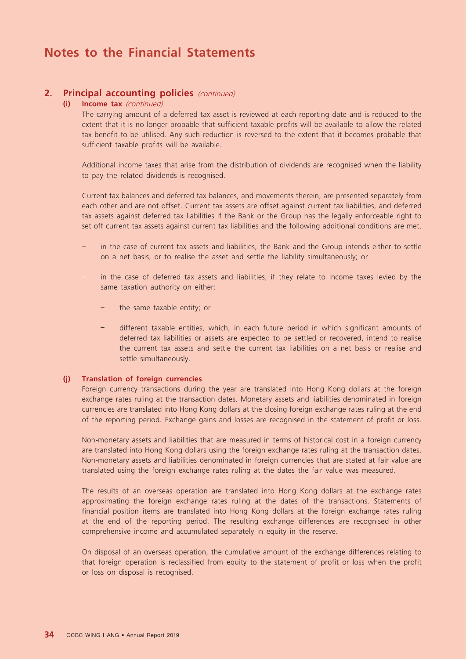# **Notes to the Financial Statements**

# **2. Principal accounting policies** (continued)

#### **(i) Income tax** (continued)

The carrying amount of a deferred tax asset is reviewed at each reporting date and is reduced to the extent that it is no longer probable that sufficient taxable profits will be available to allow the related tax benefit to be utilised. Any such reduction is reversed to the extent that it becomes probable that sufficient taxable profits will be available.

Additional income taxes that arise from the distribution of dividends are recognised when the liability to pay the related dividends is recognised.

Current tax balances and deferred tax balances, and movements therein, are presented separately from each other and are not offset. Current tax assets are offset against current tax liabilities, and deferred tax assets against deferred tax liabilities if the Bank or the Group has the legally enforceable right to set off current tax assets against current tax liabilities and the following additional conditions are met.

- in the case of current tax assets and liabilities, the Bank and the Group intends either to settle on a net basis, or to realise the asset and settle the liability simultaneously; or
- in the case of deferred tax assets and liabilities, if they relate to income taxes levied by the same taxation authority on either:
	- the same taxable entity; or
	- different taxable entities, which, in each future period in which significant amounts of deferred tax liabilities or assets are expected to be settled or recovered, intend to realise the current tax assets and settle the current tax liabilities on a net basis or realise and settle simultaneously.

### **(j) Translation of foreign currencies**

Foreign currency transactions during the year are translated into Hong Kong dollars at the foreign exchange rates ruling at the transaction dates. Monetary assets and liabilities denominated in foreign currencies are translated into Hong Kong dollars at the closing foreign exchange rates ruling at the end of the reporting period. Exchange gains and losses are recognised in the statement of profit or loss.

Non-monetary assets and liabilities that are measured in terms of historical cost in a foreign currency are translated into Hong Kong dollars using the foreign exchange rates ruling at the transaction dates. Non-monetary assets and liabilities denominated in foreign currencies that are stated at fair value are translated using the foreign exchange rates ruling at the dates the fair value was measured.

The results of an overseas operation are translated into Hong Kong dollars at the exchange rates approximating the foreign exchange rates ruling at the dates of the transactions. Statements of financial position items are translated into Hong Kong dollars at the foreign exchange rates ruling at the end of the reporting period. The resulting exchange differences are recognised in other comprehensive income and accumulated separately in equity in the reserve.

On disposal of an overseas operation, the cumulative amount of the exchange differences relating to that foreign operation is reclassified from equity to the statement of profit or loss when the profit or loss on disposal is recognised.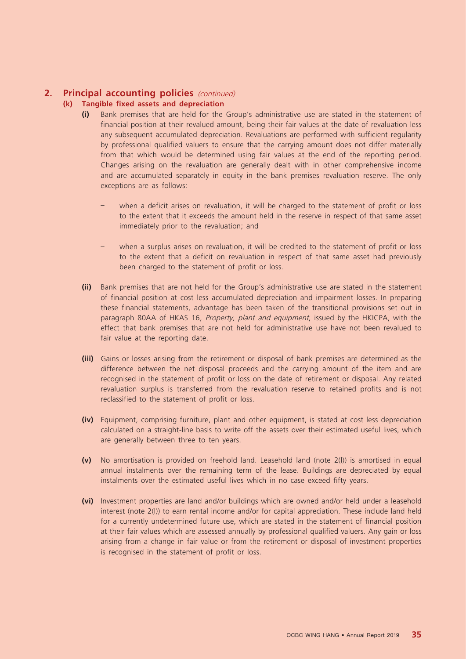# **2. Principal accounting policies** (continued)

# **(k) Tangible fixed assets and depreciation**

- **(i)** Bank premises that are held for the Group's administrative use are stated in the statement of financial position at their revalued amount, being their fair values at the date of revaluation less any subsequent accumulated depreciation. Revaluations are performed with sufficient regularity by professional qualified valuers to ensure that the carrying amount does not differ materially from that which would be determined using fair values at the end of the reporting period. Changes arising on the revaluation are generally dealt with in other comprehensive income and are accumulated separately in equity in the bank premises revaluation reserve. The only exceptions are as follows:
	- when a deficit arises on revaluation, it will be charged to the statement of profit or loss to the extent that it exceeds the amount held in the reserve in respect of that same asset immediately prior to the revaluation; and
	- when a surplus arises on revaluation, it will be credited to the statement of profit or loss to the extent that a deficit on revaluation in respect of that same asset had previously been charged to the statement of profit or loss.
- **(ii)** Bank premises that are not held for the Group's administrative use are stated in the statement of financial position at cost less accumulated depreciation and impairment losses. In preparing these financial statements, advantage has been taken of the transitional provisions set out in paragraph 80AA of HKAS 16, Property, plant and equipment, issued by the HKICPA, with the effect that bank premises that are not held for administrative use have not been revalued to fair value at the reporting date.
- **(iii)** Gains or losses arising from the retirement or disposal of bank premises are determined as the difference between the net disposal proceeds and the carrying amount of the item and are recognised in the statement of profit or loss on the date of retirement or disposal. Any related revaluation surplus is transferred from the revaluation reserve to retained profits and is not reclassified to the statement of profit or loss.
- **(iv)** Equipment, comprising furniture, plant and other equipment, is stated at cost less depreciation calculated on a straight-line basis to write off the assets over their estimated useful lives, which are generally between three to ten years.
- **(v)** No amortisation is provided on freehold land. Leasehold land (note 2(l)) is amortised in equal annual instalments over the remaining term of the lease. Buildings are depreciated by equal instalments over the estimated useful lives which in no case exceed fifty years.
- **(vi)** Investment properties are land and/or buildings which are owned and/or held under a leasehold interest (note 2(l)) to earn rental income and/or for capital appreciation. These include land held for a currently undetermined future use, which are stated in the statement of financial position at their fair values which are assessed annually by professional qualified valuers. Any gain or loss arising from a change in fair value or from the retirement or disposal of investment properties is recognised in the statement of profit or loss.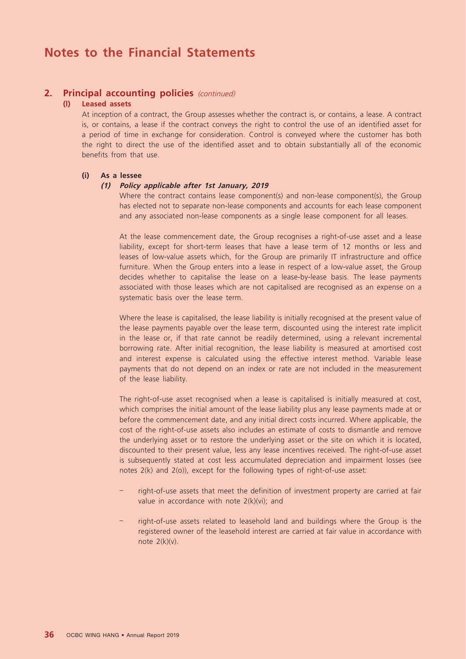# **Notes to the Financial Statements**

# **2. Principal accounting policies** (continued)

### **(l) Leased assets**

At inception of a contract, the Group assesses whether the contract is, or contains, a lease. A contract is, or contains, a lease if the contract conveys the right to control the use of an identified asset for a period of time in exchange for consideration. Control is conveyed where the customer has both the right to direct the use of the identified asset and to obtain substantially all of the economic benefits from that use.

### **(i) As a lessee**

#### **(1) Policy applicable after 1st January, 2019**

Where the contract contains lease component(s) and non-lease component(s), the Group has elected not to separate non-lease components and accounts for each lease component and any associated non-lease components as a single lease component for all leases.

At the lease commencement date, the Group recognises a right-of-use asset and a lease liability, except for short-term leases that have a lease term of 12 months or less and leases of low-value assets which, for the Group are primarily IT infrastructure and office furniture. When the Group enters into a lease in respect of a low-value asset, the Group decides whether to capitalise the lease on a lease-by-lease basis. The lease payments associated with those leases which are not capitalised are recognised as an expense on a systematic basis over the lease term.

Where the lease is capitalised, the lease liability is initially recognised at the present value of the lease payments payable over the lease term, discounted using the interest rate implicit in the lease or, if that rate cannot be readily determined, using a relevant incremental borrowing rate. After initial recognition, the lease liability is measured at amortised cost and interest expense is calculated using the effective interest method. Variable lease payments that do not depend on an index or rate are not included in the measurement of the lease liability.

The right-of-use asset recognised when a lease is capitalised is initially measured at cost, which comprises the initial amount of the lease liability plus any lease payments made at or before the commencement date, and any initial direct costs incurred. Where applicable, the cost of the right-of-use assets also includes an estimate of costs to dismantle and remove the underlying asset or to restore the underlying asset or the site on which it is located, discounted to their present value, less any lease incentives received. The right-of-use asset is subsequently stated at cost less accumulated depreciation and impairment losses (see notes 2(k) and 2(o)), except for the following types of right-of-use asset:

- right-of-use assets that meet the definition of investment property are carried at fair value in accordance with note 2(k)(vi); and
- right-of-use assets related to leasehold land and buildings where the Group is the registered owner of the leasehold interest are carried at fair value in accordance with note 2(k)(v).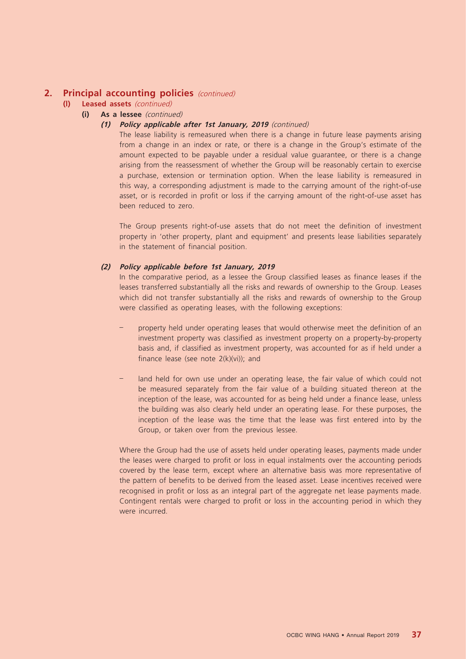## **2. Principal accounting policies** (continued)

- **(l) Leased assets** (continued)
	- **(i) As a lessee** (continued)

#### **(1) Policy applicable after 1st January, 2019** (continued)

The lease liability is remeasured when there is a change in future lease payments arising from a change in an index or rate, or there is a change in the Group's estimate of the amount expected to be payable under a residual value guarantee, or there is a change arising from the reassessment of whether the Group will be reasonably certain to exercise a purchase, extension or termination option. When the lease liability is remeasured in this way, a corresponding adjustment is made to the carrying amount of the right-of-use asset, or is recorded in profit or loss if the carrying amount of the right-of-use asset has been reduced to zero.

The Group presents right-of-use assets that do not meet the definition of investment property in 'other property, plant and equipment' and presents lease liabilities separately in the statement of financial position.

#### **(2) Policy applicable before 1st January, 2019**

In the comparative period, as a lessee the Group classified leases as finance leases if the leases transferred substantially all the risks and rewards of ownership to the Group. Leases which did not transfer substantially all the risks and rewards of ownership to the Group were classified as operating leases, with the following exceptions:

- property held under operating leases that would otherwise meet the definition of an investment property was classified as investment property on a property-by-property basis and, if classified as investment property, was accounted for as if held under a finance lease (see note 2(k)(vi)); and
- land held for own use under an operating lease, the fair value of which could not be measured separately from the fair value of a building situated thereon at the inception of the lease, was accounted for as being held under a finance lease, unless the building was also clearly held under an operating lease. For these purposes, the inception of the lease was the time that the lease was first entered into by the Group, or taken over from the previous lessee.

Where the Group had the use of assets held under operating leases, payments made under the leases were charged to profit or loss in equal instalments over the accounting periods covered by the lease term, except where an alternative basis was more representative of the pattern of benefits to be derived from the leased asset. Lease incentives received were recognised in profit or loss as an integral part of the aggregate net lease payments made. Contingent rentals were charged to profit or loss in the accounting period in which they were incurred.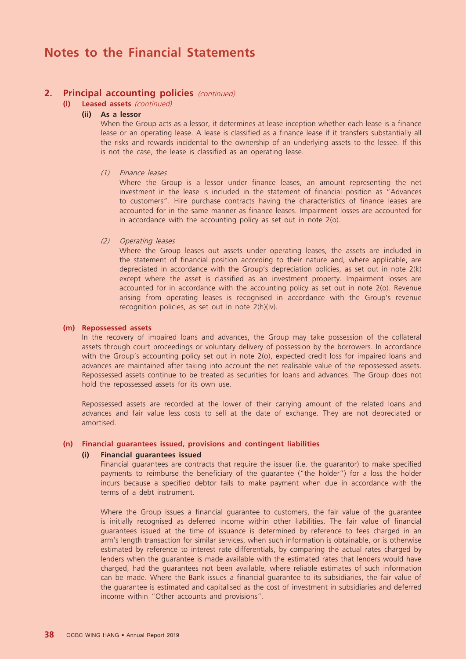### **2. Principal accounting policies** (continued)

 **(l) Leased assets** (continued)

#### **(ii) As a lessor**

When the Group acts as a lessor, it determines at lease inception whether each lease is a finance lease or an operating lease. A lease is classified as a finance lease if it transfers substantially all the risks and rewards incidental to the ownership of an underlying assets to the lessee. If this is not the case, the lease is classified as an operating lease.

#### (1) Finance leases

Where the Group is a lessor under finance leases, an amount representing the net investment in the lease is included in the statement of financial position as "Advances to customers". Hire purchase contracts having the characteristics of finance leases are accounted for in the same manner as finance leases. Impairment losses are accounted for in accordance with the accounting policy as set out in note 2(o).

#### (2) Operating leases

Where the Group leases out assets under operating leases, the assets are included in the statement of financial position according to their nature and, where applicable, are depreciated in accordance with the Group's depreciation policies, as set out in note 2(k) except where the asset is classified as an investment property. Impairment losses are accounted for in accordance with the accounting policy as set out in note 2(o). Revenue arising from operating leases is recognised in accordance with the Group's revenue recognition policies, as set out in note 2(h)(iv).

#### **(m) Repossessed assets**

In the recovery of impaired loans and advances, the Group may take possession of the collateral assets through court proceedings or voluntary delivery of possession by the borrowers. In accordance with the Group's accounting policy set out in note 2(o), expected credit loss for impaired loans and advances are maintained after taking into account the net realisable value of the repossessed assets. Repossessed assets continue to be treated as securities for loans and advances. The Group does not hold the repossessed assets for its own use.

Repossessed assets are recorded at the lower of their carrying amount of the related loans and advances and fair value less costs to sell at the date of exchange. They are not depreciated or amortised.

### **(n) Financial guarantees issued, provisions and contingent liabilities**

#### **(i) Financial guarantees issued**

Financial guarantees are contracts that require the issuer (i.e. the guarantor) to make specified payments to reimburse the beneficiary of the guarantee ("the holder") for a loss the holder incurs because a specified debtor fails to make payment when due in accordance with the terms of a debt instrument.

Where the Group issues a financial guarantee to customers, the fair value of the guarantee is initially recognised as deferred income within other liabilities. The fair value of financial guarantees issued at the time of issuance is determined by reference to fees charged in an arm's length transaction for similar services, when such information is obtainable, or is otherwise estimated by reference to interest rate differentials, by comparing the actual rates charged by lenders when the guarantee is made available with the estimated rates that lenders would have charged, had the guarantees not been available, where reliable estimates of such information can be made. Where the Bank issues a financial guarantee to its subsidiaries, the fair value of the guarantee is estimated and capitalised as the cost of investment in subsidiaries and deferred income within "Other accounts and provisions".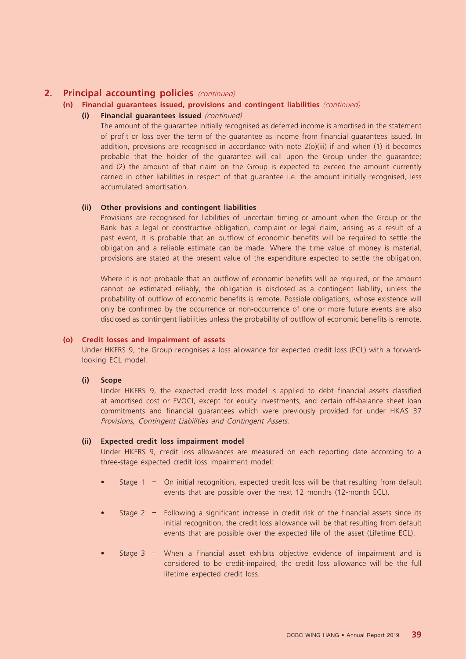## **2. Principal accounting policies** (continued)

### **(n) Financial guarantees issued, provisions and contingent liabilities** (continued)

### **(i) Financial guarantees issued** (continued)

The amount of the guarantee initially recognised as deferred income is amortised in the statement of profit or loss over the term of the guarantee as income from financial guarantees issued. In addition, provisions are recognised in accordance with note 2(o)(iii) if and when (1) it becomes probable that the holder of the guarantee will call upon the Group under the guarantee; and (2) the amount of that claim on the Group is expected to exceed the amount currently carried in other liabilities in respect of that guarantee i.e. the amount initially recognised, less accumulated amortisation.

### **(ii) Other provisions and contingent liabilities**

Provisions are recognised for liabilities of uncertain timing or amount when the Group or the Bank has a legal or constructive obligation, complaint or legal claim, arising as a result of a past event, it is probable that an outflow of economic benefits will be required to settle the obligation and a reliable estimate can be made. Where the time value of money is material, provisions are stated at the present value of the expenditure expected to settle the obligation.

Where it is not probable that an outflow of economic benefits will be required, or the amount cannot be estimated reliably, the obligation is disclosed as a contingent liability, unless the probability of outflow of economic benefits is remote. Possible obligations, whose existence will only be confirmed by the occurrence or non-occurrence of one or more future events are also disclosed as contingent liabilities unless the probability of outflow of economic benefits is remote.

### **(o) Credit losses and impairment of assets**

Under HKFRS 9, the Group recognises a loss allowance for expected credit loss (ECL) with a forwardlooking ECL model.

### **(i) Scope**

Under HKFRS 9, the expected credit loss model is applied to debt financial assets classified at amortised cost or FVOCI, except for equity investments, and certain off-balance sheet loan commitments and financial guarantees which were previously provided for under HKAS 37 Provisions, Contingent Liabilities and Contingent Assets.

#### **(ii) Expected credit loss impairment model**

Under HKFRS 9, credit loss allowances are measured on each reporting date according to a three-stage expected credit loss impairment model:

- Stage  $1 -$  On initial recognition, expected credit loss will be that resulting from default events that are possible over the next 12 months (12-month ECL).
- Stage 2 Following a significant increase in credit risk of the financial assets since its initial recognition, the credit loss allowance will be that resulting from default events that are possible over the expected life of the asset (Lifetime ECL).
- Stage  $3$  When a financial asset exhibits objective evidence of impairment and is considered to be credit-impaired, the credit loss allowance will be the full lifetime expected credit loss.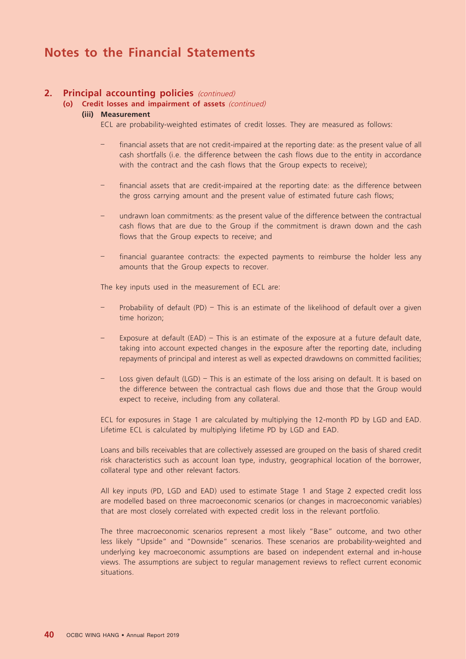## **2. Principal accounting policies** (continued)

#### **(o) Credit losses and impairment of assets** (continued)

#### **(iii) Measurement**

ECL are probability-weighted estimates of credit losses. They are measured as follows:

- financial assets that are not credit-impaired at the reporting date: as the present value of all cash shortfalls (i.e. the difference between the cash flows due to the entity in accordance with the contract and the cash flows that the Group expects to receive);
- financial assets that are credit-impaired at the reporting date: as the difference between the gross carrying amount and the present value of estimated future cash flows;
- undrawn loan commitments: as the present value of the difference between the contractual cash flows that are due to the Group if the commitment is drawn down and the cash flows that the Group expects to receive; and
- financial guarantee contracts: the expected payments to reimburse the holder less any amounts that the Group expects to recover.

The key inputs used in the measurement of ECL are:

- Probability of default (PD) This is an estimate of the likelihood of default over a given time horizon;
- Exposure at default  $(EAD)$  This is an estimate of the exposure at a future default date, taking into account expected changes in the exposure after the reporting date, including repayments of principal and interest as well as expected drawdowns on committed facilities;
- Loss given default (LGD) This is an estimate of the loss arising on default. It is based on the difference between the contractual cash flows due and those that the Group would expect to receive, including from any collateral.

ECL for exposures in Stage 1 are calculated by multiplying the 12-month PD by LGD and EAD. Lifetime ECL is calculated by multiplying lifetime PD by LGD and EAD.

Loans and bills receivables that are collectively assessed are grouped on the basis of shared credit risk characteristics such as account loan type, industry, geographical location of the borrower, collateral type and other relevant factors.

All key inputs (PD, LGD and EAD) used to estimate Stage 1 and Stage 2 expected credit loss are modelled based on three macroeconomic scenarios (or changes in macroeconomic variables) that are most closely correlated with expected credit loss in the relevant portfolio.

The three macroeconomic scenarios represent a most likely "Base" outcome, and two other less likely "Upside" and "Downside" scenarios. These scenarios are probability-weighted and underlying key macroeconomic assumptions are based on independent external and in-house views. The assumptions are subject to regular management reviews to reflect current economic situations.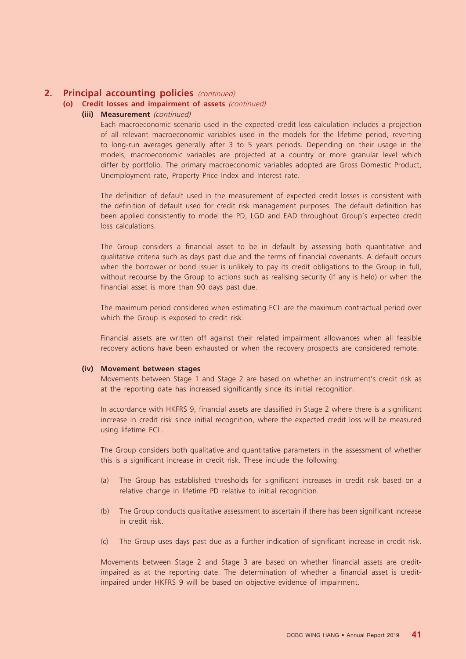## **2. Principal accounting policies** (continued)

### **(o) Credit losses and impairment of assets** (continued)

#### **(iii) Measurement** (continued)

Each macroeconomic scenario used in the expected credit loss calculation includes a projection of all relevant macroeconomic variables used in the models for the lifetime period, reverting to long-run averages generally after 3 to 5 years periods. Depending on their usage in the models, macroeconomic variables are projected at a country or more granular level which differ by portfolio. The primary macroeconomic variables adopted are Gross Domestic Product, Unemployment rate, Property Price Index and Interest rate.

The definition of default used in the measurement of expected credit losses is consistent with the definition of default used for credit risk management purposes. The default definition has been applied consistently to model the PD, LGD and EAD throughout Group's expected credit loss calculations.

The Group considers a financial asset to be in default by assessing both quantitative and qualitative criteria such as days past due and the terms of financial covenants. A default occurs when the borrower or bond issuer is unlikely to pay its credit obligations to the Group in full, without recourse by the Group to actions such as realising security (if any is held) or when the financial asset is more than 90 days past due.

The maximum period considered when estimating ECL are the maximum contractual period over which the Group is exposed to credit risk.

Financial assets are written off against their related impairment allowances when all feasible recovery actions have been exhausted or when the recovery prospects are considered remote.

#### **(iv) Movement between stages**

Movements between Stage 1 and Stage 2 are based on whether an instrument's credit risk as at the reporting date has increased significantly since its initial recognition.

In accordance with HKFRS 9, financial assets are classified in Stage 2 where there is a significant increase in credit risk since initial recognition, where the expected credit loss will be measured using lifetime ECL.

The Group considers both qualitative and quantitative parameters in the assessment of whether this is a significant increase in credit risk. These include the following:

- (a) The Group has established thresholds for significant increases in credit risk based on a relative change in lifetime PD relative to initial recognition.
- (b) The Group conducts qualitative assessment to ascertain if there has been significant increase in credit risk.
- (c) The Group uses days past due as a further indication of significant increase in credit risk.

Movements between Stage 2 and Stage 3 are based on whether financial assets are creditimpaired as at the reporting date. The determination of whether a financial asset is creditimpaired under HKFRS 9 will be based on objective evidence of impairment.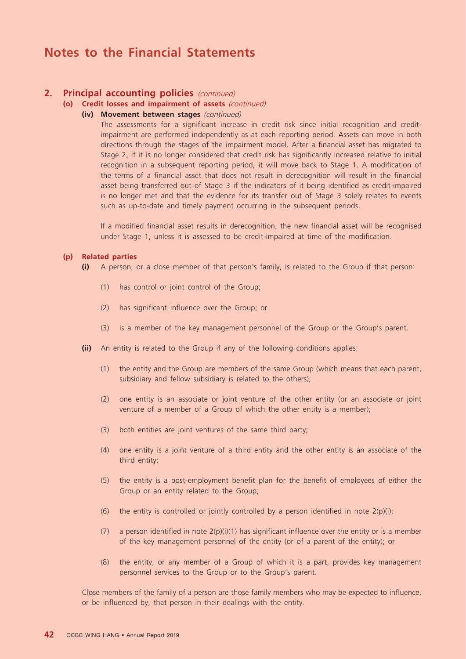## **2. Principal accounting policies** (continued)

- **(o) Credit losses and impairment of assets** (continued)
	- **(iv) Movement between stages** (continued)

The assessments for a significant increase in credit risk since initial recognition and creditimpairment are performed independently as at each reporting period. Assets can move in both directions through the stages of the impairment model. After a financial asset has migrated to Stage 2, if it is no longer considered that credit risk has significantly increased relative to initial recognition in a subsequent reporting period, it will move back to Stage 1. A modification of the terms of a financial asset that does not result in derecognition will result in the financial asset being transferred out of Stage 3 if the indicators of it being identified as credit-impaired is no longer met and that the evidence for its transfer out of Stage 3 solely relates to events such as up-to-date and timely payment occurring in the subsequent periods.

If a modified financial asset results in derecognition, the new financial asset will be recognised under Stage 1, unless it is assessed to be credit-impaired at time of the modification.

#### **(p) Related parties**

- **(i)** A person, or a close member of that person's family, is related to the Group if that person:
	- (1) has control or joint control of the Group;
	- (2) has significant influence over the Group; or
	- (3) is a member of the key management personnel of the Group or the Group's parent.
- **(ii)** An entity is related to the Group if any of the following conditions applies:
	- (1) the entity and the Group are members of the same Group (which means that each parent, subsidiary and fellow subsidiary is related to the others);
	- (2) one entity is an associate or joint venture of the other entity (or an associate or joint venture of a member of a Group of which the other entity is a member);
	- (3) both entities are joint ventures of the same third party;
	- (4) one entity is a joint venture of a third entity and the other entity is an associate of the third entity;
	- (5) the entity is a post-employment benefit plan for the benefit of employees of either the Group or an entity related to the Group;
	- (6) the entity is controlled or jointly controlled by a person identified in note  $2(p)(i)$ ;
	- (7) a person identified in note  $2(p)(i)(1)$  has significant influence over the entity or is a member of the key management personnel of the entity (or of a parent of the entity); or
	- (8) the entity, or any member of a Group of which it is a part, provides key management personnel services to the Group or to the Group's parent.

Close members of the family of a person are those family members who may be expected to influence, or be influenced by, that person in their dealings with the entity.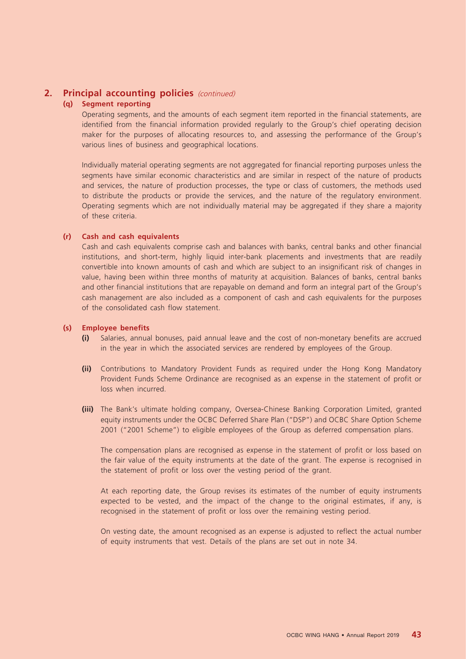## **2. Principal accounting policies** (continued)

#### **(q) Segment reporting**

Operating segments, and the amounts of each segment item reported in the financial statements, are identified from the financial information provided regularly to the Group's chief operating decision maker for the purposes of allocating resources to, and assessing the performance of the Group's various lines of business and geographical locations.

Individually material operating segments are not aggregated for financial reporting purposes unless the segments have similar economic characteristics and are similar in respect of the nature of products and services, the nature of production processes, the type or class of customers, the methods used to distribute the products or provide the services, and the nature of the regulatory environment. Operating segments which are not individually material may be aggregated if they share a majority of these criteria.

#### **(r) Cash and cash equivalents**

Cash and cash equivalents comprise cash and balances with banks, central banks and other financial institutions, and short-term, highly liquid inter-bank placements and investments that are readily convertible into known amounts of cash and which are subject to an insignificant risk of changes in value, having been within three months of maturity at acquisition. Balances of banks, central banks and other financial institutions that are repayable on demand and form an integral part of the Group's cash management are also included as a component of cash and cash equivalents for the purposes of the consolidated cash flow statement.

#### **(s) Employee benefits**

- **(i)** Salaries, annual bonuses, paid annual leave and the cost of non-monetary benefits are accrued in the year in which the associated services are rendered by employees of the Group.
- **(ii)** Contributions to Mandatory Provident Funds as required under the Hong Kong Mandatory Provident Funds Scheme Ordinance are recognised as an expense in the statement of profit or loss when incurred.
- **(iii)** The Bank's ultimate holding company, Oversea-Chinese Banking Corporation Limited, granted equity instruments under the OCBC Deferred Share Plan ("DSP") and OCBC Share Option Scheme 2001 ("2001 Scheme") to eligible employees of the Group as deferred compensation plans.

The compensation plans are recognised as expense in the statement of profit or loss based on the fair value of the equity instruments at the date of the grant. The expense is recognised in the statement of profit or loss over the vesting period of the grant.

At each reporting date, the Group revises its estimates of the number of equity instruments expected to be vested, and the impact of the change to the original estimates, if any, is recognised in the statement of profit or loss over the remaining vesting period.

On vesting date, the amount recognised as an expense is adjusted to reflect the actual number of equity instruments that vest. Details of the plans are set out in note 34.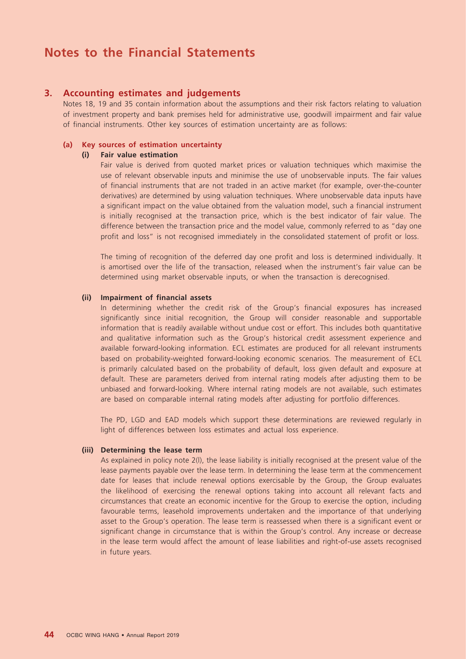### **3. Accounting estimates and judgements**

Notes 18, 19 and 35 contain information about the assumptions and their risk factors relating to valuation of investment property and bank premises held for administrative use, goodwill impairment and fair value of financial instruments. Other key sources of estimation uncertainty are as follows:

#### **(a) Key sources of estimation uncertainty**

#### **(i) Fair value estimation**

Fair value is derived from quoted market prices or valuation techniques which maximise the use of relevant observable inputs and minimise the use of unobservable inputs. The fair values of financial instruments that are not traded in an active market (for example, over-the-counter derivatives) are determined by using valuation techniques. Where unobservable data inputs have a significant impact on the value obtained from the valuation model, such a financial instrument is initially recognised at the transaction price, which is the best indicator of fair value. The difference between the transaction price and the model value, commonly referred to as "day one profit and loss" is not recognised immediately in the consolidated statement of profit or loss.

The timing of recognition of the deferred day one profit and loss is determined individually. It is amortised over the life of the transaction, released when the instrument's fair value can be determined using market observable inputs, or when the transaction is derecognised.

#### **(ii) Impairment of financial assets**

In determining whether the credit risk of the Group's financial exposures has increased significantly since initial recognition, the Group will consider reasonable and supportable information that is readily available without undue cost or effort. This includes both quantitative and qualitative information such as the Group's historical credit assessment experience and available forward-looking information. ECL estimates are produced for all relevant instruments based on probability-weighted forward-looking economic scenarios. The measurement of ECL is primarily calculated based on the probability of default, loss given default and exposure at default. These are parameters derived from internal rating models after adjusting them to be unbiased and forward-looking. Where internal rating models are not available, such estimates are based on comparable internal rating models after adjusting for portfolio differences.

The PD, LGD and EAD models which support these determinations are reviewed regularly in light of differences between loss estimates and actual loss experience.

#### **(iii) Determining the lease term**

As explained in policy note 2(l), the lease liability is initially recognised at the present value of the lease payments payable over the lease term. In determining the lease term at the commencement date for leases that include renewal options exercisable by the Group, the Group evaluates the likelihood of exercising the renewal options taking into account all relevant facts and circumstances that create an economic incentive for the Group to exercise the option, including favourable terms, leasehold improvements undertaken and the importance of that underlying asset to the Group's operation. The lease term is reassessed when there is a significant event or significant change in circumstance that is within the Group's control. Any increase or decrease in the lease term would affect the amount of lease liabilities and right-of-use assets recognised in future years.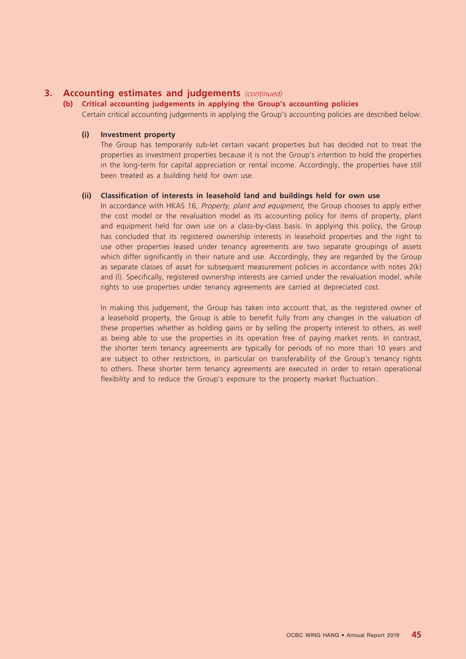## **3. Accounting estimates and judgements** (continued)

### **(b) Critical accounting judgements in applying the Group's accounting policies**

Certain critical accounting judgements in applying the Group's accounting policies are described below:

#### **(i) Investment property**

The Group has temporarily sub-let certain vacant properties but has decided not to treat the properties as investment properties because it is not the Group's intention to hold the properties in the long-term for capital appreciation or rental income. Accordingly, the properties have still been treated as a building held for own use.

### **(ii) Classification of interests in leasehold land and buildings held for own use**

In accordance with HKAS 16, Property, plant and equipment, the Group chooses to apply either the cost model or the revaluation model as its accounting policy for items of property, plant and equipment held for own use on a class-by-class basis. In applying this policy, the Group has concluded that its registered ownership interests in leasehold properties and the right to use other properties leased under tenancy agreements are two separate groupings of assets which differ significantly in their nature and use. Accordingly, they are regarded by the Group as separate classes of asset for subsequent measurement policies in accordance with notes 2(k) and (l). Specifically, registered ownership interests are carried under the revaluation model, while rights to use properties under tenancy agreements are carried at depreciated cost.

In making this judgement, the Group has taken into account that, as the registered owner of a leasehold property, the Group is able to benefit fully from any changes in the valuation of these properties whether as holding gains or by selling the property interest to others, as well as being able to use the properties in its operation free of paying market rents. In contrast, the shorter term tenancy agreements are typically for periods of no more than 10 years and are subject to other restrictions, in particular on transferability of the Group's tenancy rights to others. These shorter term tenancy agreements are executed in order to retain operational flexibility and to reduce the Group's exposure to the property market fluctuation.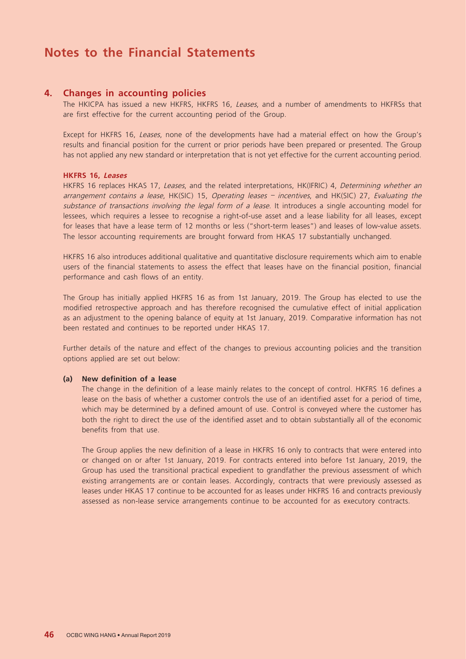### **4. Changes in accounting policies**

The HKICPA has issued a new HKFRS, HKFRS 16, Leases, and a number of amendments to HKFRSs that are first effective for the current accounting period of the Group.

Except for HKFRS 16, Leases, none of the developments have had a material effect on how the Group's results and financial position for the current or prior periods have been prepared or presented. The Group has not applied any new standard or interpretation that is not yet effective for the current accounting period.

#### **HKFRS 16, Leases**

HKFRS 16 replaces HKAS 17, Leases, and the related interpretations, HK(IFRIC) 4, Determining whether an arrangement contains a lease, HK(SIC) 15, Operating leases – incentives, and HK(SIC) 27, Evaluating the substance of transactions involving the legal form of a lease. It introduces a single accounting model for lessees, which requires a lessee to recognise a right-of-use asset and a lease liability for all leases, except for leases that have a lease term of 12 months or less ("short-term leases") and leases of low-value assets. The lessor accounting requirements are brought forward from HKAS 17 substantially unchanged.

HKFRS 16 also introduces additional qualitative and quantitative disclosure requirements which aim to enable users of the financial statements to assess the effect that leases have on the financial position, financial performance and cash flows of an entity.

The Group has initially applied HKFRS 16 as from 1st January, 2019. The Group has elected to use the modified retrospective approach and has therefore recognised the cumulative effect of initial application as an adjustment to the opening balance of equity at 1st January, 2019. Comparative information has not been restated and continues to be reported under HKAS 17.

Further details of the nature and effect of the changes to previous accounting policies and the transition options applied are set out below:

#### **(a) New definition of a lease**

The change in the definition of a lease mainly relates to the concept of control. HKFRS 16 defines a lease on the basis of whether a customer controls the use of an identified asset for a period of time, which may be determined by a defined amount of use. Control is conveyed where the customer has both the right to direct the use of the identified asset and to obtain substantially all of the economic benefits from that use.

The Group applies the new definition of a lease in HKFRS 16 only to contracts that were entered into or changed on or after 1st January, 2019. For contracts entered into before 1st January, 2019, the Group has used the transitional practical expedient to grandfather the previous assessment of which existing arrangements are or contain leases. Accordingly, contracts that were previously assessed as leases under HKAS 17 continue to be accounted for as leases under HKFRS 16 and contracts previously assessed as non-lease service arrangements continue to be accounted for as executory contracts.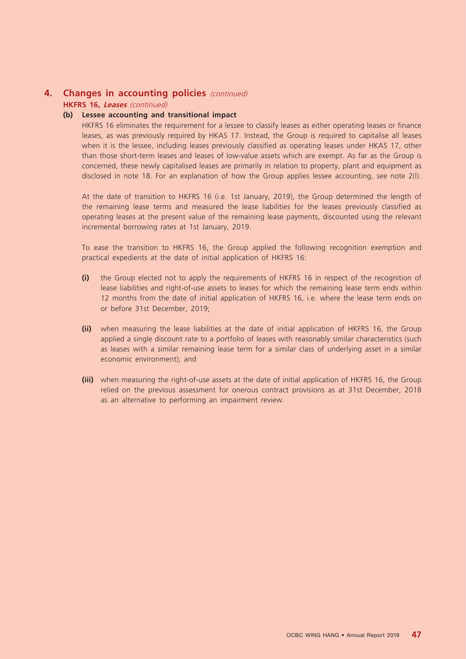## **4.** Changes in accounting policies (continued)

 **HKFRS 16, Leases** (continued)

### **(b) Lessee accounting and transitional impact**

HKFRS 16 eliminates the requirement for a lessee to classify leases as either operating leases or finance leases, as was previously required by HKAS 17. Instead, the Group is required to capitalise all leases when it is the lessee, including leases previously classified as operating leases under HKAS 17, other than those short-term leases and leases of low-value assets which are exempt. As far as the Group is concerned, these newly capitalised leases are primarily in relation to property, plant and equipment as disclosed in note 18. For an explanation of how the Group applies lessee accounting, see note 2(l).

At the date of transition to HKFRS 16 (i.e. 1st January, 2019), the Group determined the length of the remaining lease terms and measured the lease liabilities for the leases previously classified as operating leases at the present value of the remaining lease payments, discounted using the relevant incremental borrowing rates at 1st January, 2019.

To ease the transition to HKFRS 16, the Group applied the following recognition exemption and practical expedients at the date of initial application of HKFRS 16:

- **(i)** the Group elected not to apply the requirements of HKFRS 16 in respect of the recognition of lease liabilities and right-of-use assets to leases for which the remaining lease term ends within 12 months from the date of initial application of HKFRS 16, i.e. where the lease term ends on or before 31st December, 2019;
- **(ii)** when measuring the lease liabilities at the date of initial application of HKFRS 16, the Group applied a single discount rate to a portfolio of leases with reasonably similar characteristics (such as leases with a similar remaining lease term for a similar class of underlying asset in a similar economic environment); and
- **(iii)** when measuring the right-of-use assets at the date of initial application of HKFRS 16, the Group relied on the previous assessment for onerous contract provisions as at 31st December, 2018 as an alternative to performing an impairment review.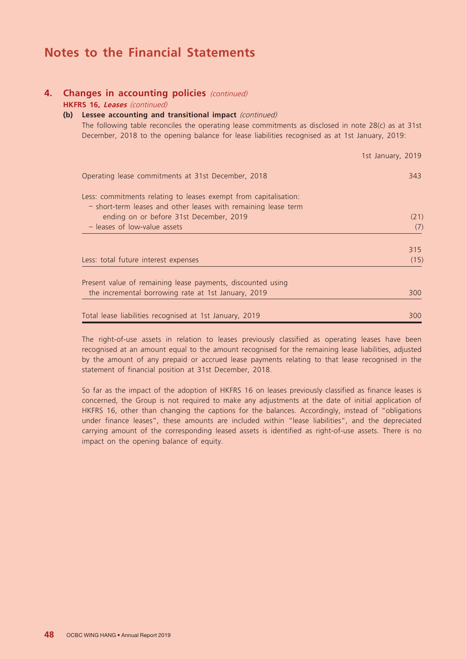## **4.** Changes in accounting policies (continued)

 **HKFRS 16, Leases** (continued)

### **(b) Lessee accounting and transitional impact** (continued)

The following table reconciles the operating lease commitments as disclosed in note 28(c) as at 31st December, 2018 to the opening balance for lease liabilities recognised as at 1st January, 2019:

|                                                                                                                                    | 1st January, 2019 |
|------------------------------------------------------------------------------------------------------------------------------------|-------------------|
| Operating lease commitments at 31st December, 2018                                                                                 | 343               |
| Less: commitments relating to leases exempt from capitalisation:<br>- short-term leases and other leases with remaining lease term |                   |
| ending on or before 31st December, 2019                                                                                            | (21)              |
| - leases of low-value assets                                                                                                       | (7)               |
|                                                                                                                                    | 315               |
| Less: total future interest expenses                                                                                               | (15)              |
| Present value of remaining lease payments, discounted using                                                                        |                   |
| the incremental borrowing rate at 1st January, 2019                                                                                | 300               |
| Total lease liabilities recognised at 1st January, 2019                                                                            | 300               |

The right-of-use assets in relation to leases previously classified as operating leases have been recognised at an amount equal to the amount recognised for the remaining lease liabilities, adjusted by the amount of any prepaid or accrued lease payments relating to that lease recognised in the statement of financial position at 31st December, 2018.

So far as the impact of the adoption of HKFRS 16 on leases previously classified as finance leases is concerned, the Group is not required to make any adjustments at the date of initial application of HKFRS 16, other than changing the captions for the balances. Accordingly, instead of "obligations under finance leases", these amounts are included within "lease liabilities", and the depreciated carrying amount of the corresponding leased assets is identified as right-of-use assets. There is no impact on the opening balance of equity.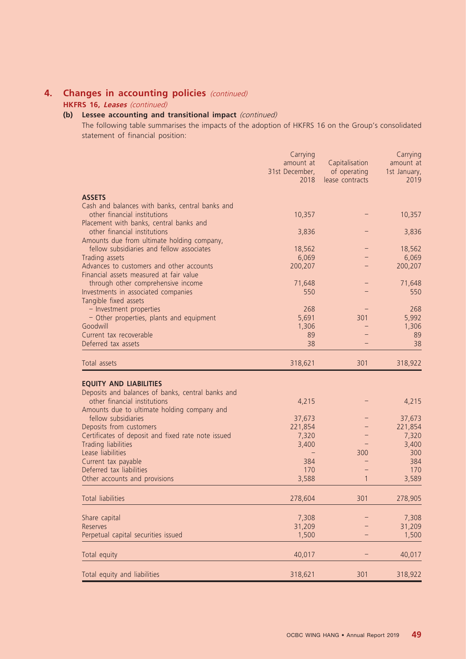## **4.** Changes in accounting policies (continued)

 **HKFRS 16, Leases** (continued)

### **(b) Lessee accounting and transitional impact** (continued)

The following table summarises the impacts of the adoption of HKFRS 16 on the Group's consolidated statement of financial position:

|                                                                         | Carrying<br>amount at<br>31st December,<br>2018 | Capitalisation<br>of operating<br>lease contracts | Carrying<br>amount at<br>1st January,<br>2019 |
|-------------------------------------------------------------------------|-------------------------------------------------|---------------------------------------------------|-----------------------------------------------|
| <b>ASSETS</b>                                                           |                                                 |                                                   |                                               |
| Cash and balances with banks, central banks and                         |                                                 |                                                   |                                               |
| other financial institutions<br>Placement with banks, central banks and | 10,357                                          |                                                   | 10,357                                        |
| other financial institutions                                            | 3,836                                           |                                                   | 3,836                                         |
| Amounts due from ultimate holding company,                              |                                                 |                                                   |                                               |
| fellow subsidiaries and fellow associates                               | 18,562                                          |                                                   | 18,562                                        |
| Trading assets<br>Advances to customers and other accounts              | 6,069<br>200,207                                |                                                   | 6,069<br>200,207                              |
| Financial assets measured at fair value                                 |                                                 |                                                   |                                               |
| through other comprehensive income                                      | 71,648                                          |                                                   | 71,648                                        |
| Investments in associated companies                                     | 550                                             |                                                   | 550                                           |
| Tangible fixed assets                                                   |                                                 |                                                   |                                               |
| - Investment properties                                                 | 268                                             |                                                   | 268                                           |
| - Other properties, plants and equipment<br>Goodwill                    | 5,691                                           | 301                                               | 5,992                                         |
| Current tax recoverable                                                 | 1,306<br>89                                     |                                                   | 1,306<br>89                                   |
| Deferred tax assets                                                     | 38                                              |                                                   | 38                                            |
|                                                                         |                                                 |                                                   |                                               |
| Total assets                                                            | 318,621                                         | 301                                               | 318,922                                       |
| <b>EQUITY AND LIABILITIES</b>                                           |                                                 |                                                   |                                               |
| Deposits and balances of banks, central banks and                       |                                                 |                                                   |                                               |
| other financial institutions                                            | 4,215                                           |                                                   | 4,215                                         |
| Amounts due to ultimate holding company and                             |                                                 |                                                   |                                               |
| fellow subsidiaries                                                     | 37,673                                          |                                                   | 37,673                                        |
| Deposits from customers                                                 | 221,854                                         |                                                   | 221,854                                       |
| Certificates of deposit and fixed rate note issued                      | 7,320                                           |                                                   | 7,320                                         |
| Trading liabilities<br>Lease liabilities                                | 3,400                                           | 300                                               | 3,400<br>300                                  |
| Current tax payable                                                     | 384                                             |                                                   | 384                                           |
| Deferred tax liabilities                                                | 170                                             |                                                   | 170                                           |
| Other accounts and provisions                                           | 3,588                                           | $\mathbf{1}$                                      | 3,589                                         |
|                                                                         |                                                 |                                                   |                                               |
| Total liabilities                                                       | 278,604                                         | 301                                               | 278,905                                       |
| Share capital                                                           | 7,308                                           |                                                   | 7,308                                         |
| Reserves                                                                | 31,209                                          |                                                   | 31,209                                        |
| Perpetual capital securities issued                                     | 1,500                                           |                                                   | 1,500                                         |
| Total equity                                                            | 40,017                                          |                                                   | 40,017                                        |
|                                                                         |                                                 |                                                   |                                               |
| Total equity and liabilities                                            | 318,621                                         | 301                                               | 318,922                                       |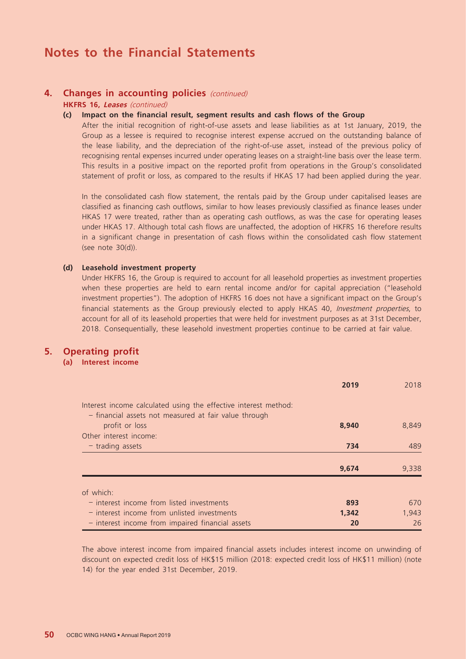## **4.** Changes in accounting policies (continued)

 **HKFRS 16, Leases** (continued)

### **(c) Impact on the financial result, segment results and cash flows of the Group**

After the initial recognition of right-of-use assets and lease liabilities as at 1st January, 2019, the Group as a lessee is required to recognise interest expense accrued on the outstanding balance of the lease liability, and the depreciation of the right-of-use asset, instead of the previous policy of recognising rental expenses incurred under operating leases on a straight-line basis over the lease term. This results in a positive impact on the reported profit from operations in the Group's consolidated statement of profit or loss, as compared to the results if HKAS 17 had been applied during the year.

In the consolidated cash flow statement, the rentals paid by the Group under capitalised leases are classified as financing cash outflows, similar to how leases previously classified as finance leases under HKAS 17 were treated, rather than as operating cash outflows, as was the case for operating leases under HKAS 17. Although total cash flows are unaffected, the adoption of HKFRS 16 therefore results in a significant change in presentation of cash flows within the consolidated cash flow statement (see note 30(d)).

#### **(d) Leasehold investment property**

Under HKFRS 16, the Group is required to account for all leasehold properties as investment properties when these properties are held to earn rental income and/or for capital appreciation ("leasehold investment properties"). The adoption of HKFRS 16 does not have a significant impact on the Group's financial statements as the Group previously elected to apply HKAS 40, Investment properties, to account for all of its leasehold properties that were held for investment purposes as at 31st December, 2018. Consequentially, these leasehold investment properties continue to be carried at fair value.

## **5. Operating profit**

### **(a) Interest income**

|                                                                                                                          | 2019  | 2018  |
|--------------------------------------------------------------------------------------------------------------------------|-------|-------|
| Interest income calculated using the effective interest method:<br>- financial assets not measured at fair value through |       |       |
| profit or loss                                                                                                           | 8,940 | 8,849 |
| Other interest income:                                                                                                   |       |       |
| $-$ trading assets                                                                                                       | 734   | 489   |
|                                                                                                                          |       |       |
|                                                                                                                          | 9,674 | 9,338 |
| of which:                                                                                                                |       |       |
| - interest income from listed investments                                                                                | 893   | 670   |
|                                                                                                                          |       |       |
| - interest income from unlisted investments                                                                              | 1,342 | 1,943 |
| $-$ interest income from impaired financial assets                                                                       | 20    | 26    |

The above interest income from impaired financial assets includes interest income on unwinding of discount on expected credit loss of HK\$15 million (2018: expected credit loss of HK\$11 million) (note 14) for the year ended 31st December, 2019.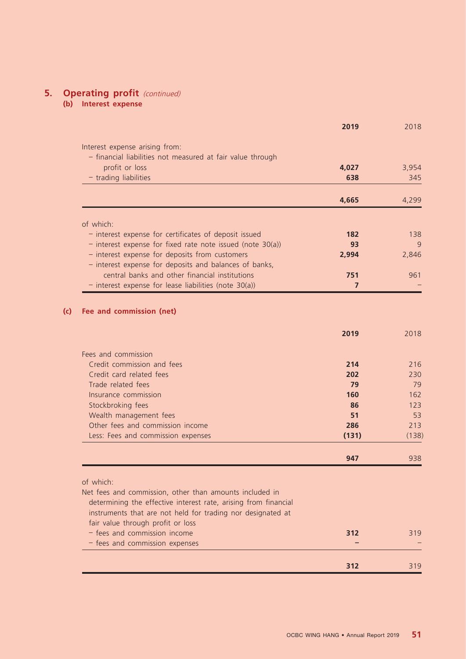## **5.** Operating profit (continued)

 **(b) Interest expense**

|                                                               | 2019  | 2018  |
|---------------------------------------------------------------|-------|-------|
| Interest expense arising from:                                |       |       |
| - financial liabilities not measured at fair value through    |       |       |
| profit or loss                                                | 4,027 | 3,954 |
| $-$ trading liabilities                                       | 638   | 345   |
|                                                               | 4,665 | 4.299 |
|                                                               |       |       |
| of which:                                                     |       |       |
| - interest expense for certificates of deposit issued         | 182   | 138   |
| - interest expense for fixed rate note issued (note $30(a)$ ) | 93    | 9     |
| - interest expense for deposits from customers                | 2,994 | 2,846 |
| $-$ interest expense for deposits and balances of banks,      |       |       |
| central banks and other financial institutions                | 751   | 961   |
| - interest expense for lease liabilities (note $30(a)$ )      | 7     |       |

## **(c) Fee and commission (net)**

|                                                                 | 2019  | 2018  |
|-----------------------------------------------------------------|-------|-------|
| Fees and commission                                             |       |       |
| Credit commission and fees                                      | 214   | 216   |
| Credit card related fees                                        | 202   | 230   |
| Trade related fees                                              | 79    | 79    |
| Insurance commission                                            | 160   | 162   |
| Stockbroking fees                                               | 86    | 123   |
| Wealth management fees                                          | 51    | 53    |
| Other fees and commission income                                | 286   | 213   |
| Less: Fees and commission expenses                              | (131) | (138) |
|                                                                 | 947   |       |
|                                                                 |       | 938   |
| of which:                                                       |       |       |
| Net fees and commission, other than amounts included in         |       |       |
| determining the effective interest rate, arising from financial |       |       |
| instruments that are not held for trading nor designated at     |       |       |
| fair value through profit or loss                               |       |       |
| - fees and commission income                                    | 312   | 319   |
| - fees and commission expenses                                  |       |       |
|                                                                 |       |       |
|                                                                 | 312   | 319   |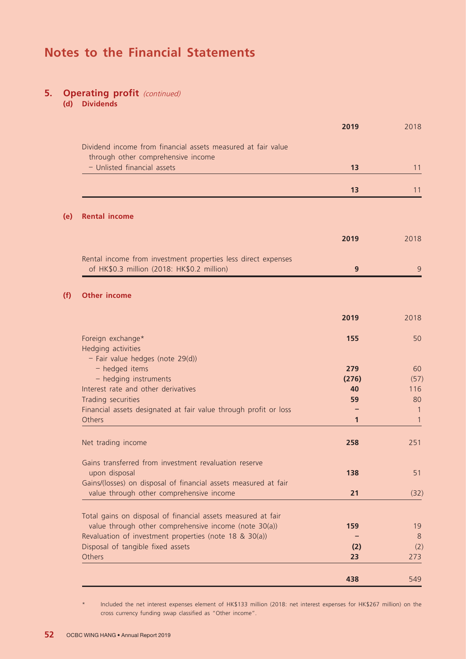## **5.** Operating profit (continued)

 **(d) Dividends**

|        |                                                                                                             | 2019  | 2018                         |
|--------|-------------------------------------------------------------------------------------------------------------|-------|------------------------------|
|        | Dividend income from financial assets measured at fair value                                                |       |                              |
|        | through other comprehensive income<br>- Unlisted financial assets                                           | 13    | 11                           |
|        |                                                                                                             | 13    | 11                           |
|        |                                                                                                             |       |                              |
| (e)    | <b>Rental income</b>                                                                                        |       |                              |
|        |                                                                                                             | 2019  | 2018                         |
|        | Rental income from investment properties less direct expenses<br>of HK\$0.3 million (2018: HK\$0.2 million) | 9     | 9                            |
| (f)    | <b>Other income</b>                                                                                         |       |                              |
|        |                                                                                                             | 2019  | 2018                         |
|        | Foreign exchange*                                                                                           | 155   | 50                           |
|        | Hedging activities<br>- Fair value hedges (note 29(d))                                                      |       |                              |
|        | - hedged items                                                                                              | 279   | 60                           |
|        | - hedging instruments                                                                                       | (276) | (57)                         |
|        | Interest rate and other derivatives                                                                         | 40    | 116                          |
|        | Trading securities                                                                                          | 59    | 80                           |
| Others | Financial assets designated at fair value through profit or loss                                            | 1     | $\mathbf{1}$<br>$\mathbf{1}$ |
|        | Net trading income                                                                                          | 258   | 251                          |
|        | Gains transferred from investment revaluation reserve                                                       |       |                              |
|        | upon disposal<br>Gains/(losses) on disposal of financial assets measured at fair                            | 138   | 51                           |
|        | value through other comprehensive income                                                                    | 21    | (32)                         |
|        | Total gains on disposal of financial assets measured at fair                                                |       |                              |
|        | value through other comprehensive income (note 30(a))                                                       | 159   | 19                           |
|        | Revaluation of investment properties (note 18 & 30(a))                                                      |       | 8                            |
|        | Disposal of tangible fixed assets                                                                           | (2)   | (2)                          |
| Others |                                                                                                             | 23    | 273                          |
|        |                                                                                                             | 438   | 549                          |

\* Included the net interest expenses element of HK\$133 million (2018: net interest expenses for HK\$267 million) on the cross currency funding swap classified as "Other income".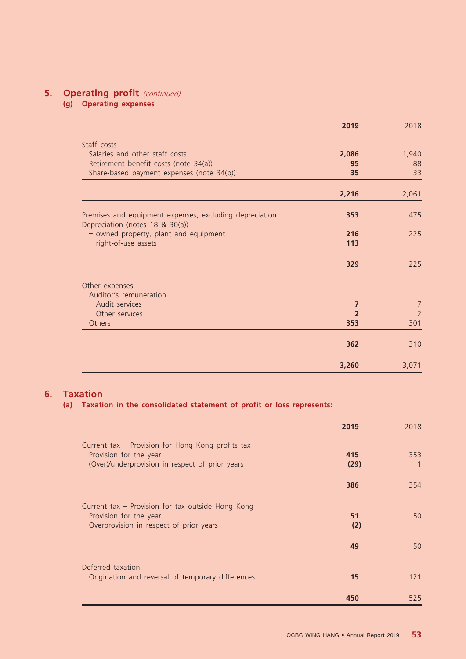## **5.** Operating profit (continued)

 **(g) Operating expenses**

|                                                         | 2019           | 2018           |
|---------------------------------------------------------|----------------|----------------|
| Staff costs                                             |                |                |
| Salaries and other staff costs                          | 2,086          | 1,940          |
| Retirement benefit costs (note 34(a))                   | 95             | 88             |
| Share-based payment expenses (note 34(b))               | 35             | 33             |
|                                                         | 2,216          | 2,061          |
|                                                         |                |                |
| Premises and equipment expenses, excluding depreciation | 353            | 475            |
| Depreciation (notes 18 & 30(a))                         |                |                |
| - owned property, plant and equipment                   | 216            | 225            |
| - right-of-use assets                                   | 113            |                |
|                                                         | 329            | 225            |
| Other expenses                                          |                |                |
| Auditor's remuneration                                  |                |                |
| Audit services                                          | $\overline{7}$ | 7              |
| Other services                                          | $\overline{2}$ | $\overline{2}$ |
| Others                                                  | 353            | 301            |
|                                                         | 362            | 310            |
|                                                         |                |                |
|                                                         | 3,260          | 3,071          |

## **6. Taxation**

 **(a) Taxation in the consolidated statement of profit or loss represents:**

|                                                   | 2019 | 2018 |
|---------------------------------------------------|------|------|
| Current tax - Provision for Hong Kong profits tax |      |      |
| Provision for the year                            | 415  | 353  |
| (Over)/underprovision in respect of prior years   | (29) |      |
|                                                   | 386  | 354  |
| Current tax - Provision for tax outside Hong Kong |      |      |
| Provision for the year                            | 51   | 50   |
| Overprovision in respect of prior years           | (2)  |      |
|                                                   | 49   | 50   |
| Deferred taxation                                 |      |      |
| Origination and reversal of temporary differences | 15   | 121  |
|                                                   | 450  | 525  |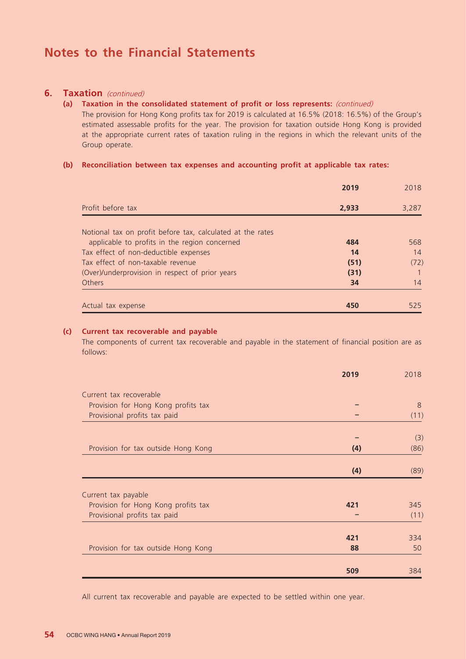## **6.** Taxation (continued)

### **(a) Taxation in the consolidated statement of profit or loss represents:** (continued)

The provision for Hong Kong profits tax for 2019 is calculated at 16.5% (2018: 16.5%) of the Group's estimated assessable profits for the year. The provision for taxation outside Hong Kong is provided at the appropriate current rates of taxation ruling in the regions in which the relevant units of the Group operate.

#### **(b) Reconciliation between tax expenses and accounting profit at applicable tax rates:**

|                                                            | 2019  | 2018  |
|------------------------------------------------------------|-------|-------|
| Profit before tax                                          | 2,933 | 3,287 |
| Notional tax on profit before tax, calculated at the rates |       |       |
| applicable to profits in the region concerned              | 484   | 568   |
| Tax effect of non-deductible expenses                      | 14    | 14    |
| Tax effect of non-taxable revenue                          | (51)  | (72)  |
| (Over)/underprovision in respect of prior years            | (31)  |       |
| Others                                                     | 34    | 14    |
| Actual tax expense                                         | 450   | 525.  |

#### **(c) Current tax recoverable and payable**

The components of current tax recoverable and payable in the statement of financial position are as follows:

|                                     | 2019 | 2018 |
|-------------------------------------|------|------|
| Current tax recoverable             |      |      |
| Provision for Hong Kong profits tax |      | 8    |
| Provisional profits tax paid        |      | (11) |
|                                     |      | (3)  |
| Provision for tax outside Hong Kong | (4)  | (86) |
|                                     | (4)  | (89) |
| Current tax payable                 |      |      |
| Provision for Hong Kong profits tax | 421  | 345  |
| Provisional profits tax paid        |      | (11) |
|                                     | 421  | 334  |
| Provision for tax outside Hong Kong | 88   | 50   |
|                                     | 509  | 384  |

All current tax recoverable and payable are expected to be settled within one year.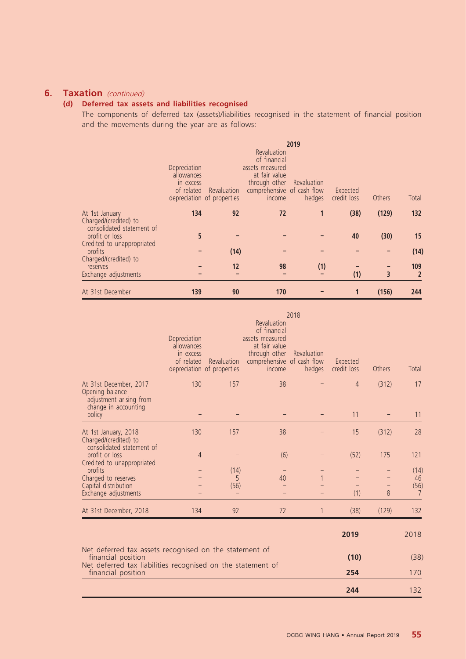## **6.** Taxation (continued)

## **(d) Deferred tax assets and liabilities recognised**

The components of deferred tax (assets)/liabilities recognised in the statement of financial position and the movements during the year are as follows:

|                                                                      |                                                       |                                           |                                                                                                                          | 2019                  |                         |        |                       |
|----------------------------------------------------------------------|-------------------------------------------------------|-------------------------------------------|--------------------------------------------------------------------------------------------------------------------------|-----------------------|-------------------------|--------|-----------------------|
|                                                                      | Depreciation<br>allowances<br>in excess<br>of related | Revaluation<br>depreciation of properties | Revaluation<br>of financial<br>assets measured<br>at fair value<br>through other<br>comprehensive of cash flow<br>income | Revaluation<br>hedges | Expected<br>credit loss | Others | Total                 |
| At 1st January<br>Charged/(credited) to<br>consolidated statement of | 134                                                   | 92                                        | 72                                                                                                                       | 1                     | (38)                    | (129)  | 132                   |
| profit or loss<br>Credited to unappropriated                         | 5                                                     |                                           |                                                                                                                          |                       | 40                      | (30)   | 15 <sup>15</sup>      |
| profits<br>Charged/(credited) to                                     |                                                       | (14)                                      |                                                                                                                          |                       |                         |        | (14)                  |
| reserves<br>Exchange adjustments                                     |                                                       | 12                                        | 98                                                                                                                       | (1)                   | (1)                     | 3      | 109<br>$\overline{2}$ |
| At 31st December                                                     | 139                                                   | 90                                        | 170                                                                                                                      |                       | 1                       | (156)  | 244                   |

|                                                                                   |                         |                                           |                                                | 2018         |                         |        |                 |
|-----------------------------------------------------------------------------------|-------------------------|-------------------------------------------|------------------------------------------------|--------------|-------------------------|--------|-----------------|
|                                                                                   | Depreciation            |                                           | Revaluation<br>of financial<br>assets measured |              |                         |        |                 |
|                                                                                   | allowances<br>in excess |                                           | at fair value<br>through other                 | Revaluation  |                         |        |                 |
|                                                                                   | of related              | Revaluation<br>depreciation of properties | comprehensive of cash flow<br>income           | hedges       | Expected<br>credit loss | Others | Total           |
| At 31st December, 2017<br>Opening balance<br>adjustment arising from              | 130                     | 157                                       | 38                                             |              | $\overline{4}$          | (312)  | 17              |
| change in accounting<br>policy                                                    |                         |                                           |                                                |              | 11                      |        | 11              |
| At 1st January, 2018<br>Charged/(credited) to<br>consolidated statement of        | 130                     | 157                                       | 38                                             |              | 15                      | (312)  | 28              |
| profit or loss<br>Credited to unappropriated                                      | $\overline{4}$          |                                           | (6)                                            |              | (52)                    | 175    | 121             |
| profits                                                                           |                         | (14)                                      |                                                |              |                         |        | (14)            |
| Charged to reserves<br>Capital distribution                                       |                         | 5<br>(56)                                 | 40                                             | $\mathbf{1}$ |                         |        | 46<br>(56)      |
| Exchange adjustments                                                              |                         | $\overline{\phantom{0}}$                  |                                                |              | (1)                     | 8      | $7\overline{ }$ |
| At 31st December, 2018                                                            | 134                     | 92                                        | 72                                             | $\mathbf{1}$ | (38)                    | (129)  | 132             |
|                                                                                   |                         |                                           |                                                |              | 2019                    |        | 2018            |
| Net deferred tax assets recognised on the statement of<br>financial position      |                         |                                           |                                                |              | (10)                    |        | (38)            |
| Net deferred tax liabilities recognised on the statement of<br>financial position |                         |                                           |                                                |              | 254                     |        | 170             |
|                                                                                   |                         |                                           |                                                |              | 244                     |        | 132             |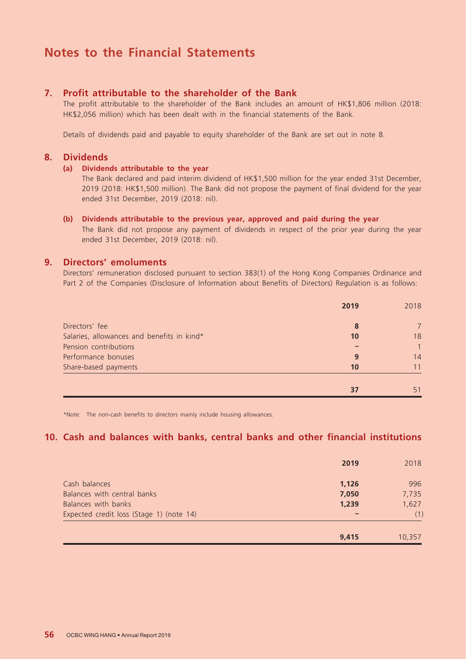## **7. Profit attributable to the shareholder of the Bank**

The profit attributable to the shareholder of the Bank includes an amount of HK\$1,806 million (2018: HK\$2,056 million) which has been dealt with in the financial statements of the Bank.

Details of dividends paid and payable to equity shareholder of the Bank are set out in note 8.

### **8. Dividends**

### **(a) Dividends attributable to the year**

The Bank declared and paid interim dividend of HK\$1,500 million for the year ended 31st December, 2019 (2018: HK\$1,500 million). The Bank did not propose the payment of final dividend for the year ended 31st December, 2019 (2018: nil).

#### **(b) Dividends attributable to the previous year, approved and paid during the year**

The Bank did not propose any payment of dividends in respect of the prior year during the year ended 31st December, 2019 (2018: nil).

## **9. Directors' emoluments**

Directors' remuneration disclosed pursuant to section 383(1) of the Hong Kong Companies Ordinance and Part 2 of the Companies (Disclosure of Information about Benefits of Directors) Regulation is as follows:

|                                             | 2019 | 2018           |
|---------------------------------------------|------|----------------|
| Directors' fee                              | 8    | $\overline{7}$ |
| Salaries, allowances and benefits in kind*  | 10   | 18             |
| Pension contributions                       |      |                |
|                                             | 9    | 14             |
| Performance bonuses<br>Share-based payments | 10   | 11             |
|                                             | 37   | 51             |

\* Note: The non-cash benefits to directors mainly include housing allowances.

## **10. Cash and balances with banks, central banks and other financial institutions**

|                                          | 2019  | 2018   |
|------------------------------------------|-------|--------|
| Cash balances                            | 1,126 | 996    |
| Balances with central banks              | 7,050 | 7,735  |
| Balances with banks                      | 1,239 | 1,627  |
| Expected credit loss (Stage 1) (note 14) |       | (1)    |
|                                          | 9,415 | 10,357 |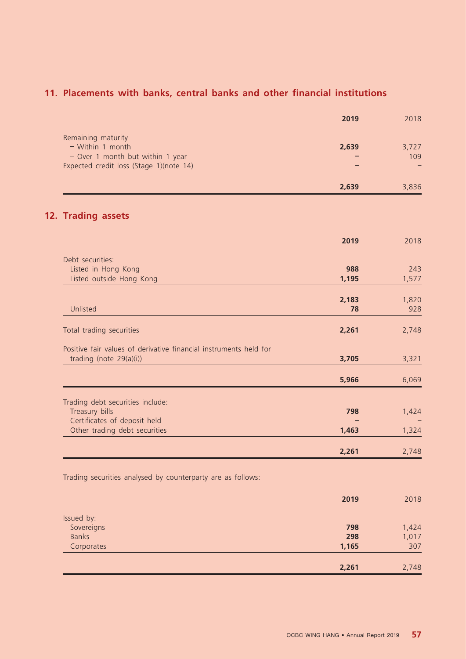## **11. Placements with banks, central banks and other financial institutions**

|                                         | 2019  | 2018  |
|-----------------------------------------|-------|-------|
| Remaining maturity                      |       |       |
| - Within 1 month                        | 2,639 | 3,727 |
| $-$ Over 1 month but within 1 year      |       | 109   |
| Expected credit loss (Stage 1)(note 14) |       |       |
|                                         | 2,639 | 3,836 |

## **12. Trading assets**

|                                                                   | 2019       | 2018           |
|-------------------------------------------------------------------|------------|----------------|
| Debt securities:                                                  |            |                |
| Listed in Hong Kong                                               | 988        | 243            |
| Listed outside Hong Kong                                          | 1,195      | 1,577          |
|                                                                   | 2,183      | 1,820          |
| Unlisted                                                          | 78         | 928            |
| Total trading securities                                          | 2,261      | 2,748          |
| Positive fair values of derivative financial instruments held for |            |                |
| trading (note 29(a)(i))                                           | 3,705      | 3,321          |
|                                                                   | 5,966      | 6,069          |
| Trading debt securities include:                                  |            |                |
| Treasury bills                                                    | 798        | 1,424          |
| Certificates of deposit held<br>Other trading debt securities     | 1,463      | 1,324          |
|                                                                   | 2,261      | 2,748          |
|                                                                   |            |                |
| Trading securities analysed by counterparty are as follows:       |            |                |
|                                                                   | 2019       | 2018           |
| Issued by:                                                        |            |                |
| Sovereigns<br><b>Banks</b>                                        | 798<br>298 | 1,424<br>1,017 |
| Corporates                                                        | 1,165      | 307            |

**2,261** 2,748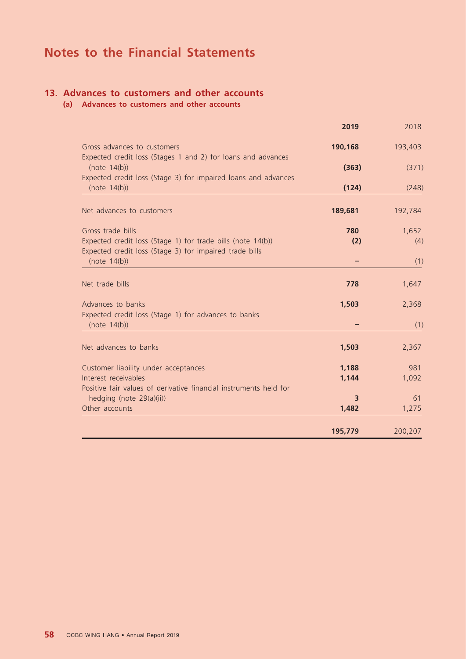## **13. Advances to customers and other accounts**

 **(a) Advances to customers and other accounts**

|                                                                                                                                                | 2019    | 2018    |
|------------------------------------------------------------------------------------------------------------------------------------------------|---------|---------|
| Gross advances to customers                                                                                                                    | 190,168 | 193,403 |
| Expected credit loss (Stages 1 and 2) for loans and advances<br>(note 14(b))<br>Expected credit loss (Stage 3) for impaired loans and advances | (363)   | (371)   |
| (note $14(b)$ )                                                                                                                                | (124)   | (248)   |
| Net advances to customers                                                                                                                      | 189,681 | 192,784 |
| Gross trade bills                                                                                                                              | 780     | 1,652   |
| Expected credit loss (Stage 1) for trade bills (note 14(b))<br>Expected credit loss (Stage 3) for impaired trade bills                         | (2)     | (4)     |
| (note 14(b))                                                                                                                                   |         | (1)     |
| Net trade bills                                                                                                                                | 778     | 1,647   |
| Advances to banks                                                                                                                              | 1,503   | 2,368   |
| Expected credit loss (Stage 1) for advances to banks<br>(note 14(b))                                                                           |         | (1)     |
| Net advances to banks                                                                                                                          | 1,503   | 2,367   |
| Customer liability under acceptances                                                                                                           | 1,188   | 981     |
| Interest receivables                                                                                                                           | 1,144   | 1,092   |
| Positive fair values of derivative financial instruments held for<br>hedging (note 29(a)(ii))                                                  | 3       | 61      |
| Other accounts                                                                                                                                 | 1,482   | 1,275   |
|                                                                                                                                                |         |         |
|                                                                                                                                                | 195,779 | 200,207 |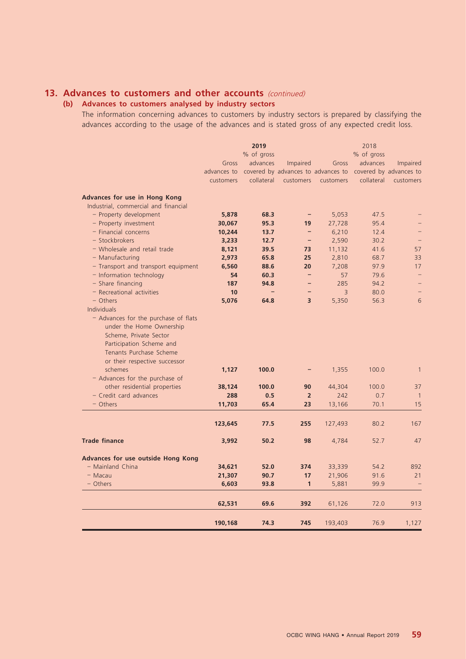## 13. Advances to customers and other accounts (continued)

## **(b) Advances to customers analysed by industry sectors**

The information concerning advances to customers by industry sectors is prepared by classifying the advances according to the usage of the advances and is stated gross of any expected credit loss.

|                                                                                                                                                                                    |             | 2019       |                                    |                | 2018       |                        |
|------------------------------------------------------------------------------------------------------------------------------------------------------------------------------------|-------------|------------|------------------------------------|----------------|------------|------------------------|
|                                                                                                                                                                                    |             | % of gross |                                    |                | % of gross |                        |
|                                                                                                                                                                                    | Gross       | advances   | Impaired                           | Gross          | advances   | Impaired               |
|                                                                                                                                                                                    | advances to |            | covered by advances to advances to |                |            | covered by advances to |
|                                                                                                                                                                                    | customers   | collateral | customers                          | customers      | collateral | customers              |
| Advances for use in Hong Kong<br>Industrial, commercial and financial                                                                                                              |             |            |                                    |                |            |                        |
| - Property development                                                                                                                                                             | 5,878       | 68.3       |                                    | 5,053          | 47.5       |                        |
| - Property investment                                                                                                                                                              | 30,067      | 95.3       | 19                                 | 27,728         | 95.4       |                        |
| $-$ Financial concerns                                                                                                                                                             | 10,244      | 13.7       | $\qquad \qquad -$                  | 6,210          | 12.4       |                        |
| - Stockbrokers                                                                                                                                                                     | 3,233       | 12.7       | $\overline{\phantom{0}}$           | 2,590          | 30.2       |                        |
| - Wholesale and retail trade                                                                                                                                                       | 8,121       | 39.5       | 73                                 | 11,132         | 41.6       | 57                     |
| - Manufacturing                                                                                                                                                                    | 2,973       | 65.8       | 25                                 | 2,810          | 68.7       | 33                     |
| - Transport and transport equipment                                                                                                                                                | 6,560       | 88.6       | 20                                 | 7,208          | 97.9       | 17                     |
| - Information technology                                                                                                                                                           | 54          | 60.3       | -                                  | 57             | 79.6       |                        |
| $-$ Share financing                                                                                                                                                                | 187         | 94.8       | -                                  | 285            | 94.2       |                        |
| $-$ Recreational activities                                                                                                                                                        | 10          |            |                                    | $\overline{3}$ | 80.0       |                        |
| - Others                                                                                                                                                                           | 5,076       | 64.8       | 3                                  | 5,350          | 56.3       | 6                      |
| <b>Individuals</b>                                                                                                                                                                 |             |            |                                    |                |            |                        |
| - Advances for the purchase of flats<br>under the Home Ownership<br>Scheme, Private Sector<br>Participation Scheme and<br>Tenants Purchase Scheme<br>or their respective successor |             |            |                                    |                |            |                        |
| schemes<br>- Advances for the purchase of                                                                                                                                          | 1,127       | 100.0      |                                    | 1,355          | 100.0      | $\mathbf{1}$           |
| other residential properties                                                                                                                                                       | 38,124      | 100.0      | 90                                 | 44,304         | 100.0      | 37                     |
| - Credit card advances                                                                                                                                                             | 288         | 0.5        | $\overline{2}$                     | 242            | 0.7        | $\overline{1}$         |
| - Others                                                                                                                                                                           | 11,703      | 65.4       | 23                                 | 13,166         | 70.1       | 15                     |
|                                                                                                                                                                                    | 123,645     | 77.5       | 255                                | 127,493        | 80.2       | 167                    |
| <b>Trade finance</b>                                                                                                                                                               | 3,992       | 50.2       | 98                                 | 4,784          | 52.7       | 47                     |
| Advances for use outside Hong Kong                                                                                                                                                 |             |            |                                    |                |            |                        |
| - Mainland China                                                                                                                                                                   | 34,621      | 52.0       | 374                                | 33,339         | 54.2       | 892                    |
| - Macau                                                                                                                                                                            | 21,307      | 90.7       | 17                                 | 21,906         | 91.6       | 21                     |
| - Others                                                                                                                                                                           | 6,603       | 93.8       | $\mathbf{1}$                       | 5,881          | 99.9       |                        |
|                                                                                                                                                                                    | 62,531      | 69.6       | 392                                | 61,126         | 72.0       | 913                    |
|                                                                                                                                                                                    | 190,168     | 74.3       | 745                                | 193,403        | 76.9       | 1,127                  |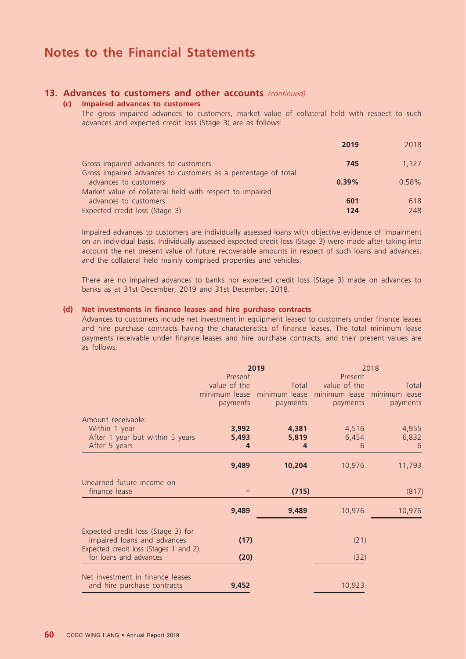## **13. Advances to customers and other accounts** (continued)

#### **(c) Impaired advances to customers**

The gross impaired advances to customers, market value of collateral held with respect to such advances and expected credit loss (Stage 3) are as follows:

|                                                               | 2019  | 2018  |
|---------------------------------------------------------------|-------|-------|
| Gross impaired advances to customers                          | 745   | 1.127 |
| Gross impaired advances to customers as a percentage of total |       |       |
| advances to customers                                         | 0.39% | 0.58% |
| Market value of collateral held with respect to impaired      |       |       |
| advances to customers                                         | 601   | 618   |
| Expected credit loss (Stage 3)                                | 124   | 248   |
|                                                               |       |       |

Impaired advances to customers are individually assessed loans with objective evidence of impairment on an individual basis. Individually assessed expected credit loss (Stage 3) were made after taking into account the net present value of future recoverable amounts in respect of such loans and advances, and the collateral held mainly comprised properties and vehicles.

There are no impaired advances to banks nor expected credit loss (Stage 3) made on advances to banks as at 31st December, 2019 and 31st December, 2018.

#### **(d) Net investments in finance leases and hire purchase contracts**

Advances to customers include net investment in equipment leased to customers under finance leases and hire purchase contracts having the characteristics of finance leases. The total minimum lease payments receivable under finance leases and hire purchase contracts, and their present values are as follows:

|                                                                                                                                      | 2019                                                 |                                    |                                                                    | 2018                |
|--------------------------------------------------------------------------------------------------------------------------------------|------------------------------------------------------|------------------------------------|--------------------------------------------------------------------|---------------------|
|                                                                                                                                      | Present<br>value of the<br>minimum lease<br>payments | Total<br>minimum lease<br>payments | Present<br>value of the<br>minimum lease minimum lease<br>payments | Total<br>payments   |
| Amount receivable:<br>Within 1 year<br>After 1 year but within 5 years<br>After 5 years                                              | 3,992<br>5,493<br>4                                  | 4,381<br>5,819<br>4                | 4,516<br>6,454<br>6                                                | 4,955<br>6,832<br>6 |
|                                                                                                                                      | 9,489                                                | 10,204                             | 10,976                                                             | 11,793              |
| Unearned future income on<br>finance lease                                                                                           |                                                      | (715)                              |                                                                    | (817)               |
|                                                                                                                                      | 9,489                                                | 9,489                              | 10,976                                                             | 10,976              |
| Expected credit loss (Stage 3) for<br>impaired loans and advances<br>Expected credit loss (Stages 1 and 2)<br>for loans and advances | (17)<br>(20)                                         |                                    | (21)<br>(32)                                                       |                     |
| Net investment in finance leases<br>and hire purchase contracts                                                                      | 9,452                                                |                                    | 10,923                                                             |                     |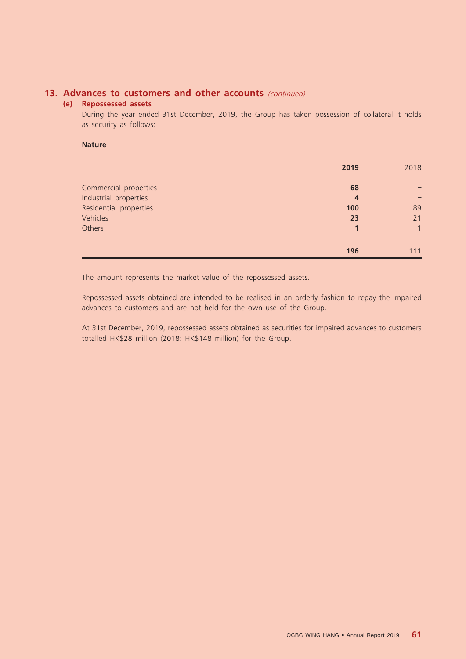## 13. Advances to customers and other accounts (continued)

#### **(e) Repossessed assets**

During the year ended 31st December, 2019, the Group has taken possession of collateral it holds as security as follows:

#### **Nature**

|                        | 2019        | 2018 |
|------------------------|-------------|------|
| Commercial properties  | 68          |      |
| Industrial properties  | 4           |      |
| Residential properties | 100         | 89   |
| Vehicles               | 23          | 21   |
| Others                 | $\mathbf 1$ |      |
|                        | 196         | 111  |

The amount represents the market value of the repossessed assets.

Repossessed assets obtained are intended to be realised in an orderly fashion to repay the impaired advances to customers and are not held for the own use of the Group.

At 31st December, 2019, repossessed assets obtained as securities for impaired advances to customers totalled HK\$28 million (2018: HK\$148 million) for the Group.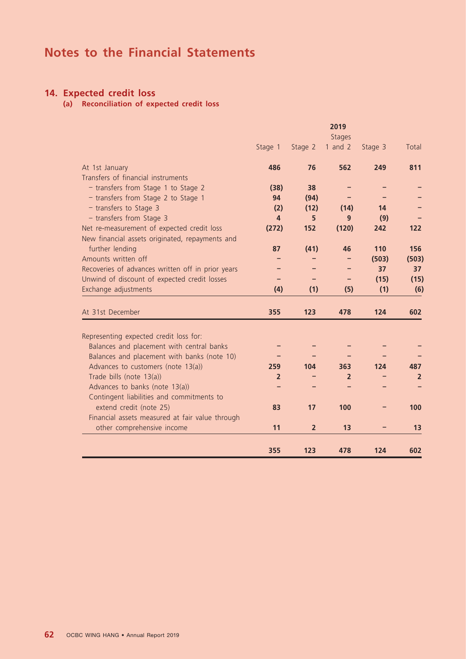## **14. Expected credit loss**

 **(a) Reconciliation of expected credit loss**

|                                                                                          |                |                | 2019          |         |              |
|------------------------------------------------------------------------------------------|----------------|----------------|---------------|---------|--------------|
|                                                                                          |                |                | <b>Stages</b> |         |              |
|                                                                                          | Stage 1        | Stage 2        | 1 and $2$     | Stage 3 | Total        |
| At 1st January                                                                           | 486            | 76             | 562           | 249     | 811          |
| Transfers of financial instruments                                                       |                |                |               |         |              |
| - transfers from Stage 1 to Stage 2                                                      | (38)           | 38             |               |         |              |
| - transfers from Stage 2 to Stage 1                                                      | 94             | (94)           |               |         |              |
| - transfers to Stage 3                                                                   | (2)            | (12)           | (14)          | 14      |              |
| - transfers from Stage 3                                                                 | $\overline{a}$ | 5              | 9             | (9)     |              |
| Net re-measurement of expected credit loss                                               | (272)          | 152            | (120)         | 242     | $122$        |
| New financial assets originated, repayments and                                          |                |                |               |         |              |
| further lending                                                                          | 87             | (41)           | 46            | 110     | 156          |
| Amounts written off                                                                      |                |                |               | (503)   | (503)        |
| Recoveries of advances written off in prior years                                        |                |                |               | 37      | 37           |
| Unwind of discount of expected credit losses                                             |                |                |               | (15)    | (15)         |
| Exchange adjustments                                                                     | (4)            | (1)            | (5)           | (1)     | (6)          |
| At 31st December                                                                         | 355            | 123            | 478           | 124     | 602          |
|                                                                                          |                |                |               |         |              |
| Representing expected credit loss for:                                                   |                |                |               |         |              |
| Balances and placement with central banks<br>Balances and placement with banks (note 10) |                |                |               |         |              |
| Advances to customers (note 13(a))                                                       | 259            | 104            | 363           | 124     | 487          |
| Trade bills (note 13(a))                                                                 | $\overline{2}$ |                | 2             |         | $\mathbf{2}$ |
| Advances to banks (note 13(a))                                                           |                |                |               |         |              |
| Contingent liabilities and commitments to                                                |                |                |               |         |              |
| extend credit (note 25)                                                                  | 83             | 17             | 100           |         | 100          |
| Financial assets measured at fair value through                                          |                |                |               |         |              |
| other comprehensive income                                                               | 11             | $\overline{2}$ | 13            |         | 13           |
|                                                                                          |                |                |               |         |              |
|                                                                                          | 355            | 123            | 478           | 124     | 602          |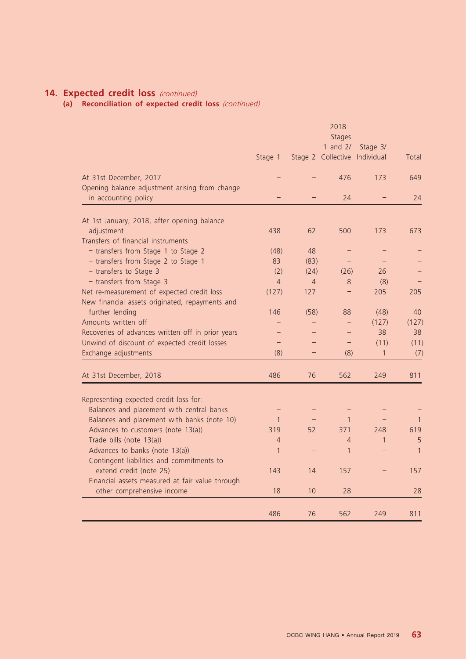## 14. Expected credit loss (continued)

## **(a) Reconciliation of expected credit loss** (continued)

|                                                                                               |                |                          | 2018<br><b>Stages</b>                       |              |              |
|-----------------------------------------------------------------------------------------------|----------------|--------------------------|---------------------------------------------|--------------|--------------|
|                                                                                               | Stage 1        |                          | 1 and $2/$<br>Stage 2 Collective Individual | Stage 3/     | Total        |
| At 31st December, 2017                                                                        |                |                          | 476                                         | 173          | 649          |
| Opening balance adjustment arising from change<br>in accounting policy                        |                |                          | 24                                          |              | 24           |
| At 1st January, 2018, after opening balance                                                   |                |                          |                                             |              |              |
| adjustment                                                                                    | 438            | 62                       | 500                                         | 173          | 673          |
| Transfers of financial instruments                                                            |                |                          |                                             |              |              |
| - transfers from Stage 1 to Stage 2                                                           | (48)           | 48                       |                                             |              |              |
| - transfers from Stage 2 to Stage 1                                                           | 83             | (83)                     |                                             |              |              |
| - transfers to Stage 3                                                                        | (2)            | (24)                     | (26)                                        | 26           |              |
| - transfers from Stage 3                                                                      | $\overline{4}$ | $\overline{4}$           | 8                                           | (8)          |              |
| Net re-measurement of expected credit loss<br>New financial assets originated, repayments and | (127)          | 127                      |                                             | 205          | 205          |
| further lending                                                                               | 146            | (58)                     | 88                                          | (48)         | 40           |
| Amounts written off                                                                           |                |                          |                                             | (127)        | (127)        |
| Recoveries of advances written off in prior years                                             |                |                          | $-$                                         | 38           | 38           |
| Unwind of discount of expected credit losses                                                  | -              |                          | $\overline{\phantom{0}}$                    | (11)         | (11)         |
| Exchange adjustments                                                                          | (8)            | $\overline{\phantom{0}}$ | (8)                                         | $\mathbf{1}$ | (7)          |
| At 31st December, 2018                                                                        | 486            | 76                       | 562                                         | 249          | 811          |
| Representing expected credit loss for:                                                        |                |                          |                                             |              |              |
| Balances and placement with central banks                                                     |                |                          |                                             |              |              |
| Balances and placement with banks (note 10)                                                   | $\mathbf{1}$   | $-$                      | $\mathbf{1}$                                |              | $\mathbf{1}$ |
| Advances to customers (note 13(a))                                                            | 319            | 52                       | 371                                         | 248          | 619          |
| Trade bills (note 13(a))                                                                      | 4              | -                        | 4                                           | $\mathbf{1}$ | 5            |
| Advances to banks (note 13(a))                                                                | 1              |                          | $\mathbf{1}$                                |              | $\mathbf{1}$ |
| Contingent liabilities and commitments to                                                     |                |                          |                                             |              |              |
| extend credit (note 25)                                                                       | 143            | 14                       | 157                                         |              | 157          |
| Financial assets measured at fair value through                                               |                |                          |                                             |              |              |
| other comprehensive income                                                                    | 18             | 10                       | 28                                          |              | 28           |
|                                                                                               | 486            | 76                       | 562                                         | 249          | 811          |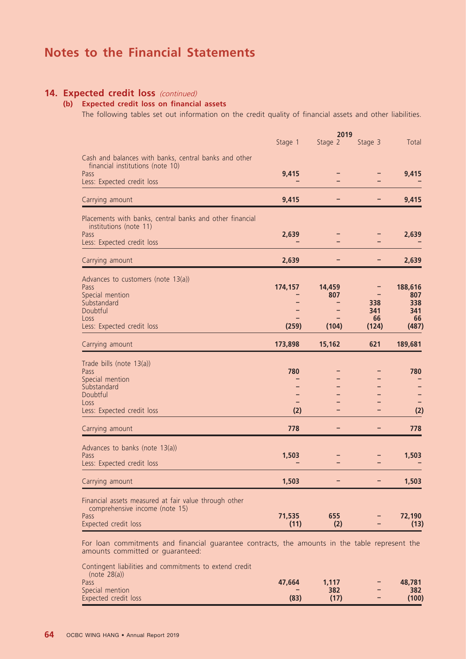## **14. Expected credit loss** (continued)

 **(b) Expected credit loss on financial assets**

The following tables set out information on the credit quality of financial assets and other liabilities.

|                                                                                                                                    |                  | 2019                   |                           |                                             |
|------------------------------------------------------------------------------------------------------------------------------------|------------------|------------------------|---------------------------|---------------------------------------------|
|                                                                                                                                    | Stage 1          | Stage 2                | Stage 3                   | Total                                       |
| Cash and balances with banks, central banks and other<br>financial institutions (note 10)<br>Pass<br>Less: Expected credit loss    | 9,415            |                        |                           | 9,415                                       |
| Carrying amount                                                                                                                    | 9,415            |                        |                           | 9,415                                       |
| Placements with banks, central banks and other financial<br>institutions (note 11)<br>Pass<br>Less: Expected credit loss           | 2,639            |                        |                           | 2,639                                       |
| Carrying amount                                                                                                                    | 2,639            |                        |                           | 2,639                                       |
| Advances to customers (note $13(a)$ )<br>Pass<br>Special mention<br>Substandard<br>Doubtful<br>Loss<br>Less: Expected credit loss  | 174,157<br>(259) | 14,459<br>807<br>(104) | 338<br>341<br>66<br>(124) | 188,616<br>807<br>338<br>341<br>66<br>(487) |
| Carrying amount                                                                                                                    | 173,898          | 15,162                 | 621                       | 189,681                                     |
| Trade bills (note $13(a)$ )<br>Pass<br>Special mention<br>Substandard<br>Doubtful<br>Loss<br>Less: Expected credit loss            | 780<br>(2)       |                        |                           | 780<br>(2)                                  |
| Carrying amount                                                                                                                    | 778              |                        |                           | 778                                         |
| Advances to banks (note 13(a))<br>Pass<br>Less: Expected credit loss                                                               | 1,503            |                        |                           | 1,503                                       |
| Carrying amount                                                                                                                    | 1,503            |                        |                           | 1,503                                       |
| Financial assets measured at fair value through other<br>comprehensive income (note 15)<br>Pass<br>Expected credit loss            | 71,535<br>(11)   | 655<br>(2)             |                           | 72,190<br>(13)                              |
| For loan commitments and financial guarantee contracts, the amounts in the table represent the<br>amounts committed or guaranteed: |                  |                        |                           |                                             |
| Contingent liabilities and commitments to extend credit<br>$+0.70(1)$                                                              |                  |                        |                           |                                             |

| (note 28(a))<br>Pass | 47,664 | 1.117 | $\overline{\phantom{0}}$ | 48,781 |
|----------------------|--------|-------|--------------------------|--------|
| Special mention      | -      | 382   | -                        | 382    |
| Expected credit loss | (83)   |       | -                        | (100)  |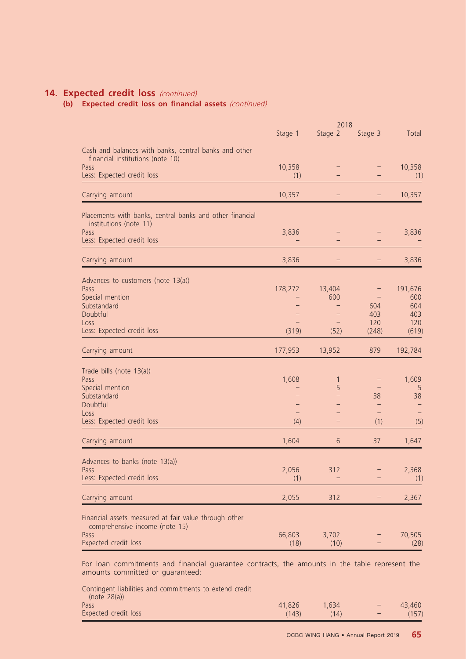## **14. Expected credit loss** (continued)

## **(b) Expected credit loss on financial assets** (continued)

|                                                          |                | 2018    |                 |            |
|----------------------------------------------------------|----------------|---------|-----------------|------------|
|                                                          | Stage 1        | Stage 2 | Stage 3         | Total      |
| Cash and balances with banks, central banks and other    |                |         |                 |            |
| financial institutions (note 10)                         |                |         |                 |            |
| Pass                                                     | 10,358         |         |                 | 10,358     |
| Less: Expected credit loss                               | (1)            |         |                 | (1)        |
| Carrying amount                                          | 10,357         |         |                 | 10,357     |
| Placements with banks, central banks and other financial |                |         |                 |            |
| institutions (note 11)                                   |                |         |                 |            |
| Pass                                                     | 3,836          |         |                 | 3,836      |
| Less: Expected credit loss                               |                |         |                 |            |
| Carrying amount                                          | 3,836          |         |                 | 3,836      |
| Advances to customers (note $13(a)$ )                    |                |         |                 |            |
| Pass                                                     | 178,272        | 13,404  |                 | 191,676    |
| Special mention                                          |                | 600     |                 | 600        |
| Substandard                                              |                |         | 604             | 604        |
| Doubtful<br>Loss                                         |                |         | 403<br>120      | 403<br>120 |
| Less: Expected credit loss                               | (319)          | (52)    | (248)           | (619)      |
|                                                          |                |         |                 |            |
| Carrying amount                                          | 177,953        | 13,952  | 879             | 192,784    |
| Trade bills (note 13(a))                                 |                |         |                 |            |
| Pass                                                     | 1,608          | 1       |                 | 1,609      |
| Special mention                                          |                | 5       |                 | 5          |
| Substandard                                              |                |         | 38              | 38         |
| Doubtful                                                 |                |         |                 |            |
| Loss<br>Less: Expected credit loss                       | (4)            | -       | $\equiv$<br>(1) | (5)        |
|                                                          |                |         |                 |            |
| Carrying amount                                          | 1,604          | 6       | 37              | 1,647      |
| Advances to banks (note 13(a))                           |                |         |                 |            |
| Pass                                                     | 2,056          | 312     |                 | 2,368      |
| Less: Expected credit loss                               | (1)            |         |                 | (1)        |
| Carrying amount                                          | 2,055          | 312     |                 | 2,367      |
| Financial assets measured at fair value through other    |                |         |                 |            |
| comprehensive income (note 15)                           |                |         |                 |            |
| Pass<br>Expected credit loss                             | 66,803<br>(18) | 3,702   |                 | 70,505     |
|                                                          |                | (10)    |                 | (28)       |

For loan commitments and financial guarantee contracts, the amounts in the table represent the amounts committed or guaranteed:

Contingent liabilities and commitments to extend credit (note 28(a)) Pass 41,826 – 43,460 – 43,460 – 43,460 – 43,460 – 43,460 – 43,460 – 43,460 – 43,460 – 43,460 – 43,460 – 43,460 Expected credit loss  $(143)$   $(14)$  – (157)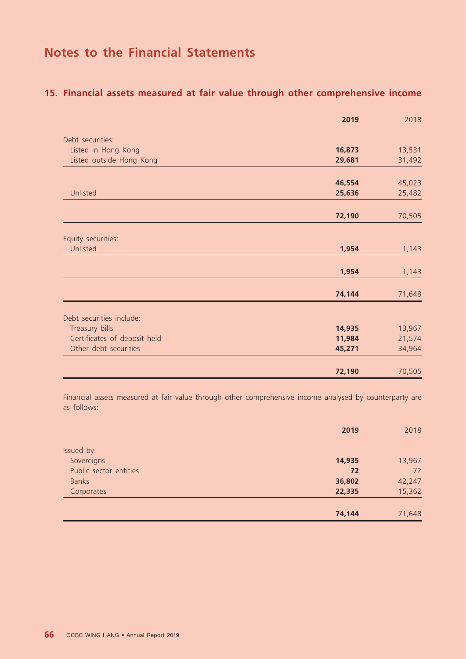## **15. Financial assets measured at fair value through other comprehensive income**

|                              | 2019   | 2018   |
|------------------------------|--------|--------|
| Debt securities:             |        |        |
| Listed in Hong Kong          | 16,873 | 13,531 |
| Listed outside Hong Kong     | 29,681 | 31,492 |
|                              | 46,554 | 45,023 |
| Unlisted                     | 25,636 | 25,482 |
|                              |        |        |
|                              | 72,190 | 70,505 |
| Equity securities:           |        |        |
| Unlisted                     | 1,954  | 1,143  |
|                              | 1,954  | 1,143  |
|                              | 74,144 | 71,648 |
| Debt securities include:     |        |        |
| Treasury bills               | 14,935 | 13,967 |
| Certificates of deposit held | 11,984 | 21,574 |
| Other debt securities        | 45,271 | 34,964 |
|                              | 72,190 | 70,505 |

Financial assets measured at fair value through other comprehensive income analysed by counterparty are as follows:

| 2019 | 2018                                 |
|------|--------------------------------------|
|      |                                      |
|      | 13,967                               |
| 72   | 72                                   |
|      | 42,247                               |
|      | 15,362                               |
|      | 71,648                               |
|      | 14,935<br>36,802<br>22,335<br>74,144 |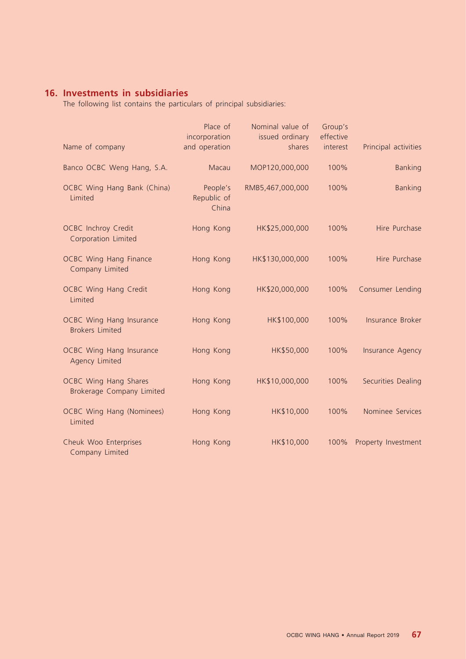## **16. Investments in subsidiaries**

The following list contains the particulars of principal subsidiaries:

|                                                                  | Place of<br>incorporation<br>and operation | Nominal value of<br>issued ordinary<br>shares | Group's<br>effective<br>interest |                      |
|------------------------------------------------------------------|--------------------------------------------|-----------------------------------------------|----------------------------------|----------------------|
| Name of company                                                  |                                            |                                               |                                  | Principal activities |
| Banco OCBC Weng Hang, S.A.                                       | Macau                                      | MOP120,000,000                                | 100%                             | <b>Banking</b>       |
| OCBC Wing Hang Bank (China)<br>Limited                           | People's<br>Republic of<br>China           | RMB5,467,000,000                              | 100%                             | <b>Banking</b>       |
| <b>OCBC Inchroy Credit</b><br>Corporation Limited                | Hong Kong                                  | HK\$25,000,000                                | 100%                             | Hire Purchase        |
| <b>OCBC Wing Hang Finance</b><br>Company Limited                 | Hong Kong                                  | HK\$130,000,000                               | 100%                             | Hire Purchase        |
| <b>OCBC Wing Hang Credit</b><br>Limited                          | Hong Kong                                  | HK\$20,000,000                                | 100%                             | Consumer Lending     |
| <b>OCBC Wing Hang Insurance</b><br><b>Brokers Limited</b>        | Hong Kong                                  | HK\$100,000                                   | 100%                             | Insurance Broker     |
| <b>OCBC Wing Hang Insurance</b><br>Agency Limited                | Hong Kong                                  | HK\$50,000                                    | 100%                             | Insurance Agency     |
| <b>OCBC Wing Hang Shares</b><br><b>Brokerage Company Limited</b> | Hong Kong                                  | HK\$10,000,000                                | 100%                             | Securities Dealing   |
| <b>OCBC Wing Hang (Nominees)</b><br>Limited                      | Hong Kong                                  | HK\$10,000                                    | 100%                             | Nominee Services     |
| Cheuk Woo Enterprises<br>Company Limited                         | Hong Kong                                  | HK\$10,000                                    | 100%                             | Property Investment  |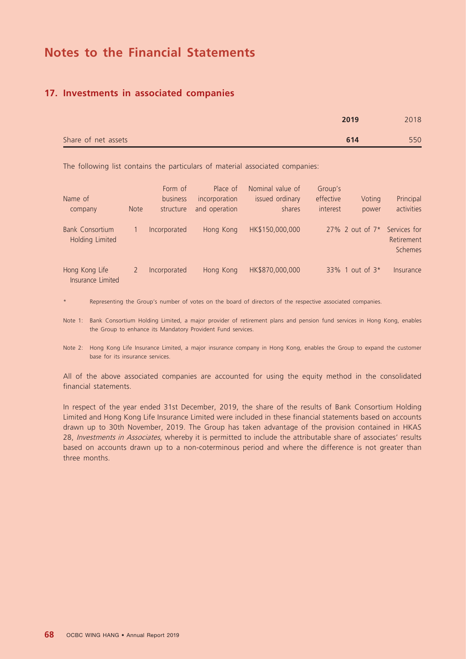## **17. Investments in associated companies**

|                     | 2019 | 2018 |
|---------------------|------|------|
| Share of net assets | 614  | 550  |

The following list contains the particulars of material associated companies:

| Name of<br>company                        | <b>Note</b> | Form of<br><b>business</b><br>structure | Place of<br>incorporation<br>and operation | Nominal value of<br>issued ordinary<br>shares | Group's<br>effective<br>interest | Voting<br>power   | Principal<br>activities               |
|-------------------------------------------|-------------|-----------------------------------------|--------------------------------------------|-----------------------------------------------|----------------------------------|-------------------|---------------------------------------|
| <b>Bank Consortium</b><br>Holding Limited |             | Incorporated                            | Hong Kong                                  | HK\$150,000,000                               |                                  | 27% 2 out of $7*$ | Services for<br>Retirement<br>Schemes |
| Hong Kong Life<br>Insurance Limited       |             | Incorporated                            | Hong Kong                                  | HK\$870,000,000                               |                                  | 33% 1 out of $3*$ | Insurance                             |

Representing the Group's number of votes on the board of directors of the respective associated companies.

Note 1: Bank Consortium Holding Limited, a major provider of retirement plans and pension fund services in Hong Kong, enables the Group to enhance its Mandatory Provident Fund services.

Note 2: Hong Kong Life Insurance Limited, a major insurance company in Hong Kong, enables the Group to expand the customer base for its insurance services.

All of the above associated companies are accounted for using the equity method in the consolidated financial statements.

In respect of the year ended 31st December, 2019, the share of the results of Bank Consortium Holding Limited and Hong Kong Life Insurance Limited were included in these financial statements based on accounts drawn up to 30th November, 2019. The Group has taken advantage of the provision contained in HKAS 28, Investments in Associates, whereby it is permitted to include the attributable share of associates' results based on accounts drawn up to a non-coterminous period and where the difference is not greater than three months.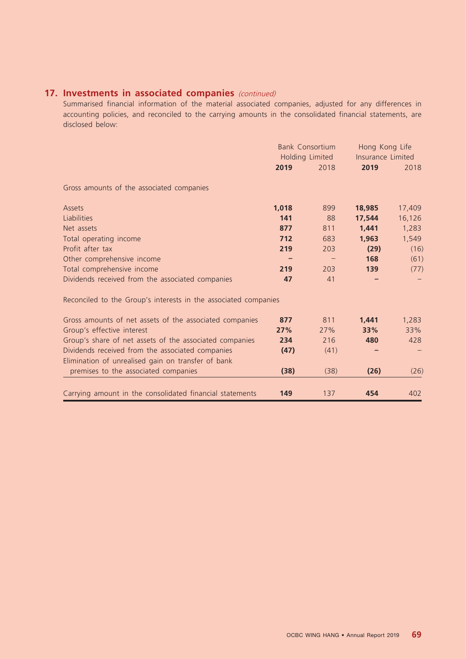## 17. Investments in associated companies (continued)

Summarised financial information of the material associated companies, adjusted for any differences in accounting policies, and reconciled to the carrying amounts in the consolidated financial statements, are disclosed below:

|                                                  | 2019  | <b>Bank Consortium</b><br>Holding Limited<br>2018 | Hong Kong Life<br>Insurance Limited<br>2018<br>2019 |        |
|--------------------------------------------------|-------|---------------------------------------------------|-----------------------------------------------------|--------|
| Gross amounts of the associated companies        |       |                                                   |                                                     |        |
| <b>Assets</b>                                    | 1,018 | 899                                               | 18,985                                              | 17,409 |
| Liabilities                                      | 141   | 88                                                | 17,544                                              | 16,126 |
| Net assets                                       | 877   | 811                                               | 1.441                                               | 1,283  |
| Total operating income                           | 712   | 683                                               | 1,963                                               | 1,549  |
| Profit after tax                                 | 219   | 203                                               | (29)                                                | (16)   |
| Other comprehensive income                       |       |                                                   | 168                                                 | (61)   |
| Total comprehensive income                       | 219   | 203                                               | 139                                                 | (77)   |
| Dividends received from the associated companies | 47    | 41                                                |                                                     |        |

Reconciled to the Group's interests in the associated companies

| Gross amounts of net assets of the associated companies<br>Group's effective interest | 877<br>27% | 811<br>27% | 1,441<br>33% | 1,283<br>33% |
|---------------------------------------------------------------------------------------|------------|------------|--------------|--------------|
| Group's share of net assets of the associated companies                               | 234        | 216        | 480          | 428          |
| Dividends received from the associated companies                                      | (47)       | (41)       |              |              |
| Elimination of unrealised gain on transfer of bank                                    |            |            |              |              |
| premises to the associated companies                                                  | (38)       | (38)       | (26)         | (26)         |
| Carrying amount in the consolidated financial statements                              | 149        | 137        | 454          | 402          |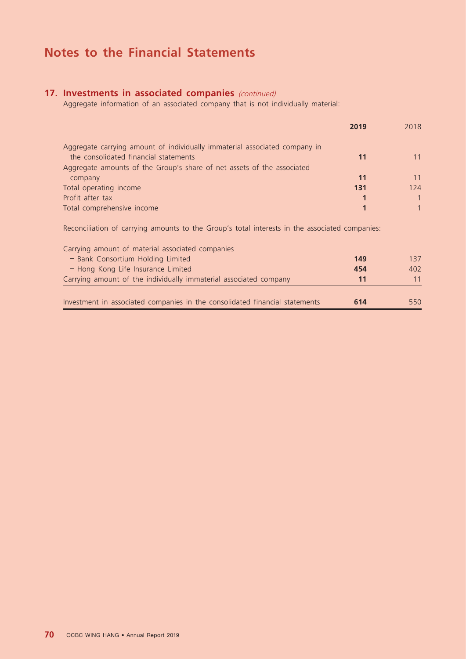## 17. Investments in associated companies (continued)

Aggregate information of an associated company that is not individually material:

|                                                                                                | 2019 | 2018 |
|------------------------------------------------------------------------------------------------|------|------|
| Aggregate carrying amount of individually immaterial associated company in                     |      |      |
| the consolidated financial statements                                                          | 11   | 11   |
| Aggregate amounts of the Group's share of net assets of the associated                         |      |      |
| company                                                                                        | 11   | 11   |
| Total operating income                                                                         | 131  | 124  |
| Profit after tax                                                                               |      |      |
| Total comprehensive income                                                                     | 1    |      |
| Reconciliation of carrying amounts to the Group's total interests in the associated companies: |      |      |
| Carrying amount of material associated companies                                               |      |      |
| - Bank Consortium Holding Limited                                                              | 149  | 137  |

| Investment in associated companies in the consolidated financial statements | 614 | 550 |
|-----------------------------------------------------------------------------|-----|-----|
| Carrying amount of the individually immaterial associated company           | 11  | 11  |
| - Hong Kong Life Insurance Limited                                          | 454 | 402 |
| - Bank Consortium Holding Limited                                           | 149 | 13/ |

**70** OCBC WING HANG • Annual Report 2019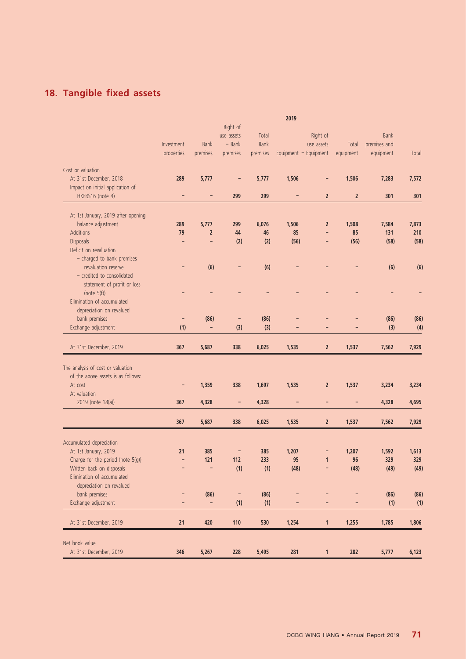## **18. Tangible fixed assets**

|                                          |                          |                          |            |             | 2019           |                          |                |              |       |
|------------------------------------------|--------------------------|--------------------------|------------|-------------|----------------|--------------------------|----------------|--------------|-------|
|                                          |                          |                          | Right of   |             |                |                          |                |              |       |
|                                          |                          |                          | use assets | Total       |                | Right of                 |                | <b>Bank</b>  |       |
|                                          | Investment               | <b>Bank</b>              | $-$ Bank   | <b>Bank</b> |                | use assets               | Total          | premises and |       |
|                                          | properties               | premises                 | premises   | premises    |                | Equipment - Equipment    | equipment      | equipment    | Total |
| Cost or valuation                        |                          |                          |            |             |                |                          |                |              |       |
| At 31st December, 2018                   | 289                      | 5,777                    |            | 5,777       | 1,506          |                          | 1,506          | 7,283        | 7,572 |
| Impact on initial application of         |                          |                          |            |             |                |                          |                |              |       |
| HKFRS16 (note 4)                         | -                        | -                        | 299        | 299         | $\overline{a}$ | $\overline{2}$           | $\overline{2}$ | 301          | 301   |
|                                          |                          |                          |            |             |                |                          |                |              |       |
| At 1st January, 2019 after opening       |                          |                          |            |             |                |                          |                |              |       |
| balance adjustment                       | 289                      | 5,777                    | 299        | 6,076       | 1,506          | $\overline{2}$           | 1,508          | 7,584        | 7,873 |
| <b>Additions</b>                         | 79                       | $\overline{2}$           | 44         | 46          | 85             | $\overline{\phantom{a}}$ | 85             | 131          | 210   |
| Disposals                                |                          | ۳                        | (2)        | (2)         | (56)           | -                        | (56)           | (58)         | (58)  |
| Deficit on revaluation                   |                          |                          |            |             |                |                          |                |              |       |
| - charged to bank premises               |                          |                          |            |             |                |                          |                |              |       |
| revaluation reserve                      |                          | (6)                      |            | (6)         |                |                          |                | (6)          | (6)   |
| - credited to consolidated               |                          |                          |            |             |                |                          |                |              |       |
| statement of profit or loss              |                          |                          |            |             |                |                          |                |              |       |
|                                          |                          |                          |            |             |                |                          |                |              |       |
| (note $5(f)$ )                           |                          |                          |            |             |                |                          |                |              |       |
| Elimination of accumulated               |                          |                          |            |             |                |                          |                |              |       |
| depreciation on revalued                 |                          |                          |            |             |                |                          |                |              |       |
| bank premises                            | -                        | (86)                     | -          | (86)        |                |                          |                | (86)         | (86)  |
| Exchange adjustment                      | (1)                      | $\qquad \qquad -$        | (3)        | (3)         |                |                          |                | (3)          | (4)   |
| At 31st December, 2019                   | 367                      | 5,687                    | 338        | 6,025       | 1,535          | $\overline{2}$           | 1,537          | 7,562        | 7,929 |
|                                          |                          |                          |            |             |                |                          |                |              |       |
| The analysis of cost or valuation        |                          |                          |            |             |                |                          |                |              |       |
| of the above assets is as follows:       |                          |                          |            |             |                |                          |                |              |       |
| At cost                                  |                          | 1,359                    | 338        | 1,697       | 1,535          | 2                        | 1,537          | 3,234        | 3,234 |
| At valuation                             |                          |                          |            |             |                |                          |                |              |       |
| 2019 (note 18(a))                        | 367                      | 4,328                    | -          | 4,328       |                | ٠                        |                | 4,328        | 4,695 |
|                                          | 367                      | 5,687                    | 338        | 6,025       | 1,535          | $\overline{2}$           | 1,537          | 7,562        | 7,929 |
|                                          |                          |                          |            |             |                |                          |                |              |       |
| Accumulated depreciation                 |                          |                          |            |             |                |                          |                |              |       |
| At 1st January, 2019                     | 21                       | 385                      | -          | 385         | 1,207          |                          | 1,207          | 1,592        | 1,613 |
| Charge for the period (note 5(g))        | $\overline{\phantom{a}}$ | 121                      | 112        | 233         | 95             | $\mathbf{1}$             | 96             | 329          | 329   |
| Written back on disposals                |                          | $\overline{\phantom{m}}$ | (1)        | (1)         | (48)           |                          | (48)           | (49)         | (49)  |
| Elimination of accumulated               |                          |                          |            |             |                |                          |                |              |       |
| depreciation on revalued                 |                          |                          |            |             |                |                          |                |              |       |
| bank premises                            | ۰                        | (86)                     | ۰          | (86)        |                |                          |                | (86)         | (86)  |
|                                          |                          |                          |            |             |                |                          |                |              |       |
| Exchange adjustment                      |                          | -                        | (1)        | (1)         |                |                          |                | (1)          | (1)   |
| At 31st December, 2019                   | 21                       | 420                      | 110        | 530         | 1,254          | 1                        | 1,255          | 1,785        | 1,806 |
|                                          |                          |                          |            |             |                |                          |                |              |       |
| Net book value<br>At 31st December, 2019 | 346                      | 5,267                    | 228        | 5,495       | 281            | $\mathbf{1}$             | 282            | 5,777        | 6,123 |
|                                          |                          |                          |            |             |                |                          |                |              |       |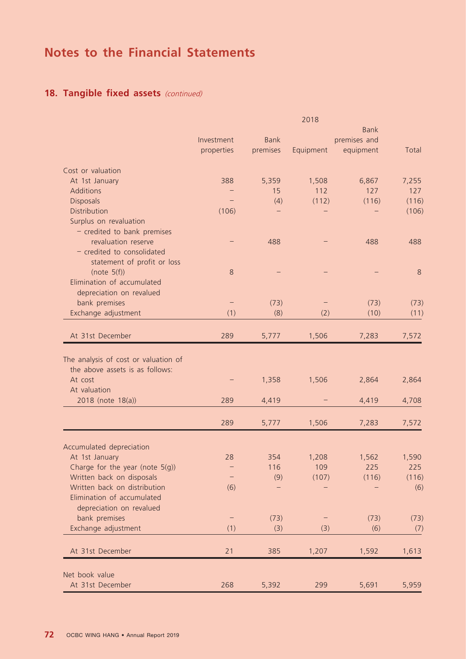## 18. Tangible fixed assets (continued)

|                                           |            |             | 2018      |              |       |
|-------------------------------------------|------------|-------------|-----------|--------------|-------|
|                                           |            |             |           | <b>Bank</b>  |       |
|                                           | Investment | <b>Bank</b> |           | premises and |       |
|                                           | properties | premises    | Equipment | equipment    | Total |
| Cost or valuation                         |            |             |           |              |       |
| At 1st January                            | 388        | 5,359       | 1,508     | 6,867        | 7,255 |
| <b>Additions</b>                          |            | 15          | 112       | 127          | 127   |
| <b>Disposals</b>                          |            | (4)         | (112)     | (116)        | (116) |
| <b>Distribution</b>                       | (106)      |             |           |              | (106) |
| Surplus on revaluation                    |            |             |           |              |       |
| - credited to bank premises               |            |             |           |              |       |
| revaluation reserve                       |            | 488         |           | 488          | 488   |
| - credited to consolidated                |            |             |           |              |       |
| statement of profit or loss               |            |             |           |              |       |
| (note $5(f)$ )                            | 8          |             |           |              | $8\,$ |
| Elimination of accumulated                |            |             |           |              |       |
| depreciation on revalued<br>bank premises |            | (73)        |           | (73)         | (73)  |
| Exchange adjustment                       | (1)        | (8)         | (2)       | (10)         | (11)  |
|                                           |            |             |           |              |       |
| At 31st December                          | 289        | 5,777       | 1,506     | 7,283        | 7,572 |
| The analysis of cost or valuation of      |            |             |           |              |       |
| the above assets is as follows:           |            |             |           |              |       |
| At cost                                   |            | 1,358       | 1,506     | 2,864        | 2,864 |
| At valuation                              |            |             |           |              |       |
| 2018 (note 18(a))                         | 289        | 4,419       |           | 4,419        | 4,708 |
|                                           | 289        | 5,777       | 1,506     | 7,283        | 7,572 |
| Accumulated depreciation                  |            |             |           |              |       |
| At 1st January                            | 28         | 354         | 1,208     | 1,562        | 1,590 |
| Charge for the year (note 5(g))           | —          | 116         | 109       | 225          | 225   |
| Written back on disposals                 |            | (9)         | (107)     | (116)        | (116) |
| Written back on distribution              | (6)        |             |           |              | (6)   |
| Elimination of accumulated                |            |             |           |              |       |
| depreciation on revalued                  |            |             |           |              |       |
| bank premises                             |            | (73)        |           | (73)         | (73)  |
| Exchange adjustment                       | (1)        | (3)         | (3)       | (6)          | (7)   |
| At 31st December                          | 21         | 385         | 1,207     | 1,592        | 1,613 |
| Net book value                            |            |             |           |              |       |
| At 31st December                          | 268        | 5,392       | 299       | 5,691        | 5,959 |
|                                           |            |             |           |              |       |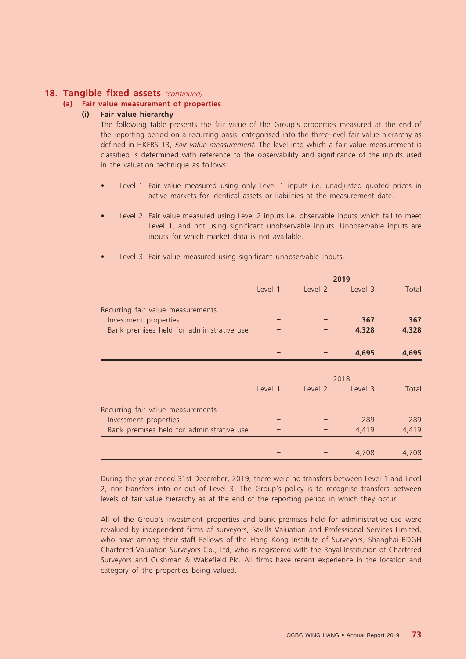## **18. Tangible fixed assets** (continued)

### **(a) Fair value measurement of properties**

#### **(i) Fair value hierarchy**

The following table presents the fair value of the Group's properties measured at the end of the reporting period on a recurring basis, categorised into the three-level fair value hierarchy as defined in HKFRS 13, *Fair value measurement*. The level into which a fair value measurement is classified is determined with reference to the observability and significance of the inputs used in the valuation technique as follows:

- Level 1: Fair value measured using only Level 1 inputs i.e. unadjusted quoted prices in active markets for identical assets or liabilities at the measurement date.
- Level 2: Fair value measured using Level 2 inputs i.e. observable inputs which fail to meet Level 1, and not using significant unobservable inputs. Unobservable inputs are inputs for which market data is not available.

|                                           | 2019    |         |         |       |
|-------------------------------------------|---------|---------|---------|-------|
|                                           | Level 1 | Level 2 | Level 3 | Total |
| Recurring fair value measurements         |         |         |         |       |
| Investment properties                     |         |         | 367     | 367   |
| Bank premises held for administrative use |         |         | 4,328   | 4,328 |
|                                           |         |         |         |       |
|                                           |         |         | 4,695   | 4,695 |
|                                           |         |         |         |       |
|                                           |         |         | 2018    |       |
|                                           | Level 1 | Level 2 | Level 3 | Total |
|                                           |         |         |         |       |
| Recurring fair value measurements         |         |         |         |       |
| Investment properties                     |         |         | 289     | 289   |
| Bank premises held for administrative use |         |         | 4,419   | 4,419 |
|                                           |         |         |         |       |
|                                           |         |         | 4,708   | 4,708 |

Level 3: Fair value measured using significant unobservable inputs.

During the year ended 31st December, 2019, there were no transfers between Level 1 and Level 2, nor transfers into or out of Level 3. The Group's policy is to recognise transfers between levels of fair value hierarchy as at the end of the reporting period in which they occur.

All of the Group's investment properties and bank premises held for administrative use were revalued by independent firms of surveyors, Savills Valuation and Professional Services Limited, who have among their staff Fellows of the Hong Kong Institute of Surveyors, Shanghai BDGH Chartered Valuation Surveyors Co., Ltd, who is registered with the Royal Institution of Chartered Surveyors and Cushman & Wakefield Plc. All firms have recent experience in the location and category of the properties being valued.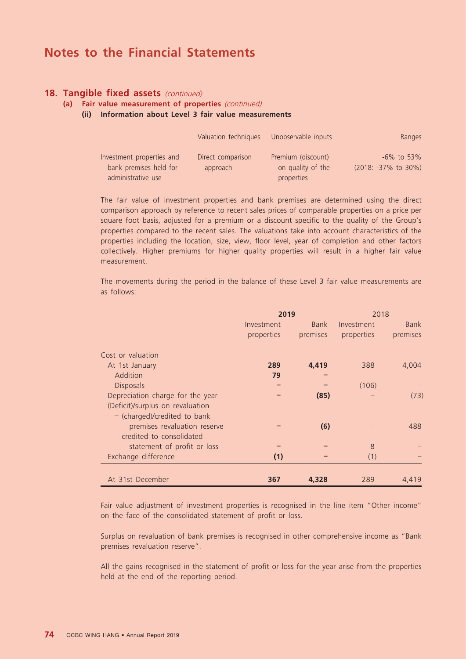### **18. Tangible fixed assets** (continued)

 **(a) Fair value measurement of properties** (continued)

 **(ii) Information about Level 3 fair value measurements**

|                                                                           | Valuation techniques          | Unobservable inputs                                   | Ranges                               |
|---------------------------------------------------------------------------|-------------------------------|-------------------------------------------------------|--------------------------------------|
| Investment properties and<br>bank premises held for<br>administrative use | Direct comparison<br>approach | Premium (discount)<br>on quality of the<br>properties | $-6\%$ to 53%<br>(2018: -37% to 30%) |

The fair value of investment properties and bank premises are determined using the direct comparison approach by reference to recent sales prices of comparable properties on a price per square foot basis, adjusted for a premium or a discount specific to the quality of the Group's properties compared to the recent sales. The valuations take into account characteristics of the properties including the location, size, view, floor level, year of completion and other factors collectively. Higher premiums for higher quality properties will result in a higher fair value measurement.

The movements during the period in the balance of these Level 3 fair value measurements are as follows:

|                                  | 2019       |             |               | 2018        |  |
|----------------------------------|------------|-------------|---------------|-------------|--|
|                                  | Investment | <b>Bank</b> | Investment    | <b>Bank</b> |  |
|                                  | properties | premises    | properties    | premises    |  |
| Cost or valuation                |            |             |               |             |  |
| At 1st January                   | 289        | 4,419       | 388           | 4,004       |  |
| Addition                         | 79         |             |               |             |  |
| <b>Disposals</b>                 |            |             | (106)         |             |  |
| Depreciation charge for the year |            | (85)        |               | (73)        |  |
| (Deficit)/surplus on revaluation |            |             |               |             |  |
| $-$ (charged)/credited to bank   |            |             |               |             |  |
| premises revaluation reserve     |            | (6)         |               | 488         |  |
| - credited to consolidated       |            |             |               |             |  |
| statement of profit or loss      |            |             | $\mathcal{B}$ |             |  |
| Exchange difference              | (1)        |             | (1)           |             |  |
| At 31st December                 | 367        | 4,328       | 289           | 4,419       |  |

Fair value adjustment of investment properties is recognised in the line item "Other income" on the face of the consolidated statement of profit or loss.

Surplus on revaluation of bank premises is recognised in other comprehensive income as "Bank premises revaluation reserve".

All the gains recognised in the statement of profit or loss for the year arise from the properties held at the end of the reporting period.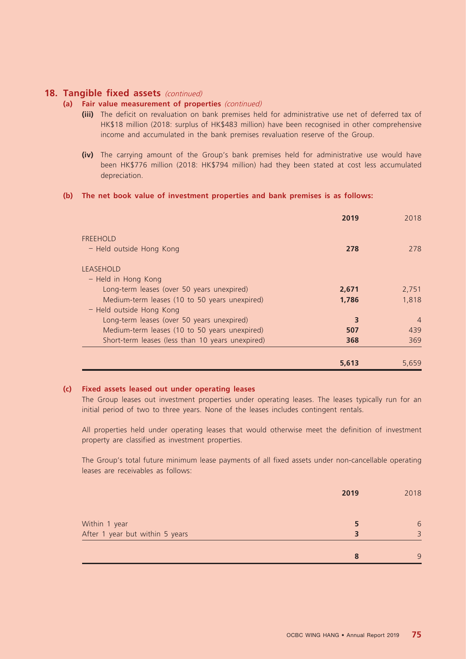## **18. Tangible fixed assets** (continued)

#### **(a) Fair value measurement of properties** (continued)

- **(iii)** The deficit on revaluation on bank premises held for administrative use net of deferred tax of HK\$18 million (2018: surplus of HK\$483 million) have been recognised in other comprehensive income and accumulated in the bank premises revaluation reserve of the Group.
- **(iv)** The carrying amount of the Group's bank premises held for administrative use would have been HK\$776 million (2018: HK\$794 million) had they been stated at cost less accumulated depreciation.

#### **(b) The net book value of investment properties and bank premises is as follows:**

|                                                  | 2019  | 2018           |
|--------------------------------------------------|-------|----------------|
| <b>FREEHOLD</b>                                  |       |                |
| - Held outside Hong Kong                         | 278   | 278            |
| <b>LEASEHOLD</b>                                 |       |                |
| - Held in Hong Kong                              |       |                |
| Long-term leases (over 50 years unexpired)       | 2,671 | 2,751          |
| Medium-term leases (10 to 50 years unexpired)    | 1,786 | 1,818          |
| - Held outside Hong Kong                         |       |                |
| Long-term leases (over 50 years unexpired)       | 3     | $\overline{4}$ |
| Medium-term leases (10 to 50 years unexpired)    | 507   | 439            |
| Short-term leases (less than 10 years unexpired) | 368   | 369            |
|                                                  | 5,613 | 5,659          |

## **(c) Fixed assets leased out under operating leases**

The Group leases out investment properties under operating leases. The leases typically run for an initial period of two to three years. None of the leases includes contingent rentals.

All properties held under operating leases that would otherwise meet the definition of investment property are classified as investment properties.

The Group's total future minimum lease payments of all fixed assets under non-cancellable operating leases are receivables as follows:

|                                 | 2019 | 2018 |
|---------------------------------|------|------|
| Within 1 year                   |      | 6    |
| After 1 year but within 5 years | 3    | 3    |
|                                 | 8    | 9    |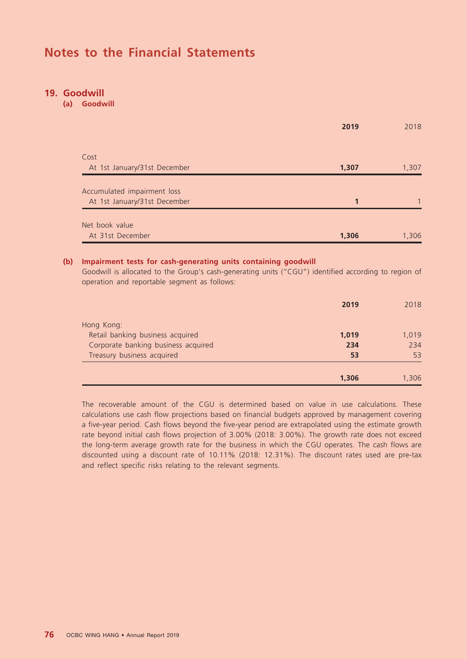## **19. Goodwill**

 **(a) Goodwill**

|                              | 2019        | 2018  |
|------------------------------|-------------|-------|
| Cost                         |             |       |
| At 1st January/31st December | 1,307       | 1,307 |
| Accumulated impairment loss  |             |       |
| At 1st January/31st December | $\mathbf 1$ |       |
| Net book value               |             |       |
| At 31st December             | 1,306       | 1,306 |

### **(b) Impairment tests for cash-generating units containing goodwill**

Goodwill is allocated to the Group's cash-generating units ("CGU") identified according to region of operation and reportable segment as follows:

|                                     | 2019  | 2018  |
|-------------------------------------|-------|-------|
| Hong Kong:                          |       |       |
| Retail banking business acquired    | 1,019 | 1,019 |
| Corporate banking business acquired | 234   | 234   |
| Treasury business acquired          | 53    | 53    |
|                                     | 1,306 | 1,306 |

The recoverable amount of the CGU is determined based on value in use calculations. These calculations use cash flow projections based on financial budgets approved by management covering a five-year period. Cash flows beyond the five-year period are extrapolated using the estimate growth rate beyond initial cash flows projection of 3.00% (2018: 3.00%). The growth rate does not exceed the long-term average growth rate for the business in which the CGU operates. The cash flows are discounted using a discount rate of 10.11% (2018: 12.31%). The discount rates used are pre-tax and reflect specific risks relating to the relevant segments.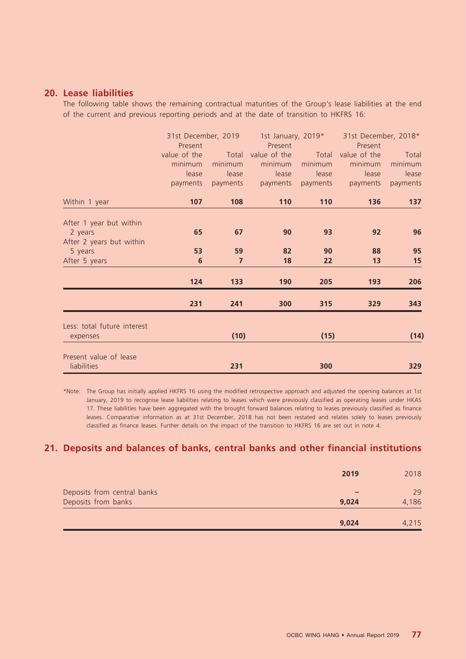## **20. Lease liabilities**

The following table shows the remaining contractual maturities of the Group's lease liabilities at the end of the current and previous reporting periods and at the date of transition to HKFRS 16:

|                             | 31st December, 2019     |                | 1st January, $2019*$          |          | 31st December, 2018*          |          |
|-----------------------------|-------------------------|----------------|-------------------------------|----------|-------------------------------|----------|
|                             | Present<br>value of the |                | Present<br>Total value of the |          | Present<br>Total value of the | Total    |
|                             | minimum                 | minimum        | minimum                       | minimum  | minimum                       | minimum  |
|                             | lease                   | lease          | lease                         | lease    | lease                         | lease    |
|                             | payments                | payments       | payments                      | payments | payments                      | payments |
| Within 1 year               | 107                     | 108            | 110                           | 110      | 136                           | 137      |
| After 1 year but within     |                         |                |                               |          |                               |          |
| 2 years                     | 65                      | 67             | 90                            | 93       | 92                            | 96       |
| After 2 years but within    |                         |                |                               |          |                               |          |
| 5 years                     | 53                      | 59             | 82                            | 90       | 88                            | 95       |
| After 5 years               | 6                       | $\overline{7}$ | 18                            | 22       | 13                            | 15       |
|                             | 124                     | 133            | 190                           | 205      | 193                           | 206      |
|                             | 231                     | 241            | 300                           | 315      | 329                           | 343      |
|                             |                         |                |                               |          |                               |          |
| Less: total future interest |                         |                |                               |          |                               |          |
| expenses                    |                         | (10)           |                               | (15)     |                               | (14)     |
| Present value of lease      |                         |                |                               |          |                               |          |
| liabilities                 |                         | 231            |                               | 300      |                               | 329      |

\*Note: The Group has initially applied HKFRS 16 using the modified retrospective approach and adjusted the opening balances at 1st January, 2019 to recognise lease liabilities relating to leases which were previously classified as operating leases under HKAS 17. These liabilities have been aggregated with the brought forward balances relating to leases previously classified as finance leases. Comparative information as at 31st December, 2018 has not been restated and relates solely to leases previously classified as finance leases. Further details on the impact of the transition to HKFRS 16 are set out in note 4.

## **21. Deposits and balances of banks, central banks and other financial institutions**

|                             | 2019  | 2018  |
|-----------------------------|-------|-------|
| Deposits from central banks |       | 29    |
| Deposits from banks         | 9,024 | 4,186 |
|                             | 9,024 | 4,215 |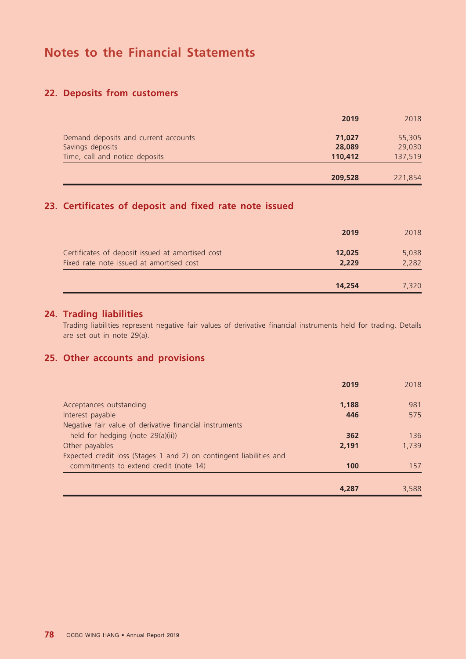## **22. Deposits from customers**

|                                      | 2019    | 2018    |
|--------------------------------------|---------|---------|
| Demand deposits and current accounts | 71,027  | 55,305  |
| Savings deposits                     | 28,089  | 29,030  |
| Time, call and notice deposits       | 110,412 | 137,519 |
|                                      |         |         |
|                                      | 209,528 | 221,854 |

## **23. Certificates of deposit and fixed rate note issued**

|                                                                                              | 2019            | 2018           |
|----------------------------------------------------------------------------------------------|-----------------|----------------|
| Certificates of deposit issued at amortised cost<br>Fixed rate note issued at amortised cost | 12,025<br>2,229 | 5,038<br>2,282 |
|                                                                                              | 14,254          | 7,320          |

## **24. Trading liabilities**

Trading liabilities represent negative fair values of derivative financial instruments held for trading. Details are set out in note 29(a).

## **25. Other accounts and provisions**

|                                                                     | 2019  | 2018  |
|---------------------------------------------------------------------|-------|-------|
| Acceptances outstanding                                             | 1,188 | 981   |
| Interest payable                                                    | 446   | 575   |
| Negative fair value of derivative financial instruments             |       |       |
| held for hedging (note 29(a)(ii))                                   | 362   | 136   |
| Other payables                                                      | 2,191 | 1.739 |
| Expected credit loss (Stages 1 and 2) on contingent liabilities and |       |       |
| commitments to extend credit (note 14)                              | 100   | 157   |
|                                                                     | 4.287 | 3.588 |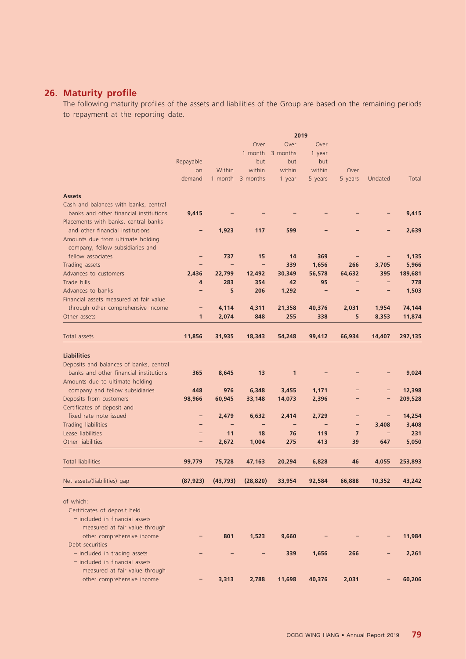## **26. Maturity profile**

The following maturity profiles of the assets and liabilities of the Group are based on the remaining periods to repayment at the reporting date.

|                                                       |                   |                                   |                          |                            | 2019       |                |            |              |
|-------------------------------------------------------|-------------------|-----------------------------------|--------------------------|----------------------------|------------|----------------|------------|--------------|
|                                                       |                   |                                   | Over                     | Over                       | Over       |                |            |              |
|                                                       |                   |                                   | 1 month                  | 3 months                   | 1 year     |                |            |              |
|                                                       | Repayable         |                                   | but                      | but                        | but        |                |            |              |
|                                                       | on                | Within                            | within                   | within                     | within     | Over           |            |              |
|                                                       | demand            |                                   | 1 month 3 months         | 1 year                     | 5 years    | 5 years        | Undated    | Total        |
| <b>Assets</b>                                         |                   |                                   |                          |                            |            |                |            |              |
| Cash and balances with banks, central                 |                   |                                   |                          |                            |            |                |            |              |
| banks and other financial institutions                | 9,415             |                                   |                          |                            |            |                |            | 9,415        |
| Placements with banks, central banks                  |                   |                                   |                          |                            |            |                |            |              |
| and other financial institutions                      |                   | 1,923                             | 117                      | 599                        |            |                | -          | 2,639        |
| Amounts due from ultimate holding                     |                   |                                   |                          |                            |            |                |            |              |
| company, fellow subsidiaries and                      |                   |                                   |                          |                            |            |                |            |              |
| fellow associates                                     | -                 | 737                               | 15                       | 14                         | 369        |                |            | 1,135        |
| Trading assets                                        | -                 | $\qquad \qquad -$                 | $\overline{\phantom{a}}$ | 339                        | 1,656      | 266            | 3,705      | 5,966        |
| Advances to customers                                 | 2,436             | 22,799                            | 12,492                   | 30,349                     | 56,578     | 64,632         | 395        | 189,681      |
| Trade bills                                           | 4                 | 283                               | 354                      | 42                         | 95         | -              | -          | 778          |
| Advances to banks                                     |                   | 5                                 | 206                      | 1,292                      |            |                |            | 1,503        |
| Financial assets measured at fair value               |                   |                                   |                          |                            |            |                |            |              |
| through other comprehensive income                    | -                 | 4,114                             | 4,311                    | 21,358                     | 40,376     | 2,031          | 1,954      | 74,144       |
| Other assets                                          | $\mathbf{1}$      | 2,074                             | 848                      | 255                        | 338        | 5              | 8,353      | 11,874       |
|                                                       | 11,856            |                                   |                          |                            |            |                |            | 297,135      |
| Total assets                                          |                   | 31,935                            | 18,343                   | 54,248                     | 99,412     | 66,934         | 14,407     |              |
|                                                       |                   |                                   |                          |                            |            |                |            |              |
| <b>Liabilities</b>                                    |                   |                                   |                          |                            |            |                |            |              |
| Deposits and balances of banks, central               |                   |                                   |                          |                            |            |                |            |              |
| banks and other financial institutions                | 365               | 8,645                             | 13                       | 1                          |            |                |            | 9,024        |
| Amounts due to ultimate holding                       |                   |                                   |                          |                            |            |                |            |              |
| company and fellow subsidiaries                       | 448               | 976                               | 6,348                    | 3,455                      | 1,171      |                |            | 12,398       |
| Deposits from customers                               | 98,966            | 60,945                            | 33,148                   | 14,073                     | 2,396      |                |            | 209,528      |
| Certificates of deposit and<br>fixed rate note issued | $\qquad \qquad -$ |                                   |                          |                            |            | -              |            |              |
|                                                       |                   | 2,479<br>$\overline{\phantom{0}}$ | 6,632                    | 2,414<br>$\qquad \qquad -$ | 2,729<br>- | -              |            | 14,254       |
| <b>Trading liabilities</b><br>Lease liabilities       | $\qquad \qquad -$ | 11                                | 18                       | 76                         | 119        | $\overline{7}$ | 3,408<br>- | 3,408<br>231 |
| Other liabilities                                     | $\qquad \qquad -$ | 2,672                             | 1,004                    | 275                        | 413        | 39             | 647        | 5,050        |
|                                                       |                   |                                   |                          |                            |            |                |            |              |
| <b>Total liabilities</b>                              | 99,779            | 75,728                            | 47,163                   | 20,294                     | 6,828      | 46             | 4,055      | 253,893      |
|                                                       |                   |                                   |                          |                            |            |                |            |              |
| Net assets/(liabilities) gap                          | (87, 923)         | (43, 793)                         | (28, 820)                | 33,954                     | 92,584     | 66,888         | 10,352     | 43,242       |
|                                                       |                   |                                   |                          |                            |            |                |            |              |
| of which:                                             |                   |                                   |                          |                            |            |                |            |              |
| Certificates of deposit held                          |                   |                                   |                          |                            |            |                |            |              |
| $-$ included in financial assets                      |                   |                                   |                          |                            |            |                |            |              |
| measured at fair value through                        |                   |                                   |                          |                            |            |                |            |              |
| other comprehensive income                            |                   | 801                               | 1,523                    | 9,660                      |            |                |            | 11,984       |
| Debt securities                                       |                   |                                   |                          |                            |            |                |            |              |
| $-$ included in trading assets                        |                   |                                   |                          | 339                        | 1,656      | 266            |            | 2,261        |
| $-$ included in financial assets                      |                   |                                   |                          |                            |            |                |            |              |
| measured at fair value through                        |                   |                                   |                          |                            |            |                |            |              |
| other comprehensive income                            |                   | 3,313                             | 2,788                    | 11,698                     | 40,376     | 2,031          |            | 60,206       |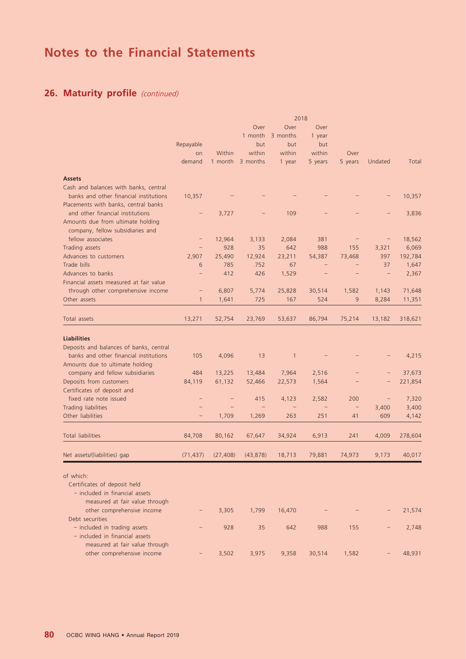# 26. Maturity profile (continued)

|                                                                               |                        |           |                          |                   | 2018              |                          |         |         |
|-------------------------------------------------------------------------------|------------------------|-----------|--------------------------|-------------------|-------------------|--------------------------|---------|---------|
|                                                                               |                        |           | Over                     | Over              | Over              |                          |         |         |
|                                                                               |                        |           | 1 month                  | 3 months          | 1 year            |                          |         |         |
|                                                                               | Repayable              |           | but                      | but               | but               |                          |         |         |
|                                                                               | on                     | Within    | within                   | within            | within            | Over                     |         |         |
|                                                                               | demand                 | 1 month   | 3 months                 | 1 year            | 5 years           | 5 years                  | Undated | Total   |
| <b>Assets</b>                                                                 |                        |           |                          |                   |                   |                          |         |         |
| Cash and balances with banks, central                                         |                        |           |                          |                   |                   |                          |         |         |
| banks and other financial institutions                                        | 10,357                 |           |                          |                   |                   |                          |         | 10,357  |
| Placements with banks, central banks                                          |                        |           |                          |                   |                   |                          |         |         |
| and other financial institutions                                              |                        | 3,727     |                          | 109               |                   |                          |         | 3,836   |
| Amounts due from ultimate holding                                             |                        |           |                          |                   |                   |                          |         |         |
| company, fellow subsidiaries and                                              |                        |           |                          |                   |                   |                          |         |         |
| fellow associates                                                             |                        | 12,964    | 3,133                    | 2,084             | 381               |                          |         | 18,562  |
| Trading assets                                                                | $\qquad \qquad -$      | 928       | 35                       | 642               | 988               | 155                      | 3,321   | 6,069   |
| Advances to customers                                                         | 2,907                  | 25,490    | 12,924                   | 23,211            | 54,387            | 73,468                   | 397     | 192,784 |
| Trade bills                                                                   | 6<br>$\qquad \qquad -$ | 785       | 752                      | 67                | $\qquad \qquad -$ | -<br>$\qquad \qquad -$   | 37      | 1,647   |
| Advances to banks                                                             |                        | 412       | 426                      | 1,529             |                   |                          |         | 2,367   |
| Financial assets measured at fair value<br>through other comprehensive income | $\qquad \qquad -$      | 6,807     |                          |                   |                   |                          | 1,143   | 71,648  |
| Other assets                                                                  | $\mathbf{1}$           | 1,641     | 5,774<br>725             | 25,828<br>167     | 30,514<br>524     | 1,582<br>9               | 8,284   | 11,351  |
|                                                                               |                        |           |                          |                   |                   |                          |         |         |
| Total assets                                                                  | 13,271                 | 52,754    | 23,769                   | 53,637            | 86,794            | 75,214                   | 13,182  | 318,621 |
|                                                                               |                        |           |                          |                   |                   |                          |         |         |
| <b>Liabilities</b>                                                            |                        |           |                          |                   |                   |                          |         |         |
| Deposits and balances of banks, central                                       |                        |           |                          |                   |                   |                          |         |         |
| banks and other financial institutions                                        | 105                    | 4,096     | 13                       | $\mathbf{1}$      |                   |                          |         | 4,215   |
| Amounts due to ultimate holding                                               |                        |           |                          |                   |                   |                          |         |         |
| company and fellow subsidiaries                                               | 484                    | 13,225    | 13,484                   | 7,964             | 2,516             |                          |         | 37,673  |
| Deposits from customers                                                       | 84,119                 | 61,132    | 52,466                   | 22,573            | 1,564             |                          |         | 221,854 |
| Certificates of deposit and                                                   |                        |           |                          |                   |                   |                          |         |         |
| fixed rate note issued                                                        |                        |           | 415                      | 4,123             | 2,582             | 200                      |         | 7,320   |
| <b>Trading liabilities</b>                                                    |                        |           | $\overline{\phantom{m}}$ | $\qquad \qquad -$ | $\qquad \qquad -$ | $\overline{\phantom{a}}$ | 3,400   | 3,400   |
| Other liabilities                                                             |                        | 1,709     | 1,269                    | 263               | 251               | 41                       | 609     | 4,142   |
|                                                                               |                        |           |                          |                   |                   |                          |         |         |
| <b>Total liabilities</b>                                                      | 84,708                 | 80,162    | 67,647                   | 34,924            | 6,913             | 241                      | 4,009   | 278,604 |
| Net assets/(liabilities) gap                                                  | (71, 437)              | (27, 408) | (43, 878)                | 18,713            | 79,881            | 74,973                   | 9,173   | 40,017  |
| of which:                                                                     |                        |           |                          |                   |                   |                          |         |         |
| Certificates of deposit held                                                  |                        |           |                          |                   |                   |                          |         |         |
| $-$ included in financial assets                                              |                        |           |                          |                   |                   |                          |         |         |
| measured at fair value through                                                |                        |           |                          |                   |                   |                          |         |         |
| other comprehensive income                                                    |                        | 3,305     | 1,799                    | 16,470            |                   |                          |         | 21,574  |
| Debt securities                                                               |                        |           |                          |                   |                   |                          |         |         |
| $-$ included in trading assets                                                |                        | 928       | 35                       | 642               | 988               | 155                      |         | 2,748   |
| $-$ included in financial assets                                              |                        |           |                          |                   |                   |                          |         |         |
| measured at fair value through                                                |                        |           |                          |                   |                   |                          |         |         |
| other comprehensive income                                                    |                        | 3,502     | 3,975                    | 9,358             | 30,514            | 1,582                    |         | 48,931  |
|                                                                               |                        |           |                          |                   |                   |                          |         |         |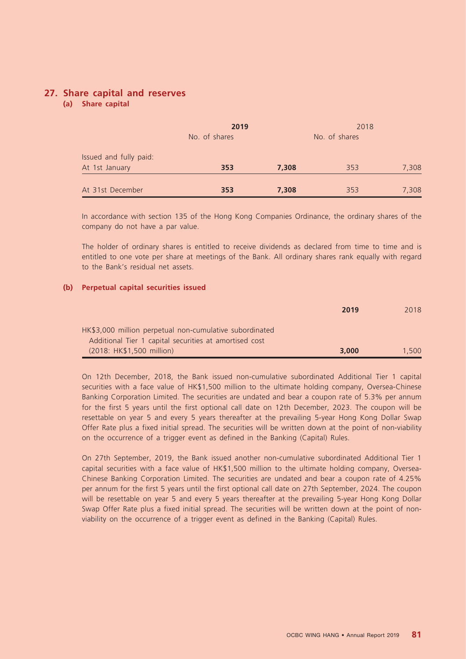## **27. Share capital and reserves**

#### **(a) Share capital**

|                        | 2019          |               |     | 2018  |  |  |
|------------------------|---------------|---------------|-----|-------|--|--|
|                        | No. of shares | No. of shares |     |       |  |  |
| Issued and fully paid: |               |               |     |       |  |  |
| At 1st January         | 353           | 7,308         | 353 | 7,308 |  |  |
| At 31st December       | 353           | 7,308         | 353 | 7,308 |  |  |

In accordance with section 135 of the Hong Kong Companies Ordinance, the ordinary shares of the company do not have a par value.

The holder of ordinary shares is entitled to receive dividends as declared from time to time and is entitled to one vote per share at meetings of the Bank. All ordinary shares rank equally with regard to the Bank's residual net assets.

#### **(b) Perpetual capital securities issued**

|                                                         | 2019  | 2018  |
|---------------------------------------------------------|-------|-------|
| HK\$3,000 million perpetual non-cumulative subordinated |       |       |
| Additional Tier 1 capital securities at amortised cost  |       |       |
| (2018: HK\$1,500 million)                               | 3,000 | 1.500 |

On 12th December, 2018, the Bank issued non-cumulative subordinated Additional Tier 1 capital securities with a face value of HK\$1,500 million to the ultimate holding company, Oversea-Chinese Banking Corporation Limited. The securities are undated and bear a coupon rate of 5.3% per annum for the first 5 years until the first optional call date on 12th December, 2023. The coupon will be resettable on year 5 and every 5 years thereafter at the prevailing 5-year Hong Kong Dollar Swap Offer Rate plus a fixed initial spread. The securities will be written down at the point of non-viability on the occurrence of a trigger event as defined in the Banking (Capital) Rules.

On 27th September, 2019, the Bank issued another non-cumulative subordinated Additional Tier 1 capital securities with a face value of HK\$1,500 million to the ultimate holding company, Oversea-Chinese Banking Corporation Limited. The securities are undated and bear a coupon rate of 4.25% per annum for the first 5 years until the first optional call date on 27th September, 2024. The coupon will be resettable on year 5 and every 5 years thereafter at the prevailing 5-year Hong Kong Dollar Swap Offer Rate plus a fixed initial spread. The securities will be written down at the point of nonviability on the occurrence of a trigger event as defined in the Banking (Capital) Rules.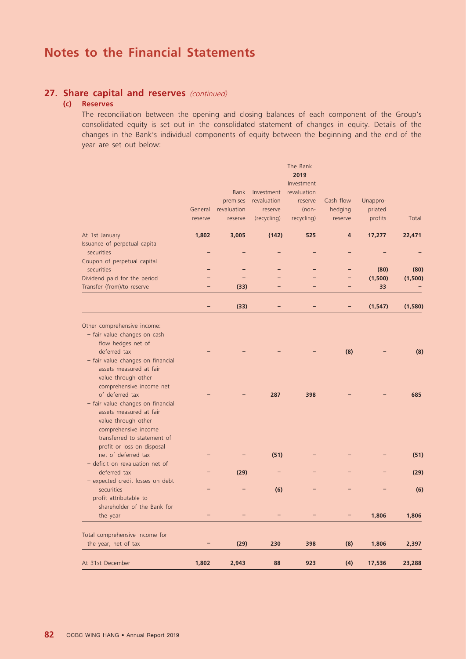## **27. Share capital and reserves** (continued)

## **(c) Reserves**

The reconciliation between the opening and closing balances of each component of the Group's consolidated equity is set out in the consolidated statement of changes in equity. Details of the changes in the Bank's individual components of equity between the beginning and the end of the year are set out below:

| Total comprehensive income for<br>the year, net of tax                           |         | (29)        | 230                      | 398         | (8)       | 1,806    | 2,397   |
|----------------------------------------------------------------------------------|---------|-------------|--------------------------|-------------|-----------|----------|---------|
|                                                                                  |         |             |                          |             |           |          |         |
| the year                                                                         |         |             |                          |             |           | 1,806    | 1,806   |
| - profit attributable to<br>shareholder of the Bank for                          |         |             |                          |             |           |          |         |
| securities                                                                       |         |             | (6)                      |             |           |          | (6)     |
| - expected credit losses on debt                                                 |         |             |                          |             |           |          |         |
| deferred tax                                                                     |         | (29)        | $\overline{\phantom{0}}$ |             |           |          | (29)    |
| $-$ deficit on revaluation net of                                                |         |             |                          |             |           |          |         |
| transferred to statement of<br>profit or loss on disposal<br>net of deferred tax |         |             | (51)                     |             |           |          | (51)    |
| comprehensive income                                                             |         |             |                          |             |           |          |         |
| assets measured at fair<br>value through other                                   |         |             |                          |             |           |          |         |
| $-$ fair value changes on financial                                              |         |             |                          |             |           |          |         |
| of deferred tax                                                                  |         |             | 287                      | 398         |           |          | 685     |
| value through other<br>comprehensive income net                                  |         |             |                          |             |           |          |         |
| assets measured at fair                                                          |         |             |                          |             |           |          |         |
| deferred tax<br>- fair value changes on financial                                |         |             |                          |             | (8)       |          | (8)     |
| flow hedges net of                                                               |         |             |                          |             |           |          |         |
| $-$ fair value changes on cash                                                   |         |             |                          |             |           |          |         |
| Other comprehensive income:                                                      |         |             |                          |             |           |          |         |
|                                                                                  |         | (33)        |                          |             | -         | (1, 547) | (1,580) |
|                                                                                  |         |             |                          |             |           |          |         |
| Transfer (from)/to reserve                                                       |         | (33)        |                          |             |           | 33       |         |
| Dividend paid for the period                                                     |         |             |                          |             |           | (1,500)  | (1,500) |
| securities                                                                       |         |             |                          |             |           | (80)     | (80)    |
| securities<br>Coupon of perpetual capital                                        |         |             |                          |             |           |          |         |
| Issuance of perpetual capital                                                    |         |             |                          |             |           |          |         |
| At 1st January                                                                   | 1,802   | 3,005       | (142)                    | 525         | 4         | 17,277   | 22,471  |
|                                                                                  | reserve | reserve     | (recycling)              | recycling)  | reserve   | profits  | Total   |
|                                                                                  | General | revaluation | reserve                  | $(non-$     | hedging   | priated  |         |
|                                                                                  |         | premises    | revaluation              | reserve     | Cash flow | Unappro- |         |
|                                                                                  |         | <b>Bank</b> | Investment               | revaluation |           |          |         |
|                                                                                  |         |             |                          | Investment  |           |          |         |
|                                                                                  |         |             |                          | 2019        |           |          |         |
|                                                                                  |         |             |                          | The Bank    |           |          |         |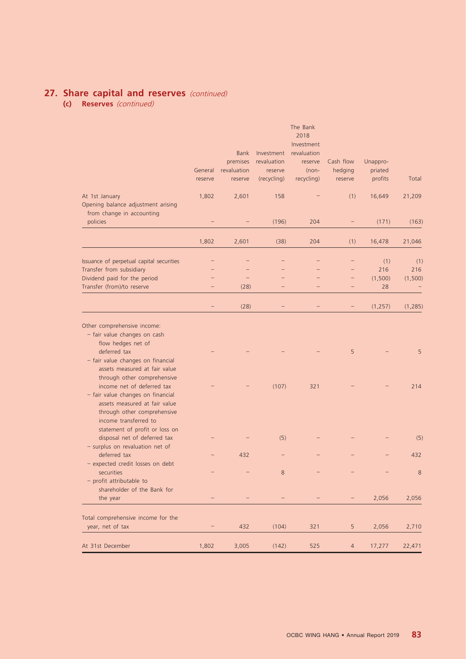# 27. Share capital and reserves (continued)

 **(c) Reserves** (continued)

|                                                                                                                                                                                                                          | General | <b>Bank</b><br>premises<br>revaluation | Investment<br>revaluation<br>reserve | The Bank<br>2018<br>Investment<br>revaluation<br>reserve<br>$(non-$ | Cash flow<br>hedging          | Unappro-<br>priated |          |
|--------------------------------------------------------------------------------------------------------------------------------------------------------------------------------------------------------------------------|---------|----------------------------------------|--------------------------------------|---------------------------------------------------------------------|-------------------------------|---------------------|----------|
|                                                                                                                                                                                                                          | reserve | reserve                                | (recycling)                          | recycling)                                                          | reserve                       | profits             | Total    |
| At 1st January<br>Opening balance adjustment arising<br>from change in accounting                                                                                                                                        | 1,802   | 2,601                                  | 158                                  |                                                                     | (1)                           | 16,649              | 21,209   |
| policies                                                                                                                                                                                                                 |         |                                        | (196)                                | 204                                                                 |                               | (171)               | (163)    |
|                                                                                                                                                                                                                          | 1,802   | 2,601                                  | (38)                                 | 204                                                                 | (1)                           | 16,478              | 21,046   |
| Issuance of perpetual capital securities                                                                                                                                                                                 |         |                                        |                                      |                                                                     |                               | (1)                 | (1)      |
| Transfer from subsidiary                                                                                                                                                                                                 |         |                                        |                                      |                                                                     | -                             | 216                 | 216      |
| Dividend paid for the period<br>Transfer (from)/to reserve                                                                                                                                                               |         | (28)                                   |                                      |                                                                     | -<br>$\overline{\phantom{0}}$ | (1,500)<br>28       | (1,500)  |
|                                                                                                                                                                                                                          |         |                                        |                                      |                                                                     |                               |                     |          |
|                                                                                                                                                                                                                          |         | (28)                                   |                                      |                                                                     |                               | (1, 257)            | (1, 285) |
| Other comprehensive income:<br>- fair value changes on cash<br>flow hedges net of<br>deferred tax<br>- fair value changes on financial                                                                                   |         |                                        |                                      |                                                                     | 5                             |                     | 5        |
| assets measured at fair value<br>through other comprehensive<br>income net of deferred tax<br>- fair value changes on financial<br>assets measured at fair value<br>through other comprehensive<br>income transferred to |         |                                        | (107)                                | 321                                                                 |                               |                     | 214      |
| statement of profit or loss on<br>disposal net of deferred tax                                                                                                                                                           |         |                                        | (5)                                  |                                                                     |                               |                     | (5)      |
| - surplus on revaluation net of<br>deferred tax                                                                                                                                                                          |         | 432                                    |                                      |                                                                     |                               |                     | 432      |
| - expected credit losses on debt                                                                                                                                                                                         |         |                                        |                                      |                                                                     |                               |                     |          |
| securities<br>- profit attributable to                                                                                                                                                                                   |         |                                        | 8                                    |                                                                     |                               |                     | 8        |
| shareholder of the Bank for<br>the year                                                                                                                                                                                  |         |                                        |                                      |                                                                     |                               | 2,056               | 2,056    |
| Total comprehensive income for the<br>year, net of tax                                                                                                                                                                   |         | 432                                    | (104)                                | 321                                                                 | 5                             | 2,056               | 2,710    |
| At 31st December                                                                                                                                                                                                         | 1,802   | 3,005                                  | (142)                                | 525                                                                 | $\overline{4}$                | 17,277              | 22,471   |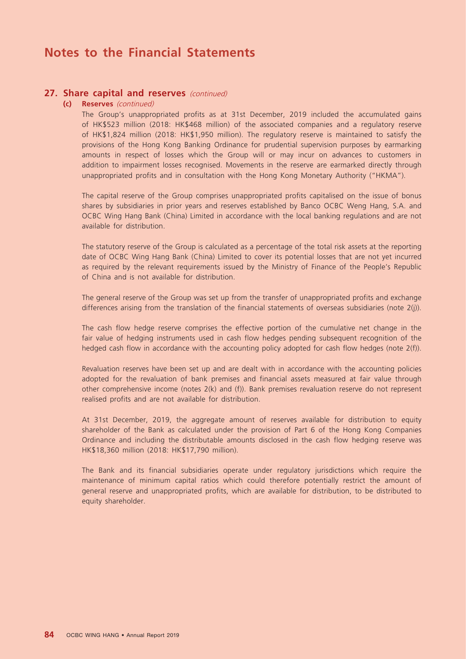#### **27. Share capital and reserves** (continued)

### **(c) Reserves** (continued)

The Group's unappropriated profits as at 31st December, 2019 included the accumulated gains of HK\$523 million (2018: HK\$468 million) of the associated companies and a regulatory reserve of HK\$1,824 million (2018: HK\$1,950 million). The regulatory reserve is maintained to satisfy the provisions of the Hong Kong Banking Ordinance for prudential supervision purposes by earmarking amounts in respect of losses which the Group will or may incur on advances to customers in addition to impairment losses recognised. Movements in the reserve are earmarked directly through unappropriated profits and in consultation with the Hong Kong Monetary Authority ("HKMA").

The capital reserve of the Group comprises unappropriated profits capitalised on the issue of bonus shares by subsidiaries in prior years and reserves established by Banco OCBC Weng Hang, S.A. and OCBC Wing Hang Bank (China) Limited in accordance with the local banking regulations and are not available for distribution.

The statutory reserve of the Group is calculated as a percentage of the total risk assets at the reporting date of OCBC Wing Hang Bank (China) Limited to cover its potential losses that are not yet incurred as required by the relevant requirements issued by the Ministry of Finance of the People's Republic of China and is not available for distribution.

The general reserve of the Group was set up from the transfer of unappropriated profits and exchange differences arising from the translation of the financial statements of overseas subsidiaries (note 2(j)).

The cash flow hedge reserve comprises the effective portion of the cumulative net change in the fair value of hedging instruments used in cash flow hedges pending subsequent recognition of the hedged cash flow in accordance with the accounting policy adopted for cash flow hedges (note 2(f)).

Revaluation reserves have been set up and are dealt with in accordance with the accounting policies adopted for the revaluation of bank premises and financial assets measured at fair value through other comprehensive income (notes 2(k) and (f)). Bank premises revaluation reserve do not represent realised profits and are not available for distribution.

At 31st December, 2019, the aggregate amount of reserves available for distribution to equity shareholder of the Bank as calculated under the provision of Part 6 of the Hong Kong Companies Ordinance and including the distributable amounts disclosed in the cash flow hedging reserve was HK\$18,360 million (2018: HK\$17,790 million).

The Bank and its financial subsidiaries operate under regulatory jurisdictions which require the maintenance of minimum capital ratios which could therefore potentially restrict the amount of general reserve and unappropriated profits, which are available for distribution, to be distributed to equity shareholder.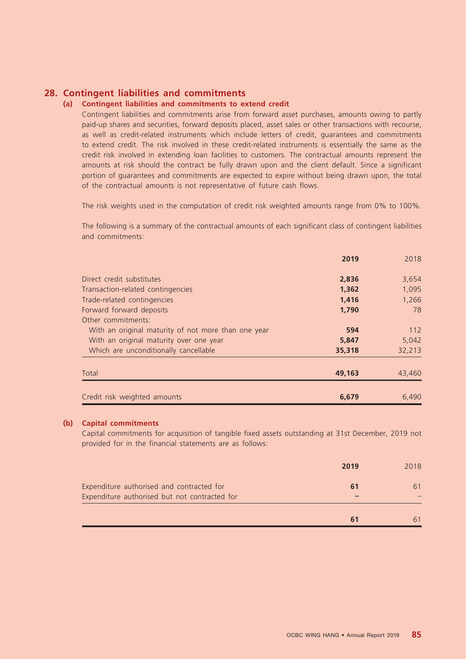## **28. Contingent liabilities and commitments**

#### **(a) Contingent liabilities and commitments to extend credit**

Contingent liabilities and commitments arise from forward asset purchases, amounts owing to partly paid-up shares and securities, forward deposits placed, asset sales or other transactions with recourse, as well as credit-related instruments which include letters of credit, guarantees and commitments to extend credit. The risk involved in these credit-related instruments is essentially the same as the credit risk involved in extending loan facilities to customers. The contractual amounts represent the amounts at risk should the contract be fully drawn upon and the client default. Since a significant portion of guarantees and commitments are expected to expire without being drawn upon, the total of the contractual amounts is not representative of future cash flows.

The risk weights used in the computation of credit risk weighted amounts range from 0% to 100%.

The following is a summary of the contractual amounts of each significant class of contingent liabilities and commitments:

|                                                     | 2019   | 2018   |
|-----------------------------------------------------|--------|--------|
| Direct credit substitutes                           | 2,836  | 3,654  |
| Transaction-related contingencies                   | 1,362  | 1,095  |
| Trade-related contingencies                         | 1,416  | 1,266  |
| Forward forward deposits                            | 1,790  | 78     |
| Other commitments:                                  |        |        |
| With an original maturity of not more than one year | 594    | 112    |
| With an original maturity over one year             | 5,847  | 5,042  |
| Which are unconditionally cancellable               | 35,318 | 32,213 |
| Total                                               | 49,163 | 43,460 |
|                                                     |        |        |
| Credit risk weighted amounts                        | 6,679  | 6,490  |

#### **(b) Capital commitments**

Capital commitments for acquisition of tangible fixed assets outstanding at 31st December, 2019 not provided for in the financial statements are as follows:

|                                                                                            | 2019 | 2018 |
|--------------------------------------------------------------------------------------------|------|------|
| Expenditure authorised and contracted for<br>Expenditure authorised but not contracted for | 61   | 61   |
|                                                                                            |      |      |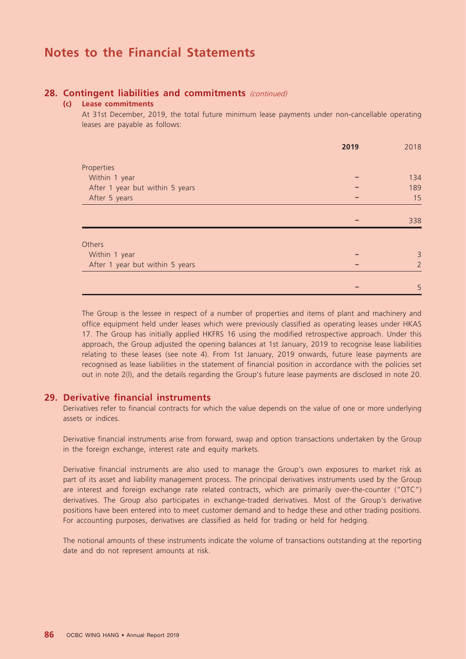## **28. Contingent liabilities and commitments** (continued)

#### **(c) Lease commitments**

At 31st December, 2019, the total future minimum lease payments under non-cancellable operating leases are payable as follows:

|                                 | 2019 | 2018           |
|---------------------------------|------|----------------|
| Properties                      |      |                |
| Within 1 year                   |      | 134            |
| After 1 year but within 5 years |      | 189            |
| After 5 years                   |      | 15             |
|                                 |      |                |
|                                 |      | 338            |
| Others                          |      |                |
| Within 1 year                   |      | 3              |
| After 1 year but within 5 years |      | $\overline{2}$ |
|                                 |      | 5              |

The Group is the lessee in respect of a number of properties and items of plant and machinery and office equipment held under leases which were previously classified as operating leases under HKAS 17. The Group has initially applied HKFRS 16 using the modified retrospective approach. Under this approach, the Group adjusted the opening balances at 1st January, 2019 to recognise lease liabilities relating to these leases (see note 4). From 1st January, 2019 onwards, future lease payments are recognised as lease liabilities in the statement of financial position in accordance with the policies set out in note 2(l), and the details regarding the Group's future lease payments are disclosed in note 20.

#### **29. Derivative financial instruments**

Derivatives refer to financial contracts for which the value depends on the value of one or more underlying assets or indices.

Derivative financial instruments arise from forward, swap and option transactions undertaken by the Group in the foreign exchange, interest rate and equity markets.

Derivative financial instruments are also used to manage the Group's own exposures to market risk as part of its asset and liability management process. The principal derivatives instruments used by the Group are interest and foreign exchange rate related contracts, which are primarily over-the-counter ("OTC") derivatives. The Group also participates in exchange-traded derivatives. Most of the Group's derivative positions have been entered into to meet customer demand and to hedge these and other trading positions. For accounting purposes, derivatives are classified as held for trading or held for hedging.

The notional amounts of these instruments indicate the volume of transactions outstanding at the reporting date and do not represent amounts at risk.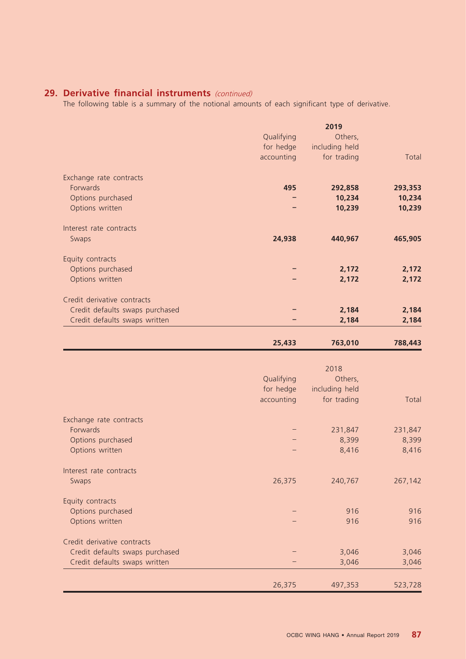## 29. Derivative financial instruments (continued)

The following table is a summary of the notional amounts of each significant type of derivative.

|                                 |            | 2019           |         |
|---------------------------------|------------|----------------|---------|
|                                 | Qualifying | Others,        |         |
|                                 | for hedge  | including held |         |
|                                 | accounting | for trading    | Total   |
| Exchange rate contracts         |            |                |         |
| <b>Forwards</b>                 | 495        | 292,858        | 293,353 |
| Options purchased               |            | 10,234         | 10,234  |
| Options written                 |            | 10,239         | 10,239  |
| Interest rate contracts         |            |                |         |
| Swaps                           | 24,938     | 440,967        | 465,905 |
| Equity contracts                |            |                |         |
| Options purchased               |            | 2,172          | 2,172   |
| Options written                 |            | 2,172          | 2,172   |
| Credit derivative contracts     |            |                |         |
| Credit defaults swaps purchased |            | 2,184          | 2,184   |
| Credit defaults swaps written   |            | 2,184          | 2,184   |
|                                 | 25,433     | 763,010        | 788,443 |

|                                 | Qualifying<br>for hedge<br>accounting | 2018<br>Others,<br>including held<br>for trading | Total   |
|---------------------------------|---------------------------------------|--------------------------------------------------|---------|
| Exchange rate contracts         |                                       |                                                  |         |
| <b>Forwards</b>                 |                                       | 231,847                                          | 231,847 |
| Options purchased               |                                       | 8,399                                            | 8,399   |
| Options written                 |                                       | 8,416                                            | 8,416   |
| Interest rate contracts         |                                       |                                                  |         |
| Swaps                           | 26,375                                | 240,767                                          | 267,142 |
| Equity contracts                |                                       |                                                  |         |
| Options purchased               |                                       | 916                                              | 916     |
| Options written                 |                                       | 916                                              | 916     |
| Credit derivative contracts     |                                       |                                                  |         |
| Credit defaults swaps purchased |                                       | 3,046                                            | 3,046   |
| Credit defaults swaps written   |                                       | 3,046                                            | 3,046   |
|                                 | 26,375                                | 497,353                                          | 523,728 |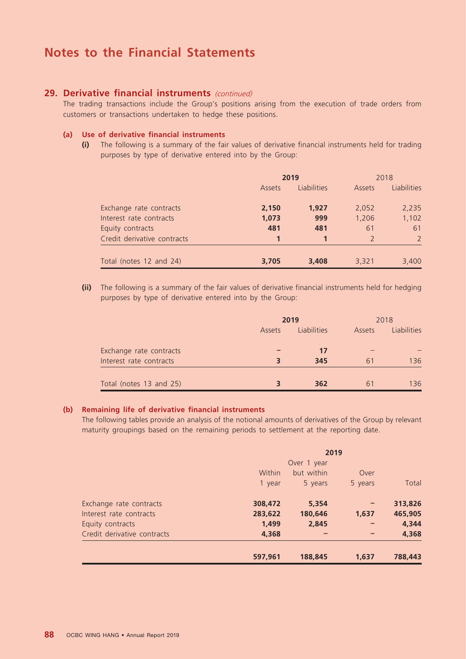## **29. Derivative financial instruments** (continued)

The trading transactions include the Group's positions arising from the execution of trade orders from customers or transactions undertaken to hedge these positions.

### **(a) Use of derivative financial instruments**

**(i)** The following is a summary of the fair values of derivative financial instruments held for trading purposes by type of derivative entered into by the Group:

|                             | 2019          |             | 2018          |                    |
|-----------------------------|---------------|-------------|---------------|--------------------|
|                             | <b>Assets</b> | Liabilities | <b>Assets</b> | <b>Liabilities</b> |
| Exchange rate contracts     | 2,150         | 1,927       | 2,052         | 2,235              |
| Interest rate contracts     | 1,073         | 999         | 1,206         | 1,102              |
| Equity contracts            | 481           | 481         | 61            | 61                 |
| Credit derivative contracts |               |             | $\mathcal{P}$ |                    |
| Total (notes 12 and 24)     | 3,705         | 3,408       | 3,321         | 3,400              |

**(ii)** The following is a summary of the fair values of derivative financial instruments held for hedging purposes by type of derivative entered into by the Group:

|                         | 2019   |             |               | 2018               |  |
|-------------------------|--------|-------------|---------------|--------------------|--|
|                         | Assets | Liabilities | <b>Assets</b> | <b>Liabilities</b> |  |
| Exchange rate contracts |        | 17          |               |                    |  |
| Interest rate contracts | 3      | 345         | 61            | 136                |  |
| Total (notes 13 and 25) | ₹      | 362         | 61            | 136                |  |

### **(b) Remaining life of derivative financial instruments**

The following tables provide an analysis of the notional amounts of derivatives of the Group by relevant maturity groupings based on the remaining periods to settlement at the reporting date.

|                             | 597,961       | 188,845     | 1,637   | 788,443 |
|-----------------------------|---------------|-------------|---------|---------|
| Credit derivative contracts | 4,368         |             |         | 4,368   |
| Equity contracts            | 1,499         | 2,845       |         | 4,344   |
| Interest rate contracts     | 283,622       | 180,646     | 1,637   | 465,905 |
| Exchange rate contracts     | 308,472       | 5,354       |         | 313,826 |
|                             | 1 year        | 5 years     | 5 years | Total   |
|                             | <b>Within</b> | but within  | Over    |         |
|                             |               | Over 1 year |         |         |
|                             | 2019          |             |         |         |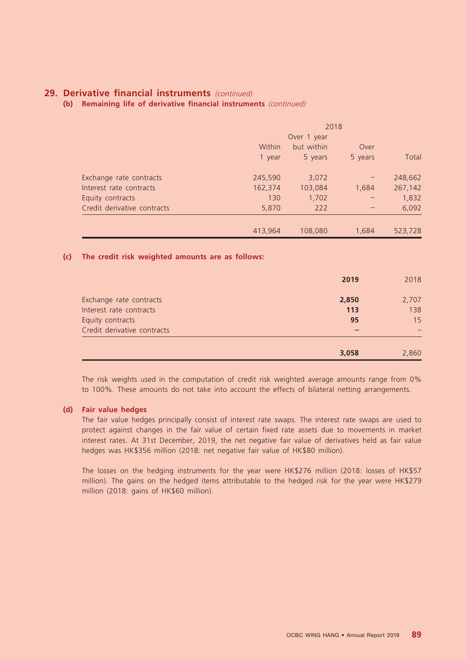## **29. Derivative financial instruments** (continued)

#### **(b) Remaining life of derivative financial instruments** (continued)

|                             |         | 2018        |         |         |
|-----------------------------|---------|-------------|---------|---------|
|                             |         | Over 1 year |         |         |
|                             | Within  | but within  | Over    |         |
|                             | 1 year  | 5 years     | 5 years | Total   |
| Exchange rate contracts     | 245,590 | 3,072       |         | 248,662 |
| Interest rate contracts     | 162,374 | 103,084     | 1,684   | 267,142 |
| Equity contracts            | 130     | 1,702       |         | 1,832   |
| Credit derivative contracts | 5,870   | 222         |         | 6,092   |
|                             | 413,964 | 108,080     | 1,684   | 523,728 |

#### **(c) The credit risk weighted amounts are as follows:**

|                             | 2019  | 2018  |
|-----------------------------|-------|-------|
| Exchange rate contracts     | 2,850 | 2,707 |
| Interest rate contracts     | 113   | 138   |
| Equity contracts            | 95    | 15    |
| Credit derivative contracts |       |       |
|                             | 3,058 | 2,860 |

The risk weights used in the computation of credit risk weighted average amounts range from 0% to 100%. These amounts do not take into account the effects of bilateral netting arrangements.

## **(d) Fair value hedges**

The fair value hedges principally consist of interest rate swaps. The interest rate swaps are used to protect against changes in the fair value of certain fixed rate assets due to movements in market interest rates. At 31st December, 2019, the net negative fair value of derivatives held as fair value hedges was HK\$356 million (2018: net negative fair value of HK\$80 million).

The losses on the hedging instruments for the year were HK\$276 million (2018: losses of HK\$57 million). The gains on the hedged items attributable to the hedged risk for the year were HK\$279 million (2018: gains of HK\$60 million).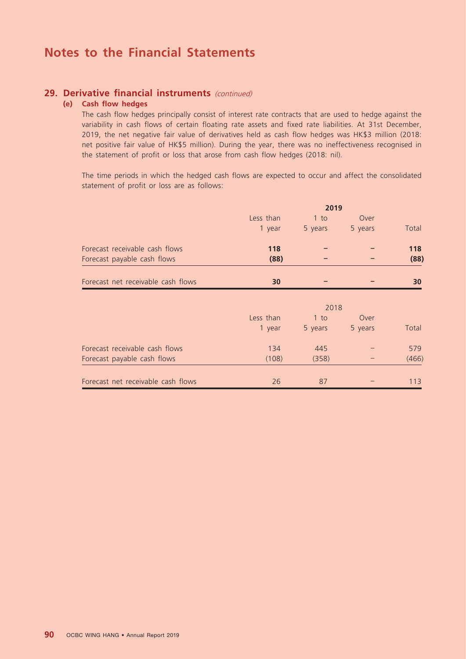## **29. Derivative financial instruments** (continued)

#### **(e) Cash flow hedges**

The cash flow hedges principally consist of interest rate contracts that are used to hedge against the variability in cash flows of certain floating rate assets and fixed rate liabilities. At 31st December, 2019, the net negative fair value of derivatives held as cash flow hedges was HK\$3 million (2018: net positive fair value of HK\$5 million). During the year, there was no ineffectiveness recognised in the statement of profit or loss that arose from cash flow hedges (2018: nil).

The time periods in which the hedged cash flows are expected to occur and affect the consolidated statement of profit or loss are as follows:

|                                    | 2019      |         |         |       |  |
|------------------------------------|-----------|---------|---------|-------|--|
|                                    | Less than | $1$ to  | Over    |       |  |
|                                    | 1 year    | 5 years | 5 years | Total |  |
| Forecast receivable cash flows     | 118       |         |         | 118   |  |
| Forecast payable cash flows        | (88)      |         |         | (88)  |  |
| Forecast net receivable cash flows | 30        |         |         | 30    |  |
|                                    |           | 2018    |         |       |  |
|                                    | Less than | $1$ to  | Over    |       |  |
|                                    | 1 year    | 5 years | 5 years | Total |  |
| Forecast receivable cash flows     | 134       | 445     |         | 579   |  |
| Forecast payable cash flows        | (108)     | (358)   |         | (466) |  |
| Forecast net receivable cash flows | 26        | 87      |         | 113   |  |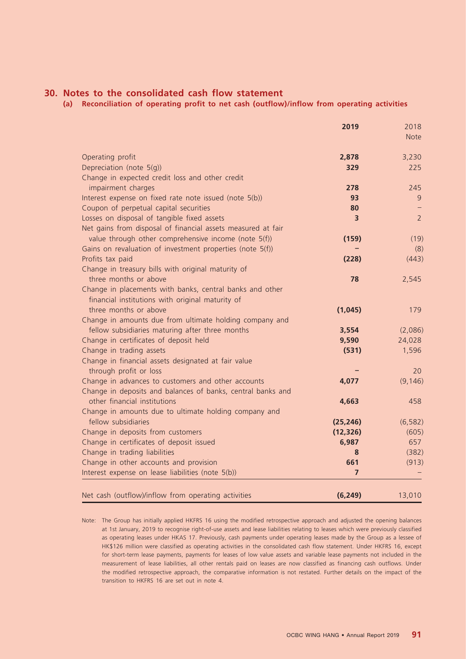## **30. Notes to the consolidated cash flow statement**

 **(a) Reconciliation of operating profit to net cash (outflow)/inflow from operating activities**

|                                                              | 2019           | 2018<br><b>Note</b> |
|--------------------------------------------------------------|----------------|---------------------|
| Operating profit                                             | 2,878          | 3,230               |
| Depreciation (note 5(g))                                     | 329            | 225                 |
| Change in expected credit loss and other credit              |                |                     |
| impairment charges                                           | 278            | 245                 |
| Interest expense on fixed rate note issued (note 5(b))       | 93             | 9                   |
| Coupon of perpetual capital securities                       | 80             |                     |
| Losses on disposal of tangible fixed assets                  | 3              | $\overline{2}$      |
| Net gains from disposal of financial assets measured at fair |                |                     |
| value through other comprehensive income (note 5(f))         | (159)          | (19)                |
| Gains on revaluation of investment properties (note 5(f))    |                | (8)                 |
| Profits tax paid                                             | (228)          | (443)               |
| Change in treasury bills with original maturity of           |                |                     |
| three months or above                                        | 78             | 2,545               |
| Change in placements with banks, central banks and other     |                |                     |
| financial institutions with original maturity of             |                |                     |
| three months or above                                        | (1,045)        | 179                 |
| Change in amounts due from ultimate holding company and      |                |                     |
| fellow subsidiaries maturing after three months              | 3,554          | (2,086)             |
| Change in certificates of deposit held                       | 9,590          | 24,028              |
| Change in trading assets                                     | (531)          | 1,596               |
| Change in financial assets designated at fair value          |                |                     |
| through profit or loss                                       |                | 20                  |
| Change in advances to customers and other accounts           | 4,077          | (9, 146)            |
| Change in deposits and balances of banks, central banks and  |                |                     |
| other financial institutions                                 | 4,663          | 458                 |
| Change in amounts due to ultimate holding company and        |                |                     |
| fellow subsidiaries                                          | (25, 246)      | (6, 582)            |
| Change in deposits from customers                            | (12, 326)      | (605)<br>657        |
| Change in certificates of deposit issued                     | 6,987          |                     |
| Change in trading liabilities                                | 8<br>661       | (382)<br>(913)      |
| Change in other accounts and provision                       |                |                     |
| Interest expense on lease liabilities (note 5(b))            | $\overline{7}$ |                     |
|                                                              |                |                     |
| Net cash (outflow)/inflow from operating activities          | (6, 249)       | 13,010              |

Note: The Group has initially applied HKFRS 16 using the modified retrospective approach and adjusted the opening balances at 1st January, 2019 to recognise right-of-use assets and lease liabilities relating to leases which were previously classified as operating leases under HKAS 17. Previously, cash payments under operating leases made by the Group as a lessee of HK\$126 million were classified as operating activities in the consolidated cash flow statement. Under HKFRS 16, except for short-term lease payments, payments for leases of low value assets and variable lease payments not included in the measurement of lease liabilities, all other rentals paid on leases are now classified as financing cash outflows. Under the modified retrospective approach, the comparative information is not restated. Further details on the impact of the transition to HKFRS 16 are set out in note 4.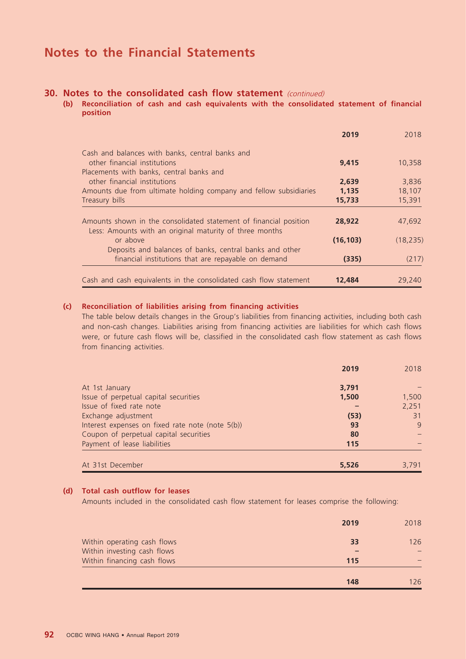## **30. Notes to the consolidated cash flow statement** (continued)

 **(b) Reconciliation of cash and cash equivalents with the consolidated statement of financial position**

|                                                                   | 2019      | 2018      |
|-------------------------------------------------------------------|-----------|-----------|
| Cash and balances with banks, central banks and                   |           |           |
| other financial institutions                                      | 9,415     | 10,358    |
| Placements with banks, central banks and                          |           |           |
| other financial institutions                                      | 2,639     | 3,836     |
| Amounts due from ultimate holding company and fellow subsidiaries | 1,135     | 18,107    |
| Treasury bills                                                    | 15,733    | 15,391    |
|                                                                   |           |           |
| Amounts shown in the consolidated statement of financial position | 28,922    | 47,692    |
| Less: Amounts with an original maturity of three months           |           |           |
| or above                                                          | (16, 103) | (18, 235) |
| Deposits and balances of banks, central banks and other           |           |           |
| financial institutions that are repayable on demand               | (335)     | (217)     |
|                                                                   |           |           |
| Cash and cash equivalents in the consolidated cash flow statement | 12,484    | 29,240    |

## **(c) Reconciliation of liabilities arising from financing activities**

The table below details changes in the Group's liabilities from financing activities, including both cash and non-cash changes. Liabilities arising from financing activities are liabilities for which cash flows were, or future cash flows will be, classified in the consolidated cash flow statement as cash flows from financing activities.

|                                                  | 2019  | 2018  |
|--------------------------------------------------|-------|-------|
| At 1st January                                   | 3,791 |       |
| Issue of perpetual capital securities            | 1,500 | 1,500 |
| Issue of fixed rate note                         |       | 2,251 |
| Exchange adjustment                              | (53)  | 31    |
| Interest expenses on fixed rate note (note 5(b)) | 93    | 9     |
| Coupon of perpetual capital securities           | 80    |       |
| Payment of lease liabilities                     | 115   |       |
| At 31st December                                 | 5,526 | 3,791 |

#### **(d) Total cash outflow for leases**

Amounts included in the consolidated cash flow statement for leases comprise the following:

|                                                            | 2019 | 2018 |
|------------------------------------------------------------|------|------|
| Within operating cash flows<br>Within investing cash flows | 33   | 126  |
| Within financing cash flows                                | 115  |      |
|                                                            | 148  | 126  |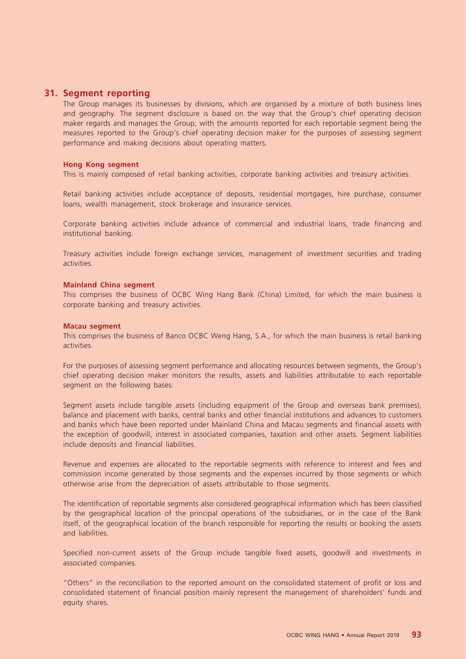### **31. Segment reporting**

The Group manages its businesses by divisions, which are organised by a mixture of both business lines and geography. The segment disclosure is based on the way that the Group's chief operating decision maker regards and manages the Group, with the amounts reported for each reportable segment being the measures reported to the Group's chief operating decision maker for the purposes of assessing segment performance and making decisions about operating matters.

#### **Hong Kong segment**

This is mainly composed of retail banking activities, corporate banking activities and treasury activities.

Retail banking activities include acceptance of deposits, residential mortgages, hire purchase, consumer loans, wealth management, stock brokerage and insurance services.

Corporate banking activities include advance of commercial and industrial loans, trade financing and institutional banking.

Treasury activities include foreign exchange services, management of investment securities and trading activities.

#### **Mainland China segment**

This comprises the business of OCBC Wing Hang Bank (China) Limited, for which the main business is corporate banking and treasury activities.

#### **Macau segment**

This comprises the business of Banco OCBC Weng Hang, S.A., for which the main business is retail banking activities.

For the purposes of assessing segment performance and allocating resources between segments, the Group's chief operating decision maker monitors the results, assets and liabilities attributable to each reportable segment on the following bases:

Segment assets include tangible assets (including equipment of the Group and overseas bank premises), balance and placement with banks, central banks and other financial institutions and advances to customers and banks which have been reported under Mainland China and Macau segments and financial assets with the exception of goodwill, interest in associated companies, taxation and other assets. Segment liabilities include deposits and financial liabilities.

Revenue and expenses are allocated to the reportable segments with reference to interest and fees and commission income generated by those segments and the expenses incurred by those segments or which otherwise arise from the depreciation of assets attributable to those segments.

The identification of reportable segments also considered geographical information which has been classified by the geographical location of the principal operations of the subsidiaries, or in the case of the Bank itself, of the geographical location of the branch responsible for reporting the results or booking the assets and liabilities.

Specified non-current assets of the Group include tangible fixed assets, goodwill and investments in associated companies.

"Others" in the reconciliation to the reported amount on the consolidated statement of profit or loss and consolidated statement of financial position mainly represent the management of shareholders' funds and equity shares.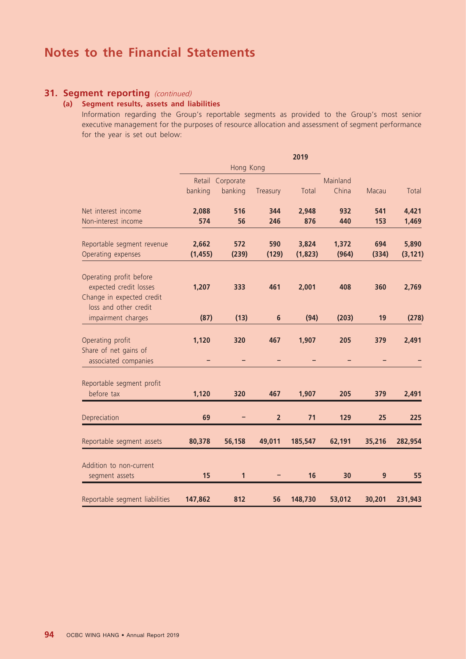## **31. Segment reporting** (continued)

## **(a) Segment results, assets and liabilities**

Information regarding the Group's reportable segments as provided to the Group's most senior executive management for the purposes of resource allocation and assessment of segment performance for the year is set out below:

|                                                                              |          |                  |                | 2019    |          |        |          |
|------------------------------------------------------------------------------|----------|------------------|----------------|---------|----------|--------|----------|
|                                                                              |          | Hong Kong        |                |         |          |        |          |
|                                                                              |          | Retail Corporate |                |         | Mainland |        |          |
|                                                                              | banking  | banking          | Treasury       | Total   | China    | Macau  | Total    |
| Net interest income                                                          | 2,088    | 516              | 344            | 2,948   | 932      | 541    | 4,421    |
| Non-interest income                                                          | 574      | 56               | 246            | 876     | 440      | 153    | 1,469    |
| Reportable segment revenue                                                   | 2,662    | 572              | 590            | 3,824   | 1,372    | 694    | 5,890    |
| Operating expenses                                                           | (1, 455) | (239)            | (129)          | (1,823) | (964)    | (334)  | (3, 121) |
| Operating profit before                                                      |          |                  |                |         |          |        |          |
| expected credit losses<br>Change in expected credit<br>loss and other credit | 1,207    | 333              | 461            | 2,001   | 408      | 360    | 2,769    |
| impairment charges                                                           | (87)     | (13)             | 6              | (94)    | (203)    | 19     | (278)    |
| Operating profit                                                             | 1,120    | 320              | 467            | 1,907   | 205      | 379    | 2,491    |
| Share of net gains of                                                        |          |                  |                |         |          |        |          |
| associated companies                                                         |          |                  |                |         |          |        |          |
| Reportable segment profit                                                    |          |                  |                |         |          |        |          |
| before tax                                                                   | 1,120    | 320              | 467            | 1,907   | 205      | 379    | 2,491    |
| Depreciation                                                                 | 69       |                  | $\overline{2}$ | 71      | 129      | 25     | 225      |
| Reportable segment assets                                                    | 80,378   | 56,158           | 49,011         | 185,547 | 62,191   | 35,216 | 282,954  |
| Addition to non-current                                                      |          |                  |                |         |          |        |          |
| segment assets                                                               | 15       | $\mathbf{1}$     |                | 16      | 30       | 9      | 55       |
| Reportable segment liabilities                                               | 147,862  | 812              | 56             | 148,730 | 53,012   | 30,201 | 231,943  |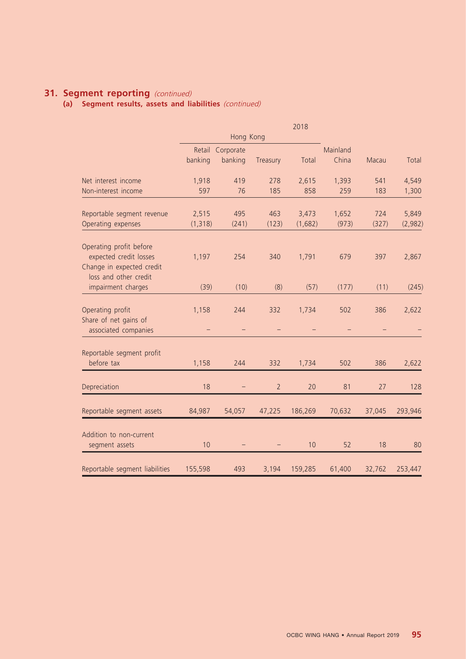### **31. Segment reporting** (continued)

 **(a) Segment results, assets and liabilities** (continued)

|                                                    |          |                  |                | 2018    |          |                          |         |
|----------------------------------------------------|----------|------------------|----------------|---------|----------|--------------------------|---------|
|                                                    |          | Hong Kong        |                |         |          |                          |         |
|                                                    |          | Retail Corporate |                |         | Mainland |                          |         |
|                                                    | banking  | banking          | Treasury       | Total   | China    | Macau                    | Total   |
| Net interest income                                | 1,918    | 419              | 278            | 2,615   | 1,393    | 541                      | 4,549   |
| Non-interest income                                | 597      | 76               | 185            | 858     | 259      | 183                      | 1,300   |
| Reportable segment revenue                         | 2,515    | 495              | 463            | 3,473   | 1,652    | 724                      | 5,849   |
| Operating expenses                                 | (1, 318) | (241)            | (123)          | (1,682) | (973)    | (327)                    | (2,982) |
| Operating profit before                            |          |                  |                |         |          |                          |         |
| expected credit losses                             | 1,197    | 254              | 340            | 1,791   | 679      | 397                      | 2,867   |
| Change in expected credit<br>loss and other credit |          |                  |                |         |          |                          |         |
| impairment charges                                 | (39)     | (10)             | (8)            | (57)    | (177)    | (11)                     | (245)   |
| Operating profit                                   | 1,158    | 244              | 332            | 1,734   | 502      | 386                      | 2,622   |
| Share of net gains of                              |          |                  |                |         |          |                          |         |
| associated companies                               |          |                  |                |         |          | $\overline{\phantom{0}}$ |         |
| Reportable segment profit                          |          |                  |                |         |          |                          |         |
| before tax                                         | 1,158    | 244              | 332            | 1,734   | 502      | 386                      | 2,622   |
| Depreciation                                       | 18       |                  | $\overline{2}$ | 20      | 81       | 27                       | 128     |
| Reportable segment assets                          | 84,987   | 54,057           | 47,225         | 186,269 | 70,632   | 37,045                   | 293,946 |
| Addition to non-current                            |          |                  |                |         |          |                          |         |
| segment assets                                     | 10       |                  |                | 10      | 52       | 18                       | 80      |
| Reportable segment liabilities                     |          | 493              | 3,194          |         | 61,400   | 32,762                   |         |
|                                                    | 155,598  |                  |                | 159,285 |          |                          | 253,447 |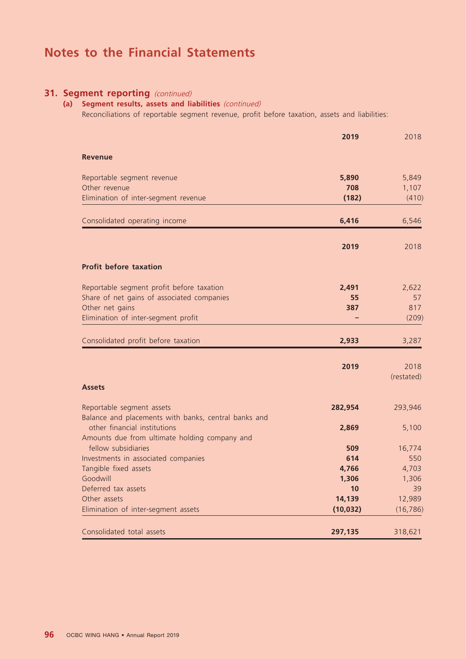## **31. Segment reporting** (continued)

 **(a) Segment results, assets and liabilities** (continued)

Reconciliations of reportable segment revenue, profit before taxation, assets and liabilities:

|                                                                                   | 2019      | 2018       |
|-----------------------------------------------------------------------------------|-----------|------------|
| <b>Revenue</b>                                                                    |           |            |
| Reportable segment revenue                                                        | 5,890     | 5,849      |
| Other revenue                                                                     | 708       | 1,107      |
| Elimination of inter-segment revenue                                              | (182)     | (410)      |
| Consolidated operating income                                                     | 6,416     | 6,546      |
|                                                                                   | 2019      | 2018       |
| <b>Profit before taxation</b>                                                     |           |            |
| Reportable segment profit before taxation                                         | 2,491     | 2,622      |
| Share of net gains of associated companies                                        | 55        | 57         |
| Other net gains                                                                   | 387       | 817        |
| Elimination of inter-segment profit                                               |           | (209)      |
| Consolidated profit before taxation                                               | 2,933     | 3,287      |
|                                                                                   | 2019      | 2018       |
|                                                                                   |           | (restated) |
| <b>Assets</b>                                                                     |           |            |
| Reportable segment assets<br>Balance and placements with banks, central banks and | 282,954   | 293,946    |
| other financial institutions                                                      | 2,869     | 5,100      |
| Amounts due from ultimate holding company and                                     |           |            |
| fellow subsidiaries                                                               | 509       | 16,774     |
| Investments in associated companies                                               | 614       | 550        |
| Tangible fixed assets                                                             | 4,766     | 4,703      |
| Goodwill                                                                          | 1,306     | 1,306      |
| Deferred tax assets                                                               | 10        | 39         |
| Other assets                                                                      | 14,139    | 12,989     |
| Elimination of inter-segment assets                                               | (10, 032) | (16, 786)  |
| Consolidated total assets                                                         | 297,135   | 318,621    |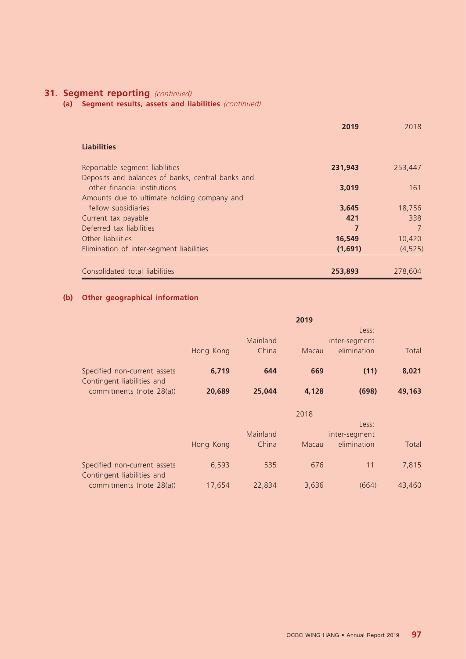## **31. Segment reporting** (continued)

 **(a) Segment results, assets and liabilities** (continued)

|                                                   | 2019    | 2018     |
|---------------------------------------------------|---------|----------|
| <b>Liabilities</b>                                |         |          |
| Reportable segment liabilities                    | 231,943 | 253,447  |
| Deposits and balances of banks, central banks and |         |          |
| other financial institutions                      | 3,019   | 161      |
| Amounts due to ultimate holding company and       |         |          |
| fellow subsidiaries                               | 3,645   | 18,756   |
| Current tax payable                               | 421     | 338      |
| Deferred tax liabilities                          |         | 7        |
| Other liabilities                                 | 16,549  | 10,420   |
| Elimination of inter-segment liabilities          | (1,691) | (4, 525) |
| Consolidated total liabilities                    | 253,893 | 278,604  |

## **(b) Other geographical information**

|                                                            |           |                   | 2019  |                                       |        |
|------------------------------------------------------------|-----------|-------------------|-------|---------------------------------------|--------|
|                                                            | Hong Kong | Mainland<br>China | Macau | Less:<br>inter-segment<br>elimination | Total  |
| Specified non-current assets                               | 6,719     | 644               | 669   | (11)                                  | 8,021  |
| Contingent liabilities and<br>commitments (note 28(a))     | 20,689    | 25,044            | 4,128 | (698)                                 | 49,163 |
|                                                            |           |                   | 2018  | Less:                                 |        |
|                                                            |           | Mainland          |       | inter-segment                         |        |
|                                                            | Hong Kong | China             | Macau | elimination                           | Total  |
| Specified non-current assets<br>Contingent liabilities and | 6,593     | 535               | 676   | 11                                    | 7,815  |
| commitments (note 28(a))                                   | 17,654    | 22,834            | 3,636 | (664)                                 | 43,460 |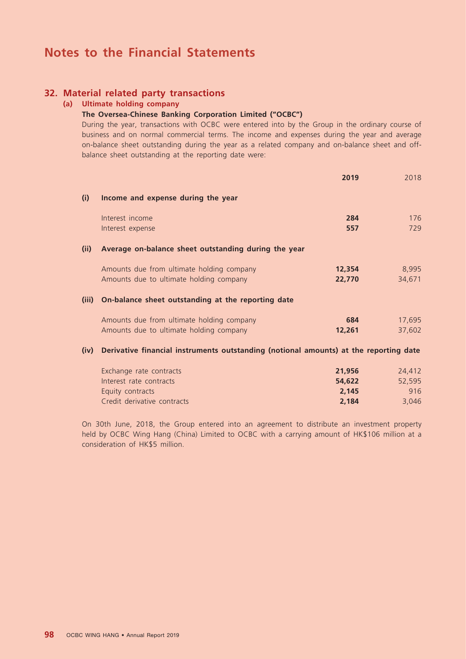## **32. Material related party transactions**

#### **(a) Ultimate holding company**

#### **The Oversea-Chinese Banking Corporation Limited ("OCBC")**

During the year, transactions with OCBC were entered into by the Group in the ordinary course of business and on normal commercial terms. The income and expenses during the year and average on-balance sheet outstanding during the year as a related company and on-balance sheet and offbalance sheet outstanding at the reporting date were:

|       |                                                                                       | 2019             | 2018             |
|-------|---------------------------------------------------------------------------------------|------------------|------------------|
| (i)   | Income and expense during the year                                                    |                  |                  |
|       | Interest income<br>Interest expense                                                   | 284<br>557       | 176<br>729       |
| (iii) | Average on-balance sheet outstanding during the year                                  |                  |                  |
|       | Amounts due from ultimate holding company<br>Amounts due to ultimate holding company  | 12,354<br>22,770 | 8,995<br>34,671  |
| (iii) | On-balance sheet outstanding at the reporting date                                    |                  |                  |
|       | Amounts due from ultimate holding company<br>Amounts due to ultimate holding company  | 684<br>12,261    | 17,695<br>37,602 |
| (iv)  | Derivative financial instruments outstanding (notional amounts) at the reporting date |                  |                  |

| Exchange rate contracts     | 21,956 | 24,412 |
|-----------------------------|--------|--------|
| Interest rate contracts     | 54,622 | 52,595 |
| Equity contracts            | 2.145  | 916    |
| Credit derivative contracts | 2.184  | 3.046  |

On 30th June, 2018, the Group entered into an agreement to distribute an investment property held by OCBC Wing Hang (China) Limited to OCBC with a carrying amount of HK\$106 million at a consideration of HK\$5 million.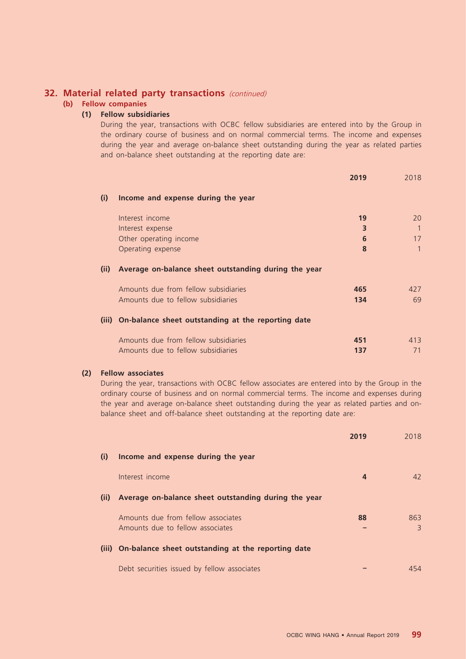## **32. Material related party transactions** (continued)

#### **(b) Fellow companies**

#### **(1) Fellow subsidiaries**

During the year, transactions with OCBC fellow subsidiaries are entered into by the Group in the ordinary course of business and on normal commercial terms. The income and expenses during the year and average on-balance sheet outstanding during the year as related parties and on-balance sheet outstanding at the reporting date are:

|      |                                                          | 2019 | 2018 |
|------|----------------------------------------------------------|------|------|
| (i)  | Income and expense during the year                       |      |      |
|      | Interest income                                          | 19   | 20   |
|      | Interest expense                                         | 3    |      |
|      | Other operating income                                   | 6    | 17   |
|      | Operating expense                                        | 8    |      |
| (ii) | Average on-balance sheet outstanding during the year     |      |      |
|      | Amounts due from fellow subsidiaries                     | 465  | 427  |
|      | Amounts due to fellow subsidiaries                       | 134  | 69   |
|      | (iii) On-balance sheet outstanding at the reporting date |      |      |

| Amounts due from fellow subsidiaries | 451 | 413 |
|--------------------------------------|-----|-----|
| Amounts due to fellow subsidiaries   | 137 |     |

#### **(2) Fellow associates**

During the year, transactions with OCBC fellow associates are entered into by the Group in the ordinary course of business and on normal commercial terms. The income and expenses during the year and average on-balance sheet outstanding during the year as related parties and onbalance sheet and off-balance sheet outstanding at the reporting date are:

|      |                                                                        | 2019 | 2018     |
|------|------------------------------------------------------------------------|------|----------|
| (i)  | Income and expense during the year                                     |      |          |
|      | Interest income                                                        | 4    | 42       |
| (ii) | Average on-balance sheet outstanding during the year                   |      |          |
|      | Amounts due from fellow associates<br>Amounts due to fellow associates | 88   | 863<br>3 |
|      | (iii) On-balance sheet outstanding at the reporting date               |      |          |
|      | Debt securities issued by fellow associates                            |      | 454      |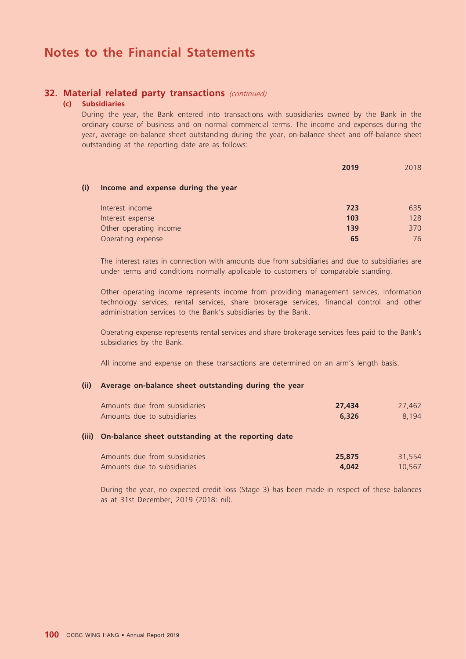## **32. Material related party transactions** (continued)

#### **(c) Subsidiaries**

During the year, the Bank entered into transactions with subsidiaries owned by the Bank in the ordinary course of business and on normal commercial terms. The income and expenses during the year, average on-balance sheet outstanding during the year, on-balance sheet and off-balance sheet outstanding at the reporting date are as follows:

|     |                                    | 2019 | 2018 |
|-----|------------------------------------|------|------|
| (i) | Income and expense during the year |      |      |
|     | Interest income                    | 723  | 635  |
|     | Interest expense                   | 103  | 128  |
|     | Other operating income             | 139  | 370  |
|     | Operating expense                  | 65   | 76   |
|     |                                    |      |      |

The interest rates in connection with amounts due from subsidiaries and due to subsidiaries are under terms and conditions normally applicable to customers of comparable standing.

Other operating income represents income from providing management services, information technology services, rental services, share brokerage services, financial control and other administration services to the Bank's subsidiaries by the Bank.

Operating expense represents rental services and share brokerage services fees paid to the Bank's subsidiaries by the Bank.

All income and expense on these transactions are determined on an arm's length basis.

#### **(ii) Average on-balance sheet outstanding during the year**

| Amounts due from subsidiaries | 27,434 | 27,462 |
|-------------------------------|--------|--------|
| Amounts due to subsidiaries   | 6.326  | 8.194  |

#### **(iii) On-balance sheet outstanding at the reporting date**

| Amounts due from subsidiaries | 25.875 | 31,554 |
|-------------------------------|--------|--------|
| Amounts due to subsidiaries   | 4.042  | 10.567 |

During the year, no expected credit loss (Stage 3) has been made in respect of these balances as at 31st December, 2019 (2018: nil).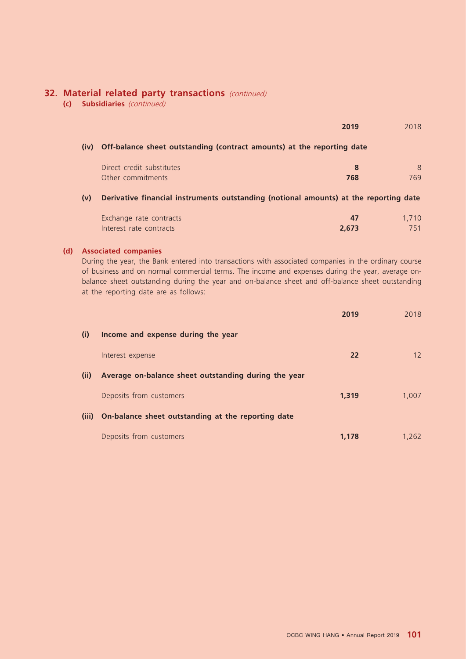## **32. Material related party transactions** (continued)

 **(c) Subsidiaries** (continued)

|      |                                                                                       | 2019     | 2018     |
|------|---------------------------------------------------------------------------------------|----------|----------|
| (iv) | Off-balance sheet outstanding (contract amounts) at the reporting date                |          |          |
|      | Direct credit substitutes<br>Other commitments                                        | 8<br>768 | 8<br>769 |
| (v)  | Derivative financial instruments outstanding (notional amounts) at the reporting date |          |          |

| Exchange rate contracts |       | 1.710 |
|-------------------------|-------|-------|
| Interest rate contracts | 2.673 | 751   |

#### **(d) Associated companies**

During the year, the Bank entered into transactions with associated companies in the ordinary course of business and on normal commercial terms. The income and expenses during the year, average onbalance sheet outstanding during the year and on-balance sheet and off-balance sheet outstanding at the reporting date are as follows:

|       |                                                      | 2019  | 2018  |
|-------|------------------------------------------------------|-------|-------|
| (i)   | Income and expense during the year                   |       |       |
|       | Interest expense                                     | 22    | 12    |
| (ii)  | Average on-balance sheet outstanding during the year |       |       |
|       | Deposits from customers                              | 1,319 | 1.007 |
| (iii) | On-balance sheet outstanding at the reporting date   |       |       |
|       | Deposits from customers                              | 1.178 | 1.262 |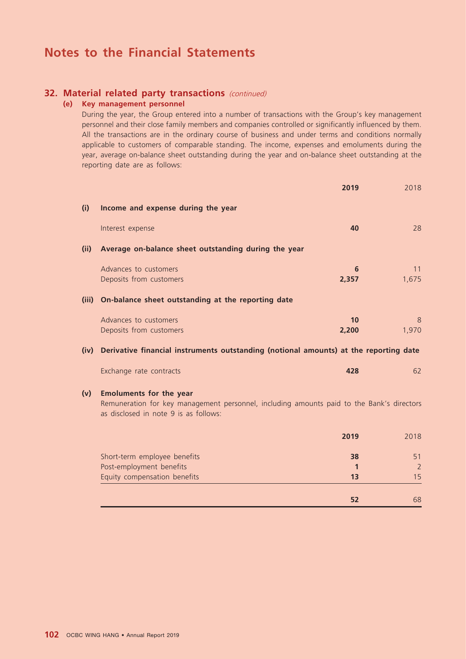## **32. Material related party transactions** (continued)

## **(e) Key management personnel**

During the year, the Group entered into a number of transactions with the Group's key management personnel and their close family members and companies controlled or significantly influenced by them. All the transactions are in the ordinary course of business and under terms and conditions normally applicable to customers of comparable standing. The income, expenses and emoluments during the year, average on-balance sheet outstanding during the year and on-balance sheet outstanding at the reporting date are as follows:

|      |                                                                                                                                                                      | 2019              | 2018        |
|------|----------------------------------------------------------------------------------------------------------------------------------------------------------------------|-------------------|-------------|
| (i)  | Income and expense during the year                                                                                                                                   |                   |             |
|      | Interest expense                                                                                                                                                     | 40                | 28          |
| (ii) | Average on-balance sheet outstanding during the year                                                                                                                 |                   |             |
|      | Advances to customers<br>Deposits from customers                                                                                                                     | 6<br>2,357        | 11<br>1,675 |
|      | (iii) On-balance sheet outstanding at the reporting date                                                                                                             |                   |             |
|      | Advances to customers<br>Deposits from customers                                                                                                                     | 10<br>2,200       | 8<br>1,970  |
|      | (iv) Derivative financial instruments outstanding (notional amounts) at the reporting date                                                                           |                   |             |
|      | Exchange rate contracts                                                                                                                                              | 428               | 62          |
| (v)  | <b>Emoluments for the year</b><br>Remuneration for key management personnel, including amounts paid to the Bank's directors<br>as disclosed in note 9 is as follows: |                   |             |
|      |                                                                                                                                                                      | 2019              | 2018        |
|      | Short-term employee benefits<br>Post-employment benefits                                                                                                             | 38<br>$\mathbf 1$ | 51<br>2     |
|      | Equity compensation benefits                                                                                                                                         | 13                | 15          |
|      |                                                                                                                                                                      | 52                | 68          |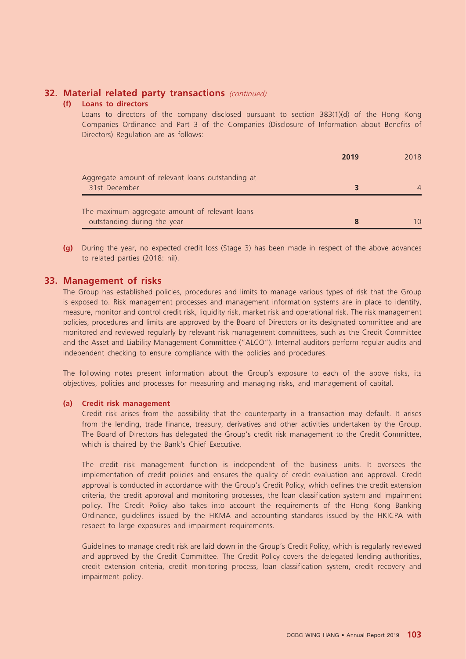## **32. Material related party transactions** (continued)

### **(f) Loans to directors**

Loans to directors of the company disclosed pursuant to section 383(1)(d) of the Hong Kong Companies Ordinance and Part 3 of the Companies (Disclosure of Information about Benefits of Directors) Regulation are as follows:

|                                                                               | 2019 | 2018           |
|-------------------------------------------------------------------------------|------|----------------|
| Aggregate amount of relevant loans outstanding at<br>31st December            | 3    | Δ              |
| The maximum aggregate amount of relevant loans<br>outstanding during the year | 8    | 1 <sub>0</sub> |

**(g)** During the year, no expected credit loss (Stage 3) has been made in respect of the above advances to related parties (2018: nil).

#### **33. Management of risks**

The Group has established policies, procedures and limits to manage various types of risk that the Group is exposed to. Risk management processes and management information systems are in place to identify, measure, monitor and control credit risk, liquidity risk, market risk and operational risk. The risk management policies, procedures and limits are approved by the Board of Directors or its designated committee and are monitored and reviewed regularly by relevant risk management committees, such as the Credit Committee and the Asset and Liability Management Committee ("ALCO"). Internal auditors perform regular audits and independent checking to ensure compliance with the policies and procedures.

The following notes present information about the Group's exposure to each of the above risks, its objectives, policies and processes for measuring and managing risks, and management of capital.

#### **(a) Credit risk management**

Credit risk arises from the possibility that the counterparty in a transaction may default. It arises from the lending, trade finance, treasury, derivatives and other activities undertaken by the Group. The Board of Directors has delegated the Group's credit risk management to the Credit Committee, which is chaired by the Bank's Chief Executive.

The credit risk management function is independent of the business units. It oversees the implementation of credit policies and ensures the quality of credit evaluation and approval. Credit approval is conducted in accordance with the Group's Credit Policy, which defines the credit extension criteria, the credit approval and monitoring processes, the loan classification system and impairment policy. The Credit Policy also takes into account the requirements of the Hong Kong Banking Ordinance, guidelines issued by the HKMA and accounting standards issued by the HKICPA with respect to large exposures and impairment requirements.

Guidelines to manage credit risk are laid down in the Group's Credit Policy, which is regularly reviewed and approved by the Credit Committee. The Credit Policy covers the delegated lending authorities, credit extension criteria, credit monitoring process, loan classification system, credit recovery and impairment policy.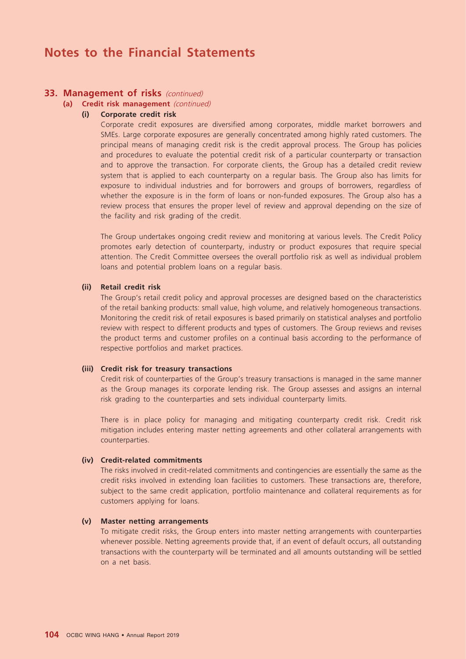## **33. Management of risks** (continued)

 **(a) Credit risk management** (continued)

#### **(i) Corporate credit risk**

Corporate credit exposures are diversified among corporates, middle market borrowers and SMEs. Large corporate exposures are generally concentrated among highly rated customers. The principal means of managing credit risk is the credit approval process. The Group has policies and procedures to evaluate the potential credit risk of a particular counterparty or transaction and to approve the transaction. For corporate clients, the Group has a detailed credit review system that is applied to each counterparty on a regular basis. The Group also has limits for exposure to individual industries and for borrowers and groups of borrowers, regardless of whether the exposure is in the form of loans or non-funded exposures. The Group also has a review process that ensures the proper level of review and approval depending on the size of the facility and risk grading of the credit.

The Group undertakes ongoing credit review and monitoring at various levels. The Credit Policy promotes early detection of counterparty, industry or product exposures that require special attention. The Credit Committee oversees the overall portfolio risk as well as individual problem loans and potential problem loans on a regular basis.

#### **(ii) Retail credit risk**

The Group's retail credit policy and approval processes are designed based on the characteristics of the retail banking products: small value, high volume, and relatively homogeneous transactions. Monitoring the credit risk of retail exposures is based primarily on statistical analyses and portfolio review with respect to different products and types of customers. The Group reviews and revises the product terms and customer profiles on a continual basis according to the performance of respective portfolios and market practices.

#### **(iii) Credit risk for treasury transactions**

Credit risk of counterparties of the Group's treasury transactions is managed in the same manner as the Group manages its corporate lending risk. The Group assesses and assigns an internal risk grading to the counterparties and sets individual counterparty limits.

There is in place policy for managing and mitigating counterparty credit risk. Credit risk mitigation includes entering master netting agreements and other collateral arrangements with counterparties.

#### **(iv) Credit-related commitments**

The risks involved in credit-related commitments and contingencies are essentially the same as the credit risks involved in extending loan facilities to customers. These transactions are, therefore, subject to the same credit application, portfolio maintenance and collateral requirements as for customers applying for loans.

#### **(v) Master netting arrangements**

To mitigate credit risks, the Group enters into master netting arrangements with counterparties whenever possible. Netting agreements provide that, if an event of default occurs, all outstanding transactions with the counterparty will be terminated and all amounts outstanding will be settled on a net basis.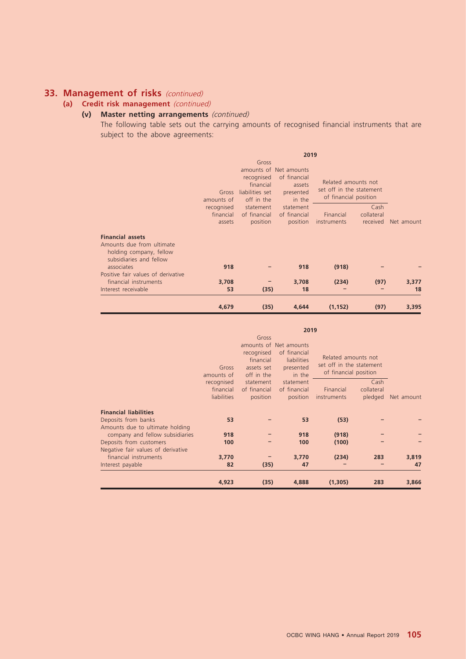## **33. Management of risks** (continued)

## **(a) Credit risk management** (continued)

## **(v) Master netting arrangements** (continued)

The following table sets out the carrying amounts of recognised financial instruments that are subject to the above agreements:

|                                                                                                            |                     |                                                          | 2019                                          |                                                                          |            |            |
|------------------------------------------------------------------------------------------------------------|---------------------|----------------------------------------------------------|-----------------------------------------------|--------------------------------------------------------------------------|------------|------------|
|                                                                                                            |                     | Gross                                                    |                                               |                                                                          |            |            |
|                                                                                                            |                     |                                                          | amounts of Net amounts                        |                                                                          |            |            |
|                                                                                                            | Gross<br>amounts of | recognised<br>financial<br>liabilities set<br>off in the | of financial<br>assets<br>presented<br>in the | Related amounts not<br>set off in the statement<br>of financial position |            |            |
|                                                                                                            | recognised          | statement                                                | statement                                     |                                                                          | Cash       |            |
|                                                                                                            | financial           | of financial                                             | of financial                                  | Financial                                                                | collateral |            |
|                                                                                                            | assets              | position                                                 | position                                      | instruments                                                              | received   | Net amount |
| <b>Financial assets</b><br>Amounts due from ultimate<br>holding company, fellow<br>subsidiaries and fellow |                     |                                                          |                                               |                                                                          |            |            |
| associates                                                                                                 | 918                 |                                                          | 918                                           | (918)                                                                    |            |            |
| Positive fair values of derivative                                                                         |                     |                                                          |                                               |                                                                          |            |            |
| financial instruments                                                                                      | 3,708               |                                                          | 3,708                                         | (234)                                                                    | (97)       | 3,377      |
| Interest receivable                                                                                        | 53                  | (35)                                                     | 18                                            |                                                                          |            | 18         |
|                                                                                                            | 4,679               | (35)                                                     | 4,644                                         | (1, 152)                                                                 | (97)       | 3,395      |

**2019**

|                                                     | 4,923                                  | (35)                                  | 4,888                                 | (1,305)                                           | 283                           | 3,866      |
|-----------------------------------------------------|----------------------------------------|---------------------------------------|---------------------------------------|---------------------------------------------------|-------------------------------|------------|
| Interest payable                                    | 82                                     | (35)                                  | 47                                    |                                                   |                               | 47         |
| financial instruments                               | 3,770                                  |                                       | 3,770                                 | (234)                                             | 283                           | 3,819      |
| Negative fair values of derivative                  |                                        |                                       |                                       |                                                   |                               |            |
| Deposits from customers                             | 100                                    |                                       | 100                                   | (100)                                             |                               |            |
| company and fellow subsidiaries                     | 918                                    |                                       | 918                                   | (918)                                             |                               |            |
| Amounts due to ultimate holding                     |                                        |                                       |                                       |                                                   |                               |            |
| <b>Financial liabilities</b><br>Deposits from banks | 53                                     |                                       | 53                                    | (53)                                              |                               |            |
|                                                     | recognised<br>financial<br>liabilities | statement<br>of financial<br>position | statement<br>of financial<br>position | Financial<br>instruments                          | Cash<br>collateral<br>pledged | Net amount |
|                                                     | Gross<br>amounts of                    | assets set<br>off in the              | presented<br>in the                   | set off in the statement<br>of financial position |                               |            |
|                                                     |                                        | recognised<br>financial               | of financial<br>liabilities           | Related amounts not                               |                               |            |
|                                                     |                                        |                                       | amounts of Net amounts                |                                                   |                               |            |
|                                                     |                                        | Gross                                 | 2012                                  |                                                   |                               |            |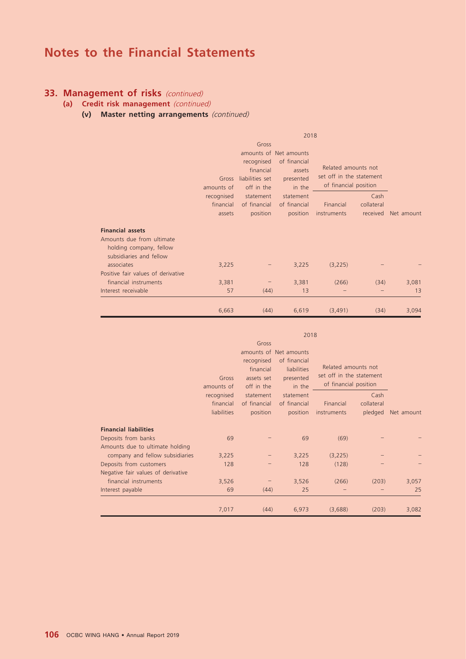## **33. Management of risks** (continued)

 **(a) Credit risk management** (continued)

 **(v) Master netting arrangements** (continued)

|                                    |            |                              | 2018                   |                          |            |            |
|------------------------------------|------------|------------------------------|------------------------|--------------------------|------------|------------|
|                                    |            | Gross                        |                        |                          |            |            |
|                                    |            |                              | amounts of Net amounts |                          |            |            |
|                                    |            | recognised                   | of financial           | Related amounts not      |            |            |
|                                    | Gross      | financial<br>liabilities set | assets<br>presented    | set off in the statement |            |            |
|                                    | amounts of | off in the                   | in the                 | of financial position    |            |            |
|                                    | recognised | statement                    | statement              |                          | Cash       |            |
|                                    | financial  | of financial                 | of financial           | Financial                | collateral |            |
|                                    | assets     | position                     | position               | instruments              | received   | Net amount |
| <b>Financial assets</b>            |            |                              |                        |                          |            |            |
| Amounts due from ultimate          |            |                              |                        |                          |            |            |
| holding company, fellow            |            |                              |                        |                          |            |            |
| subsidiaries and fellow            |            |                              |                        |                          |            |            |
| associates                         | 3,225      |                              | 3,225                  | (3,225)                  |            |            |
| Positive fair values of derivative |            |                              |                        |                          |            |            |
| financial instruments              | 3,381      |                              | 3,381                  | (266)                    | (34)       | 3,081      |
| Interest receivable                | 57         | (44)                         | 13                     |                          |            | 13         |
|                                    | 6,663      | (44)                         | 6,619                  | (3, 491)                 | (34)       | 3,094      |

|                                                        |                         |                                                     | 2018                                               |                                                                          |                    |            |
|--------------------------------------------------------|-------------------------|-----------------------------------------------------|----------------------------------------------------|--------------------------------------------------------------------------|--------------------|------------|
|                                                        |                         | Gross                                               | amounts of Net amounts                             |                                                                          |                    |            |
|                                                        | Gross<br>amounts of     | recognised<br>financial<br>assets set<br>off in the | of financial<br>liabilities<br>presented<br>in the | Related amounts not<br>set off in the statement<br>of financial position |                    |            |
|                                                        | recognised<br>financial | statement<br>of financial                           | statement<br>of financial                          | Financial                                                                | Cash<br>collateral |            |
|                                                        | liabilities             | position                                            | position                                           | instruments                                                              | pledged            | Net amount |
| <b>Financial liabilities</b>                           |                         |                                                     |                                                    |                                                                          |                    |            |
| Deposits from banks<br>Amounts due to ultimate holding | 69                      |                                                     | 69                                                 | (69)                                                                     |                    |            |
| company and fellow subsidiaries                        | 3,225                   |                                                     | 3,225                                              | (3,225)                                                                  |                    |            |
| Deposits from customers                                | 128                     |                                                     | 128                                                | (128)                                                                    |                    |            |
| Negative fair values of derivative                     |                         |                                                     |                                                    |                                                                          |                    |            |
| financial instruments                                  | 3,526                   |                                                     | 3,526                                              | (266)                                                                    | (203)              | 3,057      |
| Interest payable                                       | 69                      | (44)                                                | 25                                                 |                                                                          |                    | 25         |
|                                                        | 7,017                   | (44)                                                | 6,973                                              | (3,688)                                                                  | (203)              | 3,082      |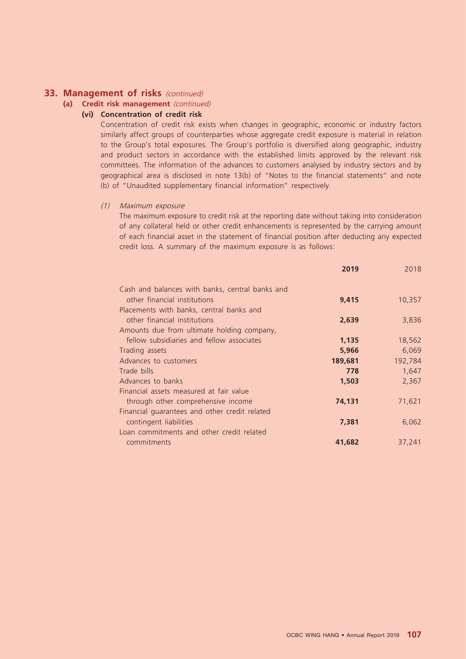## **33. Management of risks** (continued)

## **(a) Credit risk management** (continued)

#### **(vi) Concentration of credit risk**

Concentration of credit risk exists when changes in geographic, economic or industry factors similarly affect groups of counterparties whose aggregate credit exposure is material in relation to the Group's total exposures. The Group's portfolio is diversified along geographic, industry and product sectors in accordance with the established limits approved by the relevant risk committees. The information of the advances to customers analysed by industry sectors and by geographical area is disclosed in note 13(b) of "Notes to the financial statements" and note (b) of "Unaudited supplementary financial information" respectively.

#### (1) Maximum exposure

The maximum exposure to credit risk at the reporting date without taking into consideration of any collateral held or other credit enhancements is represented by the carrying amount of each financial asset in the statement of financial position after deducting any expected credit loss. A summary of the maximum exposure is as follows:

|                                                 | 2019    | 2018    |
|-------------------------------------------------|---------|---------|
| Cash and balances with banks, central banks and |         |         |
| other financial institutions                    | 9,415   | 10,357  |
| Placements with banks, central banks and        |         |         |
| other financial institutions                    | 2,639   | 3,836   |
| Amounts due from ultimate holding company,      |         |         |
| fellow subsidiaries and fellow associates       | 1,135   | 18,562  |
| Trading assets                                  | 5,966   | 6,069   |
| Advances to customers                           | 189,681 | 192,784 |
| Trade bills                                     | 778     | 1,647   |
| Advances to banks                               | 1,503   | 2,367   |
| Financial assets measured at fair value         |         |         |
| through other comprehensive income              | 74,131  | 71,621  |
| Financial guarantees and other credit related   |         |         |
| contingent liabilities                          | 7,381   | 6,062   |
| Loan commitments and other credit related       |         |         |
| commitments                                     | 41,682  | 37,241  |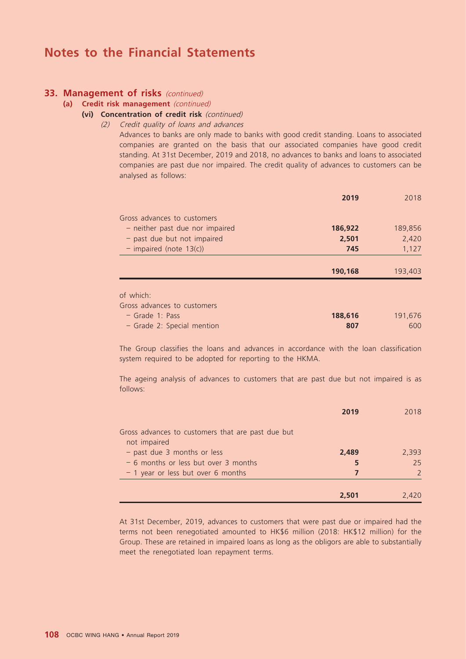### **33. Management of risks** (continued)

 **(a) Credit risk management** (continued)

#### **(vi) Concentration of credit risk** (continued)

(2) Credit quality of loans and advances

Advances to banks are only made to banks with good credit standing. Loans to associated companies are granted on the basis that our associated companies have good credit standing. At 31st December, 2019 and 2018, no advances to banks and loans to associated companies are past due nor impaired. The credit quality of advances to customers can be analysed as follows:

|                                   | 2019    | 2018    |
|-----------------------------------|---------|---------|
| Gross advances to customers       |         |         |
| $-$ neither past due nor impaired | 186,922 | 189,856 |
| - past due but not impaired       | 2,501   | 2,420   |
| - impaired (note $13(c)$ )        | 745     | 1,127   |
|                                   | 190,168 | 193,403 |

of which:

Gross advances to customers

| - Grade 1: Pass              | 188,616 | 191.676 |
|------------------------------|---------|---------|
| $-$ Grade 2: Special mention | 807     | 600     |

The Group classifies the loans and advances in accordance with the loan classification system required to be adopted for reporting to the HKMA.

The ageing analysis of advances to customers that are past due but not impaired is as follows:

|                                                   | 2019  | 2018  |
|---------------------------------------------------|-------|-------|
| Gross advances to customers that are past due but |       |       |
| not impaired                                      |       |       |
| - past due $3$ months or less                     | 2,489 | 2,393 |
| - 6 months or less but over 3 months              | 5     | 25    |
| $-1$ year or less but over 6 months               | 7     |       |
|                                                   |       |       |
|                                                   | 2,501 | 2,420 |

At 31st December, 2019, advances to customers that were past due or impaired had the terms not been renegotiated amounted to HK\$6 million (2018: HK\$12 million) for the Group. These are retained in impaired loans as long as the obligors are able to substantially meet the renegotiated loan repayment terms.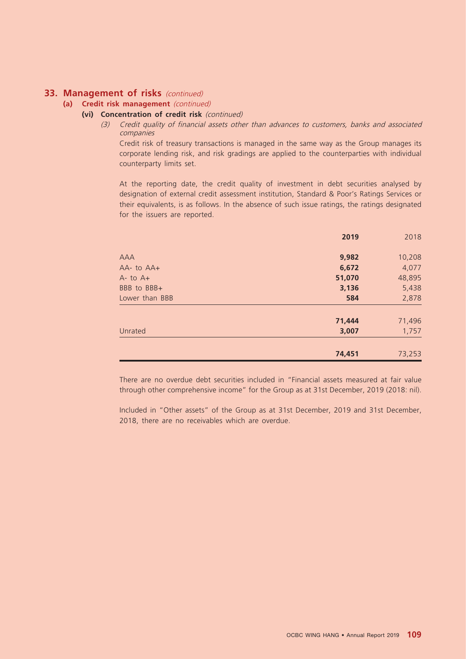## **33. Management of risks** (continued)

## **(a) Credit risk management** (continued)

### **(vi) Concentration of credit risk** (continued)

 (3) Credit quality of financial assets other than advances to customers, banks and associated companies

Credit risk of treasury transactions is managed in the same way as the Group manages its corporate lending risk, and risk gradings are applied to the counterparties with individual counterparty limits set.

At the reporting date, the credit quality of investment in debt securities analysed by designation of external credit assessment institution, Standard & Poor's Ratings Services or their equivalents, is as follows. In the absence of such issue ratings, the ratings designated for the issuers are reported.

|                | 2019   | 2018   |
|----------------|--------|--------|
| <b>AAA</b>     | 9,982  | 10,208 |
| AA- to AA+     | 6,672  | 4,077  |
| $A - to A +$   | 51,070 | 48,895 |
| BBB to BBB+    | 3,136  | 5,438  |
| Lower than BBB | 584    | 2,878  |
|                |        |        |
|                | 71,444 | 71,496 |
| Unrated        | 3,007  | 1,757  |
|                |        |        |
|                | 74,451 | 73,253 |

There are no overdue debt securities included in "Financial assets measured at fair value through other comprehensive income" for the Group as at 31st December, 2019 (2018: nil).

Included in "Other assets" of the Group as at 31st December, 2019 and 31st December, 2018, there are no receivables which are overdue.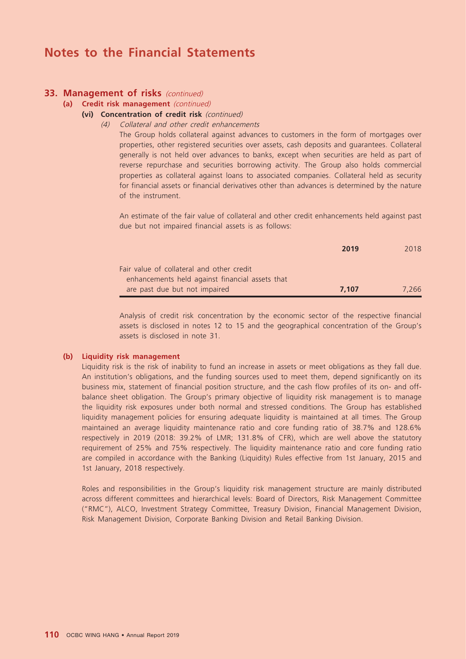### **33. Management of risks** (continued)

 **(a) Credit risk management** (continued)

#### **(vi) Concentration of credit risk** (continued)

(4) Collateral and other credit enhancements

The Group holds collateral against advances to customers in the form of mortgages over properties, other registered securities over assets, cash deposits and guarantees. Collateral generally is not held over advances to banks, except when securities are held as part of reverse repurchase and securities borrowing activity. The Group also holds commercial properties as collateral against loans to associated companies. Collateral held as security for financial assets or financial derivatives other than advances is determined by the nature of the instrument.

An estimate of the fair value of collateral and other credit enhancements held against past due but not impaired financial assets is as follows:

|                                                 | 2019  | 2018  |
|-------------------------------------------------|-------|-------|
| Fair value of collateral and other credit       |       |       |
| enhancements held against financial assets that |       |       |
| are past due but not impaired                   | 7.107 | 7.266 |

Analysis of credit risk concentration by the economic sector of the respective financial assets is disclosed in notes 12 to 15 and the geographical concentration of the Group's assets is disclosed in note 31.

#### **(b) Liquidity risk management**

Liquidity risk is the risk of inability to fund an increase in assets or meet obligations as they fall due. An institution's obligations, and the funding sources used to meet them, depend significantly on its business mix, statement of financial position structure, and the cash flow profiles of its on- and offbalance sheet obligation. The Group's primary objective of liquidity risk management is to manage the liquidity risk exposures under both normal and stressed conditions. The Group has established liquidity management policies for ensuring adequate liquidity is maintained at all times. The Group maintained an average liquidity maintenance ratio and core funding ratio of 38.7% and 128.6% respectively in 2019 (2018: 39.2% of LMR; 131.8% of CFR), which are well above the statutory requirement of 25% and 75% respectively. The liquidity maintenance ratio and core funding ratio are compiled in accordance with the Banking (Liquidity) Rules effective from 1st January, 2015 and 1st January, 2018 respectively.

Roles and responsibilities in the Group's liquidity risk management structure are mainly distributed across different committees and hierarchical levels: Board of Directors, Risk Management Committee ("RMC"), ALCO, Investment Strategy Committee, Treasury Division, Financial Management Division, Risk Management Division, Corporate Banking Division and Retail Banking Division.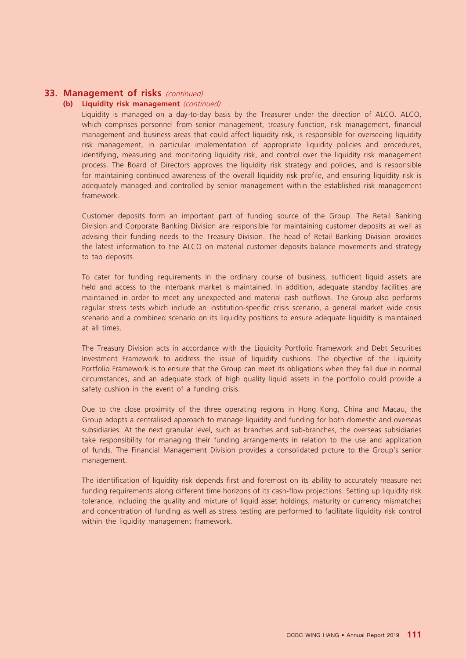## **33. Management of risks** (continued)

### **(b) Liquidity risk management** (continued)

Liquidity is managed on a day-to-day basis by the Treasurer under the direction of ALCO. ALCO, which comprises personnel from senior management, treasury function, risk management, financial management and business areas that could affect liquidity risk, is responsible for overseeing liquidity risk management, in particular implementation of appropriate liquidity policies and procedures, identifying, measuring and monitoring liquidity risk, and control over the liquidity risk management process. The Board of Directors approves the liquidity risk strategy and policies, and is responsible for maintaining continued awareness of the overall liquidity risk profile, and ensuring liquidity risk is adequately managed and controlled by senior management within the established risk management framework.

Customer deposits form an important part of funding source of the Group. The Retail Banking Division and Corporate Banking Division are responsible for maintaining customer deposits as well as advising their funding needs to the Treasury Division. The head of Retail Banking Division provides the latest information to the ALCO on material customer deposits balance movements and strategy to tap deposits.

To cater for funding requirements in the ordinary course of business, sufficient liquid assets are held and access to the interbank market is maintained. In addition, adequate standby facilities are maintained in order to meet any unexpected and material cash outflows. The Group also performs regular stress tests which include an institution-specific crisis scenario, a general market wide crisis scenario and a combined scenario on its liquidity positions to ensure adequate liquidity is maintained at all times.

The Treasury Division acts in accordance with the Liquidity Portfolio Framework and Debt Securities Investment Framework to address the issue of liquidity cushions. The objective of the Liquidity Portfolio Framework is to ensure that the Group can meet its obligations when they fall due in normal circumstances, and an adequate stock of high quality liquid assets in the portfolio could provide a safety cushion in the event of a funding crisis.

Due to the close proximity of the three operating regions in Hong Kong, China and Macau, the Group adopts a centralised approach to manage liquidity and funding for both domestic and overseas subsidiaries. At the next granular level, such as branches and sub-branches, the overseas subsidiaries take responsibility for managing their funding arrangements in relation to the use and application of funds. The Financial Management Division provides a consolidated picture to the Group's senior management.

The identification of liquidity risk depends first and foremost on its ability to accurately measure net funding requirements along different time horizons of its cash-flow projections. Setting up liquidity risk tolerance, including the quality and mixture of liquid asset holdings, maturity or currency mismatches and concentration of funding as well as stress testing are performed to facilitate liquidity risk control within the liquidity management framework.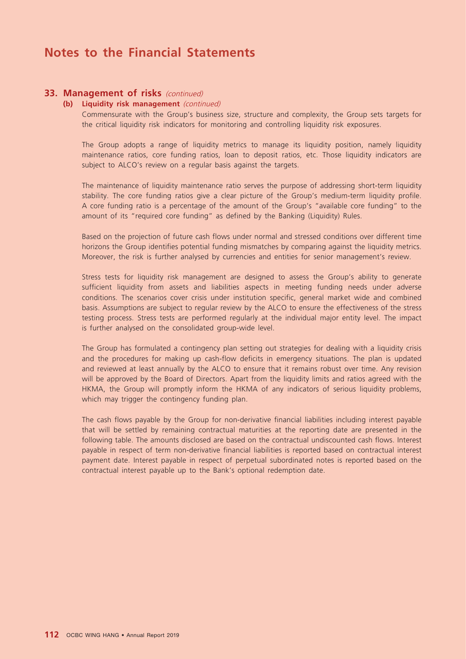## **33. Management of risks** (continued)

#### **(b) Liquidity risk management** (continued)

Commensurate with the Group's business size, structure and complexity, the Group sets targets for the critical liquidity risk indicators for monitoring and controlling liquidity risk exposures.

The Group adopts a range of liquidity metrics to manage its liquidity position, namely liquidity maintenance ratios, core funding ratios, loan to deposit ratios, etc. Those liquidity indicators are subject to ALCO's review on a regular basis against the targets.

The maintenance of liquidity maintenance ratio serves the purpose of addressing short-term liquidity stability. The core funding ratios give a clear picture of the Group's medium-term liquidity profile. A core funding ratio is a percentage of the amount of the Group's "available core funding" to the amount of its "required core funding" as defined by the Banking (Liquidity) Rules.

Based on the projection of future cash flows under normal and stressed conditions over different time horizons the Group identifies potential funding mismatches by comparing against the liquidity metrics. Moreover, the risk is further analysed by currencies and entities for senior management's review.

Stress tests for liquidity risk management are designed to assess the Group's ability to generate sufficient liquidity from assets and liabilities aspects in meeting funding needs under adverse conditions. The scenarios cover crisis under institution specific, general market wide and combined basis. Assumptions are subject to regular review by the ALCO to ensure the effectiveness of the stress testing process. Stress tests are performed regularly at the individual major entity level. The impact is further analysed on the consolidated group-wide level.

The Group has formulated a contingency plan setting out strategies for dealing with a liquidity crisis and the procedures for making up cash-flow deficits in emergency situations. The plan is updated and reviewed at least annually by the ALCO to ensure that it remains robust over time. Any revision will be approved by the Board of Directors. Apart from the liquidity limits and ratios agreed with the HKMA, the Group will promptly inform the HKMA of any indicators of serious liquidity problems, which may trigger the contingency funding plan.

The cash flows payable by the Group for non-derivative financial liabilities including interest payable that will be settled by remaining contractual maturities at the reporting date are presented in the following table. The amounts disclosed are based on the contractual undiscounted cash flows. Interest payable in respect of term non-derivative financial liabilities is reported based on contractual interest payment date. Interest payable in respect of perpetual subordinated notes is reported based on the contractual interest payable up to the Bank's optional redemption date.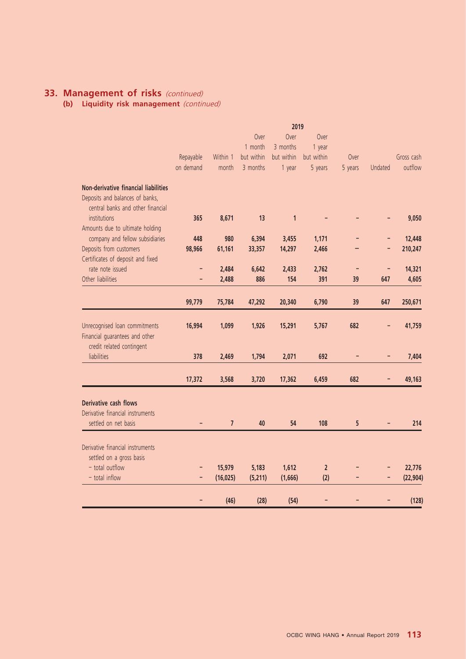### **33. Management of risks** (continued)

**(b)** Liquidity risk management *(continued)* 

|                                                                      |           |                |            | <b>2019</b>  |                |         |         |            |
|----------------------------------------------------------------------|-----------|----------------|------------|--------------|----------------|---------|---------|------------|
|                                                                      |           |                | Over       | Over         | Over           |         |         |            |
|                                                                      |           |                | 1 month    | 3 months     | 1 year         |         |         |            |
|                                                                      | Repayable | Within 1       | but within | but within   | but within     | Over    |         | Gross cash |
|                                                                      | on demand | month          | 3 months   | 1 year       | 5 years        | 5 years | Undated | outflow    |
| Non-derivative financial liabilities                                 |           |                |            |              |                |         |         |            |
| Deposits and balances of banks,<br>central banks and other financial |           |                |            |              |                |         |         |            |
| institutions                                                         | 365       | 8,671          | 13         | $\mathbf{1}$ |                |         |         | 9,050      |
| Amounts due to ultimate holding                                      |           |                |            |              |                |         |         |            |
| company and fellow subsidiaries                                      | 448       | 980            | 6,394      | 3,455        | 1,171          |         |         | 12,448     |
| Deposits from customers                                              | 98,966    | 61,161         | 33,357     | 14,297       | 2,466          |         |         | 210,247    |
| Certificates of deposit and fixed                                    |           |                |            |              |                |         |         |            |
| rate note issued                                                     | -         | 2,484          | 6,642      | 2,433        | 2,762          |         |         | 14,321     |
| Other liabilities                                                    | -         | 2,488          | 886        | 154          | 391            | 39      | 647     | 4,605      |
|                                                                      |           |                |            |              |                |         |         |            |
|                                                                      | 99,779    | 75,784         | 47,292     | 20,340       | 6,790          | 39      | 647     | 250,671    |
| Unrecognised loan commitments                                        | 16,994    | 1,099          | 1,926      | 15,291       | 5,767          | 682     |         | 41,759     |
| Financial guarantees and other<br>credit related contingent          |           |                |            |              |                |         |         |            |
| liabilities                                                          | 378       | 2,469          | 1,794      | 2,071        | 692            |         |         | 7,404      |
|                                                                      | 17,372    | 3,568          | 3,720      | 17,362       | 6,459          | 682     |         | 49,163     |
|                                                                      |           |                |            |              |                |         |         |            |
| Derivative cash flows                                                |           |                |            |              |                |         |         |            |
| Derivative financial instruments                                     |           |                |            |              |                |         |         |            |
| settled on net basis                                                 |           | $\overline{7}$ | 40         | 54           | 108            | 5       |         | 214        |
| Derivative financial instruments                                     |           |                |            |              |                |         |         |            |
|                                                                      |           |                |            |              |                |         |         |            |
| settled on a gross basis                                             |           |                |            |              |                |         |         |            |
| - total outflow                                                      | -         | 15,979         | 5,183      | 1,612        | $\overline{2}$ |         |         | 22,776     |
| - total inflow                                                       | -         | (16, 025)      | (5,211)    | (1,666)      | (2)            | -       |         | (22, 904)  |
|                                                                      |           | (46)           | (28)       | (54)         |                |         |         | (128)      |
|                                                                      |           |                |            |              |                |         |         |            |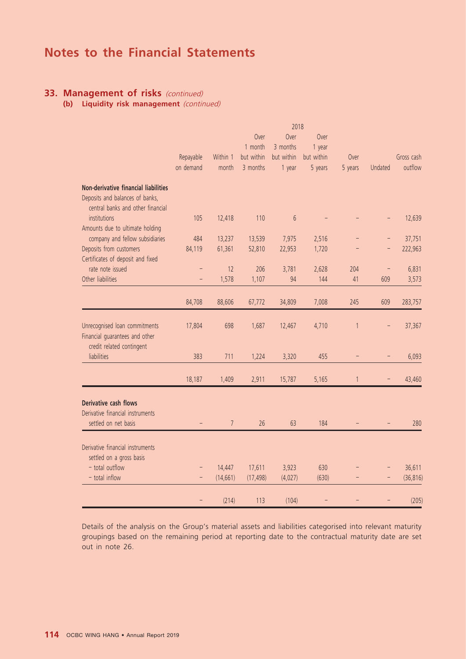## **33. Management of risks** (continued)

 **(b) Liquidity risk management** (continued)

|                                                                      |                   |                |            | 2018            |            |              |                          |            |
|----------------------------------------------------------------------|-------------------|----------------|------------|-----------------|------------|--------------|--------------------------|------------|
|                                                                      |                   |                | Over       | Over            | Over       |              |                          |            |
|                                                                      |                   |                | 1 month    | 3 months        | 1 year     |              |                          |            |
|                                                                      | Repayable         | Within 1       | but within | but within      | but within | Over         |                          | Gross cash |
|                                                                      | on demand         | month          | 3 months   | 1 year          | 5 years    | 5 years      | Undated                  | outflow    |
| Non-derivative financial liabilities                                 |                   |                |            |                 |            |              |                          |            |
| Deposits and balances of banks,<br>central banks and other financial |                   |                |            |                 |            |              |                          |            |
| institutions                                                         | 105               | 12,418         | 110        | $6\phantom{.}6$ |            |              |                          | 12,639     |
| Amounts due to ultimate holding                                      |                   |                |            |                 |            |              |                          |            |
| company and fellow subsidiaries                                      | 484               | 13,237         | 13,539     | 7,975           | 2,516      |              |                          | 37,751     |
| Deposits from customers                                              | 84,119            | 61,361         | 52,810     | 22,953          | 1,720      |              |                          | 222,963    |
| Certificates of deposit and fixed                                    |                   |                |            |                 |            |              |                          |            |
| rate note issued                                                     | $\qquad \qquad -$ | 12             | 206        | 3,781           | 2,628      | 204          | $\overline{\phantom{0}}$ | 6,831      |
| Other liabilities                                                    |                   | 1,578          | 1,107      | 94              | 144        | 41           | 609                      | 3,573      |
|                                                                      |                   |                |            |                 |            |              |                          |            |
|                                                                      | 84,708            | 88,606         | 67,772     | 34,809          | 7,008      | 245          | 609                      | 283,757    |
| Unrecognised loan commitments                                        | 17,804            | 698            | 1,687      | 12,467          | 4,710      | $\mathbf{1}$ |                          | 37,367     |
| Financial guarantees and other<br>credit related contingent          |                   |                |            |                 |            |              |                          |            |
| liabilities                                                          | 383               | 711            | 1,224      | 3,320           | 455        |              |                          | 6,093      |
|                                                                      | 18,187            | 1,409          | 2,911      | 15,787          | 5,165      | $\mathbf{1}$ |                          | 43,460     |
|                                                                      |                   |                |            |                 |            |              |                          |            |
| Derivative cash flows                                                |                   |                |            |                 |            |              |                          |            |
| Derivative financial instruments                                     |                   |                |            |                 |            |              |                          |            |
| settled on net basis                                                 |                   | $\overline{7}$ | 26         | 63              | 184        |              |                          | 280        |
| Derivative financial instruments                                     |                   |                |            |                 |            |              |                          |            |
| settled on a gross basis                                             |                   |                |            |                 |            |              |                          |            |
| - total outflow                                                      |                   | 14,447         | 17,611     | 3,923           | 630        |              |                          | 36,611     |
| - total inflow                                                       |                   | (14, 661)      | (17, 498)  | (4,027)         | (630)      |              |                          | (36, 816)  |
|                                                                      |                   |                |            |                 |            |              |                          |            |
|                                                                      |                   | (214)          | 113        | (104)           |            |              |                          | (205)      |

Details of the analysis on the Group's material assets and liabilities categorised into relevant maturity groupings based on the remaining period at reporting date to the contractual maturity date are set out in note 26.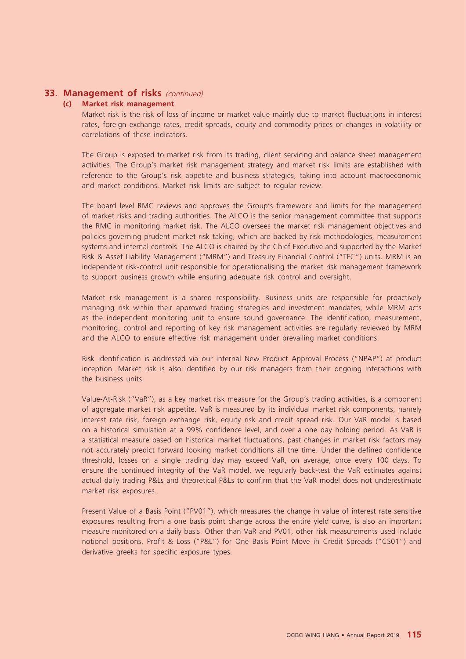## **33. Management of risks** (continued)

### **(c) Market risk management**

Market risk is the risk of loss of income or market value mainly due to market fluctuations in interest rates, foreign exchange rates, credit spreads, equity and commodity prices or changes in volatility or correlations of these indicators.

The Group is exposed to market risk from its trading, client servicing and balance sheet management activities. The Group's market risk management strategy and market risk limits are established with reference to the Group's risk appetite and business strategies, taking into account macroeconomic and market conditions. Market risk limits are subject to regular review.

The board level RMC reviews and approves the Group's framework and limits for the management of market risks and trading authorities. The ALCO is the senior management committee that supports the RMC in monitoring market risk. The ALCO oversees the market risk management objectives and policies governing prudent market risk taking, which are backed by risk methodologies, measurement systems and internal controls. The ALCO is chaired by the Chief Executive and supported by the Market Risk & Asset Liability Management ("MRM") and Treasury Financial Control ("TFC") units. MRM is an independent risk-control unit responsible for operationalising the market risk management framework to support business growth while ensuring adequate risk control and oversight.

Market risk management is a shared responsibility. Business units are responsible for proactively managing risk within their approved trading strategies and investment mandates, while MRM acts as the independent monitoring unit to ensure sound governance. The identification, measurement, monitoring, control and reporting of key risk management activities are regularly reviewed by MRM and the ALCO to ensure effective risk management under prevailing market conditions.

Risk identification is addressed via our internal New Product Approval Process ("NPAP") at product inception. Market risk is also identified by our risk managers from their ongoing interactions with the business units.

Value-At-Risk ("VaR"), as a key market risk measure for the Group's trading activities, is a component of aggregate market risk appetite. VaR is measured by its individual market risk components, namely interest rate risk, foreign exchange risk, equity risk and credit spread risk. Our VaR model is based on a historical simulation at a 99% confidence level, and over a one day holding period. As VaR is a statistical measure based on historical market fluctuations, past changes in market risk factors may not accurately predict forward looking market conditions all the time. Under the defined confidence threshold, losses on a single trading day may exceed VaR, on average, once every 100 days. To ensure the continued integrity of the VaR model, we regularly back-test the VaR estimates against actual daily trading P&Ls and theoretical P&Ls to confirm that the VaR model does not underestimate market risk exposures.

Present Value of a Basis Point ("PV01"), which measures the change in value of interest rate sensitive exposures resulting from a one basis point change across the entire yield curve, is also an important measure monitored on a daily basis. Other than VaR and PV01, other risk measurements used include notional positions, Profit & Loss ("P&L") for One Basis Point Move in Credit Spreads ("CS01") and derivative greeks for specific exposure types.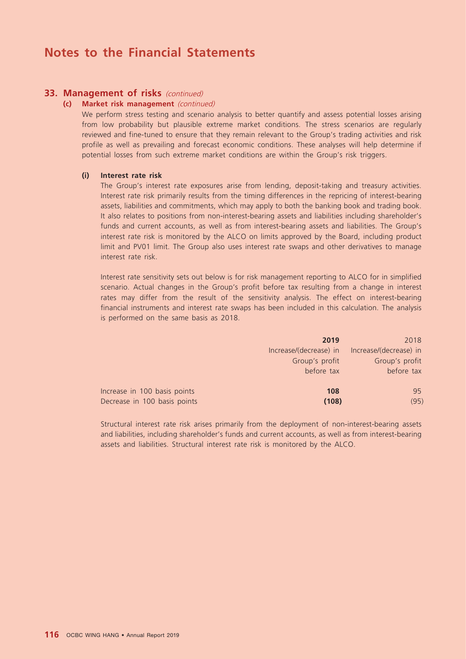## **33. Management of risks** (continued)

#### **(c) Market risk management** (continued)

We perform stress testing and scenario analysis to better quantify and assess potential losses arising from low probability but plausible extreme market conditions. The stress scenarios are regularly reviewed and fine-tuned to ensure that they remain relevant to the Group's trading activities and risk profile as well as prevailing and forecast economic conditions. These analyses will help determine if potential losses from such extreme market conditions are within the Group's risk triggers.

#### **(i) Interest rate risk**

The Group's interest rate exposures arise from lending, deposit-taking and treasury activities. Interest rate risk primarily results from the timing differences in the repricing of interest-bearing assets, liabilities and commitments, which may apply to both the banking book and trading book. It also relates to positions from non-interest-bearing assets and liabilities including shareholder's funds and current accounts, as well as from interest-bearing assets and liabilities. The Group's interest rate risk is monitored by the ALCO on limits approved by the Board, including product limit and PV01 limit. The Group also uses interest rate swaps and other derivatives to manage interest rate risk.

Interest rate sensitivity sets out below is for risk management reporting to ALCO for in simplified scenario. Actual changes in the Group's profit before tax resulting from a change in interest rates may differ from the result of the sensitivity analysis. The effect on interest-bearing financial instruments and interest rate swaps has been included in this calculation. The analysis is performed on the same basis as 2018.

|                              | 2019                   | 2018                   |
|------------------------------|------------------------|------------------------|
|                              | Increase/(decrease) in | Increase/(decrease) in |
|                              | Group's profit         | Group's profit         |
|                              | before tax             | before tax             |
| Increase in 100 basis points | 108                    | 95                     |
| Decrease in 100 basis points | (108)                  | (95)                   |

Structural interest rate risk arises primarily from the deployment of non-interest-bearing assets and liabilities, including shareholder's funds and current accounts, as well as from interest-bearing assets and liabilities. Structural interest rate risk is monitored by the ALCO.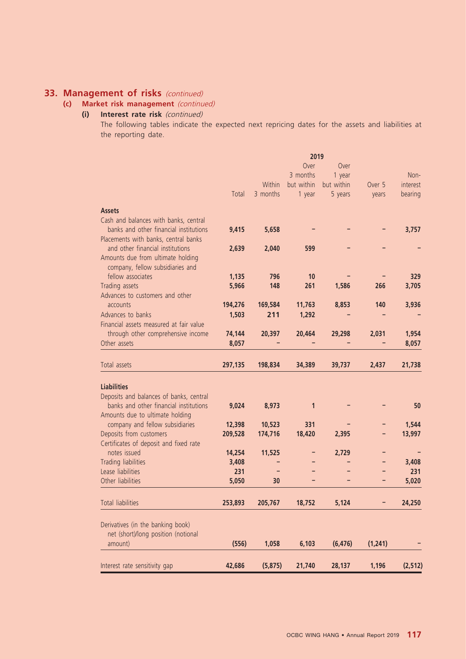## **33. Management of risks** (continued)

## **(c) Market risk management** (continued)

## **(i) Interest rate risk** (continued)

The following tables indicate the expected next repricing dates for the assets and liabilities at the reporting date.

|                                         |         |          | 2019        |            |          |          |
|-----------------------------------------|---------|----------|-------------|------------|----------|----------|
|                                         |         |          | Over        | Over       |          |          |
|                                         |         |          | 3 months    | 1 year     |          | Non-     |
|                                         |         | Within   | but within  | but within | Over 5   | interest |
|                                         | Total   | 3 months | 1 year      | 5 years    | years    | bearing  |
| <b>Assets</b>                           |         |          |             |            |          |          |
| Cash and balances with banks, central   |         |          |             |            |          |          |
| banks and other financial institutions  | 9,415   | 5,658    |             |            |          | 3,757    |
| Placements with banks, central banks    |         |          |             |            |          |          |
| and other financial institutions        | 2,639   | 2,040    | 599         |            |          |          |
| Amounts due from ultimate holding       |         |          |             |            |          |          |
| company, fellow subsidiaries and        |         |          |             |            |          |          |
| fellow associates                       | 1,135   | 796      | 10          |            |          | 329      |
| Trading assets                          | 5,966   | 148      | 261         | 1,586      | 266      | 3,705    |
| Advances to customers and other         |         |          |             |            |          |          |
| accounts                                | 194,276 | 169,584  | 11,763      | 8,853      | 140      | 3,936    |
| Advances to banks                       | 1,503   | 211      | 1,292       |            |          |          |
| Financial assets measured at fair value |         |          |             |            |          |          |
| through other comprehensive income      | 74,144  | 20,397   | 20,464      | 29,298     | 2,031    | 1,954    |
| Other assets                            | 8,057   |          |             |            |          | 8,057    |
|                                         |         |          |             |            |          |          |
| Total assets                            | 297,135 | 198,834  | 34,389      | 39,737     | 2,437    | 21,738   |
| <b>Liabilities</b>                      |         |          |             |            |          |          |
| Deposits and balances of banks, central |         |          |             |            |          |          |
| banks and other financial institutions  | 9,024   | 8,973    | $\mathbf 1$ |            |          | 50       |
| Amounts due to ultimate holding         |         |          |             |            |          |          |
| company and fellow subsidiaries         | 12,398  | 10,523   | 331         |            |          | 1,544    |
| Deposits from customers                 | 209,528 | 174,716  | 18,420      | 2,395      |          | 13,997   |
| Certificates of deposit and fixed rate  |         |          |             |            |          |          |
| notes issued                            | 14,254  | 11,525   |             | 2,729      |          |          |
| <b>Trading liabilities</b>              | 3,408   |          |             |            |          | 3,408    |
| Lease liabilities                       | 231     |          |             |            |          | 231      |
| Other liabilities                       | 5,050   | 30       |             |            |          | 5,020    |
|                                         |         |          |             |            |          |          |
| <b>Total liabilities</b>                | 253,893 | 205,767  | 18,752      | 5,124      |          | 24,250   |
|                                         |         |          |             |            |          |          |
| Derivatives (in the banking book)       |         |          |             |            |          |          |
| net (short)/long position (notional     |         |          |             |            |          |          |
| amount)                                 | (556)   | 1,058    | 6,103       | (6, 476)   | (1, 241) |          |
| Interest rate sensitivity gap           | 42,686  | (5, 875) | 21,740      | 28,137     | 1,196    | (2, 512) |
|                                         |         |          |             |            |          |          |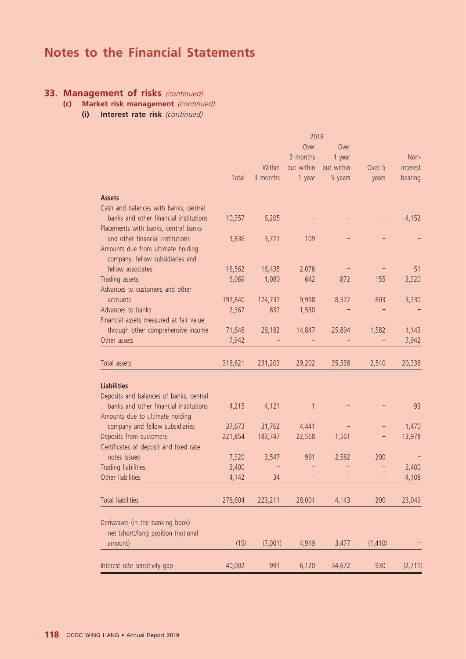## **33. Management of risks** (continued)

- **(c) Market risk management** (continued)
	- **(i) Interest rate risk** (continued)

|         |                                                               | Over                                                 | Over                                            |                                 |                 |
|---------|---------------------------------------------------------------|------------------------------------------------------|-------------------------------------------------|---------------------------------|-----------------|
|         |                                                               | 3 months                                             | 1 year                                          |                                 | Non-            |
|         | Within                                                        | but within                                           | but within                                      | Over 5                          | interest        |
| Total   | 3 months                                                      | 1 year                                               | 5 years                                         | years                           | bearing         |
|         |                                                               |                                                      |                                                 |                                 |                 |
|         |                                                               |                                                      |                                                 |                                 |                 |
| 10,357  | 6,205                                                         |                                                      |                                                 |                                 | 4,152           |
|         |                                                               |                                                      |                                                 |                                 |                 |
| 3,836   | 3,727                                                         | 109                                                  |                                                 |                                 |                 |
|         |                                                               |                                                      |                                                 |                                 |                 |
|         |                                                               |                                                      |                                                 |                                 |                 |
| 18,562  | 16,435                                                        | 2,076                                                |                                                 |                                 | 51              |
| 6,069   | 1,080                                                         | 642                                                  | 872                                             | 155                             | 3,320           |
|         |                                                               |                                                      |                                                 |                                 |                 |
| 197,840 | 174,737                                                       | 9,998                                                | 8,572                                           | 803                             | 3,730           |
| 2,367   | 837                                                           | 1,530                                                |                                                 |                                 |                 |
|         |                                                               |                                                      |                                                 |                                 |                 |
| 71,648  | 28,182                                                        | 14,847                                               | 25,894                                          | 1,582                           | 1,143           |
| 7,942   |                                                               |                                                      |                                                 |                                 | 7,942           |
| 318,621 | 231,203                                                       | 29,202                                               | 35,338                                          | 2,540                           | 20,338          |
|         |                                                               |                                                      |                                                 |                                 |                 |
|         |                                                               |                                                      |                                                 |                                 |                 |
|         |                                                               |                                                      |                                                 |                                 | 93              |
|         |                                                               |                                                      |                                                 |                                 |                 |
|         |                                                               |                                                      |                                                 |                                 | 1,470           |
|         |                                                               |                                                      |                                                 |                                 | 13,978          |
|         |                                                               |                                                      |                                                 |                                 |                 |
|         |                                                               |                                                      |                                                 |                                 |                 |
|         |                                                               |                                                      |                                                 |                                 | 3,400           |
|         |                                                               |                                                      |                                                 |                                 | 4,108           |
|         |                                                               |                                                      |                                                 |                                 |                 |
| 278,604 | 223,211                                                       | 28,001                                               | 4,143                                           | 200                             | 23,049          |
|         |                                                               |                                                      |                                                 |                                 |                 |
|         |                                                               |                                                      |                                                 |                                 |                 |
|         |                                                               |                                                      |                                                 |                                 |                 |
|         |                                                               |                                                      |                                                 |                                 |                 |
| 40,002  | 991                                                           | 6,120                                                | 34,672                                          | 930                             | (2,711)         |
|         | 4,215<br>37,673<br>221,854<br>7,320<br>3,400<br>4,142<br>(15) | 4,121<br>31,762<br>183,747<br>3,547<br>34<br>(7,001) | $\mathbf{1}$<br>4,441<br>22,568<br>991<br>4,919 | 2018<br>1,561<br>2,582<br>3,477 | 200<br>(1, 410) |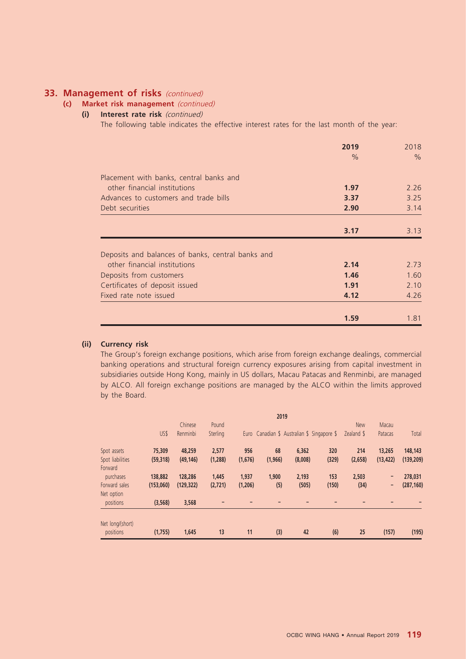## **33. Management of risks** (continued)

## **(c) Market risk management** (continued)

#### **(i) Interest rate risk** (continued)

The following table indicates the effective interest rates for the last month of the year:

|                                                   | 2019 | 2018 |
|---------------------------------------------------|------|------|
|                                                   | $\%$ | $\%$ |
| Placement with banks, central banks and           |      |      |
| other financial institutions                      | 1.97 | 2.26 |
| Advances to customers and trade bills             | 3.37 | 3.25 |
| Debt securities                                   | 2.90 | 3.14 |
|                                                   | 3.17 | 3.13 |
| Deposits and balances of banks, central banks and |      |      |
| other financial institutions                      | 2.14 | 2.73 |
| Deposits from customers                           | 1.46 | 1.60 |
| Certificates of deposit issued                    | 1.91 | 2.10 |
| Fixed rate note issued                            | 4.12 | 4.26 |
|                                                   | 1.59 | 1.81 |

### **(ii) Currency risk**

The Group's foreign exchange positions, which arise from foreign exchange dealings, commercial banking operations and structural foreign currency exposures arising from capital investment in subsidiaries outside Hong Kong, mainly in US dollars, Macau Patacas and Renminbi, are managed by ALCO. All foreign exchange positions are managed by the ALCO within the limits approved by the Board.

|                  |           |            |          |         |         | 2019    |                                             |            |           |            |
|------------------|-----------|------------|----------|---------|---------|---------|---------------------------------------------|------------|-----------|------------|
|                  |           | Chinese    | Pound    |         |         |         |                                             | <b>New</b> | Macau     |            |
|                  | US\$      | Renminbi   | Sterling |         |         |         | Euro Canadian \$ Australian \$ Singapore \$ | Zealand \$ | Patacas   | Total      |
| Spot assets      | 75,309    | 48.259     | 2,577    | 956     | 68      | 6,362   | 320                                         | 214        | 13,265    | 148,143    |
| Spot liabilities | (59, 318) | (49, 146)  | (1, 288) | (1,676) | (1,966) | (8,008) | (329)                                       | (2,658)    | (13, 422) | (139, 209) |
| Forward          |           |            |          |         |         |         |                                             |            |           |            |
| purchases        | 138,882   | 128,286    | 1,445    | 1,937   | 1,900   | 2,193   | 153                                         | 2,503      | ۰         | 278,031    |
| Forward sales    | (153,060) | (129, 322) | (2,721)  | (1,206) | (5)     | (505)   | (150)                                       | (34)       | -         | (287, 160) |
| Net option       |           |            |          |         |         |         |                                             |            |           |            |
| positions        | (3, 568)  | 3,568      |          |         |         |         |                                             |            |           |            |
| Net long/(short) |           |            |          |         |         |         |                                             |            |           |            |
| positions        | (1,755)   | 1,645      | 13       | 11      | (3)     | 42      | (6)                                         | 25         | (157)     | (195)      |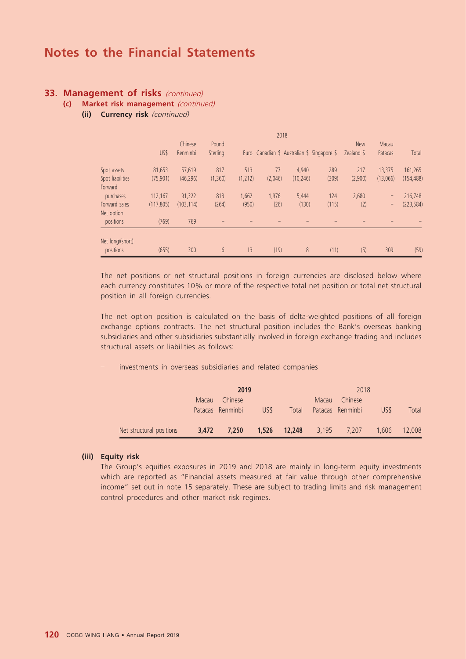#### **33. Management of risks** (continued)

- **(c) Market risk management** (continued)
	- **(ii) Currency risk** (continued)

|                  |            |            |          |         |         | 2018                                        |       |            |                   |            |
|------------------|------------|------------|----------|---------|---------|---------------------------------------------|-------|------------|-------------------|------------|
|                  |            | Chinese    | Pound    |         |         |                                             |       | <b>New</b> | Macau             |            |
|                  | US\$       | Renminbi   | Sterling |         |         | Euro Canadian \$ Australian \$ Singapore \$ |       | Zealand \$ | Patacas           | Total      |
| Spot assets      | 81,653     | 57,619     | 817      | 513     | 77      | 4,940                                       | 289   | 217        | 13,375            | 161,265    |
| Spot liabilities | (75, 901)  | (46, 296)  | (1,360)  | (1,212) | (2,046) | (10, 246)                                   | (309) | (2,900)    | (13,066)          | (154, 488) |
| Forward          |            |            |          |         |         |                                             |       |            |                   |            |
| purchases        | 112.167    | 91,322     | 813      | 1.662   | 1.976   | 5,444                                       | 124   | 2,680      | $\qquad \qquad -$ | 216,748    |
| Forward sales    | (117, 805) | (103, 114) | (264)    | (950)   | (26)    | (130)                                       | (115) | (2)        | $\qquad \qquad -$ | (223, 584) |
| Net option       |            |            |          |         |         |                                             |       |            |                   |            |
| positions        | (769)      | 769        |          |         |         |                                             |       |            |                   |            |
| Net long/(short) |            |            |          |         |         |                                             |       |            |                   |            |
| positions        | (655)      | 300        | 6        | 13      | (19)    | 8                                           | (11)  | (5)        | 309               | (59)       |

The net positions or net structural positions in foreign currencies are disclosed below where each currency constitutes 10% or more of the respective total net position or total net structural position in all foreign currencies.

The net option position is calculated on the basis of delta-weighted positions of all foreign exchange options contracts. The net structural position includes the Bank's overseas banking subsidiaries and other subsidiaries substantially involved in foreign exchange trading and includes structural assets or liabilities as follows:

investments in overseas subsidiaries and related companies

|                          | 2019  |                  |      |                                 | 2018             |       |        |
|--------------------------|-------|------------------|------|---------------------------------|------------------|-------|--------|
|                          | Macau | Chinese          |      |                                 | Macau Chinese    |       |        |
|                          |       | Patacas Renminbi | US\$ | Total                           | Patacas Renminbi | US\$  | Total  |
| Net structural positions | 3,472 | 7.250            |      | <b>1,526 12,248</b> 3,195 7,207 |                  | 1.606 | 12,008 |

#### **(iii) Equity risk**

The Group's equities exposures in 2019 and 2018 are mainly in long-term equity investments which are reported as "Financial assets measured at fair value through other comprehensive income" set out in note 15 separately. These are subject to trading limits and risk management control procedures and other market risk regimes.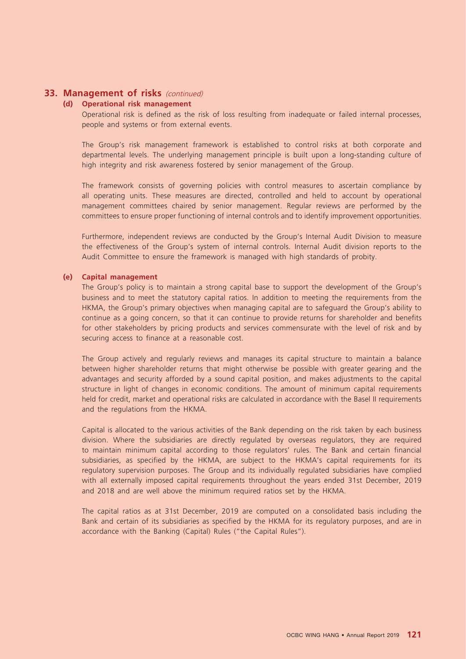## **33. Management of risks** (continued)

### **(d) Operational risk management**

Operational risk is defined as the risk of loss resulting from inadequate or failed internal processes, people and systems or from external events.

The Group's risk management framework is established to control risks at both corporate and departmental levels. The underlying management principle is built upon a long-standing culture of high integrity and risk awareness fostered by senior management of the Group.

The framework consists of governing policies with control measures to ascertain compliance by all operating units. These measures are directed, controlled and held to account by operational management committees chaired by senior management. Regular reviews are performed by the committees to ensure proper functioning of internal controls and to identify improvement opportunities.

Furthermore, independent reviews are conducted by the Group's Internal Audit Division to measure the effectiveness of the Group's system of internal controls. Internal Audit division reports to the Audit Committee to ensure the framework is managed with high standards of probity.

#### **(e) Capital management**

The Group's policy is to maintain a strong capital base to support the development of the Group's business and to meet the statutory capital ratios. In addition to meeting the requirements from the HKMA, the Group's primary objectives when managing capital are to safeguard the Group's ability to continue as a going concern, so that it can continue to provide returns for shareholder and benefits for other stakeholders by pricing products and services commensurate with the level of risk and by securing access to finance at a reasonable cost.

The Group actively and regularly reviews and manages its capital structure to maintain a balance between higher shareholder returns that might otherwise be possible with greater gearing and the advantages and security afforded by a sound capital position, and makes adjustments to the capital structure in light of changes in economic conditions. The amount of minimum capital requirements held for credit, market and operational risks are calculated in accordance with the Basel II requirements and the regulations from the HKMA.

Capital is allocated to the various activities of the Bank depending on the risk taken by each business division. Where the subsidiaries are directly regulated by overseas regulators, they are required to maintain minimum capital according to those regulators' rules. The Bank and certain financial subsidiaries, as specified by the HKMA, are subject to the HKMA's capital requirements for its regulatory supervision purposes. The Group and its individually regulated subsidiaries have complied with all externally imposed capital requirements throughout the years ended 31st December, 2019 and 2018 and are well above the minimum required ratios set by the HKMA.

The capital ratios as at 31st December, 2019 are computed on a consolidated basis including the Bank and certain of its subsidiaries as specified by the HKMA for its regulatory purposes, and are in accordance with the Banking (Capital) Rules ("the Capital Rules").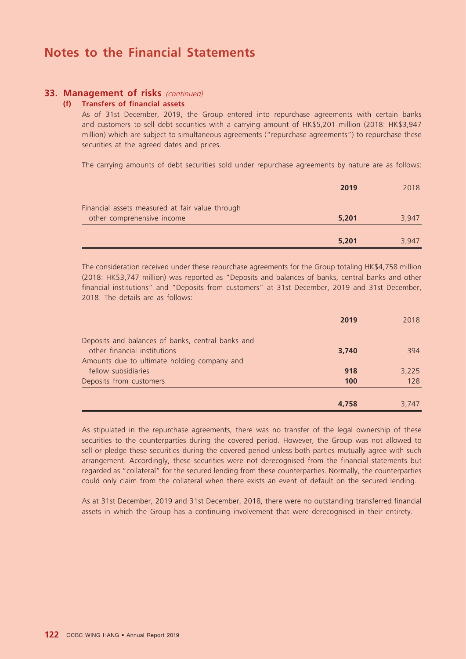## **33. Management of risks** (continued)

#### **(f) Transfers of financial assets**

As of 31st December, 2019, the Group entered into repurchase agreements with certain banks and customers to sell debt securities with a carrying amount of HK\$5,201 million (2018: HK\$3,947 million) which are subject to simultaneous agreements ("repurchase agreements") to repurchase these securities at the agreed dates and prices.

The carrying amounts of debt securities sold under repurchase agreements by nature are as follows:

|                                                 | 2019  | 2018  |
|-------------------------------------------------|-------|-------|
| Financial assets measured at fair value through |       |       |
| other comprehensive income                      | 5,201 | 3,947 |
|                                                 |       |       |
|                                                 | 5,201 | 3,947 |

The consideration received under these repurchase agreements for the Group totaling HK\$4,758 million (2018: HK\$3,747 million) was reported as "Deposits and balances of banks, central banks and other financial institutions" and "Deposits from customers" at 31st December, 2019 and 31st December, 2018. The details are as follows:

|                                                   | 2019  | 2018  |
|---------------------------------------------------|-------|-------|
| Deposits and balances of banks, central banks and |       |       |
| other financial institutions                      | 3,740 | 394   |
| Amounts due to ultimate holding company and       |       |       |
| fellow subsidiaries                               | 918   | 3,225 |
| Deposits from customers                           | 100   | 128   |
|                                                   |       |       |
|                                                   | 4,758 | 3.747 |

As stipulated in the repurchase agreements, there was no transfer of the legal ownership of these securities to the counterparties during the covered period. However, the Group was not allowed to sell or pledge these securities during the covered period unless both parties mutually agree with such arrangement. Accordingly, these securities were not derecognised from the financial statements but regarded as "collateral" for the secured lending from these counterparties. Normally, the counterparties could only claim from the collateral when there exists an event of default on the secured lending.

As at 31st December, 2019 and 31st December, 2018, there were no outstanding transferred financial assets in which the Group has a continuing involvement that were derecognised in their entirety.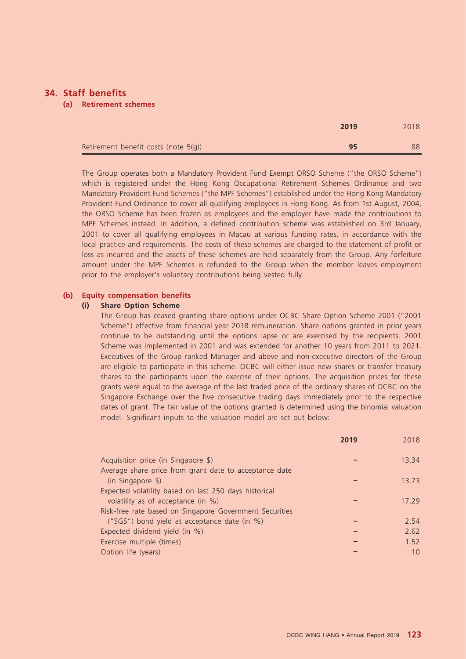## **34. Staff benefits**

## **(a) Retirement schemes**

|                                      | 2019 | 2018 |
|--------------------------------------|------|------|
| Retirement benefit costs (note 5(g)) | 95   | 88   |

The Group operates both a Mandatory Provident Fund Exempt ORSO Scheme ("the ORSO Scheme") which is registered under the Hong Kong Occupational Retirement Schemes Ordinance and two Mandatory Provident Fund Schemes ("the MPF Schemes") established under the Hong Kong Mandatory Provident Fund Ordinance to cover all qualifying employees in Hong Kong. As from 1st August, 2004, the ORSO Scheme has been frozen as employees and the employer have made the contributions to MPF Schemes instead. In addition, a defined contribution scheme was established on 3rd January, 2001 to cover all qualifying employees in Macau at various funding rates, in accordance with the local practice and requirements. The costs of these schemes are charged to the statement of profit or loss as incurred and the assets of these schemes are held separately from the Group. Any forfeiture amount under the MPF Schemes is refunded to the Group when the member leaves employment prior to the employer's voluntary contributions being vested fully.

#### **(b) Equity compensation benefits**

#### **(i) Share Option Scheme**

The Group has ceased granting share options under OCBC Share Option Scheme 2001 ("2001 Scheme") effective from financial year 2018 remuneration. Share options granted in prior years continue to be outstanding until the options lapse or are exercised by the recipients. 2001 Scheme was implemented in 2001 and was extended for another 10 years from 2011 to 2021. Executives of the Group ranked Manager and above and non-executive directors of the Group are eligible to participate in this scheme. OCBC will either issue new shares or transfer treasury shares to the participants upon the exercise of their options. The acquisition prices for these grants were equal to the average of the last traded price of the ordinary shares of OCBC on the Singapore Exchange over the five consecutive trading days immediately prior to the respective dates of grant. The fair value of the options granted is determined using the binomial valuation model. Significant inputs to the valuation model are set out below:

|                                                         | 2019 | 2018  |
|---------------------------------------------------------|------|-------|
| Acquisition price (in Singapore \$)                     |      | 13.34 |
| Average share price from grant date to acceptance date  |      |       |
| $(in$ Singapore $\Diamond$ )                            |      | 13.73 |
| Expected volatility based on last 250 days historical   |      |       |
| volatility as of acceptance (in %)                      |      | 17.29 |
| Risk-free rate based on Singapore Government Securities |      |       |
| ("SGS") bond yield at acceptance date (in %)            |      | 2.54  |
| Expected dividend yield (in %)                          |      | 2.62  |
| Exercise multiple (times)                               |      | 1.52  |
| Option life (years)                                     |      | 10    |
|                                                         |      |       |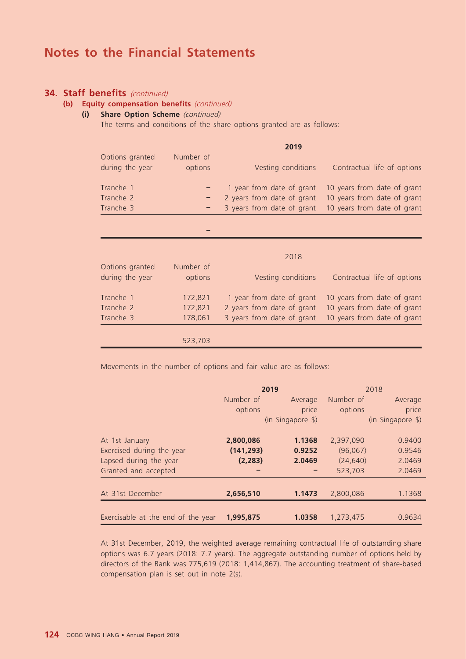## **34. Staff benefits** (continued)

### **(b) Equity compensation benefits** (continued)

#### **(i) Share Option Scheme** (continued)

The terms and conditions of the share options granted are as follows:

|                                    |                      | 2019                       |                             |
|------------------------------------|----------------------|----------------------------|-----------------------------|
| Options granted<br>during the year | Number of<br>options | Vesting conditions         | Contractual life of options |
| Tranche 1                          |                      | 1 year from date of grant  | 10 years from date of grant |
| Tranche 2                          |                      | 2 years from date of grant | 10 years from date of grant |
| Tranche 3                          |                      | 3 years from date of grant | 10 years from date of grant |
|                                    |                      |                            |                             |
|                                    |                      | 2018                       |                             |
| Options granted<br>during the year | Number of<br>options | Vesting conditions         | Contractual life of options |

| Tranche 1 | 172,821 | 1 year from date of grant 10 years from date of grant  |
|-----------|---------|--------------------------------------------------------|
| Tranche 2 | 172.821 | 2 years from date of grant 10 years from date of grant |
| Tranche 3 | 178,061 | 3 years from date of grant 10 years from date of grant |
|           |         |                                                        |
|           | 523,703 |                                                        |

Movements in the number of options and fair value are as follows:

|                                    | 2019       |                              | 2018      |                              |
|------------------------------------|------------|------------------------------|-----------|------------------------------|
|                                    | Number of  | Average                      | Number of | Average                      |
|                                    | options    | price                        | options   | price                        |
|                                    |            | $(in$ Singapore $\Diamond$ ) |           | $(in$ Singapore $\Diamond$ ) |
| At 1st January                     | 2,800,086  | 1.1368                       | 2,397,090 | 0.9400                       |
| Exercised during the year          | (141, 293) | 0.9252                       | (96,067)  | 0.9546                       |
| Lapsed during the year             | (2, 283)   | 2.0469                       | (24, 640) | 2.0469                       |
| Granted and accepted               |            |                              | 523,703   | 2.0469                       |
|                                    |            |                              |           |                              |
| At 31st December                   | 2,656,510  | 1.1473                       | 2,800,086 | 1.1368                       |
|                                    |            |                              |           |                              |
| Exercisable at the end of the year | 1,995,875  | 1.0358                       | 1,273,475 | 0.9634                       |

At 31st December, 2019, the weighted average remaining contractual life of outstanding share options was 6.7 years (2018: 7.7 years). The aggregate outstanding number of options held by directors of the Bank was 775,619 (2018: 1,414,867). The accounting treatment of share-based compensation plan is set out in note 2(s).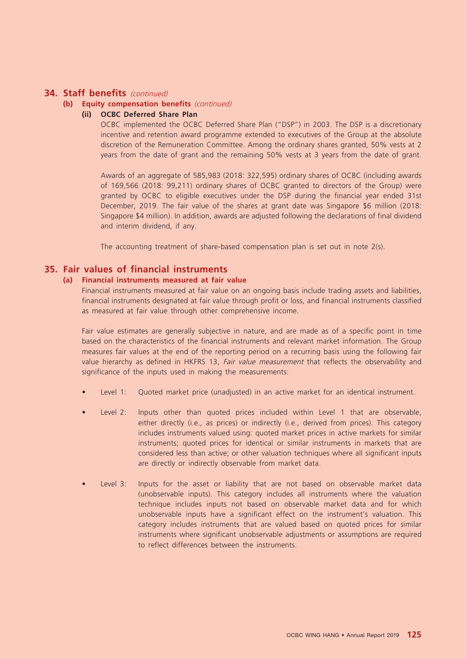## **34. Staff benefits** (continued)

#### **(b) Equity compensation benefits** (continued)

#### **(ii) OCBC Deferred Share Plan**

OCBC implemented the OCBC Deferred Share Plan ("DSP") in 2003. The DSP is a discretionary incentive and retention award programme extended to executives of the Group at the absolute discretion of the Remuneration Committee. Among the ordinary shares granted, 50% vests at 2 years from the date of grant and the remaining 50% vests at 3 years from the date of grant.

Awards of an aggregate of 585,983 (2018: 322,595) ordinary shares of OCBC (including awards of 169,566 (2018: 99,211) ordinary shares of OCBC granted to directors of the Group) were granted by OCBC to eligible executives under the DSP during the financial year ended 31st December, 2019. The fair value of the shares at grant date was Singapore \$6 million (2018: Singapore \$4 million). In addition, awards are adjusted following the declarations of final dividend and interim dividend, if any.

The accounting treatment of share-based compensation plan is set out in note 2(s).

## **35. Fair values of financial instruments**

### **(a) Financial instruments measured at fair value**

Financial instruments measured at fair value on an ongoing basis include trading assets and liabilities, financial instruments designated at fair value through profit or loss, and financial instruments classified as measured at fair value through other comprehensive income.

Fair value estimates are generally subjective in nature, and are made as of a specific point in time based on the characteristics of the financial instruments and relevant market information. The Group measures fair values at the end of the reporting period on a recurring basis using the following fair value hierarchy as defined in HKFRS 13, Fair value measurement that reflects the observability and significance of the inputs used in making the measurements:

- Level 1: Quoted market price (unadjusted) in an active market for an identical instrument.
- Level 2: Inputs other than quoted prices included within Level 1 that are observable, either directly (i.e., as prices) or indirectly (i.e., derived from prices). This category includes instruments valued using: quoted market prices in active markets for similar instruments; quoted prices for identical or similar instruments in markets that are considered less than active; or other valuation techniques where all significant inputs are directly or indirectly observable from market data.
- Level 3: Inputs for the asset or liability that are not based on observable market data (unobservable inputs). This category includes all instruments where the valuation technique includes inputs not based on observable market data and for which unobservable inputs have a significant effect on the instrument's valuation. This category includes instruments that are valued based on quoted prices for similar instruments where significant unobservable adjustments or assumptions are required to reflect differences between the instruments.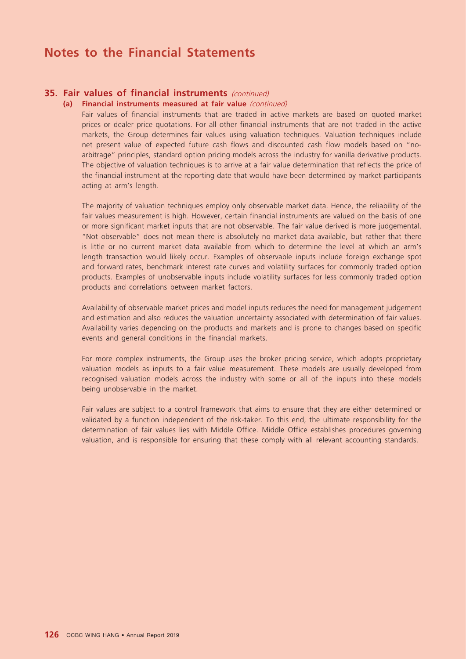## **35. Fair values of financial instruments** (continued)

## **(a) Financial instruments measured at fair value** (continued)

Fair values of financial instruments that are traded in active markets are based on quoted market prices or dealer price quotations. For all other financial instruments that are not traded in the active markets, the Group determines fair values using valuation techniques. Valuation techniques include net present value of expected future cash flows and discounted cash flow models based on "noarbitrage" principles, standard option pricing models across the industry for vanilla derivative products. The objective of valuation techniques is to arrive at a fair value determination that reflects the price of the financial instrument at the reporting date that would have been determined by market participants acting at arm's length.

The majority of valuation techniques employ only observable market data. Hence, the reliability of the fair values measurement is high. However, certain financial instruments are valued on the basis of one or more significant market inputs that are not observable. The fair value derived is more judgemental. "Not observable" does not mean there is absolutely no market data available, but rather that there is little or no current market data available from which to determine the level at which an arm's length transaction would likely occur. Examples of observable inputs include foreign exchange spot and forward rates, benchmark interest rate curves and volatility surfaces for commonly traded option products. Examples of unobservable inputs include volatility surfaces for less commonly traded option products and correlations between market factors.

Availability of observable market prices and model inputs reduces the need for management judgement and estimation and also reduces the valuation uncertainty associated with determination of fair values. Availability varies depending on the products and markets and is prone to changes based on specific events and general conditions in the financial markets.

For more complex instruments, the Group uses the broker pricing service, which adopts proprietary valuation models as inputs to a fair value measurement. These models are usually developed from recognised valuation models across the industry with some or all of the inputs into these models being unobservable in the market.

Fair values are subject to a control framework that aims to ensure that they are either determined or validated by a function independent of the risk-taker. To this end, the ultimate responsibility for the determination of fair values lies with Middle Office. Middle Office establishes procedures governing valuation, and is responsible for ensuring that these comply with all relevant accounting standards.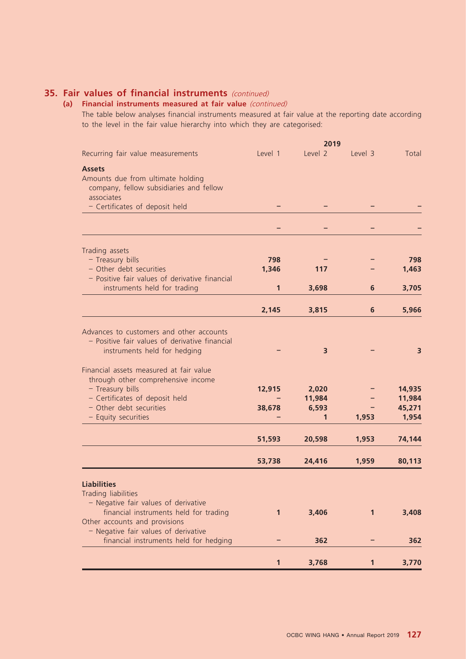## **35. Fair values of financial instruments** (continued)

 **(a) Financial instruments measured at fair value** (continued)

The table below analyses financial instruments measured at fair value at the reporting date according to the level in the fair value hierarchy into which they are categorised:

|                                                                                |              | 2019       |              |                 |
|--------------------------------------------------------------------------------|--------------|------------|--------------|-----------------|
| Recurring fair value measurements                                              | Level 1      | Level 2    | Level 3      | Total           |
| <b>Assets</b>                                                                  |              |            |              |                 |
| Amounts due from ultimate holding                                              |              |            |              |                 |
| company, fellow subsidiaries and fellow                                        |              |            |              |                 |
| associates                                                                     |              |            |              |                 |
| - Certificates of deposit held                                                 |              |            |              |                 |
|                                                                                |              |            |              |                 |
| Trading assets                                                                 |              |            |              |                 |
| - Treasury bills                                                               | 798          |            |              | 798             |
| - Other debt securities<br>- Positive fair values of derivative financial      | 1,346        | 117        |              | 1,463           |
| instruments held for trading                                                   | $\mathbf{1}$ | 3,698      | 6            | 3,705           |
|                                                                                | 2,145        | 3,815      | 6            | 5,966           |
|                                                                                |              |            |              |                 |
| Advances to customers and other accounts                                       |              |            |              |                 |
| - Positive fair values of derivative financial<br>instruments held for hedging |              | 3          |              | 3               |
|                                                                                |              |            |              |                 |
| Financial assets measured at fair value                                        |              |            |              |                 |
| through other comprehensive income                                             |              |            |              |                 |
| - Treasury bills                                                               | 12,915       | 2,020      |              | 14,935          |
| - Certificates of deposit held<br>- Other debt securities                      |              | 11,984     |              | 11,984          |
| - Equity securities                                                            | 38,678       | 6,593<br>1 | 1,953        | 45,271<br>1,954 |
|                                                                                |              |            |              |                 |
|                                                                                | 51,593       | 20,598     | 1,953        | 74,144          |
|                                                                                | 53,738       | 24,416     | 1,959        | 80,113          |
| <b>Liabilities</b>                                                             |              |            |              |                 |
| Trading liabilities                                                            |              |            |              |                 |
| - Negative fair values of derivative                                           |              |            |              |                 |
| financial instruments held for trading                                         | $\mathbf{1}$ | 3,406      | $\mathbf{1}$ | 3,408           |
| Other accounts and provisions                                                  |              |            |              |                 |
| - Negative fair values of derivative<br>financial instruments held for hedging |              | 362        |              | 362             |
|                                                                                |              |            |              |                 |
|                                                                                | 1            | 3,768      | 1            | 3,770           |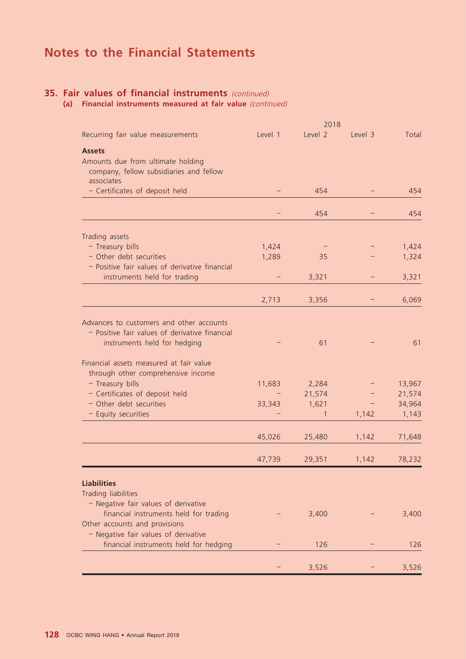## **35. Fair values of financial instruments** (continued)

 **(a) Financial instruments measured at fair value** (continued)

|                                                                                |         | 2018    |         |        |
|--------------------------------------------------------------------------------|---------|---------|---------|--------|
| Recurring fair value measurements                                              | Level 1 | Level 2 | Level 3 | Total  |
| <b>Assets</b>                                                                  |         |         |         |        |
| Amounts due from ultimate holding                                              |         |         |         |        |
| company, fellow subsidiaries and fellow                                        |         |         |         |        |
| associates                                                                     |         |         |         |        |
| - Certificates of deposit held                                                 |         | 454     |         | 454    |
|                                                                                |         | 454     |         | 454    |
| Trading assets                                                                 |         |         |         |        |
| - Treasury bills                                                               | 1,424   |         |         | 1,424  |
| - Other debt securities                                                        | 1,289   | 35      |         | 1,324  |
| - Positive fair values of derivative financial                                 |         |         |         |        |
| instruments held for trading                                                   |         | 3,321   |         | 3,321  |
|                                                                                | 2,713   | 3,356   |         | 6,069  |
|                                                                                |         |         |         |        |
| Advances to customers and other accounts                                       |         |         |         |        |
| - Positive fair values of derivative financial                                 |         |         |         |        |
| instruments held for hedging                                                   |         | 61      |         | 61     |
| Financial assets measured at fair value                                        |         |         |         |        |
| through other comprehensive income                                             |         |         |         |        |
| - Treasury bills                                                               | 11,683  | 2,284   |         | 13,967 |
| - Certificates of deposit held                                                 |         | 21,574  |         | 21,574 |
| - Other debt securities                                                        | 33,343  | 1,621   |         | 34,964 |
| - Equity securities                                                            |         | 1       | 1,142   | 1,143  |
|                                                                                | 45,026  | 25,480  | 1,142   | 71,648 |
|                                                                                | 47,739  | 29,351  | 1,142   | 78,232 |
|                                                                                |         |         |         |        |
| <b>Liabilities</b>                                                             |         |         |         |        |
| Trading liabilities                                                            |         |         |         |        |
| - Negative fair values of derivative<br>financial instruments held for trading |         | 3,400   |         | 3,400  |
| Other accounts and provisions                                                  |         |         |         |        |
| - Negative fair values of derivative                                           |         |         |         |        |
| financial instruments held for hedging                                         |         | 126     |         | 126    |
|                                                                                |         |         |         |        |
|                                                                                |         | 3,526   |         | 3,526  |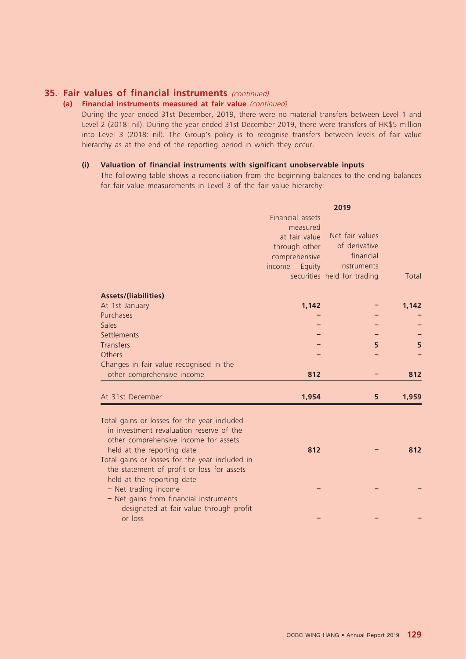## **35. Fair values of financial instruments** (continued)

## **(a) Financial instruments measured at fair value** (continued)

During the year ended 31st December, 2019, there were no material transfers between Level 1 and Level 2 (2018: nil). During the year ended 31st December 2019, there were transfers of HK\$5 million into Level 3 (2018: nil). The Group's policy is to recognise transfers between levels of fair value hierarchy as at the end of the reporting period in which they occur.

#### **(i) Valuation of financial instruments with significant unobservable inputs**

The following table shows a reconciliation from the beginning balances to the ending balances for fair value measurements in Level 3 of the fair value hierarchy:

|                                                                                         |                   | 2019                        |       |
|-----------------------------------------------------------------------------------------|-------------------|-----------------------------|-------|
|                                                                                         | Financial assets  |                             |       |
|                                                                                         | measured          |                             |       |
|                                                                                         | at fair value     | Net fair values             |       |
|                                                                                         | through other     | of derivative               |       |
|                                                                                         | comprehensive     | financial                   |       |
|                                                                                         | $income - Equity$ | instruments                 |       |
|                                                                                         |                   | securities held for trading | Total |
| <b>Assets/(liabilities)</b>                                                             |                   |                             |       |
| At 1st January                                                                          | 1,142             |                             | 1,142 |
| Purchases                                                                               |                   |                             |       |
| Sales                                                                                   |                   |                             |       |
| Settlements                                                                             |                   |                             |       |
| <b>Transfers</b>                                                                        |                   | 5                           | 5     |
| Others                                                                                  |                   |                             |       |
| Changes in fair value recognised in the                                                 |                   |                             |       |
| other comprehensive income                                                              | 812               |                             | 812   |
| At 31st December                                                                        | 1,954             | 5                           | 1,959 |
|                                                                                         |                   |                             |       |
| Total gains or losses for the year included<br>in investment revaluation reserve of the |                   |                             |       |
| other comprehensive income for assets                                                   |                   |                             |       |
| held at the reporting date                                                              | 812               |                             | 812   |
| Total gains or losses for the year included in                                          |                   |                             |       |
| the statement of profit or loss for assets                                              |                   |                             |       |
| held at the reporting date                                                              |                   |                             |       |
| - Net trading income                                                                    |                   |                             |       |
| - Net gains from financial instruments                                                  |                   |                             |       |
| designated at fair value through profit                                                 |                   |                             |       |
| or loss                                                                                 |                   |                             |       |
|                                                                                         |                   |                             |       |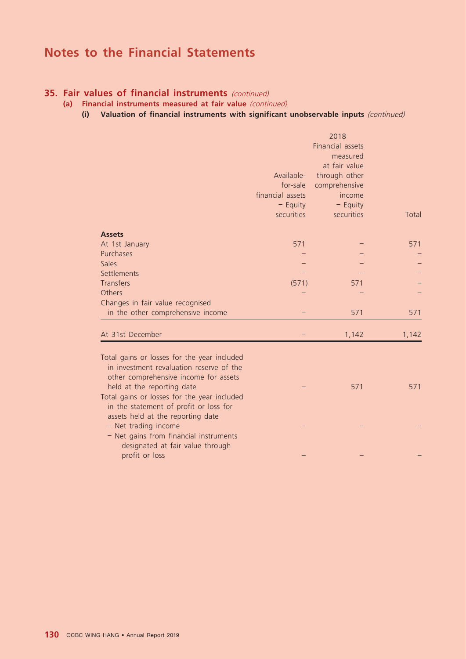## **35. Fair values of financial instruments** (continued)

- **(a) Financial instruments measured at fair value** (continued)
	- **(i) Valuation of financial instruments with significant unobservable inputs** (continued)

|                                                                                                                                                          | Available-<br>for-sale | 2018<br>Financial assets<br>measured<br>at fair value<br>through other<br>comprehensive |       |
|----------------------------------------------------------------------------------------------------------------------------------------------------------|------------------------|-----------------------------------------------------------------------------------------|-------|
|                                                                                                                                                          | financial assets       | income                                                                                  |       |
|                                                                                                                                                          | $-$ Equity             | $-$ Equity                                                                              |       |
|                                                                                                                                                          | securities             | securities                                                                              | Total |
| <b>Assets</b>                                                                                                                                            |                        |                                                                                         |       |
| At 1st January                                                                                                                                           | 571                    |                                                                                         | 571   |
| Purchases                                                                                                                                                |                        |                                                                                         |       |
| <b>Sales</b>                                                                                                                                             |                        |                                                                                         |       |
| Settlements                                                                                                                                              |                        |                                                                                         |       |
| <b>Transfers</b>                                                                                                                                         | (571)                  | 571                                                                                     |       |
| Others                                                                                                                                                   |                        |                                                                                         |       |
| Changes in fair value recognised                                                                                                                         |                        |                                                                                         |       |
| in the other comprehensive income                                                                                                                        |                        | 571                                                                                     | 571   |
| At 31st December                                                                                                                                         |                        | 1,142                                                                                   | 1,142 |
| Total gains or losses for the year included<br>in investment revaluation reserve of the<br>other comprehensive income for assets                         |                        |                                                                                         |       |
| held at the reporting date<br>Total gains or losses for the year included<br>in the statement of profit or loss for<br>assets held at the reporting date |                        | 571                                                                                     | 571   |
| - Net trading income<br>- Net gains from financial instruments<br>designated at fair value through                                                       |                        |                                                                                         |       |
| profit or loss                                                                                                                                           |                        |                                                                                         |       |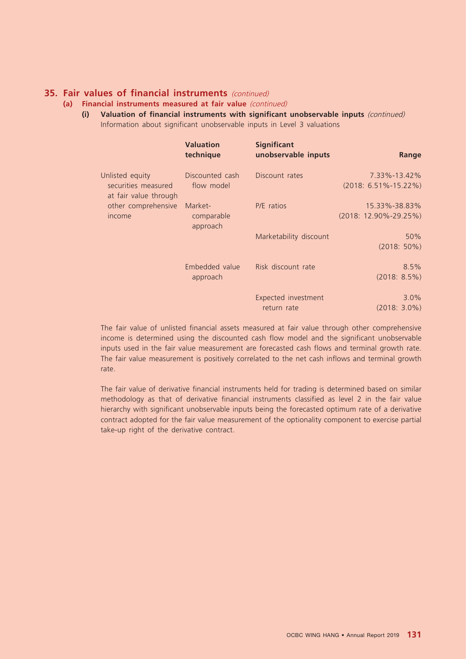## **35. Fair values of financial instruments** (continued)

- **(a) Financial instruments measured at fair value** (continued)
	- **(i) Valuation of financial instruments with significant unobservable inputs** (continued) Information about significant unobservable inputs in Level 3 valuations

|                                                                 | <b>Valuation</b><br>technique     | <b>Significant</b><br>unobservable inputs | Range                                        |
|-----------------------------------------------------------------|-----------------------------------|-------------------------------------------|----------------------------------------------|
| Unlisted equity<br>securities measured<br>at fair value through | Discounted cash<br>flow model     | Discount rates                            | 7.33%-13.42%<br>$(2018: 6.51\% - 15.22\%)$   |
| other comprehensive<br>income                                   | Market-<br>comparable<br>approach | P/E ratios                                | 15.33%-38.83%<br>$(2018: 12.90\% - 29.25\%)$ |
|                                                                 |                                   | Marketability discount                    | 50%<br>$(2018: 50\%)$                        |
|                                                                 | Embedded value<br>approach        | Risk discount rate                        | 8.5%<br>$(2018: 8.5\%)$                      |
|                                                                 |                                   | Expected investment<br>return rate        | $3.0\%$<br>$(2018: 3.0\%)$                   |

The fair value of unlisted financial assets measured at fair value through other comprehensive income is determined using the discounted cash flow model and the significant unobservable inputs used in the fair value measurement are forecasted cash flows and terminal growth rate. The fair value measurement is positively correlated to the net cash inflows and terminal growth rate.

The fair value of derivative financial instruments held for trading is determined based on similar methodology as that of derivative financial instruments classified as level 2 in the fair value hierarchy with significant unobservable inputs being the forecasted optimum rate of a derivative contract adopted for the fair value measurement of the optionality component to exercise partial take-up right of the derivative contract.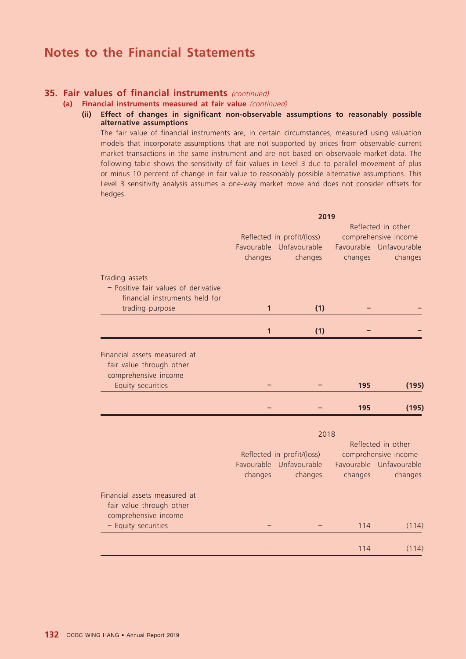## **35. Fair values of financial instruments** (continued)

 **(a) Financial instruments measured at fair value** (continued)

#### **(ii) Effect of changes in significant non-observable assumptions to reasonably possible alternative assumptions**

The fair value of financial instruments are, in certain circumstances, measured using valuation models that incorporate assumptions that are not supported by prices from observable current market transactions in the same instrument and are not based on observable market data. The following table shows the sensitivity of fair values in Level 3 due to parallel movement of plus or minus 10 percent of change in fair value to reasonably possible alternative assumptions. This Level 3 sensitivity analysis assumes a one-way market move and does not consider offsets for hedges.

|                                                                                                             | 2019         |                                                                          |         |                                                                                  |
|-------------------------------------------------------------------------------------------------------------|--------------|--------------------------------------------------------------------------|---------|----------------------------------------------------------------------------------|
|                                                                                                             | changes      | Reflected in profit/(loss)<br>Favourable Unfavourable<br>changes         | changes | Reflected in other<br>comprehensive income<br>Favourable Unfavourable<br>changes |
| Trading assets<br>- Positive fair values of derivative<br>financial instruments held for<br>trading purpose | $\mathbf{1}$ | (1)                                                                      |         |                                                                                  |
|                                                                                                             | $\mathbf{1}$ | (1)                                                                      |         |                                                                                  |
| Financial assets measured at<br>fair value through other<br>comprehensive income<br>- Equity securities     |              |                                                                          | 195     | (195)                                                                            |
|                                                                                                             |              |                                                                          | 195     | (195)                                                                            |
|                                                                                                             | changes      | 2018<br>Reflected in profit/(loss)<br>Favourable Unfavourable<br>changes | changes | Reflected in other<br>comprehensive income<br>Favourable Unfavourable<br>changes |
| Financial assets measured at<br>fair value through other<br>comprehensive income<br>- Equity securities     |              |                                                                          | 114     | (114)                                                                            |

– – 114 (114)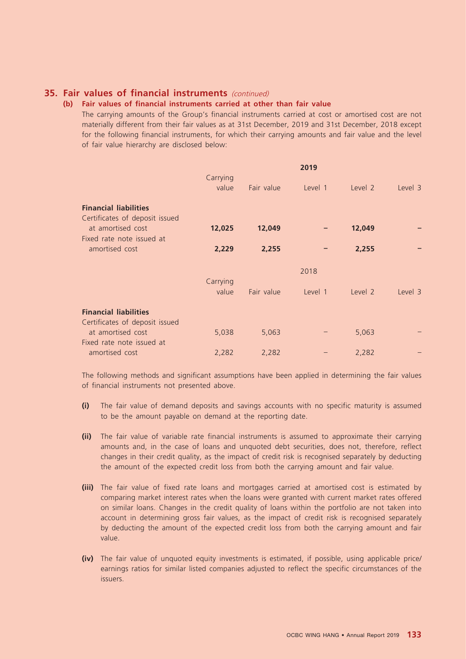## **35. Fair values of financial instruments** (continued)

#### **(b) Fair values of financial instruments carried at other than fair value**

The carrying amounts of the Group's financial instruments carried at cost or amortised cost are not materially different from their fair values as at 31st December, 2019 and 31st December, 2018 except for the following financial instruments, for which their carrying amounts and fair value and the level of fair value hierarchy are disclosed below:

|                                                                                  | 2019              |            |         |         |         |
|----------------------------------------------------------------------------------|-------------------|------------|---------|---------|---------|
|                                                                                  | Carrying<br>value | Fair value | Level 1 | Level 2 | Level 3 |
| <b>Financial liabilities</b>                                                     |                   |            |         |         |         |
| Certificates of deposit issued                                                   |                   |            |         |         |         |
| at amortised cost                                                                | 12,025            | 12,049     |         | 12,049  |         |
| Fixed rate note issued at<br>amortised cost                                      | 2,229             | 2,255      |         | 2,255   |         |
|                                                                                  |                   |            |         |         |         |
|                                                                                  |                   |            | 2018    |         |         |
|                                                                                  | Carrying<br>value | Fair value | Level 1 | Level 2 | Level 3 |
| <b>Financial liabilities</b>                                                     |                   |            |         |         |         |
| Certificates of deposit issued<br>at amortised cost<br>Fixed rate note issued at | 5,038             | 5,063      |         | 5,063   |         |

The following methods and significant assumptions have been applied in determining the fair values of financial instruments not presented above.

- **(i)** The fair value of demand deposits and savings accounts with no specific maturity is assumed to be the amount payable on demand at the reporting date.
- **(ii)** The fair value of variable rate financial instruments is assumed to approximate their carrying amounts and, in the case of loans and unquoted debt securities, does not, therefore, reflect changes in their credit quality, as the impact of credit risk is recognised separately by deducting the amount of the expected credit loss from both the carrying amount and fair value.
- **(iii)** The fair value of fixed rate loans and mortgages carried at amortised cost is estimated by comparing market interest rates when the loans were granted with current market rates offered on similar loans. Changes in the credit quality of loans within the portfolio are not taken into account in determining gross fair values, as the impact of credit risk is recognised separately by deducting the amount of the expected credit loss from both the carrying amount and fair value.
- **(iv)** The fair value of unquoted equity investments is estimated, if possible, using applicable price/ earnings ratios for similar listed companies adjusted to reflect the specific circumstances of the issuers.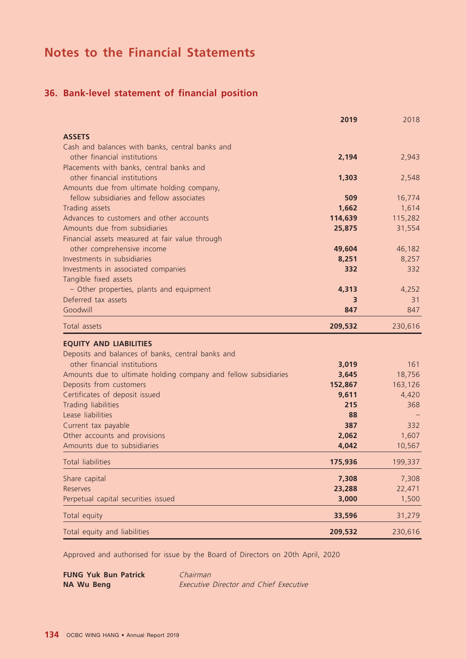## **36. Bank-level statement of financial position**

|                                                                 | 2019    | 2018    |
|-----------------------------------------------------------------|---------|---------|
| <b>ASSETS</b>                                                   |         |         |
| Cash and balances with banks, central banks and                 |         |         |
| other financial institutions                                    | 2,194   | 2,943   |
| Placements with banks, central banks and                        |         |         |
| other financial institutions                                    | 1,303   | 2,548   |
| Amounts due from ultimate holding company,                      |         |         |
| fellow subsidiaries and fellow associates                       | 509     | 16,774  |
| Trading assets                                                  | 1,662   | 1,614   |
| Advances to customers and other accounts                        | 114,639 | 115,282 |
| Amounts due from subsidiaries                                   | 25,875  | 31,554  |
| Financial assets measured at fair value through                 |         |         |
| other comprehensive income                                      | 49,604  | 46,182  |
| Investments in subsidiaries                                     | 8,251   | 8,257   |
| Investments in associated companies                             | 332     | 332     |
| Tangible fixed assets                                           |         |         |
| - Other properties, plants and equipment                        | 4,313   | 4,252   |
| Deferred tax assets                                             | 3       | 31      |
| Goodwill                                                        | 847     | 847     |
| Total assets                                                    | 209,532 | 230,616 |
| <b>EQUITY AND LIABILITIES</b>                                   |         |         |
| Deposits and balances of banks, central banks and               |         |         |
| other financial institutions                                    | 3,019   | 161     |
| Amounts due to ultimate holding company and fellow subsidiaries | 3,645   | 18,756  |
| Deposits from customers                                         | 152,867 | 163,126 |
| Certificates of deposit issued                                  | 9,611   | 4,420   |
| Trading liabilities                                             | 215     | 368     |
| Lease liabilities                                               | 88      |         |
| Current tax payable                                             | 387     | 332     |
| Other accounts and provisions                                   | 2,062   | 1,607   |
| Amounts due to subsidiaries                                     | 4,042   | 10,567  |
| <b>Total liabilities</b>                                        | 175,936 | 199,337 |
| Share capital                                                   | 7,308   | 7,308   |
| Reserves                                                        | 23,288  | 22,471  |
| Perpetual capital securities issued                             | 3,000   | 1,500   |
| Total equity                                                    | 33,596  | 31,279  |
| Total equity and liabilities                                    | 209,532 | 230,616 |

Approved and authorised for issue by the Board of Directors on 20th April, 2020

**FUNG Yuk Bun Patrick** Chairman

**NA Wu Beng Executive Director and Chief Executive**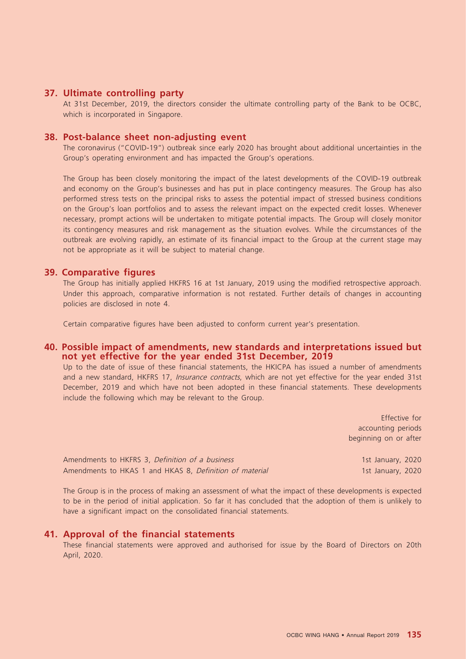#### **37. Ultimate controlling party**

At 31st December, 2019, the directors consider the ultimate controlling party of the Bank to be OCBC, which is incorporated in Singapore.

#### **38. Post-balance sheet non-adjusting event**

The coronavirus ("COVID-19") outbreak since early 2020 has brought about additional uncertainties in the Group's operating environment and has impacted the Group's operations.

The Group has been closely monitoring the impact of the latest developments of the COVID-19 outbreak and economy on the Group's businesses and has put in place contingency measures. The Group has also performed stress tests on the principal risks to assess the potential impact of stressed business conditions on the Group's loan portfolios and to assess the relevant impact on the expected credit losses. Whenever necessary, prompt actions will be undertaken to mitigate potential impacts. The Group will closely monitor its contingency measures and risk management as the situation evolves. While the circumstances of the outbreak are evolving rapidly, an estimate of its financial impact to the Group at the current stage may not be appropriate as it will be subject to material change.

#### **39. Comparative figures**

The Group has initially applied HKFRS 16 at 1st January, 2019 using the modified retrospective approach. Under this approach, comparative information is not restated. Further details of changes in accounting policies are disclosed in note 4.

Certain comparative figures have been adjusted to conform current year's presentation.

## **40. Possible impact of amendments, new standards and interpretations issued but not yet effective for the year ended 31st December, 2019**

Up to the date of issue of these financial statements, the HKICPA has issued a number of amendments and a new standard, HKFRS 17, Insurance contracts, which are not yet effective for the year ended 31st December, 2019 and which have not been adopted in these financial statements. These developments include the following which may be relevant to the Group.

> Effective for accounting periods beginning on or after

Amendments to HKFRS 3, *Definition of a business* 1st January, 2020 Amendments to HKAS 1 and HKAS 8, Definition of material 1st January, 2020

The Group is in the process of making an assessment of what the impact of these developments is expected to be in the period of initial application. So far it has concluded that the adoption of them is unlikely to have a significant impact on the consolidated financial statements.

#### **41. Approval of the financial statements**

These financial statements were approved and authorised for issue by the Board of Directors on 20th April, 2020.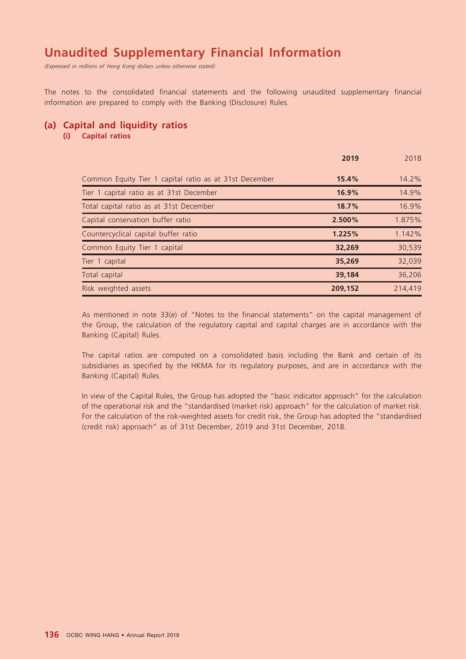# **Unaudited Supplementary Financial Information**

(Expressed in millions of Hong Kong dollars unless otherwise stated)

The notes to the consolidated financial statements and the following unaudited supplementary financial information are prepared to comply with the Banking (Disclosure) Rules.

## **(a) Capital and liquidity ratios**

#### **(i) Capital ratios**

|                                                        | 2019    | 2018    |
|--------------------------------------------------------|---------|---------|
| Common Equity Tier 1 capital ratio as at 31st December | 15.4%   | 14.2%   |
| Tier 1 capital ratio as at 31st December               | 16.9%   | 14.9%   |
| Total capital ratio as at 31st December                | 18.7%   | 16.9%   |
| Capital conservation buffer ratio                      | 2.500%  | 1.875%  |
| Countercyclical capital buffer ratio                   | 1.225%  | 1.142%  |
| Common Equity Tier 1 capital                           | 32,269  | 30,539  |
| Tier 1 capital                                         | 35,269  | 32,039  |
| Total capital                                          | 39,184  | 36,206  |
| Risk weighted assets                                   | 209,152 | 214,419 |

As mentioned in note 33(e) of "Notes to the financial statements" on the capital management of the Group, the calculation of the regulatory capital and capital charges are in accordance with the Banking (Capital) Rules.

The capital ratios are computed on a consolidated basis including the Bank and certain of its subsidiaries as specified by the HKMA for its regulatory purposes, and are in accordance with the Banking (Capital) Rules.

In view of the Capital Rules, the Group has adopted the "basic indicator approach" for the calculation of the operational risk and the "standardised (market risk) approach" for the calculation of market risk. For the calculation of the risk-weighted assets for credit risk, the Group has adopted the "standardised (credit risk) approach" as of 31st December, 2019 and 31st December, 2018.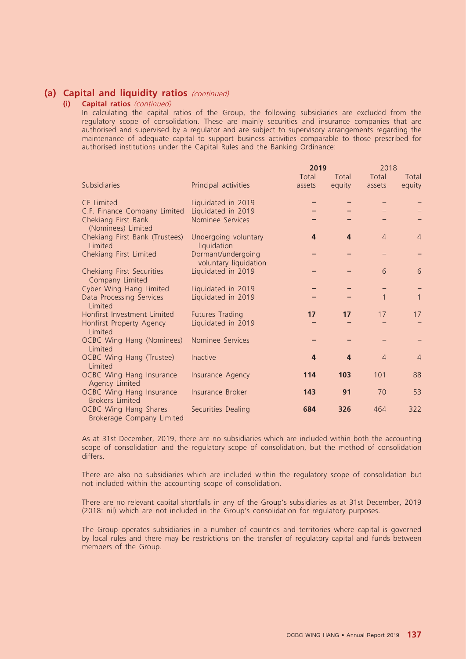## **(a) Capital and liquidity ratios** (continued)

#### **(i) Capital ratios** (continued)

In calculating the capital ratios of the Group, the following subsidiaries are excluded from the regulatory scope of consolidation. These are mainly securities and insurance companies that are authorised and supervised by a regulator and are subject to supervisory arrangements regarding the maintenance of adequate capital to support business activities comparable to those prescribed for authorised institutions under the Capital Rules and the Banking Ordinance:

|                                                                  |                                             | 2019           |                | 2018           |                |
|------------------------------------------------------------------|---------------------------------------------|----------------|----------------|----------------|----------------|
|                                                                  |                                             | Total          | Total          | Total          | Total          |
| Subsidiaries                                                     | Principal activities                        | assets         | equity         | assets         | equity         |
| <b>CF</b> Limited                                                | Liquidated in 2019                          |                |                |                |                |
| C.F. Finance Company Limited                                     | Liquidated in 2019                          |                |                |                |                |
| Chekiang First Bank<br>(Nominees) Limited                        | Nominee Services                            |                |                |                |                |
| Chekiang First Bank (Trustees)<br>Limited                        | Undergoing voluntary<br>liquidation         | $\overline{4}$ | $\overline{4}$ | $\overline{4}$ | $\overline{4}$ |
| Chekiang First Limited                                           | Dormant/undergoing<br>voluntary liquidation |                |                |                |                |
| Chekiang First Securities<br>Company Limited                     | Liquidated in 2019                          |                |                | 6              | 6              |
| Cyber Wing Hang Limited                                          | Liquidated in 2019                          |                |                |                |                |
| Data Processing Services<br>Limited                              | Liquidated in 2019                          |                |                | $\mathbf{1}$   | $\mathbf{1}$   |
| Honfirst Investment Limited                                      | Futures Trading                             | 17             | 17             | 17             | 17             |
| Honfirst Property Agency<br>Limited                              | Liquidated in 2019                          |                |                |                |                |
| <b>OCBC Wing Hang (Nominees)</b><br>Limited                      | Nominee Services                            |                |                |                |                |
| OCBC Wing Hang (Trustee)<br>Limited                              | <b>Inactive</b>                             | $\overline{4}$ | $\overline{4}$ | $\overline{4}$ | $\overline{4}$ |
| <b>OCBC Wing Hang Insurance</b><br><b>Agency Limited</b>         | Insurance Agency                            | 114            | 103            | 101            | 88             |
| <b>OCBC Wing Hang Insurance</b><br><b>Brokers Limited</b>        | <b>Insurance Broker</b>                     | 143            | 91             | 70             | 53             |
| <b>OCBC Wing Hang Shares</b><br><b>Brokerage Company Limited</b> | Securities Dealing                          | 684            | 326            | 464            | 322            |

As at 31st December, 2019, there are no subsidiaries which are included within both the accounting scope of consolidation and the regulatory scope of consolidation, but the method of consolidation differs.

There are also no subsidiaries which are included within the regulatory scope of consolidation but not included within the accounting scope of consolidation.

There are no relevant capital shortfalls in any of the Group's subsidiaries as at 31st December, 2019 (2018: nil) which are not included in the Group's consolidation for regulatory purposes.

The Group operates subsidiaries in a number of countries and territories where capital is governed by local rules and there may be restrictions on the transfer of regulatory capital and funds between members of the Group.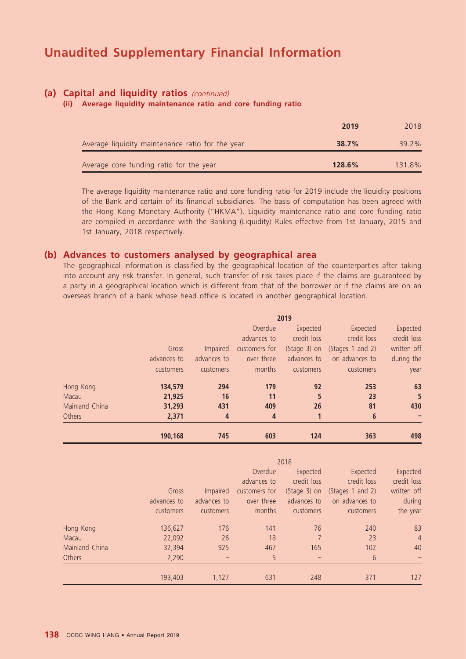# **Unaudited Supplementary Financial Information**

## **(a) Capital and liquidity ratios** (continued)

 **(ii) Average liquidity maintenance ratio and core funding ratio**

|                                                  | 2019   | 2018     |
|--------------------------------------------------|--------|----------|
| Average liquidity maintenance ratio for the year | 38.7%  | $39.2\%$ |
| Average core funding ratio for the year          | 128.6% | 131.8%   |

The average liquidity maintenance ratio and core funding ratio for 2019 include the liquidity positions of the Bank and certain of its financial subsidiaries. The basis of computation has been agreed with the Hong Kong Monetary Authority ("HKMA"). Liquidity maintenance ratio and core funding ratio are compiled in accordance with the Banking (Liquidity) Rules effective from 1st January, 2015 and 1st January, 2018 respectively.

#### **(b) Advances to customers analysed by geographical area**

The geographical information is classified by the geographical location of the counterparties after taking into account any risk transfer. In general, such transfer of risk takes place if the claims are guaranteed by a party in a geographical location which is different from that of the borrower or if the claims are on an overseas branch of a bank whose head office is located in another geographical location.

|                | 2019        |             |               |              |                  |             |
|----------------|-------------|-------------|---------------|--------------|------------------|-------------|
|                |             |             | Overdue       | Expected     | Expected         | Expected    |
|                |             |             | advances to   | credit loss  | credit loss      | credit loss |
|                | Gross       | Impaired    | customers for | (Stage 3) on | (Stages 1 and 2) | written off |
|                | advances to | advances to | over three    | advances to  | on advances to   | during the  |
|                | customers   | customers   | months        | customers    | customers        | year        |
| Hong Kong      | 134,579     | 294         | 179           | 92           | 253              | 63          |
| Macau          | 21,925      | 16          | 11            | 5            | 23               | 5           |
| Mainland China | 31,293      | 431         | 409           | 26           | 81               | 430         |
| Others         | 2,371       | 4           | 4             | 1            | 6                |             |
|                | 190,168     | 745         | 603           | 124          | 363              | 498         |

|                | 2018        |             |               |              |                  |                |
|----------------|-------------|-------------|---------------|--------------|------------------|----------------|
|                |             |             | Overdue       | Expected     | Expected         | Expected       |
|                |             |             | advances to   | credit loss  | credit loss      | credit loss    |
|                | Gross       | Impaired    | customers for | (Stage 3) on | (Stages 1 and 2) | written off    |
|                | advances to | advances to | over three    | advances to  | on advances to   | during         |
|                | customers   | customers   | months        | customers    | customers        | the year       |
| Hong Kong      | 136,627     | 176         | 141           | 76           | 240              | 83             |
| Macau          | 22,092      | 26          | 18            |              | 23               | $\overline{4}$ |
| Mainland China | 32,394      | 925         | 467           | 165          | 102              | 40             |
| Others         | 2,290       |             | 5             |              | 6                |                |
|                | 193,403     | 1,127       | 631           | 248          | 371              | 127            |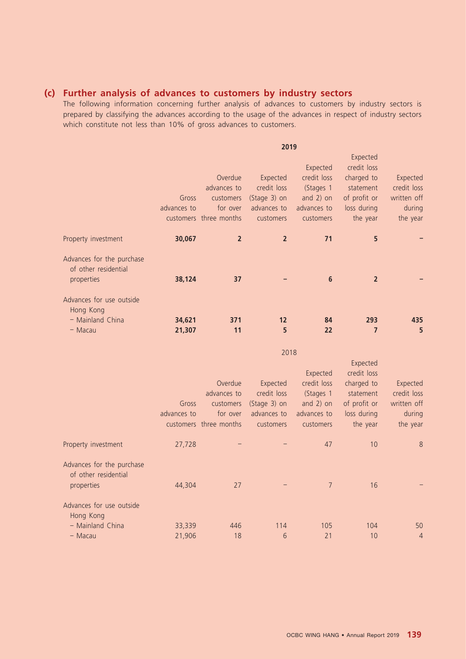## **(c) Further analysis of advances to customers by industry sectors**

The following information concerning further analysis of advances to customers by industry sectors is prepared by classifying the advances according to the usage of the advances in respect of industry sectors which constitute not less than 10% of gross advances to customers.

|                                                                        | 2019                 |                                                                           |                                                                     |                                                                                 |                                                                                               |                                                              |
|------------------------------------------------------------------------|----------------------|---------------------------------------------------------------------------|---------------------------------------------------------------------|---------------------------------------------------------------------------------|-----------------------------------------------------------------------------------------------|--------------------------------------------------------------|
|                                                                        | Gross<br>advances to | Overdue<br>advances to<br>customers<br>for over<br>customers three months | Expected<br>credit loss<br>(Stage 3) on<br>advances to<br>customers | Expected<br>credit loss<br>(Stages 1<br>and $2)$ on<br>advances to<br>customers | Expected<br>credit loss<br>charged to<br>statement<br>of profit or<br>loss during<br>the year | Expected<br>credit loss<br>written off<br>during<br>the year |
| Property investment                                                    | 30,067               | $\overline{2}$                                                            | $\overline{2}$                                                      | 71                                                                              | 5                                                                                             |                                                              |
| Advances for the purchase<br>of other residential<br>properties        | 38,124               | 37                                                                        |                                                                     | 6                                                                               | $\overline{2}$                                                                                |                                                              |
| Advances for use outside<br>Hong Kong<br>- Mainland China<br>$-$ Macau | 34,621<br>21,307     | 371<br>11                                                                 | $12 \overline{ }$<br>5                                              | 84<br>22                                                                        | 293<br>$\overline{7}$                                                                         | 435<br>5                                                     |

2018

|                                                   |             |                        |              |                | Expected     |                |
|---------------------------------------------------|-------------|------------------------|--------------|----------------|--------------|----------------|
|                                                   |             |                        |              | Expected       | credit loss  |                |
|                                                   |             | Overdue                | Expected     | credit loss    | charged to   | Expected       |
|                                                   |             | advances to            | credit loss  | (Stages 1      | statement    | credit loss    |
|                                                   | Gross       | customers              | (Stage 3) on | and $2)$ on    | of profit or | written off    |
|                                                   | advances to | for over               | advances to  | advances to    | loss during  | during         |
|                                                   |             | customers three months | customers    | customers      | the year     | the year       |
| Property investment                               | 27,728      |                        |              | 47             | 10           | 8              |
| Advances for the purchase<br>of other residential |             |                        |              |                |              |                |
| properties                                        | 44,304      | 27                     |              | $\overline{7}$ | 16           |                |
| Advances for use outside<br>Hong Kong             |             |                        |              |                |              |                |
| - Mainland China                                  | 33,339      | 446                    | 114          | 105            | 104          | 50             |
| $-$ Macau                                         | 21,906      | 18                     | 6            | 21             | 10           | $\overline{4}$ |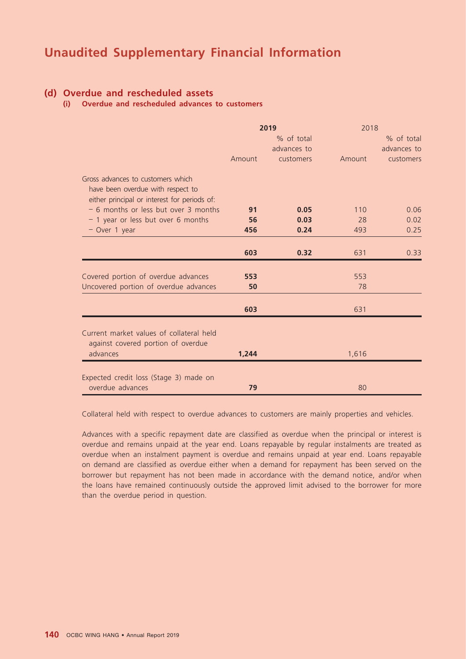# **Unaudited Supplementary Financial Information**

## **(d) Overdue and rescheduled assets**

 **(i) Overdue and rescheduled advances to customers**

|                                                                                                                        | 2019   |             | 2018   |             |
|------------------------------------------------------------------------------------------------------------------------|--------|-------------|--------|-------------|
|                                                                                                                        |        | % of total  |        | % of total  |
|                                                                                                                        |        | advances to |        | advances to |
|                                                                                                                        | Amount | customers   | Amount | customers   |
| Gross advances to customers which<br>have been overdue with respect to<br>either principal or interest for periods of: |        |             |        |             |
| - 6 months or less but over 3 months                                                                                   | 91     | 0.05        | 110    | 0.06        |
| - 1 year or less but over 6 months                                                                                     | 56     | 0.03        | 28     | 0.02        |
| - Over 1 year                                                                                                          | 456    | 0.24        | 493    | 0.25        |
|                                                                                                                        |        |             |        |             |
|                                                                                                                        | 603    | 0.32        | 631    | 0.33        |
| Covered portion of overdue advances                                                                                    | 553    |             | 553    |             |
| Uncovered portion of overdue advances                                                                                  | 50     |             | 78     |             |
|                                                                                                                        | 603    |             | 631    |             |
|                                                                                                                        |        |             |        |             |
| Current market values of collateral held<br>against covered portion of overdue                                         |        |             |        |             |
| advances                                                                                                               | 1,244  |             | 1,616  |             |
|                                                                                                                        |        |             |        |             |
| Expected credit loss (Stage 3) made on<br>overdue advances                                                             | 79     |             | 80     |             |
|                                                                                                                        |        |             |        |             |

Collateral held with respect to overdue advances to customers are mainly properties and vehicles.

Advances with a specific repayment date are classified as overdue when the principal or interest is overdue and remains unpaid at the year end. Loans repayable by regular instalments are treated as overdue when an instalment payment is overdue and remains unpaid at year end. Loans repayable on demand are classified as overdue either when a demand for repayment has been served on the borrower but repayment has not been made in accordance with the demand notice, and/or when the loans have remained continuously outside the approved limit advised to the borrower for more than the overdue period in question.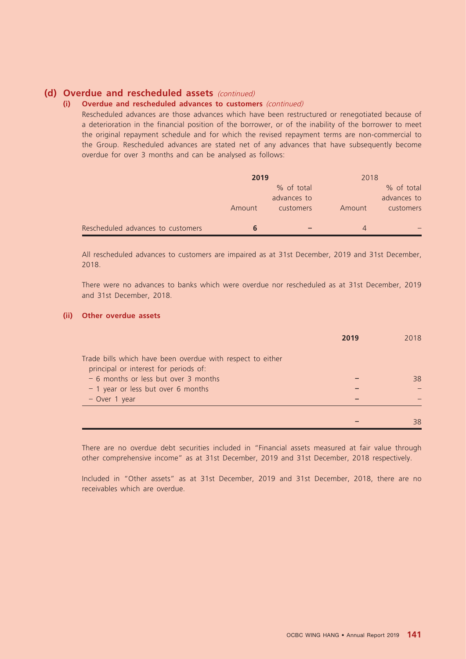## **(d) Overdue and rescheduled assets** (continued)

### **(i) Overdue and rescheduled advances to customers** (continued)

Rescheduled advances are those advances which have been restructured or renegotiated because of a deterioration in the financial position of the borrower, or of the inability of the borrower to meet the original repayment schedule and for which the revised repayment terms are non-commercial to the Group. Rescheduled advances are stated net of any advances that have subsequently become overdue for over 3 months and can be analysed as follows:

|                                   | 2019   |             | 2018   |             |  |
|-----------------------------------|--------|-------------|--------|-------------|--|
|                                   |        | % of total  |        | % of total  |  |
|                                   |        | advances to |        | advances to |  |
|                                   | Amount | customers   | Amount | customers   |  |
|                                   |        |             |        |             |  |
| Rescheduled advances to customers |        |             | 4      |             |  |

All rescheduled advances to customers are impaired as at 31st December, 2019 and 31st December, 2018.

There were no advances to banks which were overdue nor rescheduled as at 31st December, 2019 and 31st December, 2018.

## **(ii) Other overdue assets**

|                                                            | 2019 | 2018 |
|------------------------------------------------------------|------|------|
| Trade bills which have been overdue with respect to either |      |      |
| principal or interest for periods of:                      |      |      |
| - 6 months or less but over 3 months                       |      | 38   |
| $-$ 1 year or less but over 6 months                       |      |      |
| $-$ Over 1 year                                            |      |      |
|                                                            |      |      |
|                                                            |      | 38   |

There are no overdue debt securities included in "Financial assets measured at fair value through other comprehensive income" as at 31st December, 2019 and 31st December, 2018 respectively.

Included in "Other assets" as at 31st December, 2019 and 31st December, 2018, there are no receivables which are overdue.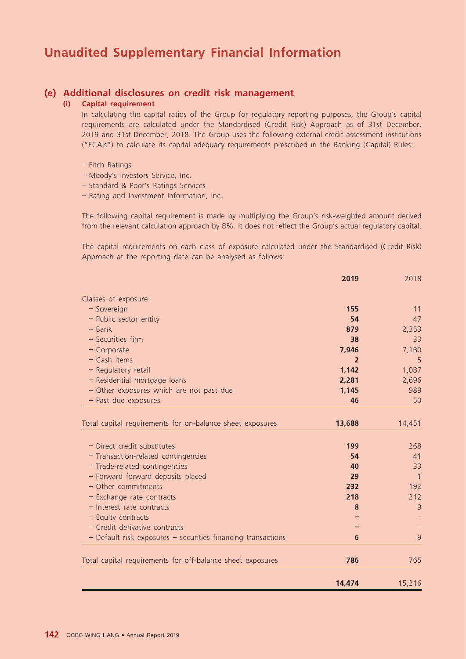# **Unaudited Supplementary Financial Information**

## **(e) Additional disclosures on credit risk management**

#### **(i) Capital requirement**

In calculating the capital ratios of the Group for regulatory reporting purposes, the Group's capital requirements are calculated under the Standardised (Credit Risk) Approach as of 31st December, 2019 and 31st December, 2018. The Group uses the following external credit assessment institutions ("ECAIs") to calculate its capital adequacy requirements prescribed in the Banking (Capital) Rules:

- Fitch Ratings
- Moody's Investors Service, Inc.
- Standard & Poor's Ratings Services
- Rating and Investment Information, Inc.

The following capital requirement is made by multiplying the Group's risk-weighted amount derived from the relevant calculation approach by 8%. It does not reflect the Group's actual regulatory capital.

The capital requirements on each class of exposure calculated under the Standardised (Credit Risk) Approach at the reporting date can be analysed as follows:

|                                                              | 2019           | 2018           |
|--------------------------------------------------------------|----------------|----------------|
| Classes of exposure:                                         |                |                |
| - Sovereign                                                  | 155            | 11             |
| - Public sector entity                                       | 54             | 47             |
| $-$ Bank                                                     | 879            | 2,353          |
| - Securities firm                                            | 38             | 33             |
| - Corporate                                                  | 7,946          | 7,180          |
| $-$ Cash items                                               | $\overline{2}$ | 5              |
| - Regulatory retail                                          | 1,142          | 1,087          |
| - Residential mortgage loans                                 | 2,281          | 2,696          |
| - Other exposures which are not past due                     | 1,145          | 989            |
| - Past due exposures                                         | 46             | 50             |
| Total capital requirements for on-balance sheet exposures    | 13,688         | 14,451         |
| - Direct credit substitutes                                  | 199            | 268            |
| - Transaction-related contingencies                          | 54             | 41             |
| - Trade-related contingencies                                | 40             | 33             |
| - Forward forward deposits placed                            | 29             | $\overline{1}$ |
| - Other commitments                                          | 232            | 192            |
| - Exchange rate contracts                                    | 218            | 212            |
| - Interest rate contracts                                    | 8              | 9              |
| - Equity contracts                                           |                |                |
| - Credit derivative contracts                                |                |                |
| - Default risk exposures - securities financing transactions | 6              | 9              |
| Total capital requirements for off-balance sheet exposures   | 786            | 765            |
|                                                              | 14,474         | 15,216         |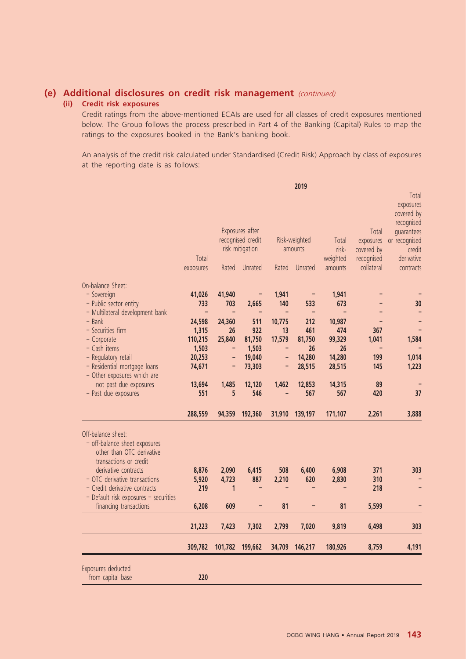## **(e) Additional disclosures on credit risk management** (continued)

#### **(ii) Credit risk exposures**

Credit ratings from the above-mentioned ECAIs are used for all classes of credit exposures mentioned below. The Group follows the process prescribed in Part 4 of the Banking (Capital) Rules to map the ratings to the exposures booked in the Bank's banking book.

An analysis of the credit risk calculated under Standardised (Credit Risk) Approach by class of exposures at the reporting date is as follows:

| Exposures deducted<br>from capital base                                                                          | 220                                       |                                           |                                                         |                          |                     |                                           |                                          |                                                                                         |
|------------------------------------------------------------------------------------------------------------------|-------------------------------------------|-------------------------------------------|---------------------------------------------------------|--------------------------|---------------------|-------------------------------------------|------------------------------------------|-----------------------------------------------------------------------------------------|
|                                                                                                                  | 309,782                                   | 101,782                                   | 199,662                                                 | 34,709                   | 146,217             | 180,926                                   | 8,759                                    | 4,191                                                                                   |
|                                                                                                                  | 21,223                                    | 7,423                                     | 7,302                                                   | 2,799                    | 7,020               | 9,819                                     | 6,498                                    | 303                                                                                     |
| - Default risk exposures - securities<br>financing transactions                                                  | 6,208                                     | 609                                       |                                                         | 81                       |                     | 81                                        | 5,599                                    |                                                                                         |
| transactions or credit<br>derivative contracts<br>- OTC derivative transactions<br>- Credit derivative contracts | 8,876<br>5,920<br>219                     | 2,090<br>4,723<br>$\mathbf{1}$            | 6,415<br>887<br>$\qquad \qquad -$                       | 508<br>2,210             | 6,400<br>620        | 6,908<br>2,830                            | 371<br>310<br>218                        | 303                                                                                     |
| Off-balance sheet:<br>- off-balance sheet exposures<br>other than OTC derivative                                 |                                           |                                           |                                                         |                          |                     |                                           |                                          |                                                                                         |
|                                                                                                                  | 288,559                                   | 94,359                                    | 192,360                                                 | 31,910                   | 139,197             | 171,107                                   | 2,261                                    | 3,888                                                                                   |
| - Other exposures which are<br>not past due exposures<br>- Past due exposures                                    | 13,694<br>551                             | 1,485<br>5                                | 12,120<br>546                                           | 1,462                    | 12,853<br>567       | 14,315<br>567                             | 89<br>420                                | 37                                                                                      |
| - Regulatory retail<br>- Residential mortgage loans                                                              | 20,253<br>74,671                          | ÷<br>-                                    | 19,040<br>73,303                                        | -<br>-                   | 14,280<br>28,515    | 14,280<br>28,515                          | 199<br>145                               | 1,014<br>1,223                                                                          |
| - Securities firm<br>- Corporate<br>- Cash items                                                                 | 1,315<br>110,215<br>1,503                 | 26<br>25,840<br>Ξ                         | 922<br>81,750<br>1,503                                  | 13<br>17,579<br>-        | 461<br>81,750<br>26 | 474<br>99,329<br>26                       | 367<br>1,041<br>$\overline{\phantom{0}}$ | 1,584                                                                                   |
| - Public sector entity<br>- Multilateral development bank<br>$-$ Bank                                            | 733<br>$\overline{\phantom{0}}$<br>24,598 | 703<br>$\overline{\phantom{0}}$<br>24,360 | 2,665<br>511                                            | 140<br>10,775            | 533<br>212          | 673<br>$\overline{\phantom{0}}$<br>10,987 |                                          | 30                                                                                      |
| On-balance Sheet:<br>- Sovereign                                                                                 | 41,026                                    | 41,940                                    |                                                         | 1,941                    |                     | 1,941                                     |                                          |                                                                                         |
|                                                                                                                  | Total<br>exposures                        | Rated                                     | Unrated                                                 | Rated                    | Unrated             | weighted<br>amounts                       | recognised<br>collateral                 | derivative<br>contracts                                                                 |
|                                                                                                                  |                                           |                                           | Exposures after<br>recognised credit<br>risk mitigation | Risk-weighted<br>amounts |                     | Total<br>risk-                            | Total<br>exposures<br>covered by         | Total<br>exposures<br>covered by<br>recognised<br>quarantees<br>or recognised<br>credit |
|                                                                                                                  |                                           |                                           |                                                         |                          | 2019                |                                           |                                          |                                                                                         |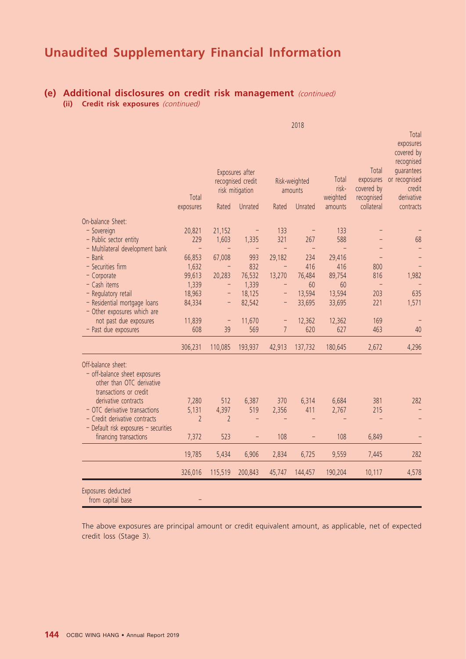# **Unaudited Supplementary Financial Information**

## **(e) Additional disclosures on credit risk management** (continued)

 **(ii) Credit risk exposures** (continued)

|                                                     |                   |                   |                          |                   | 2018                     |                   |                         |                         |
|-----------------------------------------------------|-------------------|-------------------|--------------------------|-------------------|--------------------------|-------------------|-------------------------|-------------------------|
|                                                     |                   |                   |                          |                   |                          |                   |                         | Total<br>exposures      |
|                                                     |                   |                   |                          |                   |                          |                   |                         | covered by              |
|                                                     |                   |                   |                          |                   |                          |                   |                         | recognised              |
|                                                     |                   |                   | Exposures after          |                   |                          |                   | Total                   | quarantees              |
|                                                     |                   |                   | recognised credit        |                   | Risk-weighted            |                   | exposures<br>covered by | or recognised<br>credit |
|                                                     |                   | risk mitigation   |                          | amounts           |                          | Total<br>risk-    |                         |                         |
|                                                     | Total             |                   |                          |                   |                          | weighted          | recognised              | derivative              |
|                                                     | exposures         | Rated             | Unrated                  | Rated             | Unrated                  | amounts           | collateral              | contracts               |
| On-balance Sheet:                                   |                   |                   |                          |                   |                          |                   |                         |                         |
| - Sovereign                                         | 20,821            | 21,152            |                          | 133               |                          | 133               |                         |                         |
| - Public sector entity                              | 229               | 1,603             | 1,335                    | 321               | 267                      | 588               |                         | 68                      |
| - Multilateral development bank                     | $\qquad \qquad -$ | $\qquad \qquad -$ | $\overline{\phantom{0}}$ | $\qquad \qquad -$ | $\overline{\phantom{a}}$ | $\qquad \qquad -$ |                         |                         |
| $-$ Bank                                            | 66,853            | 67,008            | 993                      | 29,182            | 234                      | 29,416            |                         |                         |
| - Securities firm                                   | 1,632             | -                 | 832                      | $\qquad \qquad -$ | 416                      | 416               | 800                     |                         |
| - Corporate                                         | 99,613            | 20,283            | 76,532                   | 13,270            | 76,484                   | 89,754            | 816                     | 1,982                   |
| - Cash items                                        | 1,339             | -                 | 1,339                    |                   | 60                       | 60                | $\qquad \qquad -$       |                         |
| - Regulatory retail                                 | 18,963            | -                 | 18,125                   | -                 | 13,594                   | 13,594            | 203                     | 635                     |
| - Residential mortgage loans                        | 84,334            |                   | 82,542                   |                   | 33,695                   | 33,695            | 221                     | 1,571                   |
| - Other exposures which are                         |                   |                   |                          |                   |                          |                   |                         |                         |
| not past due exposures                              | 11,839            | $\qquad \qquad -$ | 11,670                   | -                 | 12,362                   | 12,362            | 169                     |                         |
| - Past due exposures                                | 608               | 39                | 569                      | $\overline{7}$    | 620                      | 627               | 463                     | 40                      |
|                                                     | 306,231           | 110,085           | 193,937                  | 42,913            | 137,732                  | 180,645           | 2,672                   | 4,296                   |
|                                                     |                   |                   |                          |                   |                          |                   |                         |                         |
| Off-balance sheet:                                  |                   |                   |                          |                   |                          |                   |                         |                         |
| - off-balance sheet exposures                       |                   |                   |                          |                   |                          |                   |                         |                         |
| other than OTC derivative<br>transactions or credit |                   |                   |                          |                   |                          |                   |                         |                         |
| derivative contracts                                | 7,280             | 512               | 6,387                    | 370               | 6,314                    | 6,684             | 381                     | 282                     |
| - OTC derivative transactions                       | 5,131             | 4,397             | 519                      | 2,356             | 411                      | 2,767             | 215                     |                         |
| - Credit derivative contracts                       | $\overline{2}$    | $\overline{2}$    | ۳                        |                   |                          |                   |                         |                         |
| - Default risk exposures - securities               |                   |                   |                          |                   |                          |                   |                         |                         |
| financing transactions                              | 7,372             | 523               |                          | 108               |                          | 108               | 6,849                   |                         |
|                                                     |                   |                   |                          |                   |                          |                   |                         |                         |
|                                                     | 19,785            | 5,434             | 6,906                    | 2,834             | 6,725                    | 9,559             | 7,445                   | 282                     |
|                                                     | 326,016           | 115,519           | 200,843                  | 45,747            | 144,457                  | 190,204           | 10,117                  | 4,578                   |
| Exposures deducted                                  |                   |                   |                          |                   |                          |                   |                         |                         |
| from capital base                                   |                   |                   |                          |                   |                          |                   |                         |                         |

The above exposures are principal amount or credit equivalent amount, as applicable, net of expected credit loss (Stage 3).

144 OCBC WING HANG • Annual Report 2019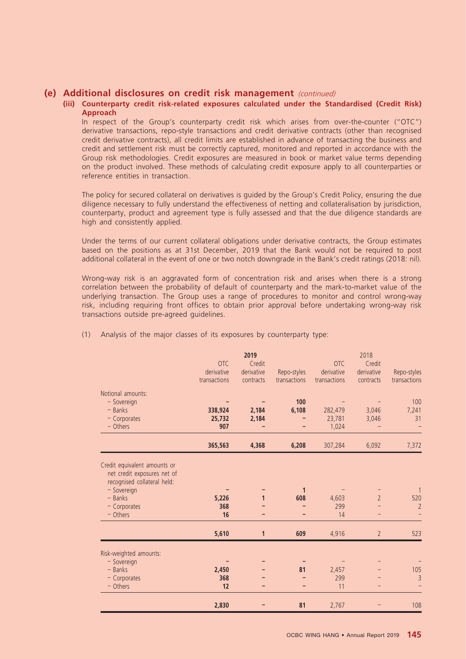### **(e) Additional disclosures on credit risk management** (continued)

#### **(iii) Counterparty credit risk-related exposures calculated under the Standardised (Credit Risk) Approach**

In respect of the Group's counterparty credit risk which arises from over-the-counter ("OTC") derivative transactions, repo-style transactions and credit derivative contracts (other than recognised credit derivative contracts), all credit limits are established in advance of transacting the business and credit and settlement risk must be correctly captured, monitored and reported in accordance with the Group risk methodologies. Credit exposures are measured in book or market value terms depending on the product involved. These methods of calculating credit exposure apply to all counterparties or reference entities in transaction.

The policy for secured collateral on derivatives is guided by the Group's Credit Policy, ensuring the due diligence necessary to fully understand the effectiveness of netting and collateralisation by jurisdiction, counterparty, product and agreement type is fully assessed and that the due diligence standards are high and consistently applied.

Under the terms of our current collateral obligations under derivative contracts, the Group estimates based on the positions as at 31st December, 2019 that the Bank would not be required to post additional collateral in the event of one or two notch downgrade in the Bank's credit ratings (2018: nil).

Wrong-way risk is an aggravated form of concentration risk and arises when there is a strong correlation between the probability of default of counterparty and the mark-to-market value of the underlying transaction. The Group uses a range of procedures to monitor and control wrong-way risk, including requiring front offices to obtain prior approval before undertaking wrong-way risk transactions outside pre-agreed guidelines.

|                              |              | 2019       |              |              | 2018           |                |
|------------------------------|--------------|------------|--------------|--------------|----------------|----------------|
|                              | <b>OTC</b>   | Credit     |              | <b>OTC</b>   | Credit         |                |
|                              | derivative   | derivative | Repo-styles  | derivative   | derivative     | Repo-styles    |
|                              | transactions | contracts  | transactions | transactions | contracts      | transactions   |
| Notional amounts:            |              |            |              |              |                |                |
| - Sovereign                  |              |            | 100          |              |                | 100            |
| $-$ Banks                    | 338,924      | 2,184      | 6,108        | 282,479      | 3,046          | 7,241          |
| - Corporates                 | 25,732       | 2,184      |              | 23,781       | 3,046          | 31             |
| - Others                     | 907          |            |              | 1,024        |                |                |
|                              |              |            |              |              |                |                |
|                              | 365,563      | 4,368      | 6,208        | 307,284      | 6,092          | 7,372          |
| Credit equivalent amounts or |              |            |              |              |                |                |
| net credit exposures net of  |              |            |              |              |                |                |
| recognised collateral held:  |              |            |              |              |                |                |
| - Sovereign                  |              |            | 1            |              |                | $\overline{1}$ |
| - Banks                      | 5,226        | 1          | 608          | 4,603        | $\overline{2}$ | 520            |
| - Corporates                 | 368          |            |              | 299          |                | $\overline{2}$ |
| - Others                     | 16           |            |              | 14           |                |                |
|                              |              |            |              |              |                |                |
|                              | 5,610        | 1          | 609          | 4,916        | $\overline{2}$ | 523            |
| Risk-weighted amounts:       |              |            |              |              |                |                |
| - Sovereign                  |              |            |              |              |                |                |
| $-$ Banks                    | 2,450        |            | 81           | 2,457        |                | 105            |
|                              | 368          |            |              | 299          |                | $\overline{3}$ |
| - Corporates<br>$-$ Others   | 12           |            |              | 11           |                |                |
|                              |              |            |              |              |                |                |
|                              | 2,830        |            | 81           | 2,767        |                | 108            |
|                              |              |            |              |              |                |                |

(1) Analysis of the major classes of its exposures by counterparty type: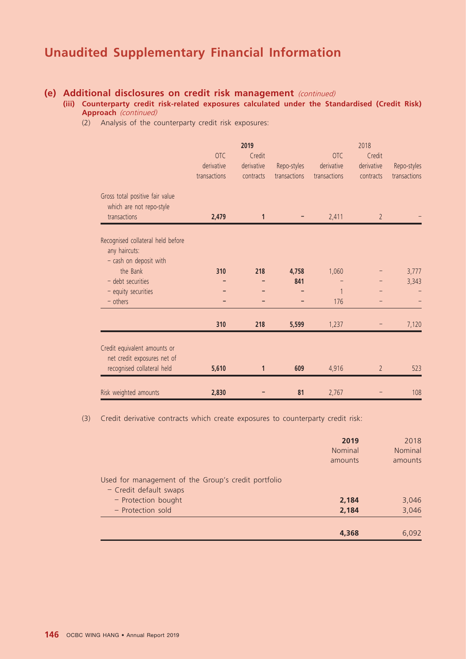# **Unaudited Supplementary Financial Information**

### **(e) Additional disclosures on credit risk management** (continued)

 **(iii) Counterparty credit risk-related exposures calculated under the Standardised (Credit Risk) Approach** (continued)

(2) Analysis of the counterparty credit risk exposures:

|                                                                                                               |              | 2019       |              |              | 2018           |                |
|---------------------------------------------------------------------------------------------------------------|--------------|------------|--------------|--------------|----------------|----------------|
|                                                                                                               | <b>OTC</b>   | Credit     |              | <b>OTC</b>   | Credit         |                |
|                                                                                                               | derivative   | derivative | Repo-styles  | derivative   | derivative     | Repo-styles    |
|                                                                                                               | transactions | contracts  | transactions | transactions | contracts      | transactions   |
| Gross total positive fair value<br>which are not repo-style                                                   |              |            |              |              |                |                |
| transactions                                                                                                  | 2,479        | 1          |              | 2,411        | $\overline{2}$ |                |
| Recognised collateral held before<br>any haircuts:<br>- cash on deposit with<br>the Bank<br>- debt securities | 310          | 218        | 4,758<br>841 | 1,060        |                | 3,777<br>3,343 |
| - equity securities                                                                                           |              |            |              | 1            |                |                |
| $-$ others                                                                                                    |              |            |              | 176          |                |                |
|                                                                                                               | 310          | 218        | 5,599        | 1,237        |                | 7,120          |
| Credit equivalent amounts or<br>net credit exposures net of                                                   |              |            |              |              |                |                |
| recognised collateral held                                                                                    | 5,610        | 1          | 609          | 4,916        | $\overline{2}$ | 523            |
| Risk weighted amounts                                                                                         | 2,830        |            | 81           | 2,767        |                | 108            |
|                                                                                                               |              |            |              |              |                |                |

(3) Credit derivative contracts which create exposures to counterparty credit risk:

|                                                                               | 2019<br><b>Nominal</b><br>amounts | 2018<br>Nominal<br>amounts |
|-------------------------------------------------------------------------------|-----------------------------------|----------------------------|
| Used for management of the Group's credit portfolio<br>- Credit default swaps |                                   |                            |
| - Protection bought                                                           | 2,184                             | 3,046                      |
| - Protection sold                                                             | 2,184                             | 3,046                      |
|                                                                               |                                   |                            |
|                                                                               | 4,368                             | 6,092                      |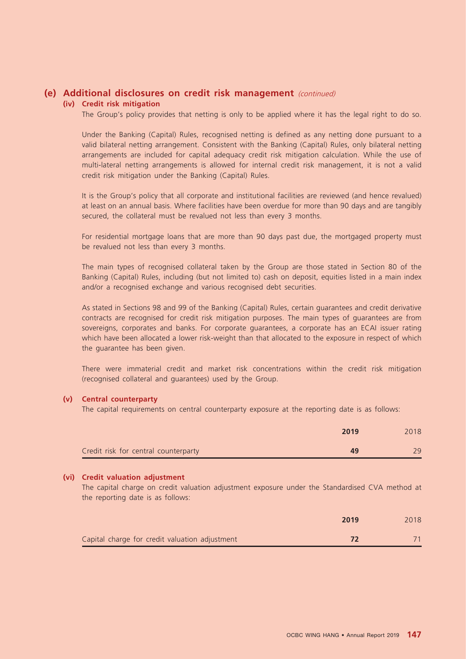### **(e) Additional disclosures on credit risk management** (continued)

#### **(iv) Credit risk mitigation**

The Group's policy provides that netting is only to be applied where it has the legal right to do so.

Under the Banking (Capital) Rules, recognised netting is defined as any netting done pursuant to a valid bilateral netting arrangement. Consistent with the Banking (Capital) Rules, only bilateral netting arrangements are included for capital adequacy credit risk mitigation calculation. While the use of multi-lateral netting arrangements is allowed for internal credit risk management, it is not a valid credit risk mitigation under the Banking (Capital) Rules.

It is the Group's policy that all corporate and institutional facilities are reviewed (and hence revalued) at least on an annual basis. Where facilities have been overdue for more than 90 days and are tangibly secured, the collateral must be revalued not less than every 3 months.

For residential mortgage loans that are more than 90 days past due, the mortgaged property must be revalued not less than every 3 months.

The main types of recognised collateral taken by the Group are those stated in Section 80 of the Banking (Capital) Rules, including (but not limited to) cash on deposit, equities listed in a main index and/or a recognised exchange and various recognised debt securities.

As stated in Sections 98 and 99 of the Banking (Capital) Rules, certain guarantees and credit derivative contracts are recognised for credit risk mitigation purposes. The main types of guarantees are from sovereigns, corporates and banks. For corporate guarantees, a corporate has an ECAI issuer rating which have been allocated a lower risk-weight than that allocated to the exposure in respect of which the guarantee has been given.

There were immaterial credit and market risk concentrations within the credit risk mitigation (recognised collateral and guarantees) used by the Group.

#### **(v) Central counterparty**

The capital requirements on central counterparty exposure at the reporting date is as follows:

|                                      | 2019 | 2018 |
|--------------------------------------|------|------|
| Credit risk for central counterparty |      | 29   |

#### **(vi) Credit valuation adjustment**

The capital charge on credit valuation adjustment exposure under the Standardised CVA method at the reporting date is as follows:

|                                                | 2019 | 2018 |
|------------------------------------------------|------|------|
| Capital charge for credit valuation adjustment | フつ   |      |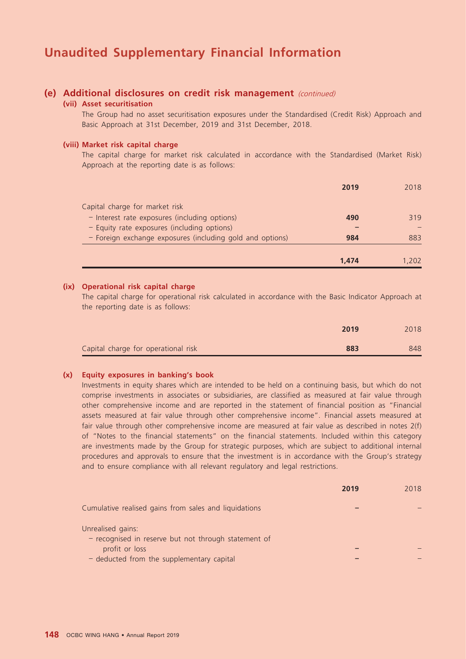# **Unaudited Supplementary Financial Information**

### **(e) Additional disclosures on credit risk management** (continued)

#### **(vii) Asset securitisation**

The Group had no asset securitisation exposures under the Standardised (Credit Risk) Approach and Basic Approach at 31st December, 2019 and 31st December, 2018.

### **(viii) Market risk capital charge**

The capital charge for market risk calculated in accordance with the Standardised (Market Risk) Approach at the reporting date is as follows:

|                                                           | 2019  | 2018 |
|-----------------------------------------------------------|-------|------|
| Capital charge for market risk                            |       |      |
| - Interest rate exposures (including options)             | 490   | 319  |
| - Equity rate exposures (including options)               |       |      |
| - Foreign exchange exposures (including gold and options) | 984   | 883  |
|                                                           | 1.474 | .202 |

### **(ix) Operational risk capital charge**

The capital charge for operational risk calculated in accordance with the Basic Indicator Approach at the reporting date is as follows:

|                                     | 2019 | 2018 |
|-------------------------------------|------|------|
| Capital charge for operational risk | 883  | 848  |

### **(x) Equity exposures in banking's book**

Investments in equity shares which are intended to be held on a continuing basis, but which do not comprise investments in associates or subsidiaries, are classified as measured at fair value through other comprehensive income and are reported in the statement of financial position as "Financial assets measured at fair value through other comprehensive income". Financial assets measured at fair value through other comprehensive income are measured at fair value as described in notes 2(f) of "Notes to the financial statements" on the financial statements. Included within this category are investments made by the Group for strategic purposes, which are subject to additional internal procedures and approvals to ensure that the investment is in accordance with the Group's strategy and to ensure compliance with all relevant regulatory and legal restrictions.

|                                                                           | 2019 | 2018 |
|---------------------------------------------------------------------------|------|------|
| Cumulative realised gains from sales and liquidations                     |      |      |
| Unrealised gains:<br>- recognised in reserve but not through statement of |      |      |
| profit or loss                                                            |      |      |
| $-$ deducted from the supplementary capital                               |      |      |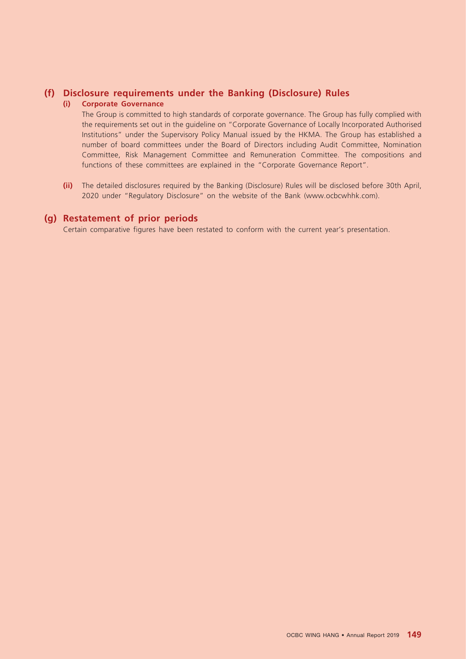### **(f) Disclosure requirements under the Banking (Disclosure) Rules**

#### **(i) Corporate Governance**

The Group is committed to high standards of corporate governance. The Group has fully complied with the requirements set out in the guideline on "Corporate Governance of Locally Incorporated Authorised Institutions" under the Supervisory Policy Manual issued by the HKMA. The Group has established a number of board committees under the Board of Directors including Audit Committee, Nomination Committee, Risk Management Committee and Remuneration Committee. The compositions and functions of these committees are explained in the "Corporate Governance Report".

**(ii)** The detailed disclosures required by the Banking (Disclosure) Rules will be disclosed before 30th April, 2020 under "Regulatory Disclosure" on the website of the Bank (www.ocbcwhhk.com).

### **(g) Restatement of prior periods**

Certain comparative figures have been restated to conform with the current year's presentation.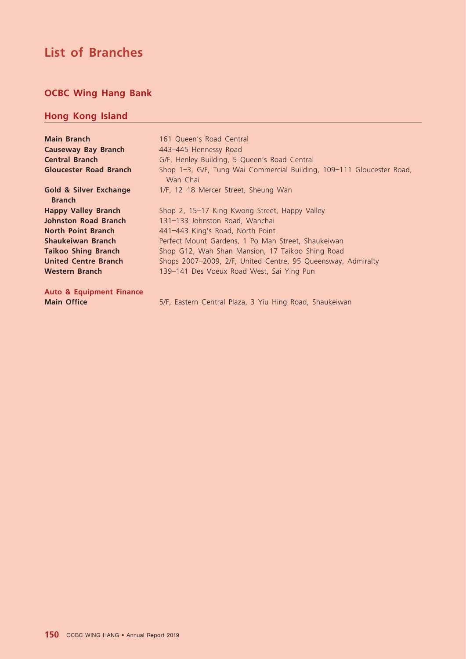## **OCBC Wing Hang Bank**

### **Hong Kong Island**

| <b>Main Branch</b>                  | 161 Queen's Road Central                                                          |
|-------------------------------------|-----------------------------------------------------------------------------------|
| <b>Causeway Bay Branch</b>          | 443-445 Hennessy Road                                                             |
| <b>Central Branch</b>               | G/F, Henley Building, 5 Queen's Road Central                                      |
| <b>Gloucester Road Branch</b>       | Shop 1-3, G/F, Tung Wai Commercial Building, 109-111 Gloucester Road,<br>Wan Chai |
| <b>Gold &amp; Silver Exchange</b>   | 1/F, 12-18 Mercer Street, Sheung Wan                                              |
| <b>Branch</b>                       |                                                                                   |
| <b>Happy Valley Branch</b>          | Shop 2, 15–17 King Kwong Street, Happy Valley                                     |
| <b>Johnston Road Branch</b>         | 131-133 Johnston Road, Wanchai                                                    |
| <b>North Point Branch</b>           | 441-443 King's Road, North Point                                                  |
| Shaukeiwan Branch                   | Perfect Mount Gardens, 1 Po Man Street, Shaukeiwan                                |
| <b>Taikoo Shing Branch</b>          | Shop G12, Wah Shan Mansion, 17 Taikoo Shing Road                                  |
| <b>United Centre Branch</b>         | Shops 2007-2009, 2/F, United Centre, 95 Queensway, Admiralty                      |
| <b>Western Branch</b>               | 139-141 Des Voeux Road West, Sai Ying Pun                                         |
| <b>Auto &amp; Equipment Finance</b> |                                                                                   |
| <b>Main Office</b>                  | 5/F, Eastern Central Plaza, 3 Yiu Hing Road, Shaukeiwan                           |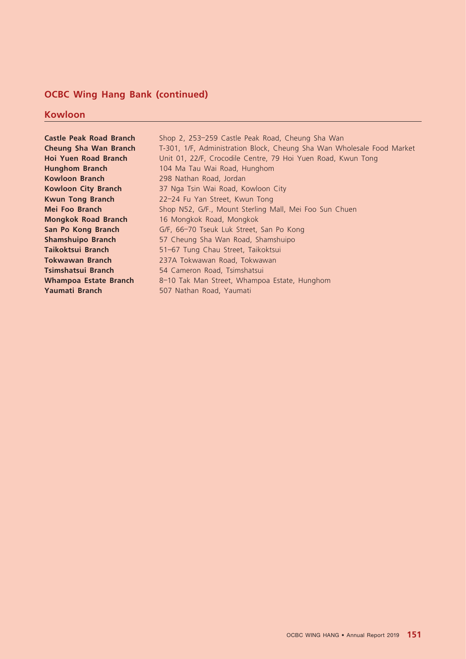# **OCBC Wing Hang Bank (continued)**

### **Kowloon**

| <b>Castle Peak Road Branch</b> | Shop 2, 253-259 Castle Peak Road, Cheung Sha Wan                       |
|--------------------------------|------------------------------------------------------------------------|
| <b>Cheung Sha Wan Branch</b>   | T-301, 1/F, Administration Block, Cheung Sha Wan Wholesale Food Market |
| Hoi Yuen Road Branch           | Unit 01, 22/F, Crocodile Centre, 79 Hoi Yuen Road, Kwun Tong           |
| <b>Hunghom Branch</b>          | 104 Ma Tau Wai Road, Hunghom                                           |
| <b>Kowloon Branch</b>          | 298 Nathan Road, Jordan                                                |
| <b>Kowloon City Branch</b>     | 37 Nga Tsin Wai Road, Kowloon City                                     |
| <b>Kwun Tong Branch</b>        | 22-24 Fu Yan Street, Kwun Tong                                         |
| <b>Mei Foo Branch</b>          | Shop N52, G/F., Mount Sterling Mall, Mei Foo Sun Chuen                 |
| <b>Mongkok Road Branch</b>     | 16 Mongkok Road, Mongkok                                               |
| San Po Kong Branch             | G/F, 66-70 Tseuk Luk Street, San Po Kong                               |
| <b>Shamshuipo Branch</b>       | 57 Cheung Sha Wan Road, Shamshuipo                                     |
| Taikoktsui Branch              | 51-67 Tung Chau Street, Taikoktsui                                     |
| Tokwawan Branch                | 237A Tokwawan Road, Tokwawan                                           |
| Tsimshatsui Branch             | 54 Cameron Road, Tsimshatsui                                           |
| <b>Whampoa Estate Branch</b>   | 8-10 Tak Man Street, Whampoa Estate, Hunghom                           |
| Yaumati Branch                 | 507 Nathan Road, Yaumati                                               |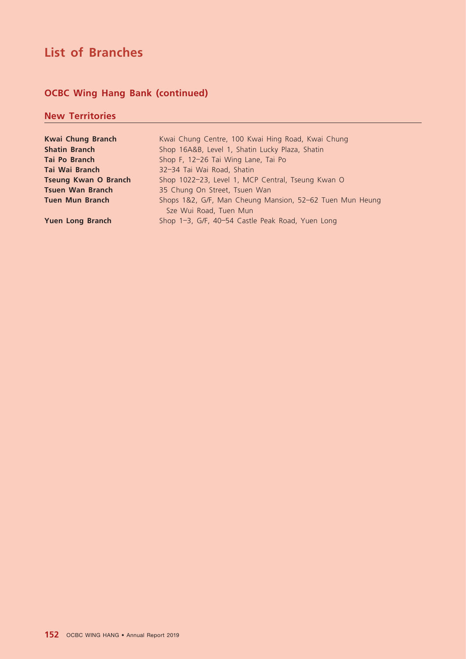# **OCBC Wing Hang Bank (continued)**

## **New Territories**

| <b>Kwai Chung Branch</b>    | Kwai Chung Centre, 100 Kwai Hing Road, Kwai Chung                                  |
|-----------------------------|------------------------------------------------------------------------------------|
| <b>Shatin Branch</b>        | Shop 16A&B, Level 1, Shatin Lucky Plaza, Shatin                                    |
| Tai Po Branch               | Shop F, 12-26 Tai Wing Lane, Tai Po                                                |
| Tai Wai Branch              | 32-34 Tai Wai Road, Shatin                                                         |
| <b>Tseung Kwan O Branch</b> | Shop 1022-23, Level 1, MCP Central, Tseung Kwan O                                  |
| <b>Tsuen Wan Branch</b>     | 35 Chung On Street, Tsuen Wan                                                      |
| <b>Tuen Mun Branch</b>      | Shops 1&2, G/F, Man Cheung Mansion, 52-62 Tuen Mun Heung<br>Sze Wui Road, Tuen Mun |
| <b>Yuen Long Branch</b>     | Shop 1-3, G/F, 40-54 Castle Peak Road, Yuen Long                                   |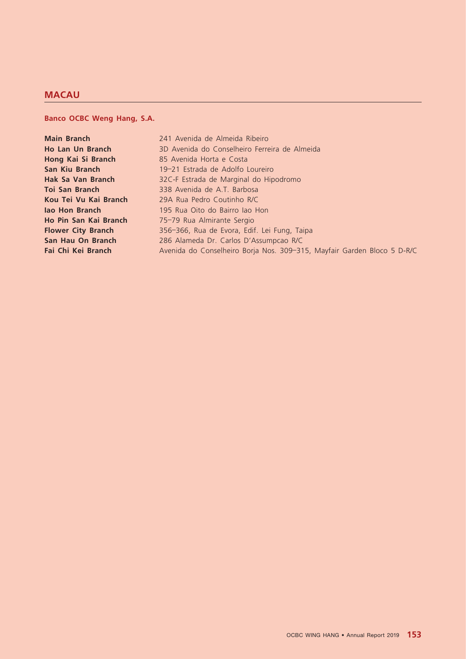### **MACAU**

### **Banco OCBC Weng Hang, S.A.**

| <b>Main Branch</b>        | 241 Avenida de Almeida Ribeiro                                          |
|---------------------------|-------------------------------------------------------------------------|
| Ho Lan Un Branch          | 3D Avenida do Conselheiro Ferreira de Almeida                           |
| Hong Kai Si Branch        | 85 Avenida Horta e Costa                                                |
| San Kiu Branch            | 19–21 Estrada de Adolfo Loureiro                                        |
| Hak Sa Van Branch         | 32C-F Estrada de Marginal do Hipodromo                                  |
| Toi San Branch            | 338 Avenida de A.T. Barbosa                                             |
| Kou Tei Vu Kai Branch     | 29A Rua Pedro Coutinho R/C                                              |
| lao Hon Branch            | 195 Rua Oito do Bairro lao Hon                                          |
| Ho Pin San Kai Branch     | 75–79 Rua Almirante Sergio                                              |
| <b>Flower City Branch</b> | 356-366, Rua de Evora, Edif. Lei Fung, Taipa                            |
| San Hau On Branch         | 286 Alameda Dr. Carlos D'Assumpcao R/C                                  |
| Fai Chi Kei Branch        | Avenida do Conselheiro Borja Nos. 309-315, Mayfair Garden Bloco 5 D-R/C |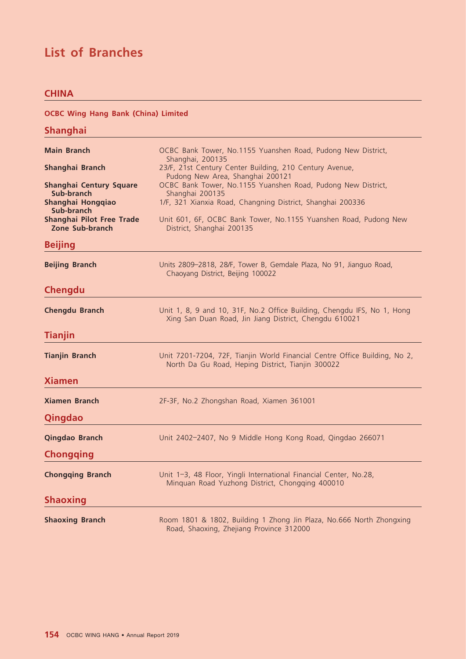### **CHINA**

### **OCBC Wing Hang Bank (China) Limited Shanghai Main Branch OCBC Bank Tower, No.1155 Yuanshen Road, Pudong New District,** Shanghai, 200135 **Shanghai Branch** 23/F, 21st Century Center Building, 210 Century Avenue, Pudong New Area, Shanghai 200121 **Shanghai Century Square Sub-branch** OCBC Bank Tower, No.1155 Yuanshen Road, Pudong New District, Shanghai 200135 **Shanghai Hongqiao Sub-branch** 1/F, 321 Xianxia Road, Changning District, Shanghai 200336 **Shanghai Pilot Free Trade Zone Sub-branch** Unit 601, 6F, OCBC Bank Tower, No.1155 Yuanshen Road, Pudong New District, Shanghai 200135 **Beijing Beijing Branch** Units 2809–2818, 28/F, Tower B, Gemdale Plaza, No 91, Jianguo Road, Chaoyang District, Beijing 100022 **Chengdu Chengdu Branch** Unit 1, 8, 9 and 10, 31F, No.2 Office Building, Chengdu IFS, No 1, Hong Xing San Duan Road, Jin Jiang District, Chengdu 610021 **Tianjin Tianjin Branch** Unit 7201-7204, 72F, Tianjin World Financial Centre Office Building, No 2, North Da Gu Road, Heping District, Tianjin 300022 **Xiamen Xiamen Branch** 2F-3F, No.2 Zhongshan Road, Xiamen 361001 **Qingdao Qingdao Branch** Unit 2402–2407, No 9 Middle Hong Kong Road, Qingdao 266071 **Chongqing Chongqing Branch** Unit 1–3, 48 Floor, Yingli International Financial Center, No.28, Minquan Road Yuzhong District, Chongqing 400010 **Shaoxing Shaoxing Branch** Room 1801 & 1802, Building 1 Zhong Jin Plaza, No.666 North Zhongxing Road, Shaoxing, Zhejiang Province 312000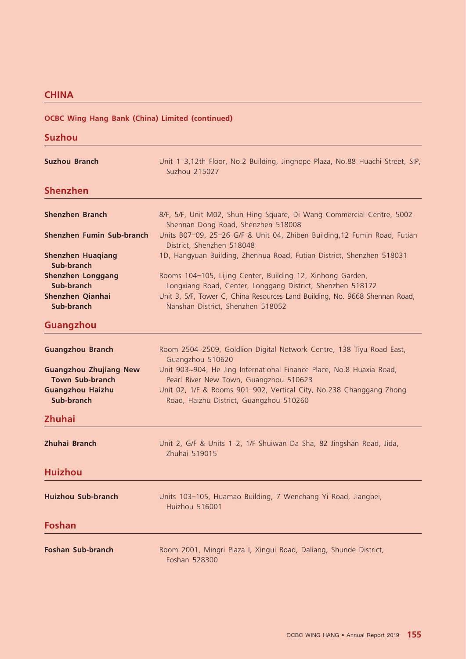### **CHINA**

### **OCBC Wing Hang Bank (China) Limited (continued)**

### **Suzhou**

| <b>Suzhou Branch</b>                                                                             | Unit 1-3,12th Floor, No.2 Building, Jinghope Plaza, No.88 Huachi Street, SIP,<br>Suzhou 215027                                                                                                                                               |
|--------------------------------------------------------------------------------------------------|----------------------------------------------------------------------------------------------------------------------------------------------------------------------------------------------------------------------------------------------|
| <b>Shenzhen</b>                                                                                  |                                                                                                                                                                                                                                              |
| <b>Shenzhen Branch</b>                                                                           | 8/F, 5/F, Unit M02, Shun Hing Square, Di Wang Commercial Centre, 5002<br>Shennan Dong Road, Shenzhen 518008                                                                                                                                  |
| Shenzhen Fumin Sub-branch                                                                        | Units B07-09, 25-26 G/F & Unit 04, Zhiben Building, 12 Fumin Road, Futian<br>District, Shenzhen 518048                                                                                                                                       |
| <b>Shenzhen Huaqiang</b><br>Sub-branch                                                           | 1D, Hangyuan Building, Zhenhua Road, Futian District, Shenzhen 518031                                                                                                                                                                        |
| <b>Shenzhen Longgang</b><br>Sub-branch<br><b>Shenzhen Qianhai</b><br>Sub-branch                  | Rooms 104-105, Lijing Center, Building 12, Xinhong Garden,<br>Longxiang Road, Center, Longgang District, Shenzhen 518172<br>Unit 3, 5/F, Tower C, China Resources Land Building, No. 9668 Shennan Road,<br>Nanshan District, Shenzhen 518052 |
| Guangzhou                                                                                        |                                                                                                                                                                                                                                              |
| <b>Guangzhou Branch</b>                                                                          | Room 2504-2509, Goldlion Digital Network Centre, 138 Tiyu Road East,<br>Guangzhou 510620                                                                                                                                                     |
| <b>Guangzhou Zhujiang New</b><br><b>Town Sub-branch</b><br><b>Guangzhou Haizhu</b><br>Sub-branch | Unit 903~904, He Jing International Finance Place, No.8 Huaxia Road,<br>Pearl River New Town, Guangzhou 510623<br>Unit 02, 1/F & Rooms 901-902, Vertical City, No.238 Changgang Zhong<br>Road, Haizhu District, Guangzhou 510260             |
| <b>Zhuhai</b>                                                                                    |                                                                                                                                                                                                                                              |
| Zhuhai Branch                                                                                    | Unit 2, G/F & Units 1-2, 1/F Shuiwan Da Sha, 82 Jingshan Road, Jida,<br>Zhuhai 519015                                                                                                                                                        |
| <b>Huizhou</b>                                                                                   |                                                                                                                                                                                                                                              |
| <b>Huizhou Sub-branch</b>                                                                        | Units 103-105, Huamao Building, 7 Wenchang Yi Road, Jiangbei,<br>Huizhou 516001                                                                                                                                                              |
| <b>Foshan</b>                                                                                    |                                                                                                                                                                                                                                              |
| <b>Foshan Sub-branch</b>                                                                         | Room 2001, Mingri Plaza I, Xingui Road, Daliang, Shunde District,<br>Foshan 528300                                                                                                                                                           |